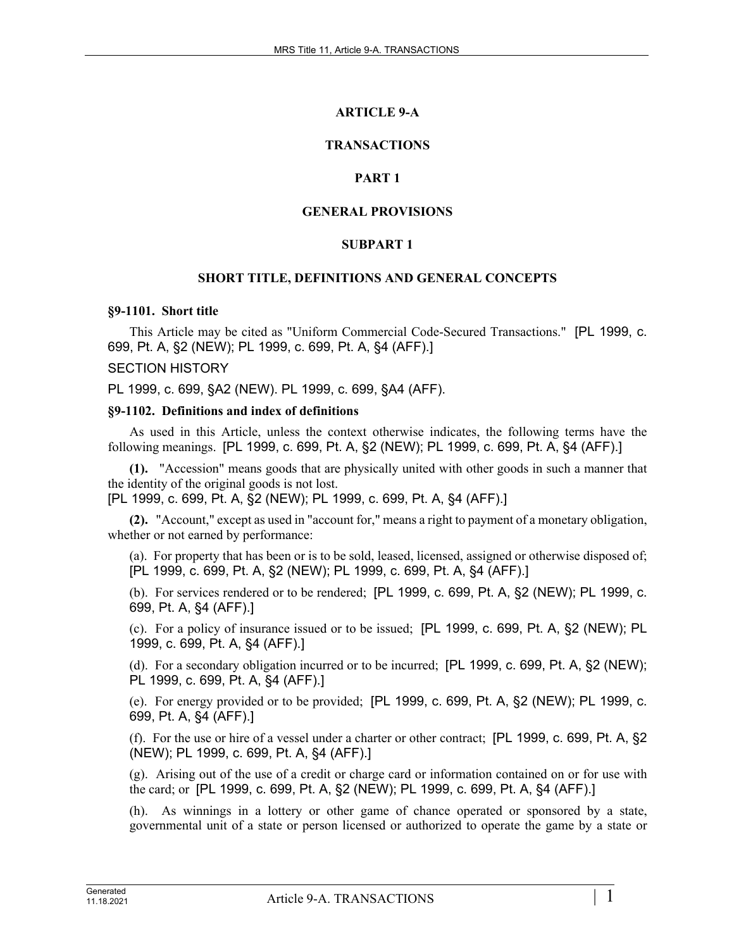# **ARTICLE 9-A**

## **TRANSACTIONS**

## **PART 1**

### **GENERAL PROVISIONS**

### **SUBPART 1**

#### **SHORT TITLE, DEFINITIONS AND GENERAL CONCEPTS**

#### **§9-1101. Short title**

This Article may be cited as "Uniform Commercial Code-Secured Transactions." [PL 1999, c. 699, Pt. A, §2 (NEW); PL 1999, c. 699, Pt. A, §4 (AFF).]

#### SECTION HISTORY

PL 1999, c. 699, §A2 (NEW). PL 1999, c. 699, §A4 (AFF).

#### **§9-1102. Definitions and index of definitions**

As used in this Article, unless the context otherwise indicates, the following terms have the following meanings. [PL 1999, c. 699, Pt. A, §2 (NEW); PL 1999, c. 699, Pt. A, §4 (AFF).]

**(1).** "Accession" means goods that are physically united with other goods in such a manner that the identity of the original goods is not lost.

[PL 1999, c. 699, Pt. A, §2 (NEW); PL 1999, c. 699, Pt. A, §4 (AFF).]

**(2).** "Account," except as used in "account for," means a right to payment of a monetary obligation, whether or not earned by performance:

(a). For property that has been or is to be sold, leased, licensed, assigned or otherwise disposed of; [PL 1999, c. 699, Pt. A, §2 (NEW); PL 1999, c. 699, Pt. A, §4 (AFF).]

(b). For services rendered or to be rendered; [PL 1999, c. 699, Pt. A, §2 (NEW); PL 1999, c. 699, Pt. A, §4 (AFF).]

(c). For a policy of insurance issued or to be issued; [PL 1999, c. 699, Pt. A, §2 (NEW); PL 1999, c. 699, Pt. A, §4 (AFF).]

(d). For a secondary obligation incurred or to be incurred; [PL 1999, c. 699, Pt. A, §2 (NEW); PL 1999, c. 699, Pt. A, §4 (AFF).]

(e). For energy provided or to be provided; [PL 1999, c. 699, Pt. A, §2 (NEW); PL 1999, c. 699, Pt. A, §4 (AFF).]

(f). For the use or hire of a vessel under a charter or other contract; [PL 1999, c. 699, Pt. A, §2 (NEW); PL 1999, c. 699, Pt. A, §4 (AFF).]

(g). Arising out of the use of a credit or charge card or information contained on or for use with the card; or [PL 1999, c. 699, Pt. A, §2 (NEW); PL 1999, c. 699, Pt. A, §4 (AFF).]

(h). As winnings in a lottery or other game of chance operated or sponsored by a state, governmental unit of a state or person licensed or authorized to operate the game by a state or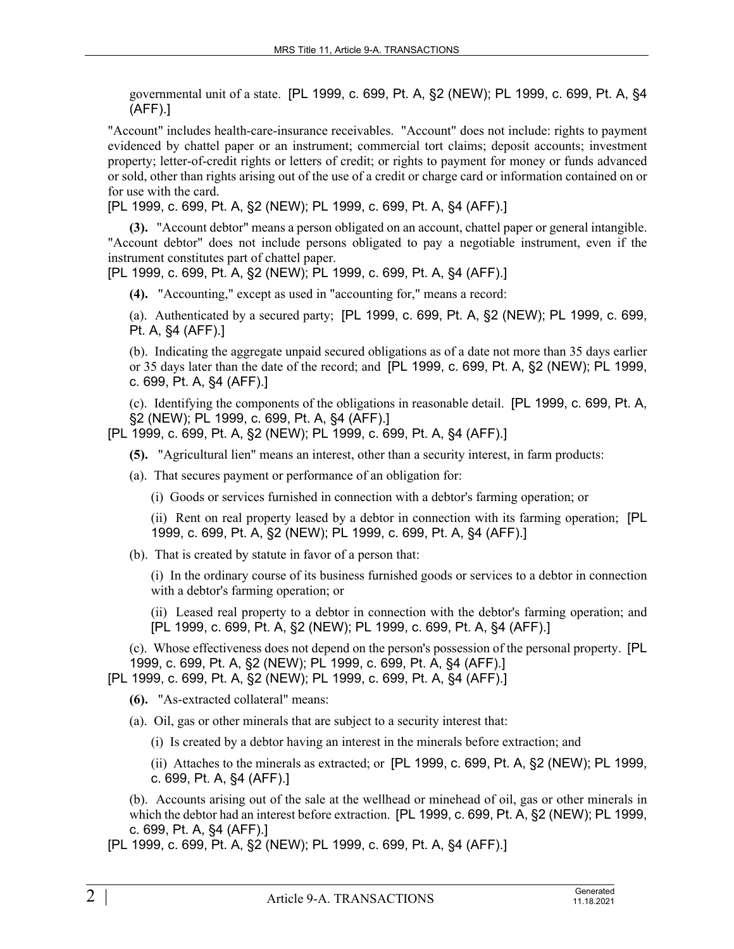governmental unit of a state. [PL 1999, c. 699, Pt. A, §2 (NEW); PL 1999, c. 699, Pt. A, §4 (AFF).]

"Account" includes health-care-insurance receivables. "Account" does not include: rights to payment evidenced by chattel paper or an instrument; commercial tort claims; deposit accounts; investment property; letter-of-credit rights or letters of credit; or rights to payment for money or funds advanced or sold, other than rights arising out of the use of a credit or charge card or information contained on or for use with the card.

[PL 1999, c. 699, Pt. A, §2 (NEW); PL 1999, c. 699, Pt. A, §4 (AFF).]

**(3).** "Account debtor" means a person obligated on an account, chattel paper or general intangible. "Account debtor" does not include persons obligated to pay a negotiable instrument, even if the instrument constitutes part of chattel paper.

[PL 1999, c. 699, Pt. A, §2 (NEW); PL 1999, c. 699, Pt. A, §4 (AFF).]

**(4).** "Accounting," except as used in "accounting for," means a record:

(a). Authenticated by a secured party; [PL 1999, c. 699, Pt. A, §2 (NEW); PL 1999, c. 699, Pt. A, §4 (AFF).]

(b). Indicating the aggregate unpaid secured obligations as of a date not more than 35 days earlier or 35 days later than the date of the record; and [PL 1999, c. 699, Pt. A, §2 (NEW); PL 1999, c. 699, Pt. A, §4 (AFF).]

(c). Identifying the components of the obligations in reasonable detail. [PL 1999, c. 699, Pt. A, §2 (NEW); PL 1999, c. 699, Pt. A, §4 (AFF).]

[PL 1999, c. 699, Pt. A, §2 (NEW); PL 1999, c. 699, Pt. A, §4 (AFF).]

**(5).** "Agricultural lien" means an interest, other than a security interest, in farm products:

(a). That secures payment or performance of an obligation for:

(i) Goods or services furnished in connection with a debtor's farming operation; or

(ii) Rent on real property leased by a debtor in connection with its farming operation; [PL 1999, c. 699, Pt. A, §2 (NEW); PL 1999, c. 699, Pt. A, §4 (AFF).]

(b). That is created by statute in favor of a person that:

(i) In the ordinary course of its business furnished goods or services to a debtor in connection with a debtor's farming operation; or

(ii) Leased real property to a debtor in connection with the debtor's farming operation; and [PL 1999, c. 699, Pt. A, §2 (NEW); PL 1999, c. 699, Pt. A, §4 (AFF).]

(c). Whose effectiveness does not depend on the person's possession of the personal property. [PL 1999, c. 699, Pt. A, §2 (NEW); PL 1999, c. 699, Pt. A, §4 (AFF).]

[PL 1999, c. 699, Pt. A, §2 (NEW); PL 1999, c. 699, Pt. A, §4 (AFF).]

**(6).** "As-extracted collateral" means:

- (a). Oil, gas or other minerals that are subject to a security interest that:
	- (i) Is created by a debtor having an interest in the minerals before extraction; and

(ii) Attaches to the minerals as extracted; or [PL 1999, c. 699, Pt. A, §2 (NEW); PL 1999, c. 699, Pt. A, §4 (AFF).]

(b). Accounts arising out of the sale at the wellhead or minehead of oil, gas or other minerals in which the debtor had an interest before extraction. [PL 1999, c. 699, Pt. A, §2 (NEW); PL 1999, c. 699, Pt. A, §4 (AFF).]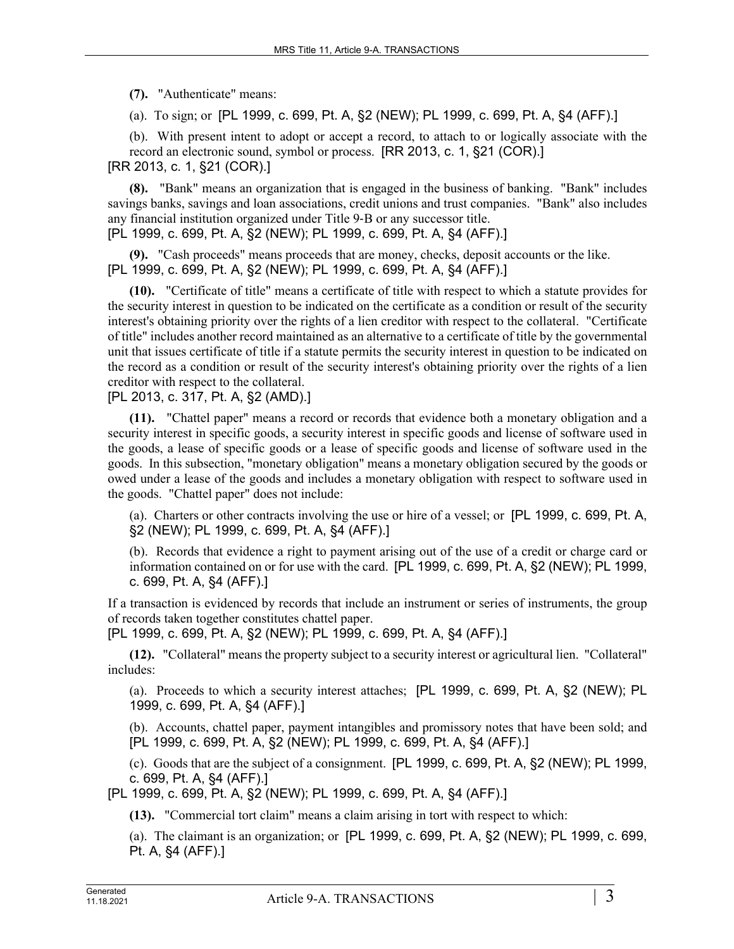**(7).** "Authenticate" means:

(a). To sign; or [PL 1999, c. 699, Pt. A, §2 (NEW); PL 1999, c. 699, Pt. A, §4 (AFF).]

(b). With present intent to adopt or accept a record, to attach to or logically associate with the record an electronic sound, symbol or process. [RR 2013, c. 1, §21 (COR).] [RR 2013, c. 1, §21 (COR).]

**(8).** "Bank" means an organization that is engaged in the business of banking. "Bank" includes savings banks, savings and loan associations, credit unions and trust companies. "Bank" also includes any financial institution organized under Title 9‑B or any successor title.

[PL 1999, c. 699, Pt. A, §2 (NEW); PL 1999, c. 699, Pt. A, §4 (AFF).]

**(9).** "Cash proceeds" means proceeds that are money, checks, deposit accounts or the like. [PL 1999, c. 699, Pt. A, §2 (NEW); PL 1999, c. 699, Pt. A, §4 (AFF).]

**(10).** "Certificate of title" means a certificate of title with respect to which a statute provides for the security interest in question to be indicated on the certificate as a condition or result of the security interest's obtaining priority over the rights of a lien creditor with respect to the collateral. "Certificate of title" includes another record maintained as an alternative to a certificate of title by the governmental unit that issues certificate of title if a statute permits the security interest in question to be indicated on the record as a condition or result of the security interest's obtaining priority over the rights of a lien creditor with respect to the collateral.

[PL 2013, c. 317, Pt. A, §2 (AMD).]

**(11).** "Chattel paper" means a record or records that evidence both a monetary obligation and a security interest in specific goods, a security interest in specific goods and license of software used in the goods, a lease of specific goods or a lease of specific goods and license of software used in the goods. In this subsection, "monetary obligation" means a monetary obligation secured by the goods or owed under a lease of the goods and includes a monetary obligation with respect to software used in the goods. "Chattel paper" does not include:

(a). Charters or other contracts involving the use or hire of a vessel; or [PL 1999, c. 699, Pt. A, §2 (NEW); PL 1999, c. 699, Pt. A, §4 (AFF).]

(b). Records that evidence a right to payment arising out of the use of a credit or charge card or information contained on or for use with the card. [PL 1999, c. 699, Pt. A, §2 (NEW); PL 1999, c. 699, Pt. A, §4 (AFF).]

If a transaction is evidenced by records that include an instrument or series of instruments, the group of records taken together constitutes chattel paper.

[PL 1999, c. 699, Pt. A, §2 (NEW); PL 1999, c. 699, Pt. A, §4 (AFF).]

**(12).** "Collateral" means the property subject to a security interest or agricultural lien. "Collateral" includes:

(a). Proceeds to which a security interest attaches; [PL 1999, c. 699, Pt. A, §2 (NEW); PL 1999, c. 699, Pt. A, §4 (AFF).]

(b). Accounts, chattel paper, payment intangibles and promissory notes that have been sold; and [PL 1999, c. 699, Pt. A, §2 (NEW); PL 1999, c. 699, Pt. A, §4 (AFF).]

(c). Goods that are the subject of a consignment. [PL 1999, c. 699, Pt. A, §2 (NEW); PL 1999, c. 699, Pt. A, §4 (AFF).]

[PL 1999, c. 699, Pt. A, §2 (NEW); PL 1999, c. 699, Pt. A, §4 (AFF).]

**(13).** "Commercial tort claim" means a claim arising in tort with respect to which:

(a). The claimant is an organization; or [PL 1999, c. 699, Pt. A, §2 (NEW); PL 1999, c. 699, Pt. A, §4 (AFF).]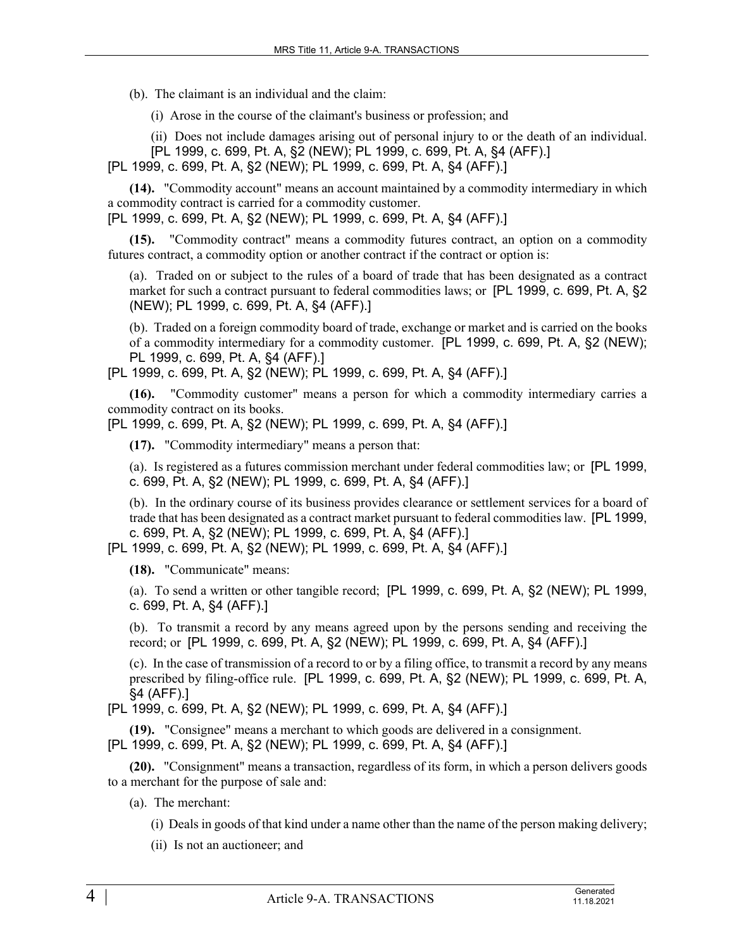(b). The claimant is an individual and the claim:

(i) Arose in the course of the claimant's business or profession; and

(ii) Does not include damages arising out of personal injury to or the death of an individual.

[PL 1999, c. 699, Pt. A, §2 (NEW); PL 1999, c. 699, Pt. A, §4 (AFF).]

[PL 1999, c. 699, Pt. A, §2 (NEW); PL 1999, c. 699, Pt. A, §4 (AFF).]

**(14).** "Commodity account" means an account maintained by a commodity intermediary in which a commodity contract is carried for a commodity customer.

[PL 1999, c. 699, Pt. A, §2 (NEW); PL 1999, c. 699, Pt. A, §4 (AFF).]

**(15).** "Commodity contract" means a commodity futures contract, an option on a commodity futures contract, a commodity option or another contract if the contract or option is:

(a). Traded on or subject to the rules of a board of trade that has been designated as a contract market for such a contract pursuant to federal commodities laws; or [PL 1999, c. 699, Pt. A, §2 (NEW); PL 1999, c. 699, Pt. A, §4 (AFF).]

(b). Traded on a foreign commodity board of trade, exchange or market and is carried on the books of a commodity intermediary for a commodity customer. [PL 1999, c. 699, Pt. A, §2 (NEW); PL 1999, c. 699, Pt. A, §4 (AFF).]

[PL 1999, c. 699, Pt. A, §2 (NEW); PL 1999, c. 699, Pt. A, §4 (AFF).]

**(16).** "Commodity customer" means a person for which a commodity intermediary carries a commodity contract on its books.

[PL 1999, c. 699, Pt. A, §2 (NEW); PL 1999, c. 699, Pt. A, §4 (AFF).]

**(17).** "Commodity intermediary" means a person that:

(a). Is registered as a futures commission merchant under federal commodities law; or [PL 1999, c. 699, Pt. A, §2 (NEW); PL 1999, c. 699, Pt. A, §4 (AFF).]

(b). In the ordinary course of its business provides clearance or settlement services for a board of trade that has been designated as a contract market pursuant to federal commodities law. [PL 1999, c. 699, Pt. A, §2 (NEW); PL 1999, c. 699, Pt. A, §4 (AFF).]

[PL 1999, c. 699, Pt. A, §2 (NEW); PL 1999, c. 699, Pt. A, §4 (AFF).]

**(18).** "Communicate" means:

(a). To send a written or other tangible record; [PL 1999, c. 699, Pt. A, §2 (NEW); PL 1999, c. 699, Pt. A, §4 (AFF).]

(b). To transmit a record by any means agreed upon by the persons sending and receiving the record; or [PL 1999, c. 699, Pt. A, §2 (NEW); PL 1999, c. 699, Pt. A, §4 (AFF).]

(c). In the case of transmission of a record to or by a filing office, to transmit a record by any means prescribed by filing-office rule. [PL 1999, c. 699, Pt. A, §2 (NEW); PL 1999, c. 699, Pt. A, §4 (AFF).]

[PL 1999, c. 699, Pt. A, §2 (NEW); PL 1999, c. 699, Pt. A, §4 (AFF).]

**(19).** "Consignee" means a merchant to which goods are delivered in a consignment. [PL 1999, c. 699, Pt. A, §2 (NEW); PL 1999, c. 699, Pt. A, §4 (AFF).]

**(20).** "Consignment" means a transaction, regardless of its form, in which a person delivers goods to a merchant for the purpose of sale and:

(a). The merchant:

(i) Deals in goods of that kind under a name other than the name of the person making delivery;

(ii) Is not an auctioneer; and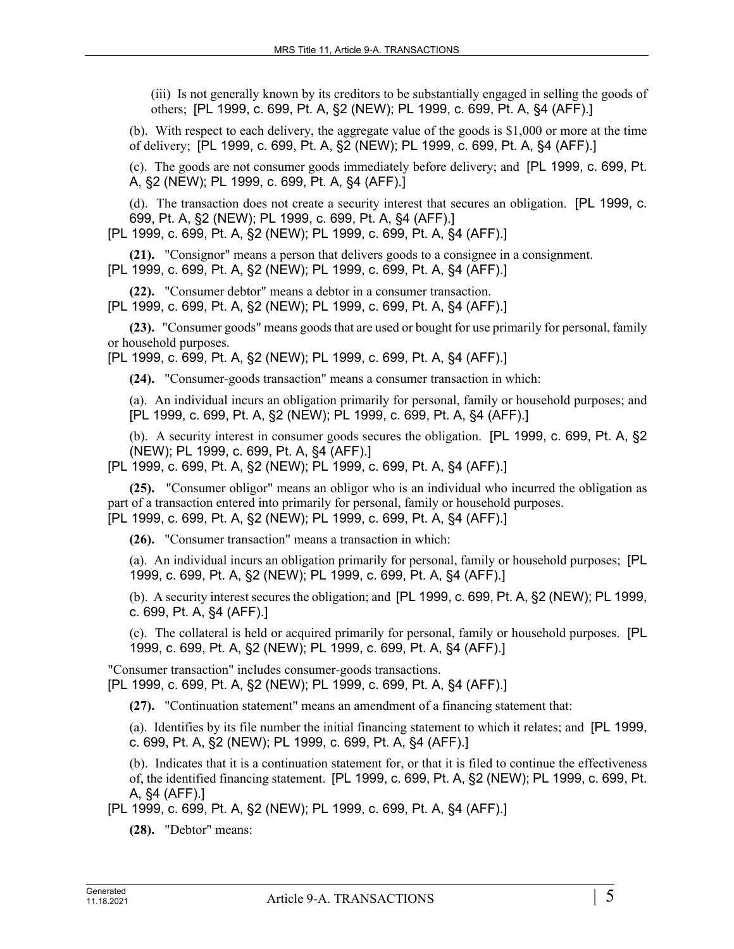(iii) Is not generally known by its creditors to be substantially engaged in selling the goods of others; [PL 1999, c. 699, Pt. A, §2 (NEW); PL 1999, c. 699, Pt. A, §4 (AFF).]

(b). With respect to each delivery, the aggregate value of the goods is \$1,000 or more at the time of delivery; [PL 1999, c. 699, Pt. A, §2 (NEW); PL 1999, c. 699, Pt. A, §4 (AFF).]

(c). The goods are not consumer goods immediately before delivery; and [PL 1999, c. 699, Pt. A, §2 (NEW); PL 1999, c. 699, Pt. A, §4 (AFF).]

(d). The transaction does not create a security interest that secures an obligation. [PL 1999, c. 699, Pt. A, §2 (NEW); PL 1999, c. 699, Pt. A, §4 (AFF).]

[PL 1999, c. 699, Pt. A, §2 (NEW); PL 1999, c. 699, Pt. A, §4 (AFF).]

**(21).** "Consignor" means a person that delivers goods to a consignee in a consignment. [PL 1999, c. 699, Pt. A, §2 (NEW); PL 1999, c. 699, Pt. A, §4 (AFF).]

**(22).** "Consumer debtor" means a debtor in a consumer transaction.

[PL 1999, c. 699, Pt. A, §2 (NEW); PL 1999, c. 699, Pt. A, §4 (AFF).]

**(23).** "Consumer goods" means goods that are used or bought for use primarily for personal, family or household purposes.

[PL 1999, c. 699, Pt. A, §2 (NEW); PL 1999, c. 699, Pt. A, §4 (AFF).]

**(24).** "Consumer-goods transaction" means a consumer transaction in which:

(a). An individual incurs an obligation primarily for personal, family or household purposes; and [PL 1999, c. 699, Pt. A, §2 (NEW); PL 1999, c. 699, Pt. A, §4 (AFF).]

(b). A security interest in consumer goods secures the obligation. [PL 1999, c. 699, Pt. A, §2 (NEW); PL 1999, c. 699, Pt. A, §4 (AFF).]

[PL 1999, c. 699, Pt. A, §2 (NEW); PL 1999, c. 699, Pt. A, §4 (AFF).]

**(25).** "Consumer obligor" means an obligor who is an individual who incurred the obligation as part of a transaction entered into primarily for personal, family or household purposes. [PL 1999, c. 699, Pt. A, §2 (NEW); PL 1999, c. 699, Pt. A, §4 (AFF).]

**(26).** "Consumer transaction" means a transaction in which:

(a). An individual incurs an obligation primarily for personal, family or household purposes; [PL 1999, c. 699, Pt. A, §2 (NEW); PL 1999, c. 699, Pt. A, §4 (AFF).]

(b). A security interest secures the obligation; and [PL 1999, c. 699, Pt. A, §2 (NEW); PL 1999, c. 699, Pt. A, §4 (AFF).]

(c). The collateral is held or acquired primarily for personal, family or household purposes. [PL 1999, c. 699, Pt. A, §2 (NEW); PL 1999, c. 699, Pt. A, §4 (AFF).]

"Consumer transaction" includes consumer-goods transactions. [PL 1999, c. 699, Pt. A, §2 (NEW); PL 1999, c. 699, Pt. A, §4 (AFF).]

**(27).** "Continuation statement" means an amendment of a financing statement that:

(a). Identifies by its file number the initial financing statement to which it relates; and [PL 1999, c. 699, Pt. A, §2 (NEW); PL 1999, c. 699, Pt. A, §4 (AFF).]

(b). Indicates that it is a continuation statement for, or that it is filed to continue the effectiveness of, the identified financing statement. [PL 1999, c. 699, Pt. A, §2 (NEW); PL 1999, c. 699, Pt. A, §4 (AFF).]

[PL 1999, c. 699, Pt. A, §2 (NEW); PL 1999, c. 699, Pt. A, §4 (AFF).]

**(28).** "Debtor" means: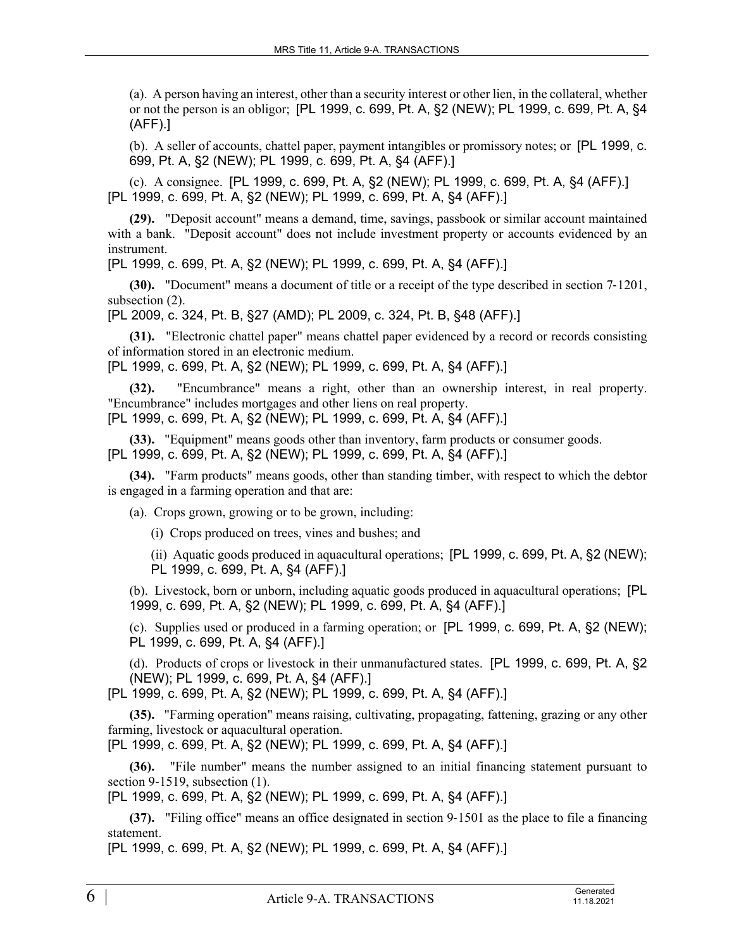(a). A person having an interest, other than a security interest or other lien, in the collateral, whether or not the person is an obligor; [PL 1999, c. 699, Pt. A, §2 (NEW); PL 1999, c. 699, Pt. A, §4 (AFF).]

(b). A seller of accounts, chattel paper, payment intangibles or promissory notes; or [PL 1999, c. 699, Pt. A, §2 (NEW); PL 1999, c. 699, Pt. A, §4 (AFF).]

(c). A consignee. [PL 1999, c. 699, Pt. A, §2 (NEW); PL 1999, c. 699, Pt. A, §4 (AFF).] [PL 1999, c. 699, Pt. A, §2 (NEW); PL 1999, c. 699, Pt. A, §4 (AFF).]

**(29).** "Deposit account" means a demand, time, savings, passbook or similar account maintained with a bank. "Deposit account" does not include investment property or accounts evidenced by an instrument.

[PL 1999, c. 699, Pt. A, §2 (NEW); PL 1999, c. 699, Pt. A, §4 (AFF).]

**(30).** "Document" means a document of title or a receipt of the type described in section 7‑1201, subsection (2).

[PL 2009, c. 324, Pt. B, §27 (AMD); PL 2009, c. 324, Pt. B, §48 (AFF).]

**(31).** "Electronic chattel paper" means chattel paper evidenced by a record or records consisting of information stored in an electronic medium.

[PL 1999, c. 699, Pt. A, §2 (NEW); PL 1999, c. 699, Pt. A, §4 (AFF).]

**(32).** "Encumbrance" means a right, other than an ownership interest, in real property. "Encumbrance" includes mortgages and other liens on real property. [PL 1999, c. 699, Pt. A, §2 (NEW); PL 1999, c. 699, Pt. A, §4 (AFF).]

**(33).** "Equipment" means goods other than inventory, farm products or consumer goods. [PL 1999, c. 699, Pt. A, §2 (NEW); PL 1999, c. 699, Pt. A, §4 (AFF).]

**(34).** "Farm products" means goods, other than standing timber, with respect to which the debtor is engaged in a farming operation and that are:

(a). Crops grown, growing or to be grown, including:

(i) Crops produced on trees, vines and bushes; and

(ii) Aquatic goods produced in aquacultural operations; [PL 1999, c. 699, Pt. A, §2 (NEW); PL 1999, c. 699, Pt. A, §4 (AFF).]

(b). Livestock, born or unborn, including aquatic goods produced in aquacultural operations; [PL 1999, c. 699, Pt. A, §2 (NEW); PL 1999, c. 699, Pt. A, §4 (AFF).]

(c). Supplies used or produced in a farming operation; or [PL 1999, c. 699, Pt. A, §2 (NEW); PL 1999, c. 699, Pt. A, §4 (AFF).]

(d). Products of crops or livestock in their unmanufactured states. [PL 1999, c. 699, Pt. A, §2 (NEW); PL 1999, c. 699, Pt. A, §4 (AFF).]

[PL 1999, c. 699, Pt. A, §2 (NEW); PL 1999, c. 699, Pt. A, §4 (AFF).]

**(35).** "Farming operation" means raising, cultivating, propagating, fattening, grazing or any other farming, livestock or aquacultural operation.

[PL 1999, c. 699, Pt. A, §2 (NEW); PL 1999, c. 699, Pt. A, §4 (AFF).]

**(36).** "File number" means the number assigned to an initial financing statement pursuant to section 9-1519, subsection (1).

[PL 1999, c. 699, Pt. A, §2 (NEW); PL 1999, c. 699, Pt. A, §4 (AFF).]

**(37).** "Filing office" means an office designated in section 9–1501 as the place to file a financing statement.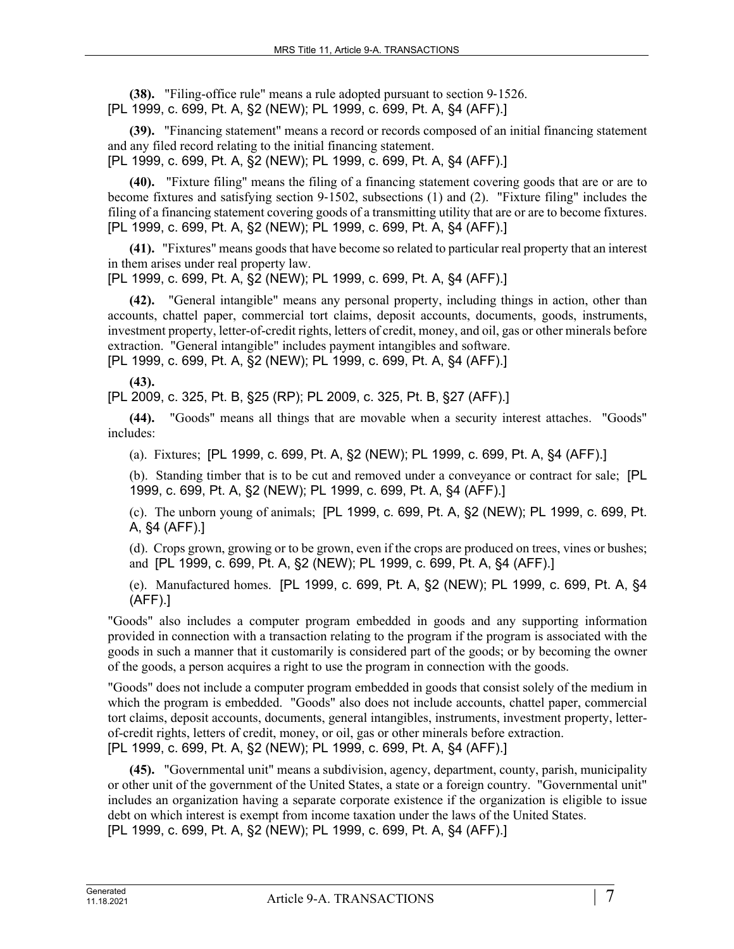**(38).** "Filing-office rule" means a rule adopted pursuant to section 9-1526. [PL 1999, c. 699, Pt. A, §2 (NEW); PL 1999, c. 699, Pt. A, §4 (AFF).]

**(39).** "Financing statement" means a record or records composed of an initial financing statement and any filed record relating to the initial financing statement. [PL 1999, c. 699, Pt. A, §2 (NEW); PL 1999, c. 699, Pt. A, §4 (AFF).]

**(40).** "Fixture filing" means the filing of a financing statement covering goods that are or are to become fixtures and satisfying section 9‑1502, subsections (1) and (2). "Fixture filing" includes the filing of a financing statement covering goods of a transmitting utility that are or are to become fixtures. [PL 1999, c. 699, Pt. A, §2 (NEW); PL 1999, c. 699, Pt. A, §4 (AFF).]

**(41).** "Fixtures" means goods that have become so related to particular real property that an interest in them arises under real property law.

[PL 1999, c. 699, Pt. A, §2 (NEW); PL 1999, c. 699, Pt. A, §4 (AFF).]

**(42).** "General intangible" means any personal property, including things in action, other than accounts, chattel paper, commercial tort claims, deposit accounts, documents, goods, instruments, investment property, letter-of-credit rights, letters of credit, money, and oil, gas or other minerals before extraction. "General intangible" includes payment intangibles and software.

[PL 1999, c. 699, Pt. A, §2 (NEW); PL 1999, c. 699, Pt. A, §4 (AFF).]

**(43).** 

[PL 2009, c. 325, Pt. B, §25 (RP); PL 2009, c. 325, Pt. B, §27 (AFF).]

**(44).** "Goods" means all things that are movable when a security interest attaches. "Goods" includes:

(a). Fixtures; [PL 1999, c. 699, Pt. A, §2 (NEW); PL 1999, c. 699, Pt. A, §4 (AFF).]

(b). Standing timber that is to be cut and removed under a conveyance or contract for sale; [PL 1999, c. 699, Pt. A, §2 (NEW); PL 1999, c. 699, Pt. A, §4 (AFF).]

(c). The unborn young of animals; [PL 1999, c. 699, Pt. A, §2 (NEW); PL 1999, c. 699, Pt. A, §4 (AFF).]

(d). Crops grown, growing or to be grown, even if the crops are produced on trees, vines or bushes; and [PL 1999, c. 699, Pt. A, §2 (NEW); PL 1999, c. 699, Pt. A, §4 (AFF).]

(e). Manufactured homes. [PL 1999, c. 699, Pt. A, §2 (NEW); PL 1999, c. 699, Pt. A, §4 (AFF).]

"Goods" also includes a computer program embedded in goods and any supporting information provided in connection with a transaction relating to the program if the program is associated with the goods in such a manner that it customarily is considered part of the goods; or by becoming the owner of the goods, a person acquires a right to use the program in connection with the goods.

"Goods" does not include a computer program embedded in goods that consist solely of the medium in which the program is embedded. "Goods" also does not include accounts, chattel paper, commercial tort claims, deposit accounts, documents, general intangibles, instruments, investment property, letterof-credit rights, letters of credit, money, or oil, gas or other minerals before extraction. [PL 1999, c. 699, Pt. A, §2 (NEW); PL 1999, c. 699, Pt. A, §4 (AFF).]

**(45).** "Governmental unit" means a subdivision, agency, department, county, parish, municipality or other unit of the government of the United States, a state or a foreign country. "Governmental unit" includes an organization having a separate corporate existence if the organization is eligible to issue debt on which interest is exempt from income taxation under the laws of the United States. [PL 1999, c. 699, Pt. A, §2 (NEW); PL 1999, c. 699, Pt. A, §4 (AFF).]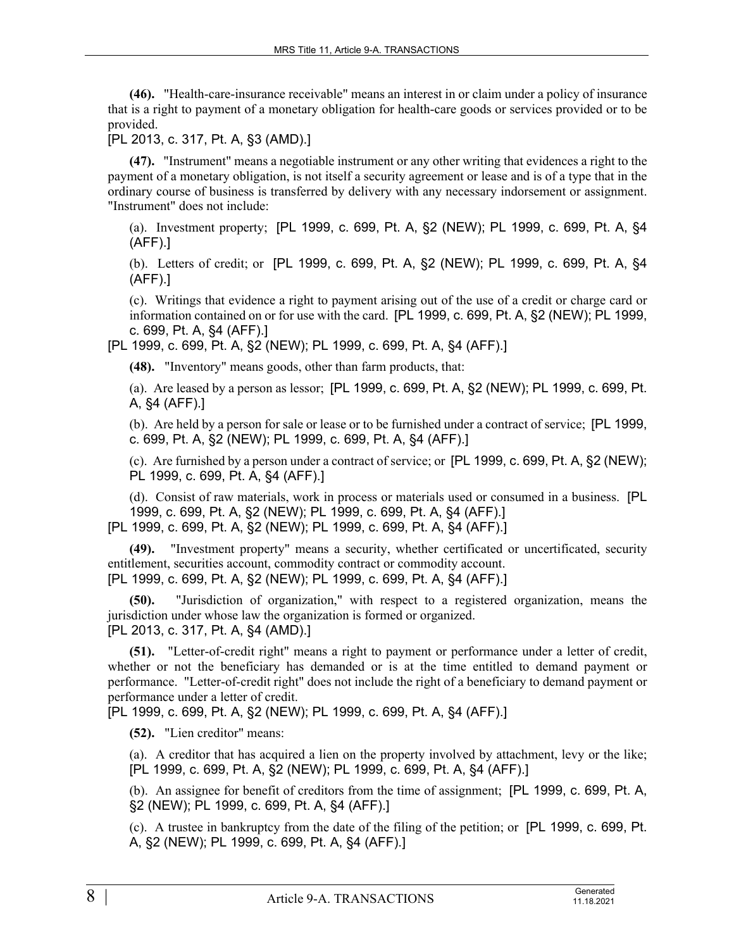**(46).** "Health-care-insurance receivable" means an interest in or claim under a policy of insurance that is a right to payment of a monetary obligation for health-care goods or services provided or to be provided.

[PL 2013, c. 317, Pt. A, §3 (AMD).]

**(47).** "Instrument" means a negotiable instrument or any other writing that evidences a right to the payment of a monetary obligation, is not itself a security agreement or lease and is of a type that in the ordinary course of business is transferred by delivery with any necessary indorsement or assignment. "Instrument" does not include:

(a). Investment property; [PL 1999, c. 699, Pt. A, §2 (NEW); PL 1999, c. 699, Pt. A, §4 (AFF).]

(b). Letters of credit; or [PL 1999, c. 699, Pt. A, §2 (NEW); PL 1999, c. 699, Pt. A, §4 (AFF).]

(c). Writings that evidence a right to payment arising out of the use of a credit or charge card or information contained on or for use with the card. [PL 1999, c. 699, Pt. A, §2 (NEW); PL 1999, c. 699, Pt. A, §4 (AFF).]

[PL 1999, c. 699, Pt. A, §2 (NEW); PL 1999, c. 699, Pt. A, §4 (AFF).]

**(48).** "Inventory" means goods, other than farm products, that:

(a). Are leased by a person as lessor; [PL 1999, c. 699, Pt. A, §2 (NEW); PL 1999, c. 699, Pt. A, §4 (AFF).]

(b). Are held by a person for sale or lease or to be furnished under a contract of service; [PL 1999, c. 699, Pt. A, §2 (NEW); PL 1999, c. 699, Pt. A, §4 (AFF).]

(c). Are furnished by a person under a contract of service; or [PL 1999, c. 699, Pt. A, §2 (NEW); PL 1999, c. 699, Pt. A, §4 (AFF).]

(d). Consist of raw materials, work in process or materials used or consumed in a business. [PL 1999, c. 699, Pt. A, §2 (NEW); PL 1999, c. 699, Pt. A, §4 (AFF).] [PL 1999, c. 699, Pt. A, §2 (NEW); PL 1999, c. 699, Pt. A, §4 (AFF).]

**(49).** "Investment property" means a security, whether certificated or uncertificated, security entitlement, securities account, commodity contract or commodity account. [PL 1999, c. 699, Pt. A, §2 (NEW); PL 1999, c. 699, Pt. A, §4 (AFF).]

**(50).** "Jurisdiction of organization," with respect to a registered organization, means the jurisdiction under whose law the organization is formed or organized. [PL 2013, c. 317, Pt. A, §4 (AMD).]

**(51).** "Letter-of-credit right" means a right to payment or performance under a letter of credit, whether or not the beneficiary has demanded or is at the time entitled to demand payment or performance. "Letter-of-credit right" does not include the right of a beneficiary to demand payment or performance under a letter of credit.

[PL 1999, c. 699, Pt. A, §2 (NEW); PL 1999, c. 699, Pt. A, §4 (AFF).]

**(52).** "Lien creditor" means:

(a). A creditor that has acquired a lien on the property involved by attachment, levy or the like; [PL 1999, c. 699, Pt. A, §2 (NEW); PL 1999, c. 699, Pt. A, §4 (AFF).]

(b). An assignee for benefit of creditors from the time of assignment; [PL 1999, c. 699, Pt. A, §2 (NEW); PL 1999, c. 699, Pt. A, §4 (AFF).]

(c). A trustee in bankruptcy from the date of the filing of the petition; or [PL 1999, c. 699, Pt. A, §2 (NEW); PL 1999, c. 699, Pt. A, §4 (AFF).]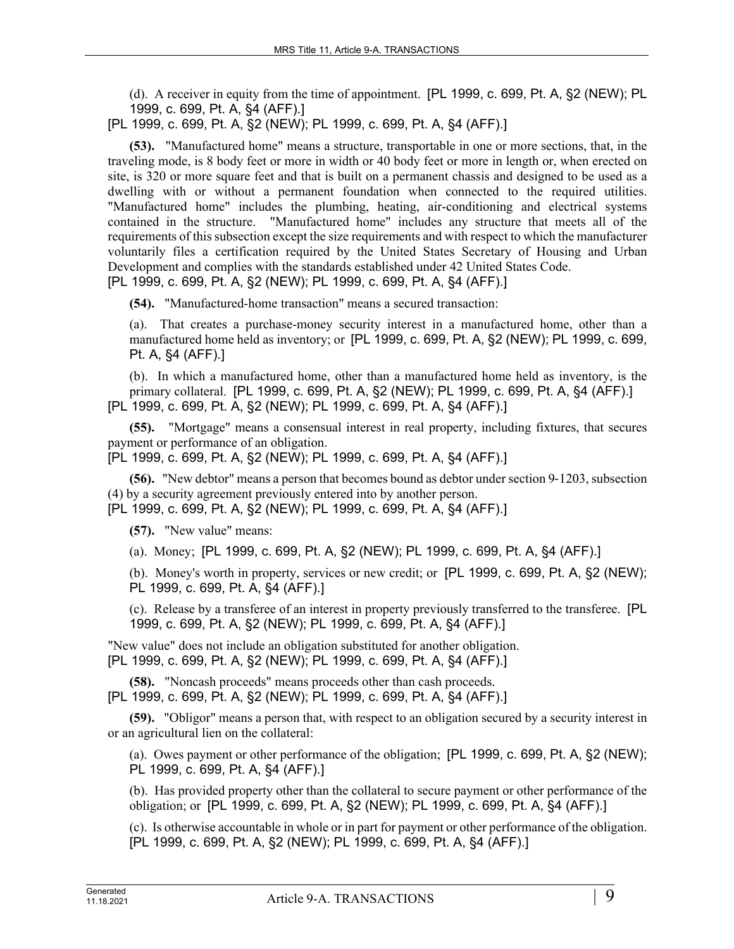(d). A receiver in equity from the time of appointment. [PL 1999, c. 699, Pt. A, §2 (NEW); PL 1999, c. 699, Pt. A, §4 (AFF).]

[PL 1999, c. 699, Pt. A, §2 (NEW); PL 1999, c. 699, Pt. A, §4 (AFF).]

**(53).** "Manufactured home" means a structure, transportable in one or more sections, that, in the traveling mode, is 8 body feet or more in width or 40 body feet or more in length or, when erected on site, is 320 or more square feet and that is built on a permanent chassis and designed to be used as a dwelling with or without a permanent foundation when connected to the required utilities. "Manufactured home" includes the plumbing, heating, air-conditioning and electrical systems contained in the structure. "Manufactured home" includes any structure that meets all of the requirements of this subsection except the size requirements and with respect to which the manufacturer voluntarily files a certification required by the United States Secretary of Housing and Urban Development and complies with the standards established under 42 United States Code. [PL 1999, c. 699, Pt. A, §2 (NEW); PL 1999, c. 699, Pt. A, §4 (AFF).]

**(54).** "Manufactured-home transaction" means a secured transaction:

(a). That creates a purchase-money security interest in a manufactured home, other than a manufactured home held as inventory; or [PL 1999, c. 699, Pt. A, §2 (NEW); PL 1999, c. 699, Pt. A, §4 (AFF).]

(b). In which a manufactured home, other than a manufactured home held as inventory, is the primary collateral. [PL 1999, c. 699, Pt. A, §2 (NEW); PL 1999, c. 699, Pt. A, §4 (AFF).] [PL 1999, c. 699, Pt. A, §2 (NEW); PL 1999, c. 699, Pt. A, §4 (AFF).]

**(55).** "Mortgage" means a consensual interest in real property, including fixtures, that secures payment or performance of an obligation.

[PL 1999, c. 699, Pt. A, §2 (NEW); PL 1999, c. 699, Pt. A, §4 (AFF).]

**(56).** "New debtor" means a person that becomes bound as debtor under section 9–1203, subsection (4) by a security agreement previously entered into by another person.

[PL 1999, c. 699, Pt. A, §2 (NEW); PL 1999, c. 699, Pt. A, §4 (AFF).]

**(57).** "New value" means:

(a). Money; [PL 1999, c. 699, Pt. A, §2 (NEW); PL 1999, c. 699, Pt. A, §4 (AFF).]

(b). Money's worth in property, services or new credit; or [PL 1999, c. 699, Pt. A, §2 (NEW); PL 1999, c. 699, Pt. A, §4 (AFF).]

(c). Release by a transferee of an interest in property previously transferred to the transferee. [PL 1999, c. 699, Pt. A, §2 (NEW); PL 1999, c. 699, Pt. A, §4 (AFF).]

"New value" does not include an obligation substituted for another obligation. [PL 1999, c. 699, Pt. A, §2 (NEW); PL 1999, c. 699, Pt. A, §4 (AFF).]

**(58).** "Noncash proceeds" means proceeds other than cash proceeds. [PL 1999, c. 699, Pt. A, §2 (NEW); PL 1999, c. 699, Pt. A, §4 (AFF).]

**(59).** "Obligor" means a person that, with respect to an obligation secured by a security interest in or an agricultural lien on the collateral:

(a). Owes payment or other performance of the obligation; [PL 1999, c. 699, Pt. A, §2 (NEW); PL 1999, c. 699, Pt. A, §4 (AFF).]

(b). Has provided property other than the collateral to secure payment or other performance of the obligation; or [PL 1999, c. 699, Pt. A, §2 (NEW); PL 1999, c. 699, Pt. A, §4 (AFF).]

(c). Is otherwise accountable in whole or in part for payment or other performance of the obligation. [PL 1999, c. 699, Pt. A, §2 (NEW); PL 1999, c. 699, Pt. A, §4 (AFF).]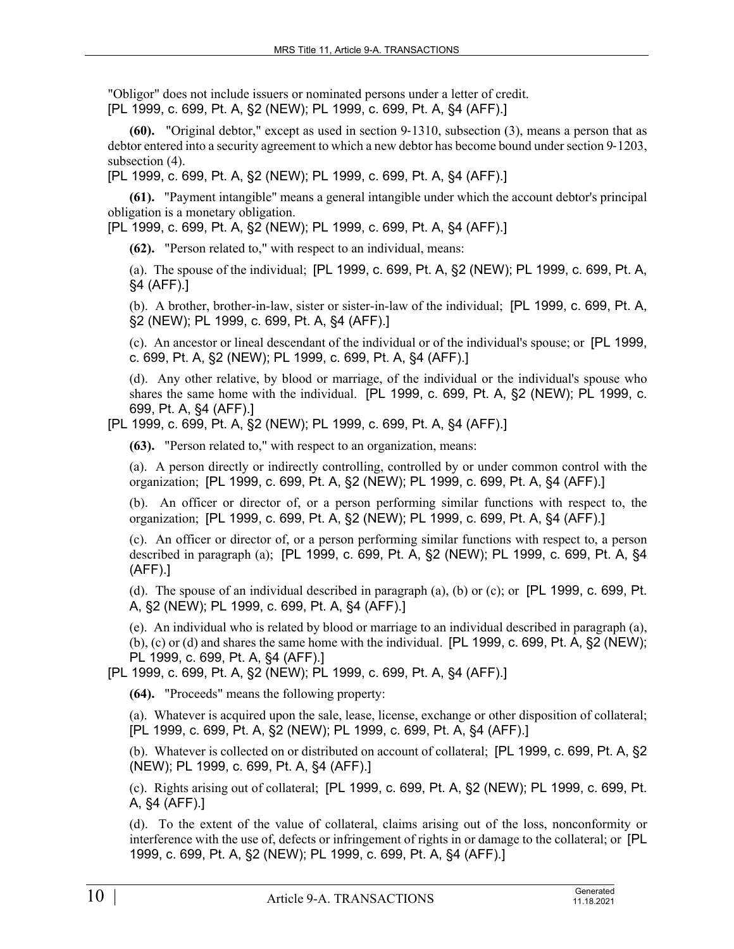"Obligor" does not include issuers or nominated persons under a letter of credit. [PL 1999, c. 699, Pt. A, §2 (NEW); PL 1999, c. 699, Pt. A, §4 (AFF).]

**(60).** "Original debtor," except as used in section 9-1310, subsection (3), means a person that as debtor entered into a security agreement to which a new debtor has become bound under section 9–1203, subsection (4).

[PL 1999, c. 699, Pt. A, §2 (NEW); PL 1999, c. 699, Pt. A, §4 (AFF).]

**(61).** "Payment intangible" means a general intangible under which the account debtor's principal obligation is a monetary obligation.

[PL 1999, c. 699, Pt. A, §2 (NEW); PL 1999, c. 699, Pt. A, §4 (AFF).]

**(62).** "Person related to," with respect to an individual, means:

(a). The spouse of the individual; [PL 1999, c. 699, Pt. A, §2 (NEW); PL 1999, c. 699, Pt. A, §4 (AFF).]

(b). A brother, brother-in-law, sister or sister-in-law of the individual; [PL 1999, c. 699, Pt. A, §2 (NEW); PL 1999, c. 699, Pt. A, §4 (AFF).]

(c). An ancestor or lineal descendant of the individual or of the individual's spouse; or [PL 1999, c. 699, Pt. A, §2 (NEW); PL 1999, c. 699, Pt. A, §4 (AFF).]

(d). Any other relative, by blood or marriage, of the individual or the individual's spouse who shares the same home with the individual. [PL 1999, c. 699, Pt. A, §2 (NEW); PL 1999, c. 699, Pt. A, §4 (AFF).]

[PL 1999, c. 699, Pt. A, §2 (NEW); PL 1999, c. 699, Pt. A, §4 (AFF).]

**(63).** "Person related to," with respect to an organization, means:

(a). A person directly or indirectly controlling, controlled by or under common control with the organization; [PL 1999, c. 699, Pt. A, §2 (NEW); PL 1999, c. 699, Pt. A, §4 (AFF).]

(b). An officer or director of, or a person performing similar functions with respect to, the organization; [PL 1999, c. 699, Pt. A, §2 (NEW); PL 1999, c. 699, Pt. A, §4 (AFF).]

(c). An officer or director of, or a person performing similar functions with respect to, a person described in paragraph (a); [PL 1999, c. 699, Pt. A, §2 (NEW); PL 1999, c. 699, Pt. A, §4 (AFF).]

(d). The spouse of an individual described in paragraph (a), (b) or (c); or [PL 1999, c. 699, Pt. A, §2 (NEW); PL 1999, c. 699, Pt. A, §4 (AFF).]

(e). An individual who is related by blood or marriage to an individual described in paragraph (a), (b), (c) or (d) and shares the same home with the individual. [PL 1999, c. 699, Pt. A, §2 (NEW); PL 1999, c. 699, Pt. A, §4 (AFF).]

[PL 1999, c. 699, Pt. A, §2 (NEW); PL 1999, c. 699, Pt. A, §4 (AFF).]

**(64).** "Proceeds" means the following property:

(a). Whatever is acquired upon the sale, lease, license, exchange or other disposition of collateral; [PL 1999, c. 699, Pt. A, §2 (NEW); PL 1999, c. 699, Pt. A, §4 (AFF).]

(b). Whatever is collected on or distributed on account of collateral; [PL 1999, c. 699, Pt. A, §2 (NEW); PL 1999, c. 699, Pt. A, §4 (AFF).]

(c). Rights arising out of collateral; [PL 1999, c. 699, Pt. A, §2 (NEW); PL 1999, c. 699, Pt. A, §4 (AFF).]

(d). To the extent of the value of collateral, claims arising out of the loss, nonconformity or interference with the use of, defects or infringement of rights in or damage to the collateral; or [PL 1999, c. 699, Pt. A, §2 (NEW); PL 1999, c. 699, Pt. A, §4 (AFF).]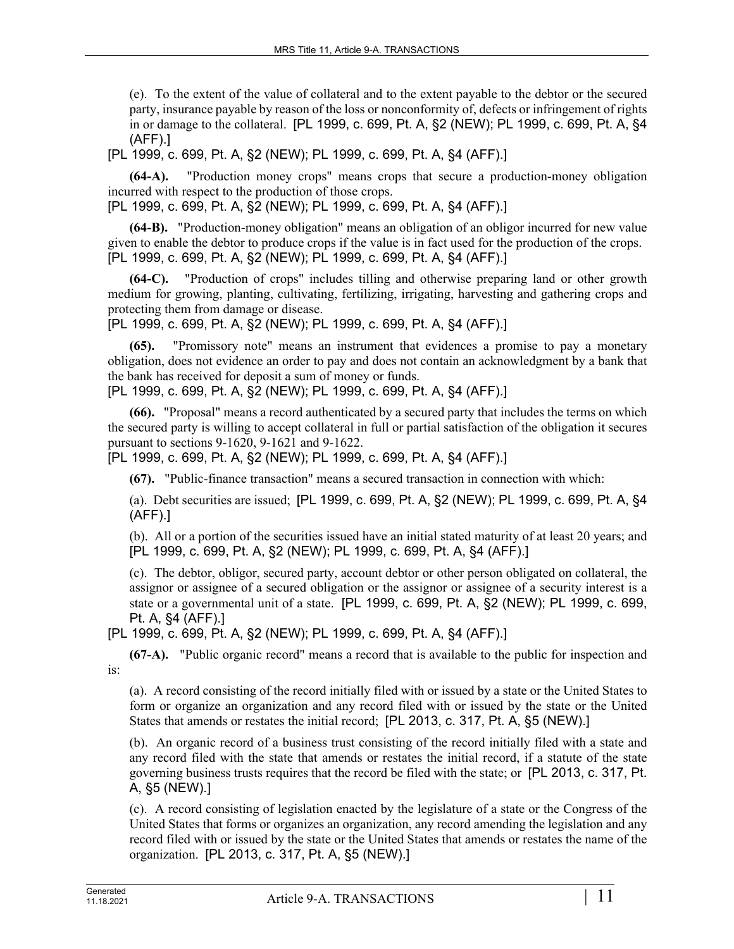(e). To the extent of the value of collateral and to the extent payable to the debtor or the secured party, insurance payable by reason of the loss or nonconformity of, defects or infringement of rights in or damage to the collateral. [PL 1999, c. 699, Pt. A, §2 (NEW); PL 1999, c. 699, Pt. A, §4 (AFF).]

[PL 1999, c. 699, Pt. A, §2 (NEW); PL 1999, c. 699, Pt. A, §4 (AFF).]

**(64-A).** "Production money crops" means crops that secure a production-money obligation incurred with respect to the production of those crops.

[PL 1999, c. 699, Pt. A, §2 (NEW); PL 1999, c. 699, Pt. A, §4 (AFF).]

**(64-B).** "Production-money obligation" means an obligation of an obligor incurred for new value given to enable the debtor to produce crops if the value is in fact used for the production of the crops. [PL 1999, c. 699, Pt. A, §2 (NEW); PL 1999, c. 699, Pt. A, §4 (AFF).]

**(64-C).** "Production of crops" includes tilling and otherwise preparing land or other growth medium for growing, planting, cultivating, fertilizing, irrigating, harvesting and gathering crops and protecting them from damage or disease.

[PL 1999, c. 699, Pt. A, §2 (NEW); PL 1999, c. 699, Pt. A, §4 (AFF).]

**(65).** "Promissory note" means an instrument that evidences a promise to pay a monetary obligation, does not evidence an order to pay and does not contain an acknowledgment by a bank that the bank has received for deposit a sum of money or funds.

[PL 1999, c. 699, Pt. A, §2 (NEW); PL 1999, c. 699, Pt. A, §4 (AFF).]

**(66).** "Proposal" means a record authenticated by a secured party that includes the terms on which the secured party is willing to accept collateral in full or partial satisfaction of the obligation it secures pursuant to sections 9-1620, 9-1621 and 9-1622.

[PL 1999, c. 699, Pt. A, §2 (NEW); PL 1999, c. 699, Pt. A, §4 (AFF).]

**(67).** "Public-finance transaction" means a secured transaction in connection with which:

(a). Debt securities are issued; [PL 1999, c. 699, Pt. A, §2 (NEW); PL 1999, c. 699, Pt. A, §4 (AFF).]

(b). All or a portion of the securities issued have an initial stated maturity of at least 20 years; and [PL 1999, c. 699, Pt. A, §2 (NEW); PL 1999, c. 699, Pt. A, §4 (AFF).]

(c). The debtor, obligor, secured party, account debtor or other person obligated on collateral, the assignor or assignee of a secured obligation or the assignor or assignee of a security interest is a state or a governmental unit of a state. [PL 1999, c. 699, Pt. A, §2 (NEW); PL 1999, c. 699, Pt. A, §4 (AFF).]

[PL 1999, c. 699, Pt. A, §2 (NEW); PL 1999, c. 699, Pt. A, §4 (AFF).]

**(67-A).** "Public organic record" means a record that is available to the public for inspection and is:

(a). A record consisting of the record initially filed with or issued by a state or the United States to form or organize an organization and any record filed with or issued by the state or the United States that amends or restates the initial record; [PL 2013, c. 317, Pt. A, §5 (NEW).]

(b). An organic record of a business trust consisting of the record initially filed with a state and any record filed with the state that amends or restates the initial record, if a statute of the state governing business trusts requires that the record be filed with the state; or [PL 2013, c. 317, Pt. A, §5 (NEW).]

(c). A record consisting of legislation enacted by the legislature of a state or the Congress of the United States that forms or organizes an organization, any record amending the legislation and any record filed with or issued by the state or the United States that amends or restates the name of the organization. [PL 2013, c. 317, Pt. A, §5 (NEW).]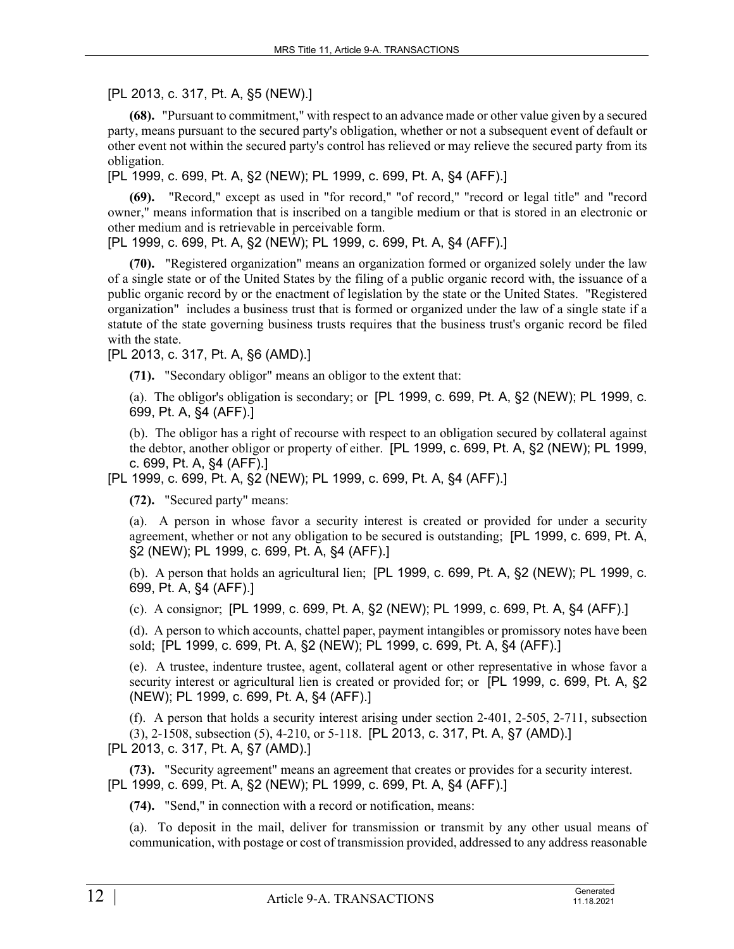[PL 2013, c. 317, Pt. A, §5 (NEW).]

**(68).** "Pursuant to commitment," with respect to an advance made or other value given by a secured party, means pursuant to the secured party's obligation, whether or not a subsequent event of default or other event not within the secured party's control has relieved or may relieve the secured party from its obligation.

[PL 1999, c. 699, Pt. A, §2 (NEW); PL 1999, c. 699, Pt. A, §4 (AFF).]

**(69).** "Record," except as used in "for record," "of record," "record or legal title" and "record owner," means information that is inscribed on a tangible medium or that is stored in an electronic or other medium and is retrievable in perceivable form.

[PL 1999, c. 699, Pt. A, §2 (NEW); PL 1999, c. 699, Pt. A, §4 (AFF).]

**(70).** "Registered organization" means an organization formed or organized solely under the law of a single state or of the United States by the filing of a public organic record with, the issuance of a public organic record by or the enactment of legislation by the state or the United States. "Registered organization" includes a business trust that is formed or organized under the law of a single state if a statute of the state governing business trusts requires that the business trust's organic record be filed with the state.

[PL 2013, c. 317, Pt. A, §6 (AMD).]

**(71).** "Secondary obligor" means an obligor to the extent that:

(a). The obligor's obligation is secondary; or [PL 1999, c. 699, Pt. A, §2 (NEW); PL 1999, c. 699, Pt. A, §4 (AFF).]

(b). The obligor has a right of recourse with respect to an obligation secured by collateral against the debtor, another obligor or property of either. [PL 1999, c. 699, Pt. A, §2 (NEW); PL 1999, c. 699, Pt. A, §4 (AFF).]

[PL 1999, c. 699, Pt. A, §2 (NEW); PL 1999, c. 699, Pt. A, §4 (AFF).]

**(72).** "Secured party" means:

(a). A person in whose favor a security interest is created or provided for under a security agreement, whether or not any obligation to be secured is outstanding; [PL 1999, c. 699, Pt. A, §2 (NEW); PL 1999, c. 699, Pt. A, §4 (AFF).]

(b). A person that holds an agricultural lien; [PL 1999, c. 699, Pt. A, §2 (NEW); PL 1999, c. 699, Pt. A, §4 (AFF).]

(c). A consignor; [PL 1999, c. 699, Pt. A, §2 (NEW); PL 1999, c. 699, Pt. A, §4 (AFF).]

(d). A person to which accounts, chattel paper, payment intangibles or promissory notes have been sold; [PL 1999, c. 699, Pt. A, §2 (NEW); PL 1999, c. 699, Pt. A, §4 (AFF).]

(e). A trustee, indenture trustee, agent, collateral agent or other representative in whose favor a security interest or agricultural lien is created or provided for; or [PL 1999, c. 699, Pt. A, §2 (NEW); PL 1999, c. 699, Pt. A, §4 (AFF).]

(f). A person that holds a security interest arising under section 2‑401, 2-505, 2-711, subsection (3), 2-1508, subsection (5), 4-210, or 5-118. [PL 2013, c. 317, Pt. A, §7 (AMD).]

[PL 2013, c. 317, Pt. A, §7 (AMD).]

**(73).** "Security agreement" means an agreement that creates or provides for a security interest. [PL 1999, c. 699, Pt. A, §2 (NEW); PL 1999, c. 699, Pt. A, §4 (AFF).]

**(74).** "Send," in connection with a record or notification, means:

(a). To deposit in the mail, deliver for transmission or transmit by any other usual means of communication, with postage or cost of transmission provided, addressed to any address reasonable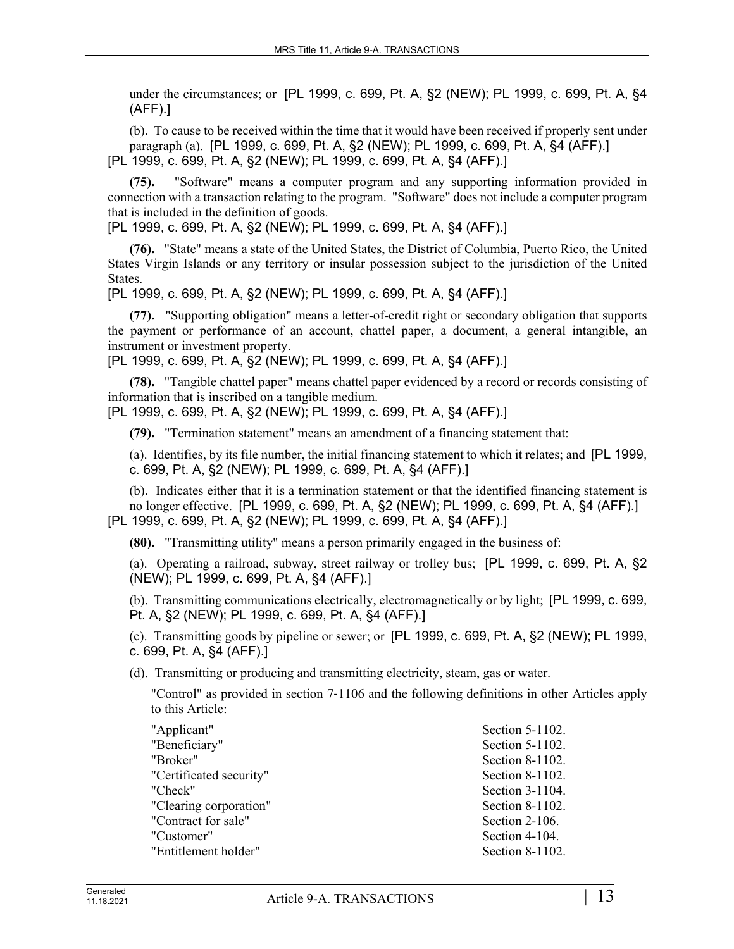under the circumstances; or [PL 1999, c. 699, Pt. A, §2 (NEW); PL 1999, c. 699, Pt. A, §4 (AFF).]

(b). To cause to be received within the time that it would have been received if properly sent under paragraph (a). [PL 1999, c. 699, Pt. A, §2 (NEW); PL 1999, c. 699, Pt. A, §4 (AFF).] [PL 1999, c. 699, Pt. A, §2 (NEW); PL 1999, c. 699, Pt. A, §4 (AFF).]

**(75).** "Software" means a computer program and any supporting information provided in connection with a transaction relating to the program. "Software" does not include a computer program that is included in the definition of goods.

[PL 1999, c. 699, Pt. A, §2 (NEW); PL 1999, c. 699, Pt. A, §4 (AFF).]

**(76).** "State" means a state of the United States, the District of Columbia, Puerto Rico, the United States Virgin Islands or any territory or insular possession subject to the jurisdiction of the United States.

[PL 1999, c. 699, Pt. A, §2 (NEW); PL 1999, c. 699, Pt. A, §4 (AFF).]

**(77).** "Supporting obligation" means a letter-of-credit right or secondary obligation that supports the payment or performance of an account, chattel paper, a document, a general intangible, an instrument or investment property.

[PL 1999, c. 699, Pt. A, §2 (NEW); PL 1999, c. 699, Pt. A, §4 (AFF).]

**(78).** "Tangible chattel paper" means chattel paper evidenced by a record or records consisting of information that is inscribed on a tangible medium.

[PL 1999, c. 699, Pt. A, §2 (NEW); PL 1999, c. 699, Pt. A, §4 (AFF).]

**(79).** "Termination statement" means an amendment of a financing statement that:

(a). Identifies, by its file number, the initial financing statement to which it relates; and [PL 1999, c. 699, Pt. A, §2 (NEW); PL 1999, c. 699, Pt. A, §4 (AFF).]

(b). Indicates either that it is a termination statement or that the identified financing statement is no longer effective. [PL 1999, c. 699, Pt. A, §2 (NEW); PL 1999, c. 699, Pt. A, §4 (AFF).] [PL 1999, c. 699, Pt. A, §2 (NEW); PL 1999, c. 699, Pt. A, §4 (AFF).]

**(80).** "Transmitting utility" means a person primarily engaged in the business of:

(a). Operating a railroad, subway, street railway or trolley bus; [PL 1999, c. 699, Pt. A, §2 (NEW); PL 1999, c. 699, Pt. A, §4 (AFF).]

(b). Transmitting communications electrically, electromagnetically or by light; [PL 1999, c. 699, Pt. A, §2 (NEW); PL 1999, c. 699, Pt. A, §4 (AFF).]

(c). Transmitting goods by pipeline or sewer; or [PL 1999, c. 699, Pt. A, §2 (NEW); PL 1999, c. 699, Pt. A, §4 (AFF).]

(d). Transmitting or producing and transmitting electricity, steam, gas or water.

"Control" as provided in section 7‑1106 and the following definitions in other Articles apply to this Article:

| Section 5-1102. |
|-----------------|
| Section 5-1102. |
| Section 8-1102. |
| Section 8-1102. |
| Section 3-1104. |
| Section 8-1102. |
| Section 2-106.  |
| Section 4-104.  |
| Section 8-1102. |
|                 |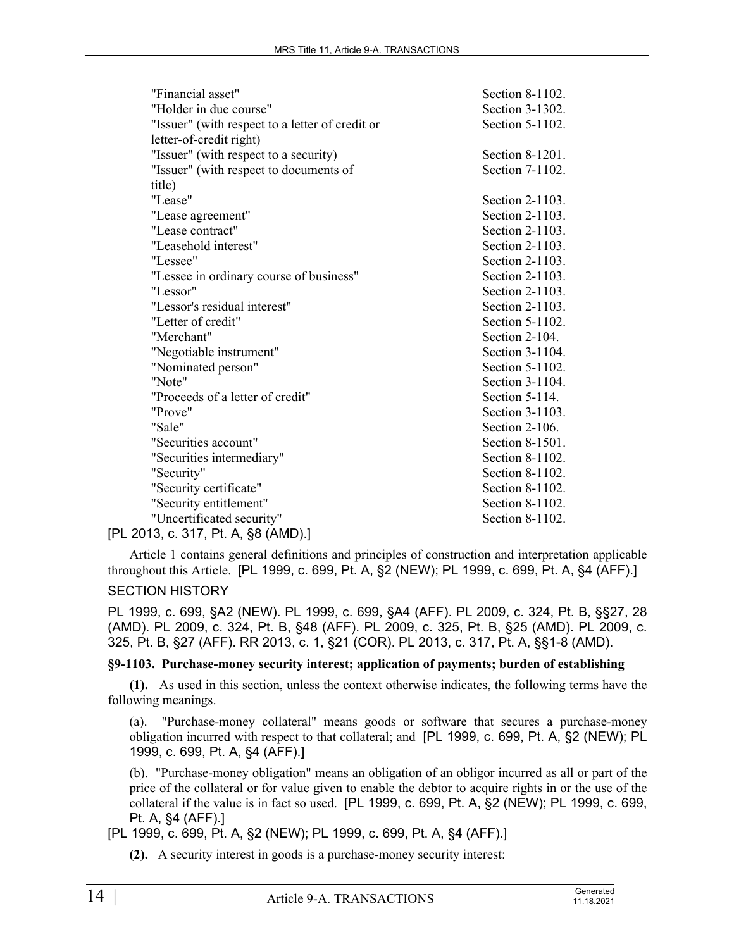| "Financial asset"                               | Section 8-1102. |
|-------------------------------------------------|-----------------|
| "Holder in due course"                          | Section 3-1302. |
| "Issuer" (with respect to a letter of credit or | Section 5-1102. |
| letter-of-credit right)                         |                 |
| "Issuer" (with respect to a security)           | Section 8-1201. |
| "Issuer" (with respect to documents of          | Section 7-1102. |
| title)                                          |                 |
| "Lease"                                         | Section 2-1103. |
| "Lease agreement"                               | Section 2-1103. |
| "Lease contract"                                | Section 2-1103. |
| "Leasehold interest"                            | Section 2-1103. |
| "Lessee"                                        | Section 2-1103. |
| "Lessee in ordinary course of business"         | Section 2-1103. |
| "Lessor"                                        | Section 2-1103. |
| "Lessor's residual interest"                    | Section 2-1103. |
| "Letter of credit"                              | Section 5-1102. |
| "Merchant"                                      | Section 2-104.  |
| "Negotiable instrument"                         | Section 3-1104. |
| "Nominated person"                              | Section 5-1102. |
| "Note"                                          | Section 3-1104. |
| "Proceeds of a letter of credit"                | Section 5-114.  |
| "Prove"                                         | Section 3-1103. |
| "Sale"                                          | Section 2-106.  |
| "Securities account"                            | Section 8-1501. |
| "Securities intermediary"                       | Section 8-1102. |
| "Security"                                      | Section 8-1102. |
| "Security certificate"                          | Section 8-1102. |
| "Security entitlement"                          | Section 8-1102. |
| "Uncertificated security"                       | Section 8-1102. |
| [PL 2013, c. 317, Pt. A, §8 (AMD).]             |                 |

Article 1 contains general definitions and principles of construction and interpretation applicable throughout this Article. [PL 1999, c. 699, Pt. A, §2 (NEW); PL 1999, c. 699, Pt. A, §4 (AFF).]

# SECTION HISTORY

PL 1999, c. 699, §A2 (NEW). PL 1999, c. 699, §A4 (AFF). PL 2009, c. 324, Pt. B, §§27, 28 (AMD). PL 2009, c. 324, Pt. B, §48 (AFF). PL 2009, c. 325, Pt. B, §25 (AMD). PL 2009, c. 325, Pt. B, §27 (AFF). RR 2013, c. 1, §21 (COR). PL 2013, c. 317, Pt. A, §§1-8 (AMD).

### **§9-1103. Purchase-money security interest; application of payments; burden of establishing**

**(1).** As used in this section, unless the context otherwise indicates, the following terms have the following meanings.

(a). "Purchase-money collateral" means goods or software that secures a purchase-money obligation incurred with respect to that collateral; and [PL 1999, c. 699, Pt. A, §2 (NEW); PL 1999, c. 699, Pt. A, §4 (AFF).]

(b). "Purchase-money obligation" means an obligation of an obligor incurred as all or part of the price of the collateral or for value given to enable the debtor to acquire rights in or the use of the collateral if the value is in fact so used. [PL 1999, c. 699, Pt. A, §2 (NEW); PL 1999, c. 699, Pt. A, §4 (AFF).]

[PL 1999, c. 699, Pt. A, §2 (NEW); PL 1999, c. 699, Pt. A, §4 (AFF).]

**(2).** A security interest in goods is a purchase-money security interest: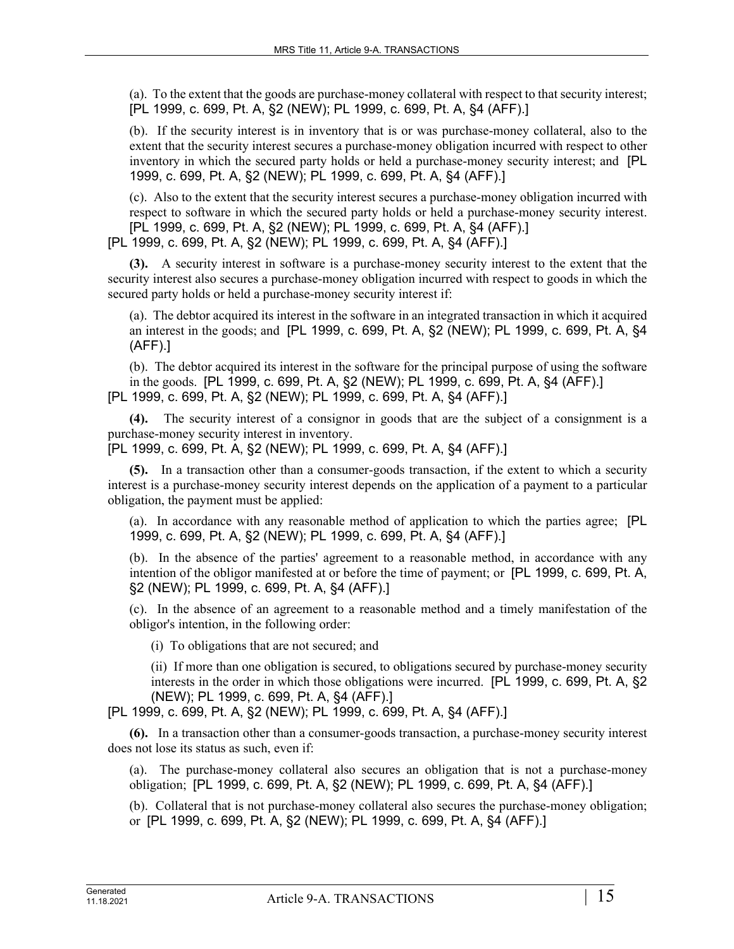(a). To the extent that the goods are purchase-money collateral with respect to that security interest; [PL 1999, c. 699, Pt. A, §2 (NEW); PL 1999, c. 699, Pt. A, §4 (AFF).]

(b). If the security interest is in inventory that is or was purchase-money collateral, also to the extent that the security interest secures a purchase-money obligation incurred with respect to other inventory in which the secured party holds or held a purchase-money security interest; and [PL 1999, c. 699, Pt. A, §2 (NEW); PL 1999, c. 699, Pt. A, §4 (AFF).]

(c). Also to the extent that the security interest secures a purchase-money obligation incurred with respect to software in which the secured party holds or held a purchase-money security interest. [PL 1999, c. 699, Pt. A, §2 (NEW); PL 1999, c. 699, Pt. A, §4 (AFF).] [PL 1999, c. 699, Pt. A, §2 (NEW); PL 1999, c. 699, Pt. A, §4 (AFF).]

**(3).** A security interest in software is a purchase-money security interest to the extent that the security interest also secures a purchase-money obligation incurred with respect to goods in which the secured party holds or held a purchase-money security interest if:

(a). The debtor acquired its interest in the software in an integrated transaction in which it acquired an interest in the goods; and [PL 1999, c. 699, Pt. A, §2 (NEW); PL 1999, c. 699, Pt. A, §4 (AFF).]

(b). The debtor acquired its interest in the software for the principal purpose of using the software in the goods. [PL 1999, c. 699, Pt. A, §2 (NEW); PL 1999, c. 699, Pt. A, §4 (AFF).] [PL 1999, c. 699, Pt. A, §2 (NEW); PL 1999, c. 699, Pt. A, §4 (AFF).]

**(4).** The security interest of a consignor in goods that are the subject of a consignment is a purchase-money security interest in inventory.

[PL 1999, c. 699, Pt. A, §2 (NEW); PL 1999, c. 699, Pt. A, §4 (AFF).]

**(5).** In a transaction other than a consumer-goods transaction, if the extent to which a security interest is a purchase-money security interest depends on the application of a payment to a particular obligation, the payment must be applied:

(a). In accordance with any reasonable method of application to which the parties agree; [PL 1999, c. 699, Pt. A, §2 (NEW); PL 1999, c. 699, Pt. A, §4 (AFF).]

(b). In the absence of the parties' agreement to a reasonable method, in accordance with any intention of the obligor manifested at or before the time of payment; or [PL 1999, c. 699, Pt. A, §2 (NEW); PL 1999, c. 699, Pt. A, §4 (AFF).]

(c). In the absence of an agreement to a reasonable method and a timely manifestation of the obligor's intention, in the following order:

(i) To obligations that are not secured; and

(ii) If more than one obligation is secured, to obligations secured by purchase-money security interests in the order in which those obligations were incurred. [PL 1999, c. 699, Pt. A, §2 (NEW); PL 1999, c. 699, Pt. A, §4 (AFF).]

[PL 1999, c. 699, Pt. A, §2 (NEW); PL 1999, c. 699, Pt. A, §4 (AFF).]

**(6).** In a transaction other than a consumer-goods transaction, a purchase-money security interest does not lose its status as such, even if:

(a). The purchase-money collateral also secures an obligation that is not a purchase-money obligation; [PL 1999, c. 699, Pt. A, §2 (NEW); PL 1999, c. 699, Pt. A, §4 (AFF).]

(b). Collateral that is not purchase-money collateral also secures the purchase-money obligation; or [PL 1999, c. 699, Pt. A, §2 (NEW); PL 1999, c. 699, Pt. A, §4 (AFF).]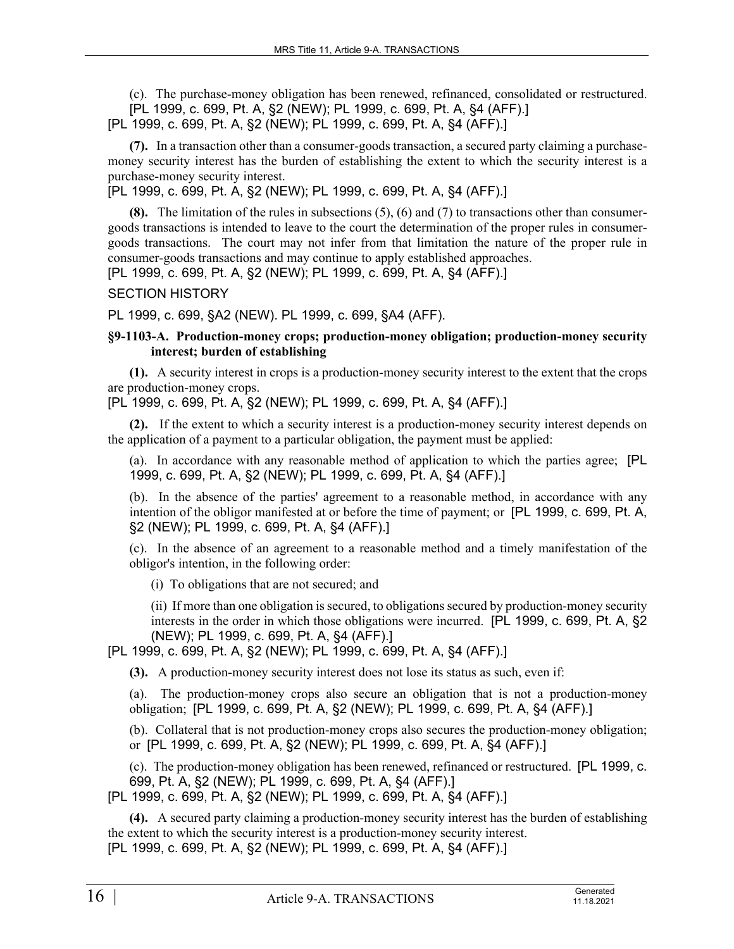(c). The purchase-money obligation has been renewed, refinanced, consolidated or restructured. [PL 1999, c. 699, Pt. A, §2 (NEW); PL 1999, c. 699, Pt. A, §4 (AFF).] [PL 1999, c. 699, Pt. A, §2 (NEW); PL 1999, c. 699, Pt. A, §4 (AFF).]

**(7).** In a transaction other than a consumer-goods transaction, a secured party claiming a purchasemoney security interest has the burden of establishing the extent to which the security interest is a purchase-money security interest.

[PL 1999, c. 699, Pt. A, §2 (NEW); PL 1999, c. 699, Pt. A, §4 (AFF).]

**(8).** The limitation of the rules in subsections (5), (6) and (7) to transactions other than consumergoods transactions is intended to leave to the court the determination of the proper rules in consumergoods transactions. The court may not infer from that limitation the nature of the proper rule in consumer-goods transactions and may continue to apply established approaches.

[PL 1999, c. 699, Pt. A, §2 (NEW); PL 1999, c. 699, Pt. A, §4 (AFF).]

### SECTION HISTORY

PL 1999, c. 699, §A2 (NEW). PL 1999, c. 699, §A4 (AFF).

#### **§9-1103-A. Production-money crops; production-money obligation; production-money security interest; burden of establishing**

**(1).** A security interest in crops is a production-money security interest to the extent that the crops are production-money crops.

[PL 1999, c. 699, Pt. A, §2 (NEW); PL 1999, c. 699, Pt. A, §4 (AFF).]

**(2).** If the extent to which a security interest is a production-money security interest depends on the application of a payment to a particular obligation, the payment must be applied:

(a). In accordance with any reasonable method of application to which the parties agree; [PL 1999, c. 699, Pt. A, §2 (NEW); PL 1999, c. 699, Pt. A, §4 (AFF).]

(b). In the absence of the parties' agreement to a reasonable method, in accordance with any intention of the obligor manifested at or before the time of payment; or [PL 1999, c. 699, Pt. A, §2 (NEW); PL 1999, c. 699, Pt. A, §4 (AFF).]

(c). In the absence of an agreement to a reasonable method and a timely manifestation of the obligor's intention, in the following order:

(i) To obligations that are not secured; and

(ii) If more than one obligation is secured, to obligations secured by production-money security interests in the order in which those obligations were incurred. [PL 1999, c. 699, Pt. A, §2 (NEW); PL 1999, c. 699, Pt. A, §4 (AFF).]

[PL 1999, c. 699, Pt. A, §2 (NEW); PL 1999, c. 699, Pt. A, §4 (AFF).]

**(3).** A production-money security interest does not lose its status as such, even if:

(a). The production-money crops also secure an obligation that is not a production-money obligation; [PL 1999, c. 699, Pt. A, §2 (NEW); PL 1999, c. 699, Pt. A, §4 (AFF).]

(b). Collateral that is not production-money crops also secures the production-money obligation; or [PL 1999, c. 699, Pt. A, §2 (NEW); PL 1999, c. 699, Pt. A, §4 (AFF).]

(c). The production-money obligation has been renewed, refinanced or restructured. [PL 1999, c. 699, Pt. A, §2 (NEW); PL 1999, c. 699, Pt. A, §4 (AFF).] [PL 1999, c. 699, Pt. A, §2 (NEW); PL 1999, c. 699, Pt. A, §4 (AFF).]

**(4).** A secured party claiming a production-money security interest has the burden of establishing the extent to which the security interest is a production-money security interest. [PL 1999, c. 699, Pt. A, §2 (NEW); PL 1999, c. 699, Pt. A, §4 (AFF).]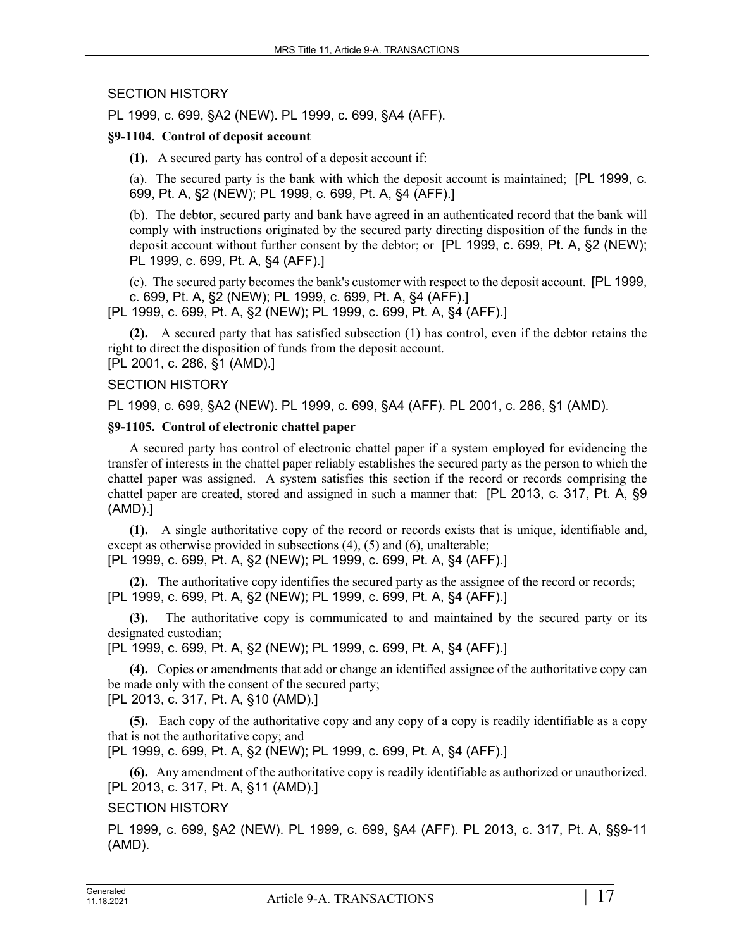## SECTION HISTORY

PL 1999, c. 699, §A2 (NEW). PL 1999, c. 699, §A4 (AFF).

### **§9-1104. Control of deposit account**

**(1).** A secured party has control of a deposit account if:

(a). The secured party is the bank with which the deposit account is maintained; [PL 1999, c. 699, Pt. A, §2 (NEW); PL 1999, c. 699, Pt. A, §4 (AFF).]

(b). The debtor, secured party and bank have agreed in an authenticated record that the bank will comply with instructions originated by the secured party directing disposition of the funds in the deposit account without further consent by the debtor; or [PL 1999, c. 699, Pt. A, §2 (NEW); PL 1999, c. 699, Pt. A, §4 (AFF).]

(c). The secured party becomes the bank's customer with respect to the deposit account. [PL 1999, c. 699, Pt. A, §2 (NEW); PL 1999, c. 699, Pt. A, §4 (AFF).]

[PL 1999, c. 699, Pt. A, §2 (NEW); PL 1999, c. 699, Pt. A, §4 (AFF).]

**(2).** A secured party that has satisfied subsection (1) has control, even if the debtor retains the right to direct the disposition of funds from the deposit account. [PL 2001, c. 286, §1 (AMD).]

### SECTION HISTORY

PL 1999, c. 699, §A2 (NEW). PL 1999, c. 699, §A4 (AFF). PL 2001, c. 286, §1 (AMD).

### **§9-1105. Control of electronic chattel paper**

A secured party has control of electronic chattel paper if a system employed for evidencing the transfer of interests in the chattel paper reliably establishes the secured party as the person to which the chattel paper was assigned. A system satisfies this section if the record or records comprising the chattel paper are created, stored and assigned in such a manner that: [PL 2013, c. 317, Pt. A, §9 (AMD).]

**(1).** A single authoritative copy of the record or records exists that is unique, identifiable and, except as otherwise provided in subsections (4), (5) and (6), unalterable;

[PL 1999, c. 699, Pt. A, §2 (NEW); PL 1999, c. 699, Pt. A, §4 (AFF).]

**(2).** The authoritative copy identifies the secured party as the assignee of the record or records; [PL 1999, c. 699, Pt. A, §2 (NEW); PL 1999, c. 699, Pt. A, §4 (AFF).]

**(3).** The authoritative copy is communicated to and maintained by the secured party or its designated custodian;

[PL 1999, c. 699, Pt. A, §2 (NEW); PL 1999, c. 699, Pt. A, §4 (AFF).]

**(4).** Copies or amendments that add or change an identified assignee of the authoritative copy can be made only with the consent of the secured party; [PL 2013, c. 317, Pt. A, §10 (AMD).]

**(5).** Each copy of the authoritative copy and any copy of a copy is readily identifiable as a copy that is not the authoritative copy; and

[PL 1999, c. 699, Pt. A, §2 (NEW); PL 1999, c. 699, Pt. A, §4 (AFF).]

**(6).** Any amendment of the authoritative copy is readily identifiable as authorized or unauthorized. [PL 2013, c. 317, Pt. A, §11 (AMD).]

### SECTION HISTORY

PL 1999, c. 699, §A2 (NEW). PL 1999, c. 699, §A4 (AFF). PL 2013, c. 317, Pt. A, §§9-11 (AMD).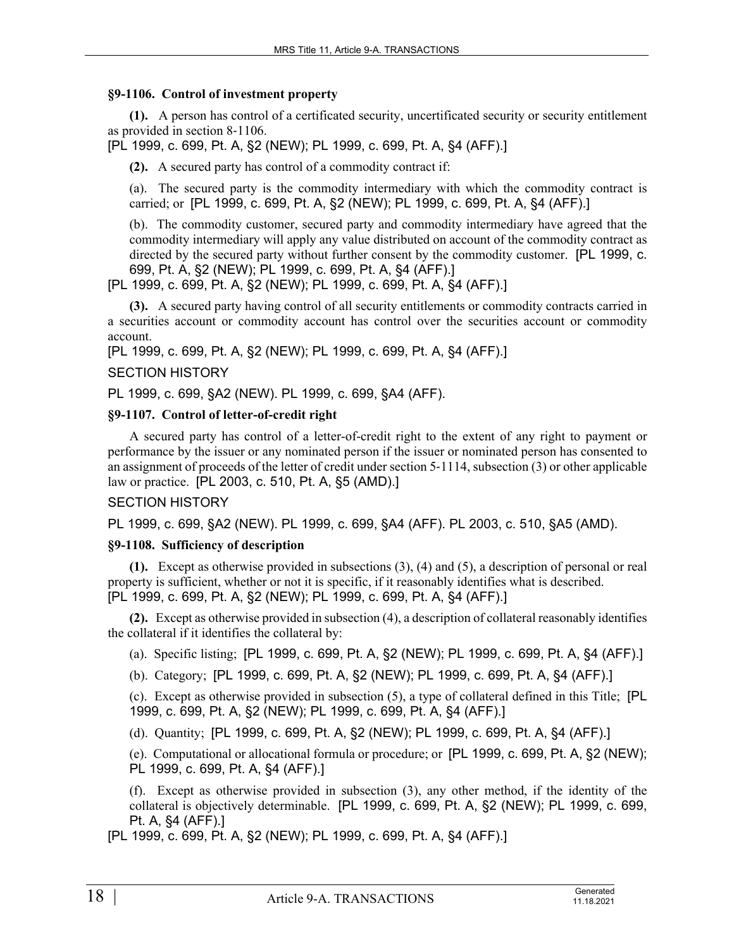#### **§9-1106. Control of investment property**

**(1).** A person has control of a certificated security, uncertificated security or security entitlement as provided in section 8‑1106.

[PL 1999, c. 699, Pt. A, §2 (NEW); PL 1999, c. 699, Pt. A, §4 (AFF).]

**(2).** A secured party has control of a commodity contract if:

(a). The secured party is the commodity intermediary with which the commodity contract is carried; or [PL 1999, c. 699, Pt. A, §2 (NEW); PL 1999, c. 699, Pt. A, §4 (AFF).]

(b). The commodity customer, secured party and commodity intermediary have agreed that the commodity intermediary will apply any value distributed on account of the commodity contract as directed by the secured party without further consent by the commodity customer. [PL 1999, c. 699, Pt. A, §2 (NEW); PL 1999, c. 699, Pt. A, §4 (AFF).]

[PL 1999, c. 699, Pt. A, §2 (NEW); PL 1999, c. 699, Pt. A, §4 (AFF).]

**(3).** A secured party having control of all security entitlements or commodity contracts carried in a securities account or commodity account has control over the securities account or commodity account.

[PL 1999, c. 699, Pt. A, §2 (NEW); PL 1999, c. 699, Pt. A, §4 (AFF).]

SECTION HISTORY

PL 1999, c. 699, §A2 (NEW). PL 1999, c. 699, §A4 (AFF).

### **§9-1107. Control of letter-of-credit right**

A secured party has control of a letter-of-credit right to the extent of any right to payment or performance by the issuer or any nominated person if the issuer or nominated person has consented to an assignment of proceeds of the letter of credit under section 5‑1114, subsection (3) or other applicable law or practice. [PL 2003, c. 510, Pt. A, §5 (AMD).]

### SECTION HISTORY

PL 1999, c. 699, §A2 (NEW). PL 1999, c. 699, §A4 (AFF). PL 2003, c. 510, §A5 (AMD).

### **§9-1108. Sufficiency of description**

**(1).** Except as otherwise provided in subsections (3), (4) and (5), a description of personal or real property is sufficient, whether or not it is specific, if it reasonably identifies what is described. [PL 1999, c. 699, Pt. A, §2 (NEW); PL 1999, c. 699, Pt. A, §4 (AFF).]

**(2).** Except as otherwise provided in subsection (4), a description of collateral reasonably identifies the collateral if it identifies the collateral by:

(a). Specific listing; [PL 1999, c. 699, Pt. A, §2 (NEW); PL 1999, c. 699, Pt. A, §4 (AFF).]

(b). Category; [PL 1999, c. 699, Pt. A, §2 (NEW); PL 1999, c. 699, Pt. A, §4 (AFF).]

(c). Except as otherwise provided in subsection (5), a type of collateral defined in this Title; [PL 1999, c. 699, Pt. A, §2 (NEW); PL 1999, c. 699, Pt. A, §4 (AFF).]

(d). Quantity; [PL 1999, c. 699, Pt. A, §2 (NEW); PL 1999, c. 699, Pt. A, §4 (AFF).]

(e). Computational or allocational formula or procedure; or [PL 1999, c. 699, Pt. A, §2 (NEW); PL 1999, c. 699, Pt. A, §4 (AFF).]

(f). Except as otherwise provided in subsection (3), any other method, if the identity of the collateral is objectively determinable. [PL 1999, c. 699, Pt. A, §2 (NEW); PL 1999, c. 699, Pt. A, §4 (AFF).]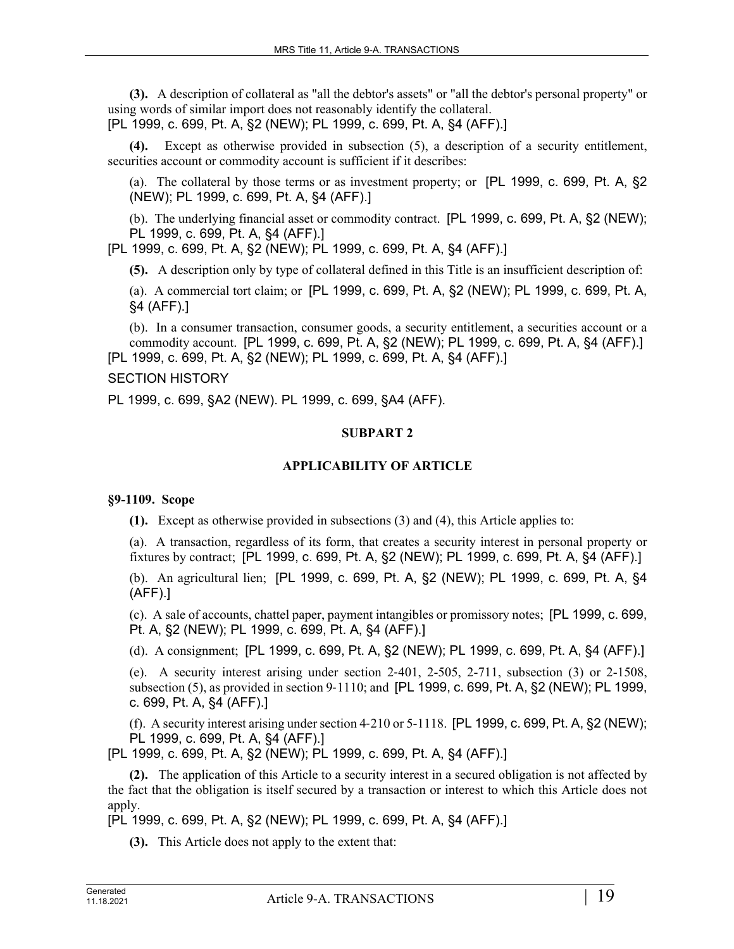**(3).** A description of collateral as "all the debtor's assets" or "all the debtor's personal property" or using words of similar import does not reasonably identify the collateral. [PL 1999, c. 699, Pt. A, §2 (NEW); PL 1999, c. 699, Pt. A, §4 (AFF).]

Except as otherwise provided in subsection (5), a description of a security entitlement, securities account or commodity account is sufficient if it describes:

(a). The collateral by those terms or as investment property; or [PL 1999, c. 699, Pt. A, §2 (NEW); PL 1999, c. 699, Pt. A, §4 (AFF).]

(b). The underlying financial asset or commodity contract. [PL 1999, c. 699, Pt. A, §2 (NEW); PL 1999, c. 699, Pt. A, §4 (AFF).]

[PL 1999, c. 699, Pt. A, §2 (NEW); PL 1999, c. 699, Pt. A, §4 (AFF).]

**(5).** A description only by type of collateral defined in this Title is an insufficient description of:

(a). A commercial tort claim; or [PL 1999, c. 699, Pt. A, §2 (NEW); PL 1999, c. 699, Pt. A, §4 (AFF).]

(b). In a consumer transaction, consumer goods, a security entitlement, a securities account or a commodity account. [PL 1999, c. 699, Pt. A, §2 (NEW); PL 1999, c. 699, Pt. A, §4 (AFF).] [PL 1999, c. 699, Pt. A, §2 (NEW); PL 1999, c. 699, Pt. A, §4 (AFF).]

### SECTION HISTORY

PL 1999, c. 699, §A2 (NEW). PL 1999, c. 699, §A4 (AFF).

### **SUBPART 2**

### **APPLICABILITY OF ARTICLE**

### **§9-1109. Scope**

**(1).** Except as otherwise provided in subsections (3) and (4), this Article applies to:

(a). A transaction, regardless of its form, that creates a security interest in personal property or fixtures by contract; [PL 1999, c. 699, Pt. A, §2 (NEW); PL 1999, c. 699, Pt. A, §4 (AFF).]

(b). An agricultural lien; [PL 1999, c. 699, Pt. A, §2 (NEW); PL 1999, c. 699, Pt. A, §4 (AFF).]

(c). A sale of accounts, chattel paper, payment intangibles or promissory notes; [PL 1999, c. 699, Pt. A, §2 (NEW); PL 1999, c. 699, Pt. A, §4 (AFF).]

(d). A consignment; [PL 1999, c. 699, Pt. A, §2 (NEW); PL 1999, c. 699, Pt. A, §4 (AFF).]

(e). A security interest arising under section  $2-401$ ,  $2-505$ ,  $2-711$ , subsection  $(3)$  or  $2-1508$ , subsection (5), as provided in section 9-1110; and [PL 1999, c. 699, Pt. A, §2 (NEW); PL 1999, c. 699, Pt. A, §4 (AFF).]

(f). A security interest arising under section 4-210 or  $5-1118$ . [PL 1999, c. 699, Pt. A, §2 (NEW); PL 1999, c. 699, Pt. A, §4 (AFF).]

[PL 1999, c. 699, Pt. A, §2 (NEW); PL 1999, c. 699, Pt. A, §4 (AFF).]

**(2).** The application of this Article to a security interest in a secured obligation is not affected by the fact that the obligation is itself secured by a transaction or interest to which this Article does not apply.

[PL 1999, c. 699, Pt. A, §2 (NEW); PL 1999, c. 699, Pt. A, §4 (AFF).]

**(3).** This Article does not apply to the extent that: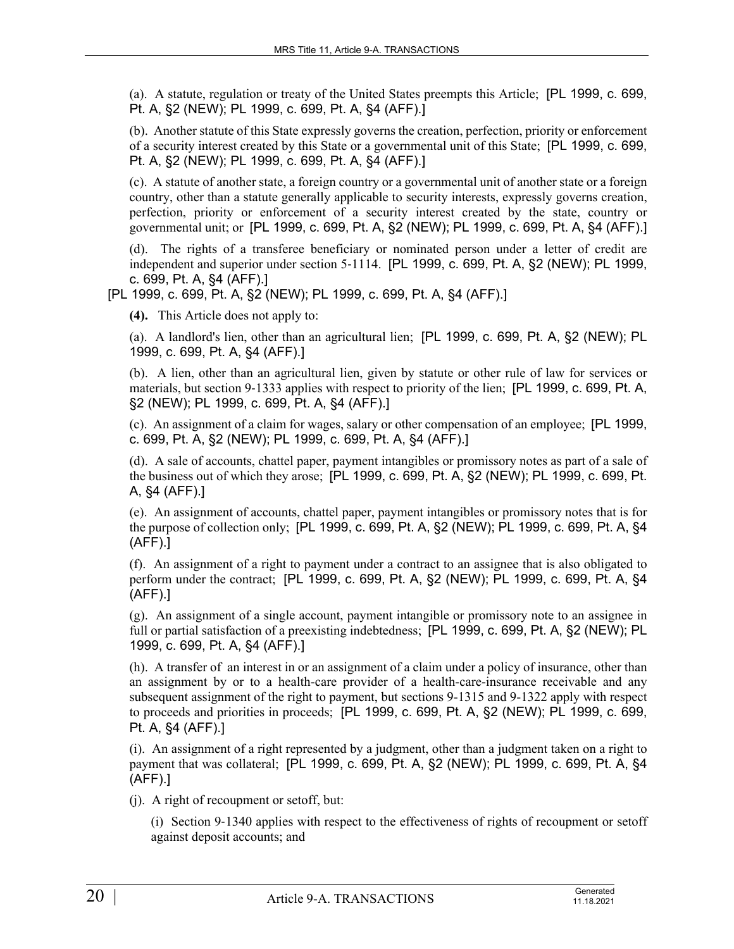(a). A statute, regulation or treaty of the United States preempts this Article; [PL 1999, c. 699, Pt. A, §2 (NEW); PL 1999, c. 699, Pt. A, §4 (AFF).]

(b). Another statute of this State expressly governs the creation, perfection, priority or enforcement of a security interest created by this State or a governmental unit of this State; [PL 1999, c. 699, Pt. A, §2 (NEW); PL 1999, c. 699, Pt. A, §4 (AFF).]

(c). A statute of another state, a foreign country or a governmental unit of another state or a foreign country, other than a statute generally applicable to security interests, expressly governs creation, perfection, priority or enforcement of a security interest created by the state, country or governmental unit; or [PL 1999, c. 699, Pt. A, §2 (NEW); PL 1999, c. 699, Pt. A, §4 (AFF).]

(d). The rights of a transferee beneficiary or nominated person under a letter of credit are independent and superior under section 5‑1114. [PL 1999, c. 699, Pt. A, §2 (NEW); PL 1999, c. 699, Pt. A, §4 (AFF).]

[PL 1999, c. 699, Pt. A, §2 (NEW); PL 1999, c. 699, Pt. A, §4 (AFF).]

**(4).** This Article does not apply to:

(a). A landlord's lien, other than an agricultural lien; [PL 1999, c. 699, Pt. A, §2 (NEW); PL 1999, c. 699, Pt. A, §4 (AFF).]

(b). A lien, other than an agricultural lien, given by statute or other rule of law for services or materials, but section 9-1333 applies with respect to priority of the lien; [PL 1999, c. 699, Pt. A, §2 (NEW); PL 1999, c. 699, Pt. A, §4 (AFF).]

(c). An assignment of a claim for wages, salary or other compensation of an employee; [PL 1999, c. 699, Pt. A, §2 (NEW); PL 1999, c. 699, Pt. A, §4 (AFF).]

(d). A sale of accounts, chattel paper, payment intangibles or promissory notes as part of a sale of the business out of which they arose; [PL 1999, c. 699, Pt. A, §2 (NEW); PL 1999, c. 699, Pt. A, §4 (AFF).]

(e). An assignment of accounts, chattel paper, payment intangibles or promissory notes that is for the purpose of collection only; [PL 1999, c. 699, Pt. A, §2 (NEW); PL 1999, c. 699, Pt. A, §4 (AFF).]

(f). An assignment of a right to payment under a contract to an assignee that is also obligated to perform under the contract; [PL 1999, c. 699, Pt. A, §2 (NEW); PL 1999, c. 699, Pt. A, §4 (AFF).]

(g). An assignment of a single account, payment intangible or promissory note to an assignee in full or partial satisfaction of a preexisting indebtedness; [PL 1999, c. 699, Pt. A, §2 (NEW); PL 1999, c. 699, Pt. A, §4 (AFF).]

(h). A transfer of an interest in or an assignment of a claim under a policy of insurance, other than an assignment by or to a health-care provider of a health-care-insurance receivable and any subsequent assignment of the right to payment, but sections 9-1315 and 9-1322 apply with respect to proceeds and priorities in proceeds; [PL 1999, c. 699, Pt. A, §2 (NEW); PL 1999, c. 699, Pt. A, §4 (AFF).]

(i). An assignment of a right represented by a judgment, other than a judgment taken on a right to payment that was collateral; [PL 1999, c. 699, Pt. A, §2 (NEW); PL 1999, c. 699, Pt. A, §4 (AFF).]

(j). A right of recoupment or setoff, but:

(i) Section 9‑1340 applies with respect to the effectiveness of rights of recoupment or setoff against deposit accounts; and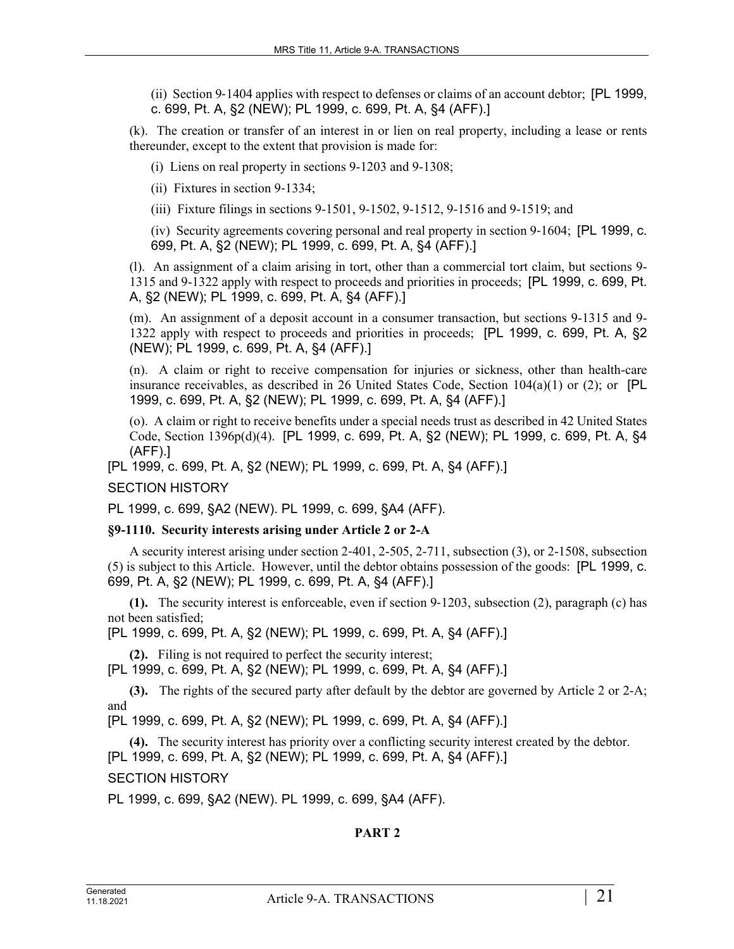(ii) Section 9‑1404 applies with respect to defenses or claims of an account debtor; [PL 1999, c. 699, Pt. A, §2 (NEW); PL 1999, c. 699, Pt. A, §4 (AFF).]

(k). The creation or transfer of an interest in or lien on real property, including a lease or rents thereunder, except to the extent that provision is made for:

(i) Liens on real property in sections 9-1203 and 9-1308;

(ii) Fixtures in section 9‑1334;

(iii) Fixture filings in sections 9-1501, 9-1502, 9-1512, 9-1516 and 9-1519; and

(iv) Security agreements covering personal and real property in section 9‑1604; [PL 1999, c. 699, Pt. A, §2 (NEW); PL 1999, c. 699, Pt. A, §4 (AFF).]

(l). An assignment of a claim arising in tort, other than a commercial tort claim, but sections 9- 1315 and 9-1322 apply with respect to proceeds and priorities in proceeds; [PL 1999, c. 699, Pt. A, §2 (NEW); PL 1999, c. 699, Pt. A, §4 (AFF).]

(m). An assignment of a deposit account in a consumer transaction, but sections 9-1315 and 9- 1322 apply with respect to proceeds and priorities in proceeds; [PL 1999, c. 699, Pt. A, §2 (NEW); PL 1999, c. 699, Pt. A, §4 (AFF).]

(n). A claim or right to receive compensation for injuries or sickness, other than health-care insurance receivables, as described in 26 United States Code, Section  $104(a)(1)$  or (2); or [PL 1999, c. 699, Pt. A, §2 (NEW); PL 1999, c. 699, Pt. A, §4 (AFF).]

(o). A claim or right to receive benefits under a special needs trust as described in 42 United States Code, Section 1396p(d)(4). [PL 1999, c. 699, Pt. A, §2 (NEW); PL 1999, c. 699, Pt. A, §4 (AFF).]

[PL 1999, c. 699, Pt. A, §2 (NEW); PL 1999, c. 699, Pt. A, §4 (AFF).]

SECTION HISTORY

PL 1999, c. 699, §A2 (NEW). PL 1999, c. 699, §A4 (AFF).

### **§9-1110. Security interests arising under Article 2 or 2-A**

A security interest arising under section 2‑401, 2-505, 2-711, subsection (3), or 2-1508, subsection (5) is subject to this Article. However, until the debtor obtains possession of the goods: [PL 1999, c. 699, Pt. A, §2 (NEW); PL 1999, c. 699, Pt. A, §4 (AFF).]

**(1).** The security interest is enforceable, even if section 9‑1203, subsection (2), paragraph (c) has not been satisfied;

[PL 1999, c. 699, Pt. A, §2 (NEW); PL 1999, c. 699, Pt. A, §4 (AFF).]

**(2).** Filing is not required to perfect the security interest;

[PL 1999, c. 699, Pt. A, §2 (NEW); PL 1999, c. 699, Pt. A, §4 (AFF).]

**(3).** The rights of the secured party after default by the debtor are governed by Article 2 or 2-A; and

[PL 1999, c. 699, Pt. A, §2 (NEW); PL 1999, c. 699, Pt. A, §4 (AFF).]

**(4).** The security interest has priority over a conflicting security interest created by the debtor. [PL 1999, c. 699, Pt. A, §2 (NEW); PL 1999, c. 699, Pt. A, §4 (AFF).]

SECTION HISTORY

PL 1999, c. 699, §A2 (NEW). PL 1999, c. 699, §A4 (AFF).

# **PART 2**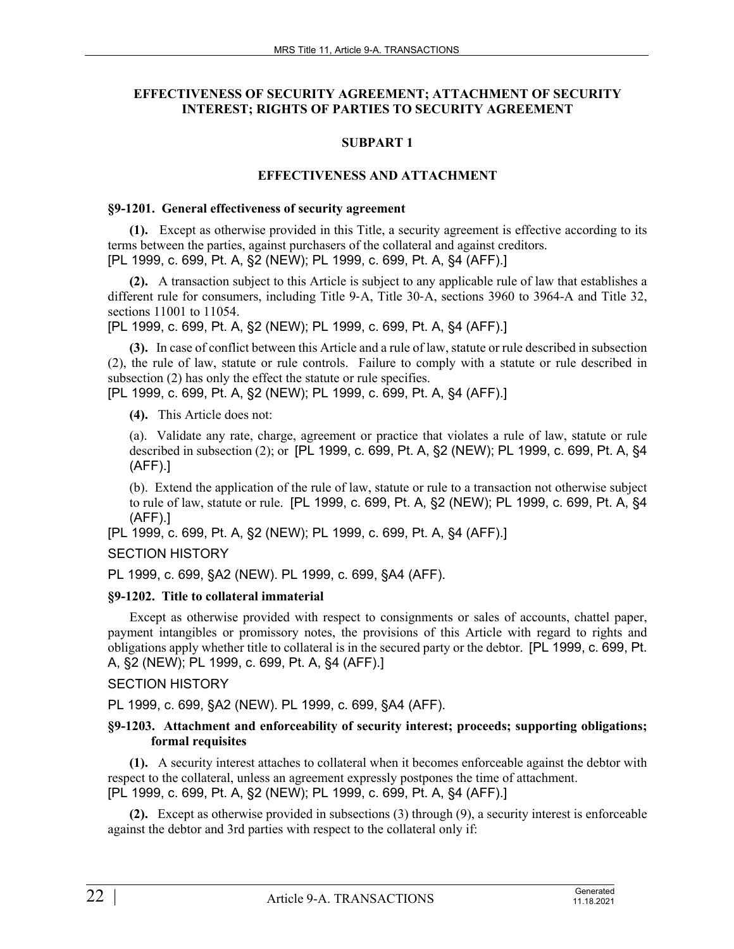# **EFFECTIVENESS OF SECURITY AGREEMENT; ATTACHMENT OF SECURITY INTEREST; RIGHTS OF PARTIES TO SECURITY AGREEMENT**

# **SUBPART 1**

## **EFFECTIVENESS AND ATTACHMENT**

#### **§9-1201. General effectiveness of security agreement**

**(1).** Except as otherwise provided in this Title, a security agreement is effective according to its terms between the parties, against purchasers of the collateral and against creditors. [PL 1999, c. 699, Pt. A, §2 (NEW); PL 1999, c. 699, Pt. A, §4 (AFF).]

**(2).** A transaction subject to this Article is subject to any applicable rule of law that establishes a different rule for consumers, including Title 9-A, Title 30-A, sections 3960 to 3964-A and Title 32, sections 11001 to 11054.

[PL 1999, c. 699, Pt. A, §2 (NEW); PL 1999, c. 699, Pt. A, §4 (AFF).]

**(3).** In case of conflict between this Article and a rule of law, statute or rule described in subsection (2), the rule of law, statute or rule controls. Failure to comply with a statute or rule described in subsection (2) has only the effect the statute or rule specifies.

[PL 1999, c. 699, Pt. A, §2 (NEW); PL 1999, c. 699, Pt. A, §4 (AFF).]

**(4).** This Article does not:

(a). Validate any rate, charge, agreement or practice that violates a rule of law, statute or rule described in subsection (2); or [PL 1999, c. 699, Pt. A, §2 (NEW); PL 1999, c. 699, Pt. A, §4 (AFF).]

(b). Extend the application of the rule of law, statute or rule to a transaction not otherwise subject to rule of law, statute or rule. [PL 1999, c. 699, Pt. A, §2 (NEW); PL 1999, c. 699, Pt. A, §4 (AFF).]

[PL 1999, c. 699, Pt. A, §2 (NEW); PL 1999, c. 699, Pt. A, §4 (AFF).]

# SECTION HISTORY

PL 1999, c. 699, §A2 (NEW). PL 1999, c. 699, §A4 (AFF).

# **§9-1202. Title to collateral immaterial**

Except as otherwise provided with respect to consignments or sales of accounts, chattel paper, payment intangibles or promissory notes, the provisions of this Article with regard to rights and obligations apply whether title to collateral is in the secured party or the debtor. [PL 1999, c. 699, Pt. A, §2 (NEW); PL 1999, c. 699, Pt. A, §4 (AFF).]

# SECTION HISTORY

PL 1999, c. 699, §A2 (NEW). PL 1999, c. 699, §A4 (AFF).

### **§9-1203. Attachment and enforceability of security interest; proceeds; supporting obligations; formal requisites**

**(1).** A security interest attaches to collateral when it becomes enforceable against the debtor with respect to the collateral, unless an agreement expressly postpones the time of attachment. [PL 1999, c. 699, Pt. A, §2 (NEW); PL 1999, c. 699, Pt. A, §4 (AFF).]

**(2).** Except as otherwise provided in subsections (3) through (9), a security interest is enforceable against the debtor and 3rd parties with respect to the collateral only if: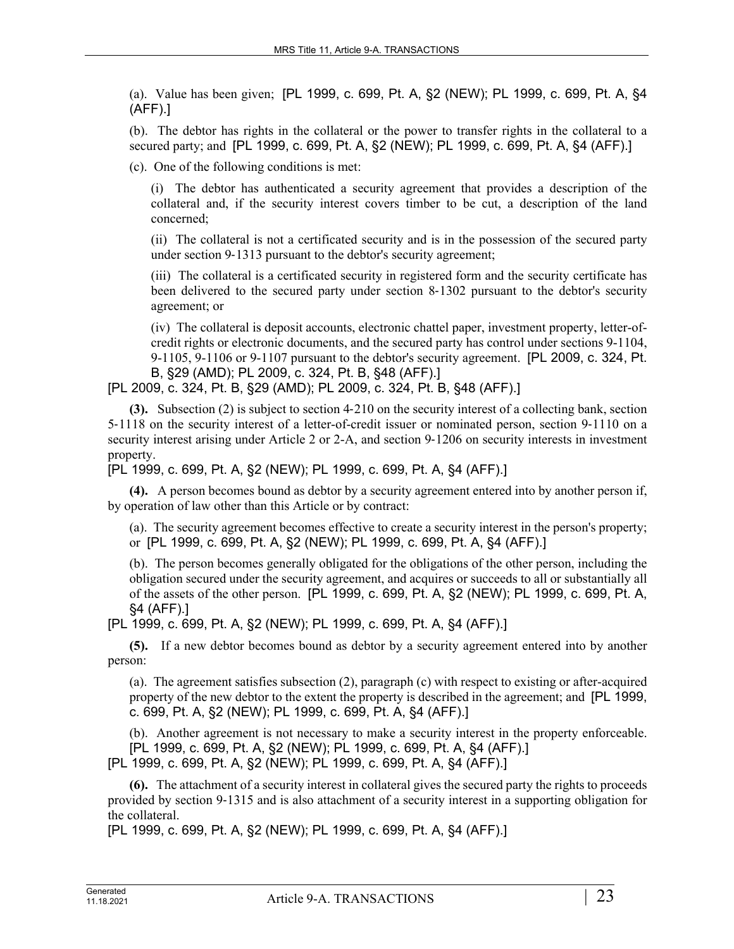(a). Value has been given; [PL 1999, c. 699, Pt. A, §2 (NEW); PL 1999, c. 699, Pt. A, §4 (AFF).]

(b). The debtor has rights in the collateral or the power to transfer rights in the collateral to a secured party; and [PL 1999, c. 699, Pt. A, §2 (NEW); PL 1999, c. 699, Pt. A, §4 (AFF).]

(c). One of the following conditions is met:

(i) The debtor has authenticated a security agreement that provides a description of the collateral and, if the security interest covers timber to be cut, a description of the land concerned;

(ii) The collateral is not a certificated security and is in the possession of the secured party under section 9‑1313 pursuant to the debtor's security agreement;

(iii) The collateral is a certificated security in registered form and the security certificate has been delivered to the secured party under section 8‑1302 pursuant to the debtor's security agreement; or

(iv) The collateral is deposit accounts, electronic chattel paper, investment property, letter-ofcredit rights or electronic documents, and the secured party has control under sections 9-1104, 9-1105, 9-1106 or 9-1107 pursuant to the debtor's security agreement. [PL 2009, c. 324, Pt. B, §29 (AMD); PL 2009, c. 324, Pt. B, §48 (AFF).]

[PL 2009, c. 324, Pt. B, §29 (AMD); PL 2009, c. 324, Pt. B, §48 (AFF).]

**(3).** Subsection (2) is subject to section 4‑210 on the security interest of a collecting bank, section 5‑1118 on the security interest of a letter-of-credit issuer or nominated person, section 9‑1110 on a security interest arising under Article 2 or 2-A, and section 9-1206 on security interests in investment property.

[PL 1999, c. 699, Pt. A, §2 (NEW); PL 1999, c. 699, Pt. A, §4 (AFF).]

**(4).** A person becomes bound as debtor by a security agreement entered into by another person if, by operation of law other than this Article or by contract:

(a). The security agreement becomes effective to create a security interest in the person's property; or [PL 1999, c. 699, Pt. A, §2 (NEW); PL 1999, c. 699, Pt. A, §4 (AFF).]

(b). The person becomes generally obligated for the obligations of the other person, including the obligation secured under the security agreement, and acquires or succeeds to all or substantially all of the assets of the other person. [PL 1999, c. 699, Pt. A, §2 (NEW); PL 1999, c. 699, Pt. A, §4 (AFF).]

[PL 1999, c. 699, Pt. A, §2 (NEW); PL 1999, c. 699, Pt. A, §4 (AFF).]

**(5).** If a new debtor becomes bound as debtor by a security agreement entered into by another person:

(a). The agreement satisfies subsection (2), paragraph (c) with respect to existing or after-acquired property of the new debtor to the extent the property is described in the agreement; and [PL 1999, c. 699, Pt. A, §2 (NEW); PL 1999, c. 699, Pt. A, §4 (AFF).]

(b). Another agreement is not necessary to make a security interest in the property enforceable. [PL 1999, c. 699, Pt. A, §2 (NEW); PL 1999, c. 699, Pt. A, §4 (AFF).]

[PL 1999, c. 699, Pt. A, §2 (NEW); PL 1999, c. 699, Pt. A, §4 (AFF).]

**(6).** The attachment of a security interest in collateral gives the secured party the rights to proceeds provided by section 9‑1315 and is also attachment of a security interest in a supporting obligation for the collateral.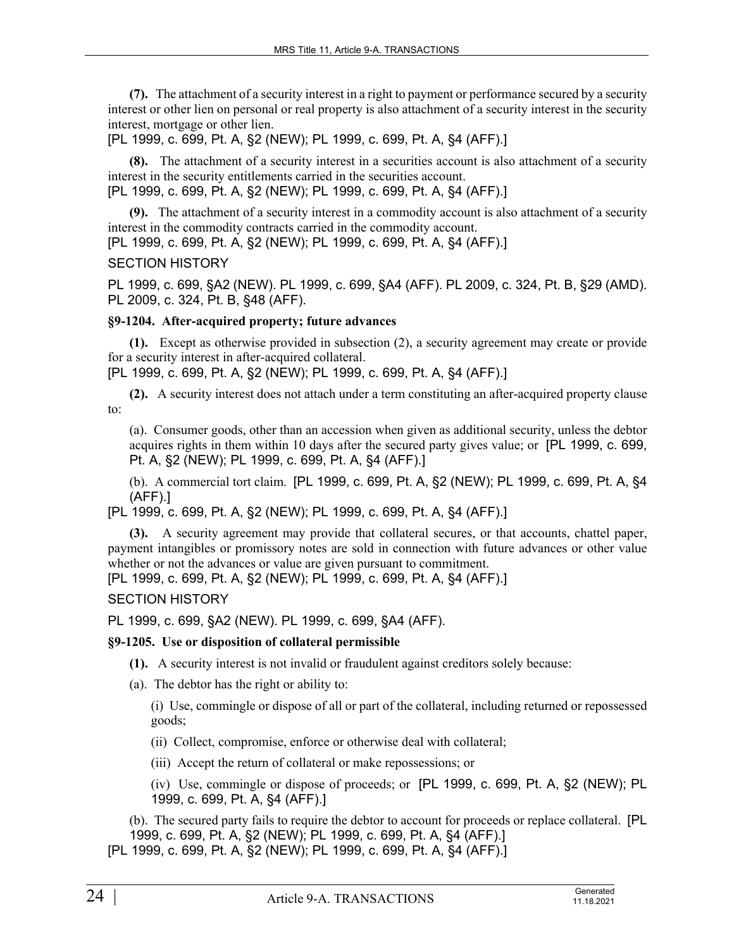**(7).** The attachment of a security interest in a right to payment or performance secured by a security interest or other lien on personal or real property is also attachment of a security interest in the security interest, mortgage or other lien.

[PL 1999, c. 699, Pt. A, §2 (NEW); PL 1999, c. 699, Pt. A, §4 (AFF).]

**(8).** The attachment of a security interest in a securities account is also attachment of a security interest in the security entitlements carried in the securities account.

[PL 1999, c. 699, Pt. A, §2 (NEW); PL 1999, c. 699, Pt. A, §4 (AFF).]

**(9).** The attachment of a security interest in a commodity account is also attachment of a security interest in the commodity contracts carried in the commodity account.

[PL 1999, c. 699, Pt. A, §2 (NEW); PL 1999, c. 699, Pt. A, §4 (AFF).]

# SECTION HISTORY

PL 1999, c. 699, §A2 (NEW). PL 1999, c. 699, §A4 (AFF). PL 2009, c. 324, Pt. B, §29 (AMD). PL 2009, c. 324, Pt. B, §48 (AFF).

# **§9-1204. After-acquired property; future advances**

**(1).** Except as otherwise provided in subsection (2), a security agreement may create or provide for a security interest in after-acquired collateral.

[PL 1999, c. 699, Pt. A, §2 (NEW); PL 1999, c. 699, Pt. A, §4 (AFF).]

**(2).** A security interest does not attach under a term constituting an after-acquired property clause to:

(a). Consumer goods, other than an accession when given as additional security, unless the debtor acquires rights in them within 10 days after the secured party gives value; or [PL 1999, c. 699, Pt. A, §2 (NEW); PL 1999, c. 699, Pt. A, §4 (AFF).]

(b). A commercial tort claim. [PL 1999, c. 699, Pt. A, §2 (NEW); PL 1999, c. 699, Pt. A, §4 (AFF).]

[PL 1999, c. 699, Pt. A, §2 (NEW); PL 1999, c. 699, Pt. A, §4 (AFF).]

**(3).** A security agreement may provide that collateral secures, or that accounts, chattel paper, payment intangibles or promissory notes are sold in connection with future advances or other value whether or not the advances or value are given pursuant to commitment.

[PL 1999, c. 699, Pt. A, §2 (NEW); PL 1999, c. 699, Pt. A, §4 (AFF).]

SECTION HISTORY

PL 1999, c. 699, §A2 (NEW). PL 1999, c. 699, §A4 (AFF).

# **§9-1205. Use or disposition of collateral permissible**

- **(1).** A security interest is not invalid or fraudulent against creditors solely because:
- (a). The debtor has the right or ability to:

(i) Use, commingle or dispose of all or part of the collateral, including returned or repossessed goods;

- (ii) Collect, compromise, enforce or otherwise deal with collateral;
- (iii) Accept the return of collateral or make repossessions; or

(iv) Use, commingle or dispose of proceeds; or [PL 1999, c. 699, Pt. A, §2 (NEW); PL 1999, c. 699, Pt. A, §4 (AFF).]

(b). The secured party fails to require the debtor to account for proceeds or replace collateral. [PL 1999, c. 699, Pt. A, §2 (NEW); PL 1999, c. 699, Pt. A, §4 (AFF).]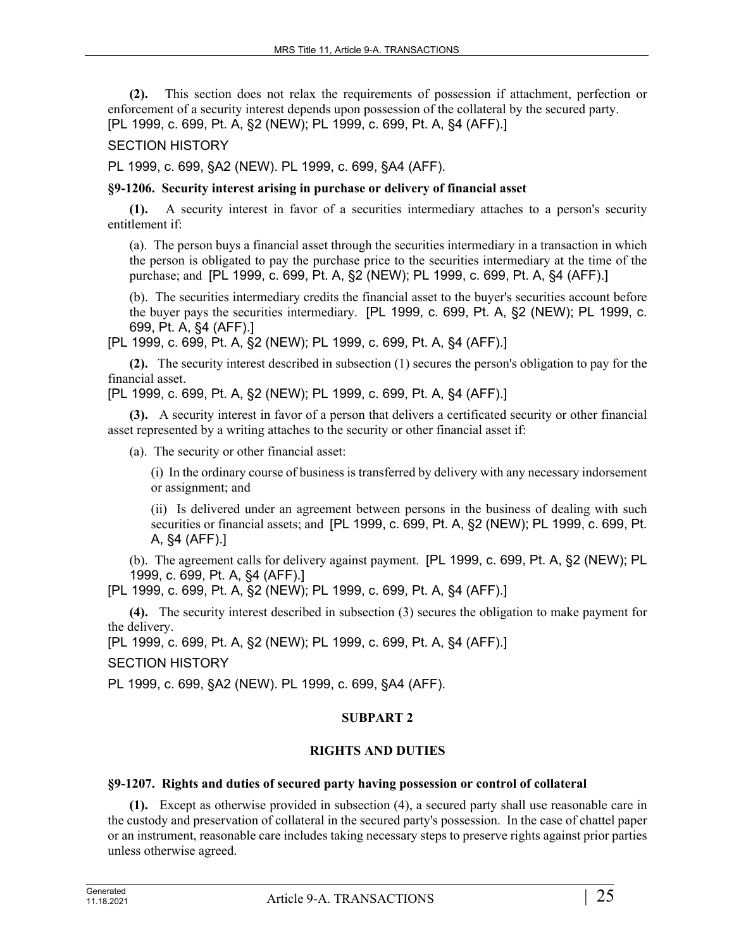**(2).** This section does not relax the requirements of possession if attachment, perfection or enforcement of a security interest depends upon possession of the collateral by the secured party. [PL 1999, c. 699, Pt. A, §2 (NEW); PL 1999, c. 699, Pt. A, §4 (AFF).]

## SECTION HISTORY

PL 1999, c. 699, §A2 (NEW). PL 1999, c. 699, §A4 (AFF).

### **§9-1206. Security interest arising in purchase or delivery of financial asset**

**(1).** A security interest in favor of a securities intermediary attaches to a person's security entitlement if:

(a). The person buys a financial asset through the securities intermediary in a transaction in which the person is obligated to pay the purchase price to the securities intermediary at the time of the purchase; and [PL 1999, c. 699, Pt. A, §2 (NEW); PL 1999, c. 699, Pt. A, §4 (AFF).]

(b). The securities intermediary credits the financial asset to the buyer's securities account before the buyer pays the securities intermediary. [PL 1999, c. 699, Pt. A, §2 (NEW); PL 1999, c. 699, Pt. A, §4 (AFF).]

[PL 1999, c. 699, Pt. A, §2 (NEW); PL 1999, c. 699, Pt. A, §4 (AFF).]

**(2).** The security interest described in subsection (1) secures the person's obligation to pay for the financial asset.

[PL 1999, c. 699, Pt. A, §2 (NEW); PL 1999, c. 699, Pt. A, §4 (AFF).]

**(3).** A security interest in favor of a person that delivers a certificated security or other financial asset represented by a writing attaches to the security or other financial asset if:

(a). The security or other financial asset:

(i) In the ordinary course of business is transferred by delivery with any necessary indorsement or assignment; and

(ii) Is delivered under an agreement between persons in the business of dealing with such securities or financial assets; and [PL 1999, c. 699, Pt. A, §2 (NEW); PL 1999, c. 699, Pt. A, §4 (AFF).]

(b). The agreement calls for delivery against payment. [PL 1999, c. 699, Pt. A, §2 (NEW); PL 1999, c. 699, Pt. A, §4 (AFF).]

[PL 1999, c. 699, Pt. A, §2 (NEW); PL 1999, c. 699, Pt. A, §4 (AFF).]

**(4).** The security interest described in subsection (3) secures the obligation to make payment for the delivery.

[PL 1999, c. 699, Pt. A, §2 (NEW); PL 1999, c. 699, Pt. A, §4 (AFF).]

SECTION HISTORY

PL 1999, c. 699, §A2 (NEW). PL 1999, c. 699, §A4 (AFF).

# **SUBPART 2**

# **RIGHTS AND DUTIES**

# **§9-1207. Rights and duties of secured party having possession or control of collateral**

**(1).** Except as otherwise provided in subsection (4), a secured party shall use reasonable care in the custody and preservation of collateral in the secured party's possession. In the case of chattel paper or an instrument, reasonable care includes taking necessary steps to preserve rights against prior parties unless otherwise agreed.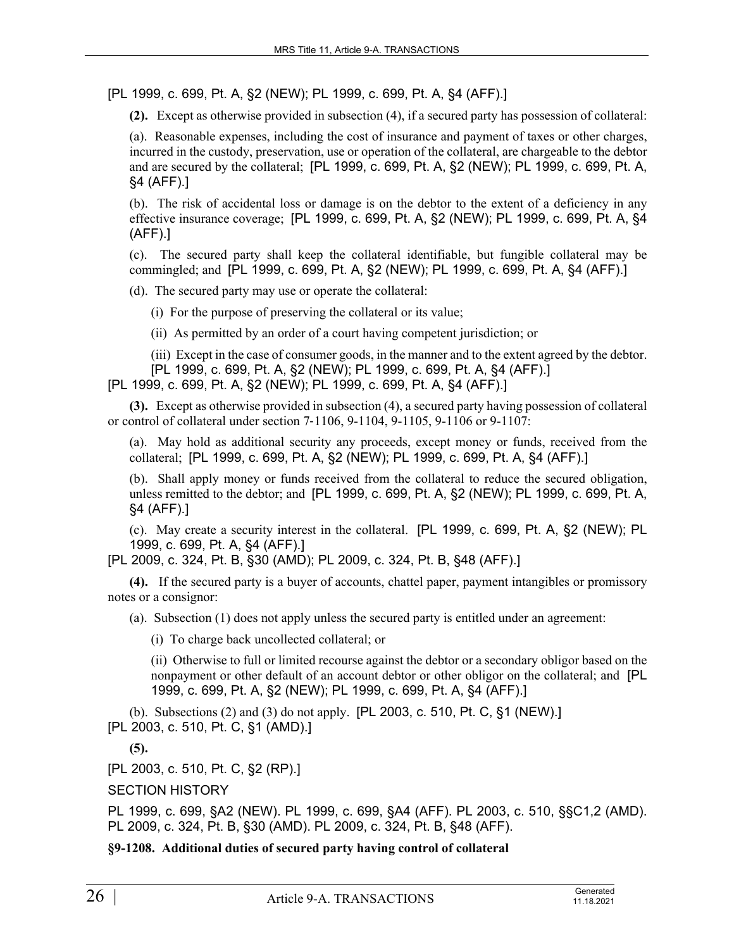[PL 1999, c. 699, Pt. A, §2 (NEW); PL 1999, c. 699, Pt. A, §4 (AFF).]

**(2).** Except as otherwise provided in subsection (4), if a secured party has possession of collateral:

(a). Reasonable expenses, including the cost of insurance and payment of taxes or other charges, incurred in the custody, preservation, use or operation of the collateral, are chargeable to the debtor and are secured by the collateral; [PL 1999, c. 699, Pt. A, §2 (NEW); PL 1999, c. 699, Pt. A, §4 (AFF).]

(b). The risk of accidental loss or damage is on the debtor to the extent of a deficiency in any effective insurance coverage; [PL 1999, c. 699, Pt. A, §2 (NEW); PL 1999, c. 699, Pt. A, §4 (AFF).]

(c). The secured party shall keep the collateral identifiable, but fungible collateral may be commingled; and [PL 1999, c. 699, Pt. A, §2 (NEW); PL 1999, c. 699, Pt. A, §4 (AFF).]

(d). The secured party may use or operate the collateral:

(i) For the purpose of preserving the collateral or its value;

(ii) As permitted by an order of a court having competent jurisdiction; or

(iii) Except in the case of consumer goods, in the manner and to the extent agreed by the debtor. [PL 1999, c. 699, Pt. A, §2 (NEW); PL 1999, c. 699, Pt. A, §4 (AFF).]

[PL 1999, c. 699, Pt. A, §2 (NEW); PL 1999, c. 699, Pt. A, §4 (AFF).]

**(3).** Except as otherwise provided in subsection (4), a secured party having possession of collateral or control of collateral under section 7‑1106, 9-1104, 9-1105, 9-1106 or 9-1107:

(a). May hold as additional security any proceeds, except money or funds, received from the collateral; [PL 1999, c. 699, Pt. A, §2 (NEW); PL 1999, c. 699, Pt. A, §4 (AFF).]

(b). Shall apply money or funds received from the collateral to reduce the secured obligation, unless remitted to the debtor; and [PL 1999, c. 699, Pt. A, §2 (NEW); PL 1999, c. 699, Pt. A, §4 (AFF).]

(c). May create a security interest in the collateral. [PL 1999, c. 699, Pt. A, §2 (NEW); PL 1999, c. 699, Pt. A, §4 (AFF).]

[PL 2009, c. 324, Pt. B, §30 (AMD); PL 2009, c. 324, Pt. B, §48 (AFF).]

**(4).** If the secured party is a buyer of accounts, chattel paper, payment intangibles or promissory notes or a consignor:

(a). Subsection (1) does not apply unless the secured party is entitled under an agreement:

(i) To charge back uncollected collateral; or

(ii) Otherwise to full or limited recourse against the debtor or a secondary obligor based on the nonpayment or other default of an account debtor or other obligor on the collateral; and [PL 1999, c. 699, Pt. A, §2 (NEW); PL 1999, c. 699, Pt. A, §4 (AFF).]

(b). Subsections (2) and (3) do not apply. [PL 2003, c. 510, Pt. C, §1 (NEW).] [PL 2003, c. 510, Pt. C, §1 (AMD).]

**(5).** 

[PL 2003, c. 510, Pt. C, §2 (RP).]

SECTION HISTORY

PL 1999, c. 699, §A2 (NEW). PL 1999, c. 699, §A4 (AFF). PL 2003, c. 510, §§C1,2 (AMD). PL 2009, c. 324, Pt. B, §30 (AMD). PL 2009, c. 324, Pt. B, §48 (AFF).

**§9-1208. Additional duties of secured party having control of collateral**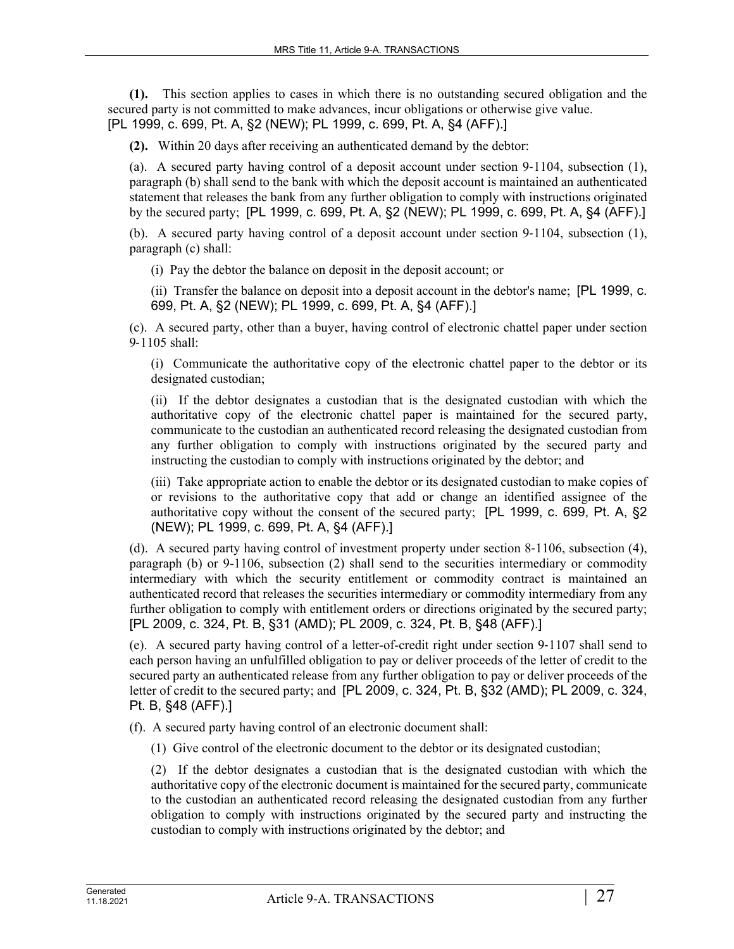**(1).** This section applies to cases in which there is no outstanding secured obligation and the secured party is not committed to make advances, incur obligations or otherwise give value. [PL 1999, c. 699, Pt. A, §2 (NEW); PL 1999, c. 699, Pt. A, §4 (AFF).]

**(2).** Within 20 days after receiving an authenticated demand by the debtor:

(a). A secured party having control of a deposit account under section  $9-1104$ , subsection (1), paragraph (b) shall send to the bank with which the deposit account is maintained an authenticated statement that releases the bank from any further obligation to comply with instructions originated by the secured party; [PL 1999, c. 699, Pt. A, §2 (NEW); PL 1999, c. 699, Pt. A, §4 (AFF).]

(b). A secured party having control of a deposit account under section  $9-1104$ , subsection (1), paragraph (c) shall:

(i) Pay the debtor the balance on deposit in the deposit account; or

(ii) Transfer the balance on deposit into a deposit account in the debtor's name; [PL 1999, c. 699, Pt. A, §2 (NEW); PL 1999, c. 699, Pt. A, §4 (AFF).]

(c). A secured party, other than a buyer, having control of electronic chattel paper under section 9‑1105 shall:

(i) Communicate the authoritative copy of the electronic chattel paper to the debtor or its designated custodian;

(ii) If the debtor designates a custodian that is the designated custodian with which the authoritative copy of the electronic chattel paper is maintained for the secured party, communicate to the custodian an authenticated record releasing the designated custodian from any further obligation to comply with instructions originated by the secured party and instructing the custodian to comply with instructions originated by the debtor; and

(iii) Take appropriate action to enable the debtor or its designated custodian to make copies of or revisions to the authoritative copy that add or change an identified assignee of the authoritative copy without the consent of the secured party; [PL 1999, c. 699, Pt. A, §2 (NEW); PL 1999, c. 699, Pt. A, §4 (AFF).]

(d). A secured party having control of investment property under section 8‑1106, subsection (4), paragraph (b) or 9-1106, subsection (2) shall send to the securities intermediary or commodity intermediary with which the security entitlement or commodity contract is maintained an authenticated record that releases the securities intermediary or commodity intermediary from any further obligation to comply with entitlement orders or directions originated by the secured party; [PL 2009, c. 324, Pt. B, §31 (AMD); PL 2009, c. 324, Pt. B, §48 (AFF).]

(e). A secured party having control of a letter-of-credit right under section 9‑1107 shall send to each person having an unfulfilled obligation to pay or deliver proceeds of the letter of credit to the secured party an authenticated release from any further obligation to pay or deliver proceeds of the letter of credit to the secured party; and [PL 2009, c. 324, Pt. B, §32 (AMD); PL 2009, c. 324, Pt. B, §48 (AFF).]

(f). A secured party having control of an electronic document shall:

(1) Give control of the electronic document to the debtor or its designated custodian;

(2) If the debtor designates a custodian that is the designated custodian with which the authoritative copy of the electronic document is maintained for the secured party, communicate to the custodian an authenticated record releasing the designated custodian from any further obligation to comply with instructions originated by the secured party and instructing the custodian to comply with instructions originated by the debtor; and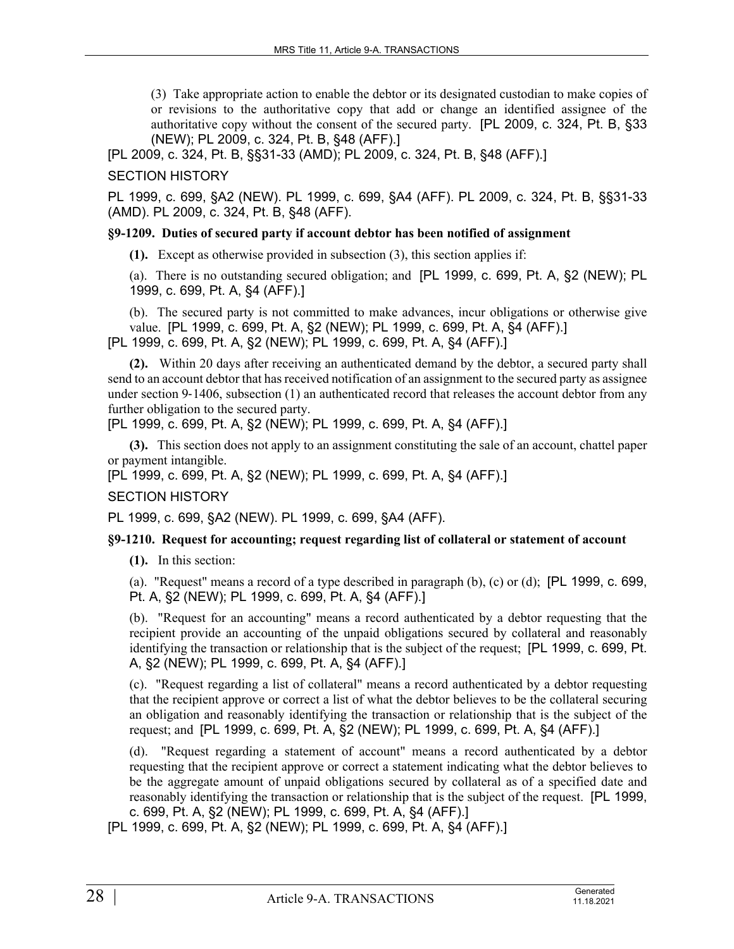(3) Take appropriate action to enable the debtor or its designated custodian to make copies of or revisions to the authoritative copy that add or change an identified assignee of the authoritative copy without the consent of the secured party. [PL 2009, c. 324, Pt. B, §33 (NEW); PL 2009, c. 324, Pt. B, §48 (AFF).]

[PL 2009, c. 324, Pt. B, §§31-33 (AMD); PL 2009, c. 324, Pt. B, §48 (AFF).]

### SECTION HISTORY

PL 1999, c. 699, §A2 (NEW). PL 1999, c. 699, §A4 (AFF). PL 2009, c. 324, Pt. B, §§31-33 (AMD). PL 2009, c. 324, Pt. B, §48 (AFF).

#### **§9-1209. Duties of secured party if account debtor has been notified of assignment**

**(1).** Except as otherwise provided in subsection (3), this section applies if:

(a). There is no outstanding secured obligation; and [PL 1999, c. 699, Pt. A, §2 (NEW); PL 1999, c. 699, Pt. A, §4 (AFF).]

(b). The secured party is not committed to make advances, incur obligations or otherwise give value. [PL 1999, c. 699, Pt. A, §2 (NEW); PL 1999, c. 699, Pt. A, §4 (AFF).] [PL 1999, c. 699, Pt. A, §2 (NEW); PL 1999, c. 699, Pt. A, §4 (AFF).]

**(2).** Within 20 days after receiving an authenticated demand by the debtor, a secured party shall send to an account debtor that has received notification of an assignment to the secured party as assignee under section 9-1406, subsection (1) an authenticated record that releases the account debtor from any further obligation to the secured party.

[PL 1999, c. 699, Pt. A, §2 (NEW); PL 1999, c. 699, Pt. A, §4 (AFF).]

**(3).** This section does not apply to an assignment constituting the sale of an account, chattel paper or payment intangible.

[PL 1999, c. 699, Pt. A, §2 (NEW); PL 1999, c. 699, Pt. A, §4 (AFF).]

### SECTION HISTORY

PL 1999, c. 699, §A2 (NEW). PL 1999, c. 699, §A4 (AFF).

### **§9-1210. Request for accounting; request regarding list of collateral or statement of account**

**(1).** In this section:

(a). "Request" means a record of a type described in paragraph (b), (c) or (d); [PL 1999, c. 699, Pt. A, §2 (NEW); PL 1999, c. 699, Pt. A, §4 (AFF).]

(b). "Request for an accounting" means a record authenticated by a debtor requesting that the recipient provide an accounting of the unpaid obligations secured by collateral and reasonably identifying the transaction or relationship that is the subject of the request; [PL 1999, c. 699, Pt. A, §2 (NEW); PL 1999, c. 699, Pt. A, §4 (AFF).]

(c). "Request regarding a list of collateral" means a record authenticated by a debtor requesting that the recipient approve or correct a list of what the debtor believes to be the collateral securing an obligation and reasonably identifying the transaction or relationship that is the subject of the request; and [PL 1999, c. 699, Pt. A, §2 (NEW); PL 1999, c. 699, Pt. A, §4 (AFF).]

(d). "Request regarding a statement of account" means a record authenticated by a debtor requesting that the recipient approve or correct a statement indicating what the debtor believes to be the aggregate amount of unpaid obligations secured by collateral as of a specified date and reasonably identifying the transaction or relationship that is the subject of the request. [PL 1999, c. 699, Pt. A, §2 (NEW); PL 1999, c. 699, Pt. A, §4 (AFF).]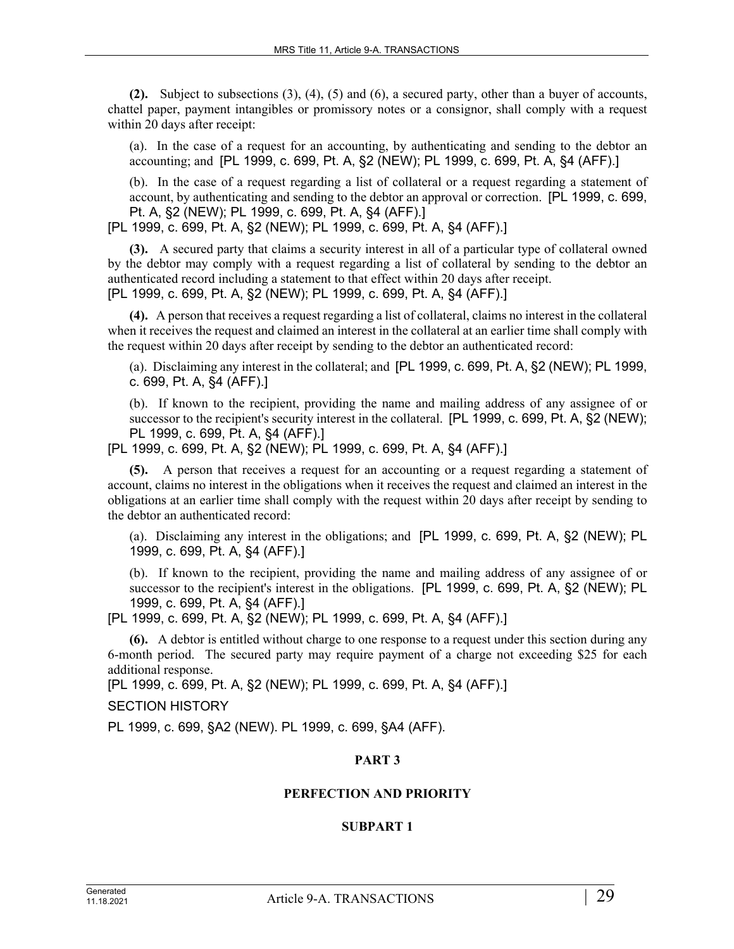**(2).** Subject to subsections (3), (4), (5) and (6), a secured party, other than a buyer of accounts, chattel paper, payment intangibles or promissory notes or a consignor, shall comply with a request within 20 days after receipt:

(a). In the case of a request for an accounting, by authenticating and sending to the debtor an accounting; and [PL 1999, c. 699, Pt. A, §2 (NEW); PL 1999, c. 699, Pt. A, §4 (AFF).]

(b). In the case of a request regarding a list of collateral or a request regarding a statement of account, by authenticating and sending to the debtor an approval or correction. [PL 1999, c. 699, Pt. A, §2 (NEW); PL 1999, c. 699, Pt. A, §4 (AFF).]

[PL 1999, c. 699, Pt. A, §2 (NEW); PL 1999, c. 699, Pt. A, §4 (AFF).]

**(3).** A secured party that claims a security interest in all of a particular type of collateral owned by the debtor may comply with a request regarding a list of collateral by sending to the debtor an authenticated record including a statement to that effect within 20 days after receipt. [PL 1999, c. 699, Pt. A, §2 (NEW); PL 1999, c. 699, Pt. A, §4 (AFF).]

**(4).** A person that receives a request regarding a list of collateral, claims no interest in the collateral when it receives the request and claimed an interest in the collateral at an earlier time shall comply with the request within 20 days after receipt by sending to the debtor an authenticated record:

(a). Disclaiming any interest in the collateral; and [PL 1999, c. 699, Pt. A, §2 (NEW); PL 1999, c. 699, Pt. A, §4 (AFF).]

(b). If known to the recipient, providing the name and mailing address of any assignee of or successor to the recipient's security interest in the collateral. [PL 1999, c. 699, Pt. A, §2 (NEW); PL 1999, c. 699, Pt. A, §4 (AFF).]

[PL 1999, c. 699, Pt. A, §2 (NEW); PL 1999, c. 699, Pt. A, §4 (AFF).]

**(5).** A person that receives a request for an accounting or a request regarding a statement of account, claims no interest in the obligations when it receives the request and claimed an interest in the obligations at an earlier time shall comply with the request within 20 days after receipt by sending to the debtor an authenticated record:

(a). Disclaiming any interest in the obligations; and [PL 1999, c. 699, Pt. A, §2 (NEW); PL 1999, c. 699, Pt. A, §4 (AFF).]

(b). If known to the recipient, providing the name and mailing address of any assignee of or successor to the recipient's interest in the obligations. [PL 1999, c. 699, Pt. A, §2 (NEW); PL 1999, c. 699, Pt. A, §4 (AFF).]

[PL 1999, c. 699, Pt. A, §2 (NEW); PL 1999, c. 699, Pt. A, §4 (AFF).]

**(6).** A debtor is entitled without charge to one response to a request under this section during any 6-month period. The secured party may require payment of a charge not exceeding \$25 for each additional response.

[PL 1999, c. 699, Pt. A, §2 (NEW); PL 1999, c. 699, Pt. A, §4 (AFF).]

SECTION HISTORY

PL 1999, c. 699, §A2 (NEW). PL 1999, c. 699, §A4 (AFF).

# **PART 3**

# **PERFECTION AND PRIORITY**

### **SUBPART 1**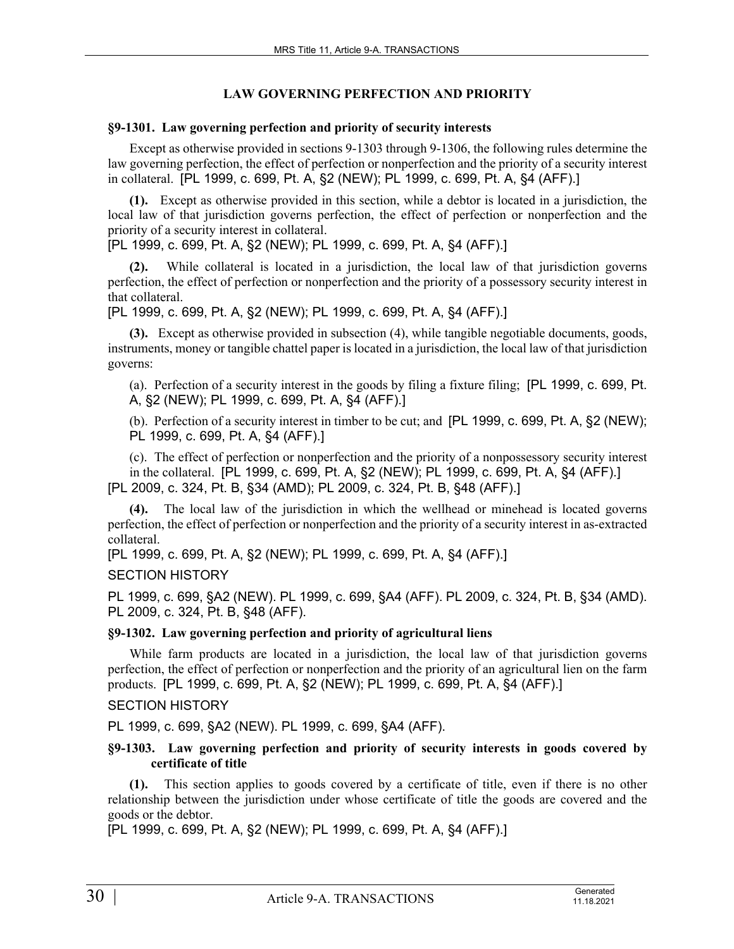### **LAW GOVERNING PERFECTION AND PRIORITY**

#### **§9-1301. Law governing perfection and priority of security interests**

Except as otherwise provided in sections 9-1303 through 9-1306, the following rules determine the law governing perfection, the effect of perfection or nonperfection and the priority of a security interest in collateral. [PL 1999, c. 699, Pt. A, §2 (NEW); PL 1999, c. 699, Pt. A, §4 (AFF).]

**(1).** Except as otherwise provided in this section, while a debtor is located in a jurisdiction, the local law of that jurisdiction governs perfection, the effect of perfection or nonperfection and the priority of a security interest in collateral.

[PL 1999, c. 699, Pt. A, §2 (NEW); PL 1999, c. 699, Pt. A, §4 (AFF).]

**(2).** While collateral is located in a jurisdiction, the local law of that jurisdiction governs perfection, the effect of perfection or nonperfection and the priority of a possessory security interest in that collateral.

[PL 1999, c. 699, Pt. A, §2 (NEW); PL 1999, c. 699, Pt. A, §4 (AFF).]

**(3).** Except as otherwise provided in subsection (4), while tangible negotiable documents, goods, instruments, money or tangible chattel paper is located in a jurisdiction, the local law of that jurisdiction governs:

(a). Perfection of a security interest in the goods by filing a fixture filing; [PL 1999, c. 699, Pt. A, §2 (NEW); PL 1999, c. 699, Pt. A, §4 (AFF).]

(b). Perfection of a security interest in timber to be cut; and [PL 1999, c. 699, Pt. A, §2 (NEW); PL 1999, c. 699, Pt. A, §4 (AFF).]

(c). The effect of perfection or nonperfection and the priority of a nonpossessory security interest in the collateral. [PL 1999, c. 699, Pt. A, §2 (NEW); PL 1999, c. 699, Pt. A, §4 (AFF).] [PL 2009, c. 324, Pt. B, §34 (AMD); PL 2009, c. 324, Pt. B, §48 (AFF).]

**(4).** The local law of the jurisdiction in which the wellhead or minehead is located governs perfection, the effect of perfection or nonperfection and the priority of a security interest in as-extracted collateral.

[PL 1999, c. 699, Pt. A, §2 (NEW); PL 1999, c. 699, Pt. A, §4 (AFF).]

SECTION HISTORY

PL 1999, c. 699, §A2 (NEW). PL 1999, c. 699, §A4 (AFF). PL 2009, c. 324, Pt. B, §34 (AMD). PL 2009, c. 324, Pt. B, §48 (AFF).

### **§9-1302. Law governing perfection and priority of agricultural liens**

While farm products are located in a jurisdiction, the local law of that jurisdiction governs perfection, the effect of perfection or nonperfection and the priority of an agricultural lien on the farm products. [PL 1999, c. 699, Pt. A, §2 (NEW); PL 1999, c. 699, Pt. A, §4 (AFF).]

### SECTION HISTORY

PL 1999, c. 699, §A2 (NEW). PL 1999, c. 699, §A4 (AFF).

### **§9-1303. Law governing perfection and priority of security interests in goods covered by certificate of title**

**(1).** This section applies to goods covered by a certificate of title, even if there is no other relationship between the jurisdiction under whose certificate of title the goods are covered and the goods or the debtor.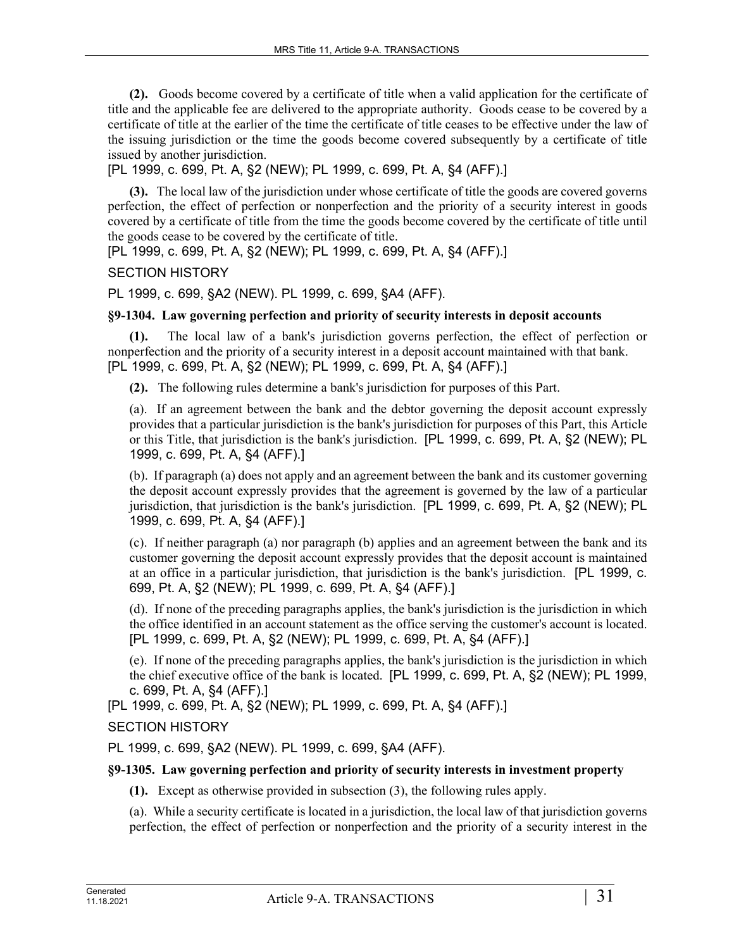**(2).** Goods become covered by a certificate of title when a valid application for the certificate of title and the applicable fee are delivered to the appropriate authority. Goods cease to be covered by a certificate of title at the earlier of the time the certificate of title ceases to be effective under the law of the issuing jurisdiction or the time the goods become covered subsequently by a certificate of title issued by another jurisdiction.

[PL 1999, c. 699, Pt. A, §2 (NEW); PL 1999, c. 699, Pt. A, §4 (AFF).]

**(3).** The local law of the jurisdiction under whose certificate of title the goods are covered governs perfection, the effect of perfection or nonperfection and the priority of a security interest in goods covered by a certificate of title from the time the goods become covered by the certificate of title until the goods cease to be covered by the certificate of title.

[PL 1999, c. 699, Pt. A, §2 (NEW); PL 1999, c. 699, Pt. A, §4 (AFF).]

SECTION HISTORY

PL 1999, c. 699, §A2 (NEW). PL 1999, c. 699, §A4 (AFF).

### **§9-1304. Law governing perfection and priority of security interests in deposit accounts**

**(1).** The local law of a bank's jurisdiction governs perfection, the effect of perfection or nonperfection and the priority of a security interest in a deposit account maintained with that bank. [PL 1999, c. 699, Pt. A, §2 (NEW); PL 1999, c. 699, Pt. A, §4 (AFF).]

**(2).** The following rules determine a bank's jurisdiction for purposes of this Part.

(a). If an agreement between the bank and the debtor governing the deposit account expressly provides that a particular jurisdiction is the bank's jurisdiction for purposes of this Part, this Article or this Title, that jurisdiction is the bank's jurisdiction. [PL 1999, c. 699, Pt. A, §2 (NEW); PL 1999, c. 699, Pt. A, §4 (AFF).]

(b). If paragraph (a) does not apply and an agreement between the bank and its customer governing the deposit account expressly provides that the agreement is governed by the law of a particular jurisdiction, that jurisdiction is the bank's jurisdiction. [PL 1999, c. 699, Pt. A, §2 (NEW); PL 1999, c. 699, Pt. A, §4 (AFF).]

(c). If neither paragraph (a) nor paragraph (b) applies and an agreement between the bank and its customer governing the deposit account expressly provides that the deposit account is maintained at an office in a particular jurisdiction, that jurisdiction is the bank's jurisdiction. [PL 1999, c. 699, Pt. A, §2 (NEW); PL 1999, c. 699, Pt. A, §4 (AFF).]

(d). If none of the preceding paragraphs applies, the bank's jurisdiction is the jurisdiction in which the office identified in an account statement as the office serving the customer's account is located. [PL 1999, c. 699, Pt. A, §2 (NEW); PL 1999, c. 699, Pt. A, §4 (AFF).]

(e). If none of the preceding paragraphs applies, the bank's jurisdiction is the jurisdiction in which the chief executive office of the bank is located. [PL 1999, c. 699, Pt. A, §2 (NEW); PL 1999, c. 699, Pt. A, §4 (AFF).]

[PL 1999, c. 699, Pt. A, §2 (NEW); PL 1999, c. 699, Pt. A, §4 (AFF).]

SECTION HISTORY

PL 1999, c. 699, §A2 (NEW). PL 1999, c. 699, §A4 (AFF).

# **§9-1305. Law governing perfection and priority of security interests in investment property**

**(1).** Except as otherwise provided in subsection (3), the following rules apply.

(a). While a security certificate is located in a jurisdiction, the local law of that jurisdiction governs perfection, the effect of perfection or nonperfection and the priority of a security interest in the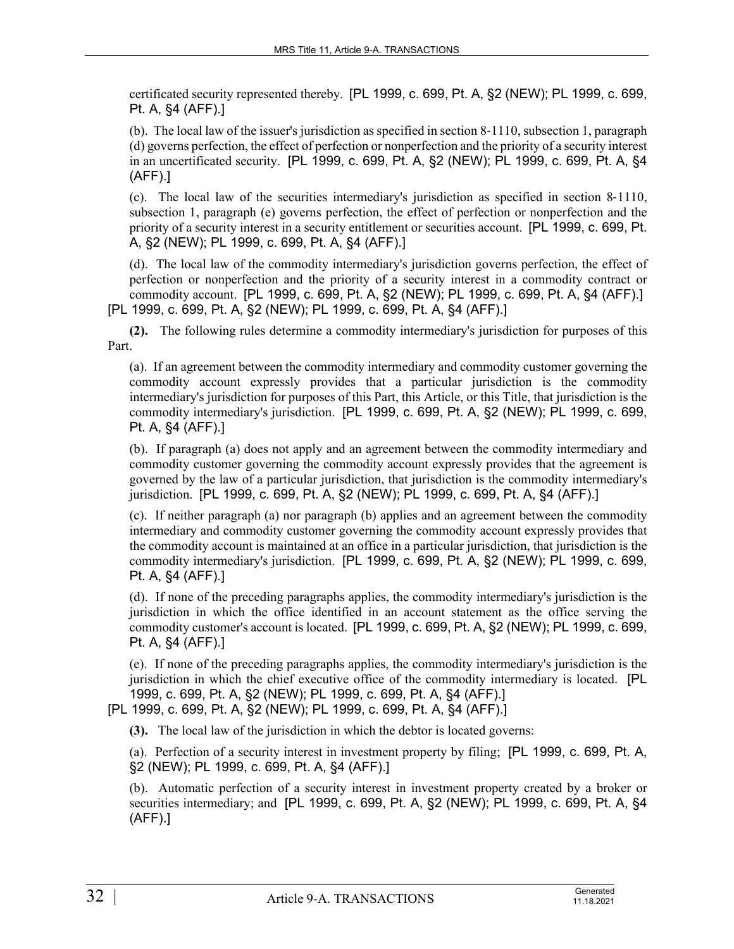certificated security represented thereby. [PL 1999, c. 699, Pt. A, §2 (NEW); PL 1999, c. 699, Pt. A, §4 (AFF).]

(b). The local law of the issuer's jurisdiction as specified in section 8‑1110, subsection 1, paragraph (d) governs perfection, the effect of perfection or nonperfection and the priority of a security interest in an uncertificated security. [PL 1999, c. 699, Pt. A, §2 (NEW); PL 1999, c. 699, Pt. A, §4 (AFF).]

(c). The local law of the securities intermediary's jurisdiction as specified in section 8‑1110, subsection 1, paragraph (e) governs perfection, the effect of perfection or nonperfection and the priority of a security interest in a security entitlement or securities account. [PL 1999, c. 699, Pt. A, §2 (NEW); PL 1999, c. 699, Pt. A, §4 (AFF).]

(d). The local law of the commodity intermediary's jurisdiction governs perfection, the effect of perfection or nonperfection and the priority of a security interest in a commodity contract or commodity account. [PL 1999, c. 699, Pt. A, §2 (NEW); PL 1999, c. 699, Pt. A, §4 (AFF).] [PL 1999, c. 699, Pt. A, §2 (NEW); PL 1999, c. 699, Pt. A, §4 (AFF).]

**(2).** The following rules determine a commodity intermediary's jurisdiction for purposes of this Part.

(a). If an agreement between the commodity intermediary and commodity customer governing the commodity account expressly provides that a particular jurisdiction is the commodity intermediary's jurisdiction for purposes of this Part, this Article, or this Title, that jurisdiction is the commodity intermediary's jurisdiction. [PL 1999, c. 699, Pt. A, §2 (NEW); PL 1999, c. 699, Pt. A, §4 (AFF).]

(b). If paragraph (a) does not apply and an agreement between the commodity intermediary and commodity customer governing the commodity account expressly provides that the agreement is governed by the law of a particular jurisdiction, that jurisdiction is the commodity intermediary's jurisdiction. [PL 1999, c. 699, Pt. A, §2 (NEW); PL 1999, c. 699, Pt. A, §4 (AFF).]

(c). If neither paragraph (a) nor paragraph (b) applies and an agreement between the commodity intermediary and commodity customer governing the commodity account expressly provides that the commodity account is maintained at an office in a particular jurisdiction, that jurisdiction is the commodity intermediary's jurisdiction. [PL 1999, c. 699, Pt. A, §2 (NEW); PL 1999, c. 699, Pt. A, §4 (AFF).]

(d). If none of the preceding paragraphs applies, the commodity intermediary's jurisdiction is the jurisdiction in which the office identified in an account statement as the office serving the commodity customer's account is located. [PL 1999, c. 699, Pt. A, §2 (NEW); PL 1999, c. 699, Pt. A, §4 (AFF).]

(e). If none of the preceding paragraphs applies, the commodity intermediary's jurisdiction is the jurisdiction in which the chief executive office of the commodity intermediary is located. [PL 1999, c. 699, Pt. A, §2 (NEW); PL 1999, c. 699, Pt. A, §4 (AFF).]

[PL 1999, c. 699, Pt. A, §2 (NEW); PL 1999, c. 699, Pt. A, §4 (AFF).]

**(3).** The local law of the jurisdiction in which the debtor is located governs:

(a). Perfection of a security interest in investment property by filing; [PL 1999, c. 699, Pt. A, §2 (NEW); PL 1999, c. 699, Pt. A, §4 (AFF).]

(b). Automatic perfection of a security interest in investment property created by a broker or securities intermediary; and [PL 1999, c. 699, Pt. A, §2 (NEW); PL 1999, c. 699, Pt. A, §4 (AFF).]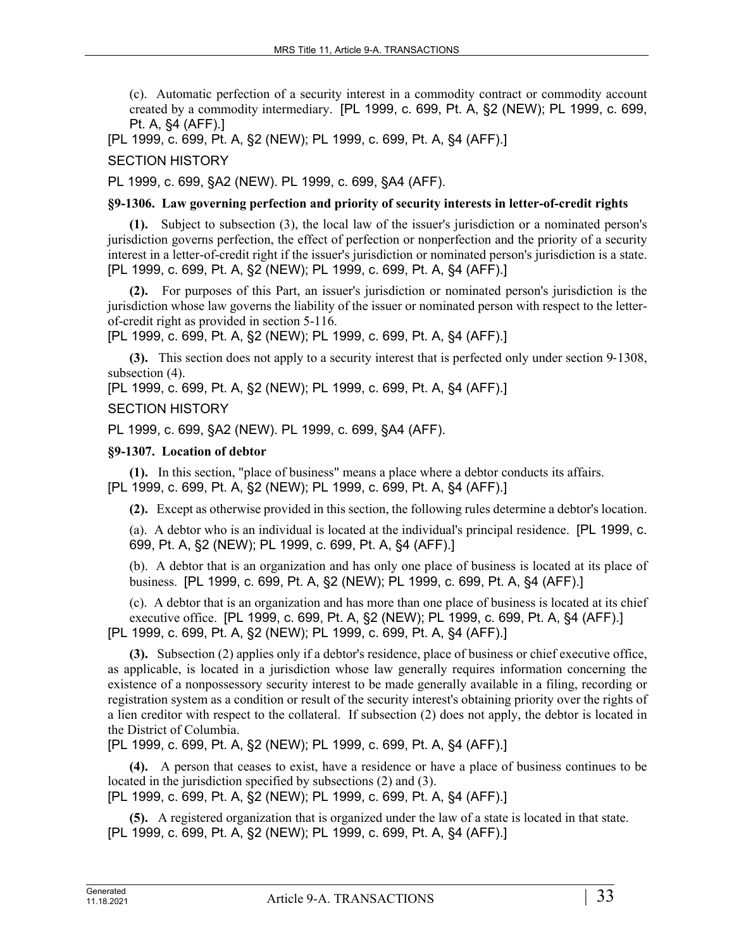(c). Automatic perfection of a security interest in a commodity contract or commodity account created by a commodity intermediary. [PL 1999, c. 699, Pt. A, §2 (NEW); PL 1999, c. 699, Pt. A, §4 (AFF).]

[PL 1999, c. 699, Pt. A, §2 (NEW); PL 1999, c. 699, Pt. A, §4 (AFF).]

SECTION HISTORY

PL 1999, c. 699, §A2 (NEW). PL 1999, c. 699, §A4 (AFF).

### **§9-1306. Law governing perfection and priority of security interests in letter-of-credit rights**

**(1).** Subject to subsection (3), the local law of the issuer's jurisdiction or a nominated person's jurisdiction governs perfection, the effect of perfection or nonperfection and the priority of a security interest in a letter-of-credit right if the issuer's jurisdiction or nominated person's jurisdiction is a state. [PL 1999, c. 699, Pt. A, §2 (NEW); PL 1999, c. 699, Pt. A, §4 (AFF).]

**(2).** For purposes of this Part, an issuer's jurisdiction or nominated person's jurisdiction is the jurisdiction whose law governs the liability of the issuer or nominated person with respect to the letterof-credit right as provided in section 5-116.

[PL 1999, c. 699, Pt. A, §2 (NEW); PL 1999, c. 699, Pt. A, §4 (AFF).]

**(3).** This section does not apply to a security interest that is perfected only under section 9–1308, subsection (4).

[PL 1999, c. 699, Pt. A, §2 (NEW); PL 1999, c. 699, Pt. A, §4 (AFF).]

### SECTION HISTORY

PL 1999, c. 699, §A2 (NEW). PL 1999, c. 699, §A4 (AFF).

### **§9-1307. Location of debtor**

**(1).** In this section, "place of business" means a place where a debtor conducts its affairs. [PL 1999, c. 699, Pt. A, §2 (NEW); PL 1999, c. 699, Pt. A, §4 (AFF).]

**(2).** Except as otherwise provided in this section, the following rules determine a debtor's location.

(a). A debtor who is an individual is located at the individual's principal residence. [PL 1999, c. 699, Pt. A, §2 (NEW); PL 1999, c. 699, Pt. A, §4 (AFF).]

(b). A debtor that is an organization and has only one place of business is located at its place of business. [PL 1999, c. 699, Pt. A, §2 (NEW); PL 1999, c. 699, Pt. A, §4 (AFF).]

(c). A debtor that is an organization and has more than one place of business is located at its chief executive office. [PL 1999, c. 699, Pt. A, §2 (NEW); PL 1999, c. 699, Pt. A, §4 (AFF).] [PL 1999, c. 699, Pt. A, §2 (NEW); PL 1999, c. 699, Pt. A, §4 (AFF).]

**(3).** Subsection (2) applies only if a debtor's residence, place of business or chief executive office, as applicable, is located in a jurisdiction whose law generally requires information concerning the existence of a nonpossessory security interest to be made generally available in a filing, recording or registration system as a condition or result of the security interest's obtaining priority over the rights of a lien creditor with respect to the collateral. If subsection (2) does not apply, the debtor is located in the District of Columbia.

[PL 1999, c. 699, Pt. A, §2 (NEW); PL 1999, c. 699, Pt. A, §4 (AFF).]

**(4).** A person that ceases to exist, have a residence or have a place of business continues to be located in the jurisdiction specified by subsections (2) and (3). [PL 1999, c. 699, Pt. A, §2 (NEW); PL 1999, c. 699, Pt. A, §4 (AFF).]

**(5).** A registered organization that is organized under the law of a state is located in that state. [PL 1999, c. 699, Pt. A, §2 (NEW); PL 1999, c. 699, Pt. A, §4 (AFF).]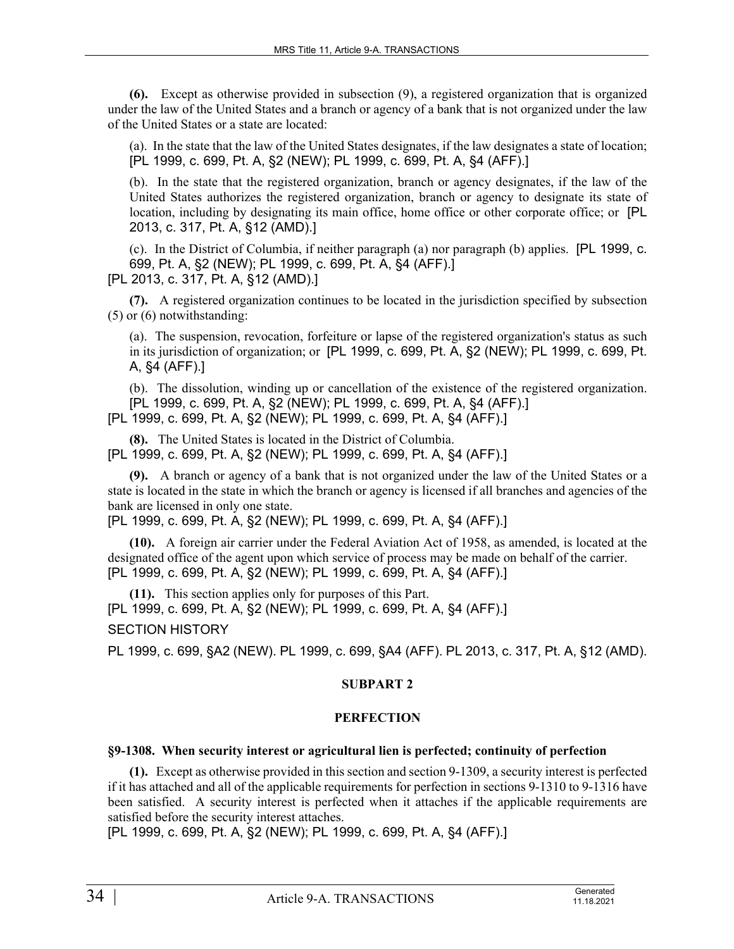**(6).** Except as otherwise provided in subsection (9), a registered organization that is organized under the law of the United States and a branch or agency of a bank that is not organized under the law of the United States or a state are located:

(a). In the state that the law of the United States designates, if the law designates a state of location; [PL 1999, c. 699, Pt. A, §2 (NEW); PL 1999, c. 699, Pt. A, §4 (AFF).]

(b). In the state that the registered organization, branch or agency designates, if the law of the United States authorizes the registered organization, branch or agency to designate its state of location, including by designating its main office, home office or other corporate office; or [PL] 2013, c. 317, Pt. A, §12 (AMD).]

(c). In the District of Columbia, if neither paragraph (a) nor paragraph (b) applies. [PL 1999, c. 699, Pt. A, §2 (NEW); PL 1999, c. 699, Pt. A, §4 (AFF).] [PL 2013, c. 317, Pt. A, §12 (AMD).]

**(7).** A registered organization continues to be located in the jurisdiction specified by subsection (5) or (6) notwithstanding:

(a). The suspension, revocation, forfeiture or lapse of the registered organization's status as such in its jurisdiction of organization; or [PL 1999, c. 699, Pt. A, §2 (NEW); PL 1999, c. 699, Pt. A, §4 (AFF).]

(b). The dissolution, winding up or cancellation of the existence of the registered organization. [PL 1999, c. 699, Pt. A, §2 (NEW); PL 1999, c. 699, Pt. A, §4 (AFF).] [PL 1999, c. 699, Pt. A, §2 (NEW); PL 1999, c. 699, Pt. A, §4 (AFF).]

**(8).** The United States is located in the District of Columbia. [PL 1999, c. 699, Pt. A, §2 (NEW); PL 1999, c. 699, Pt. A, §4 (AFF).]

**(9).** A branch or agency of a bank that is not organized under the law of the United States or a state is located in the state in which the branch or agency is licensed if all branches and agencies of the bank are licensed in only one state.

[PL 1999, c. 699, Pt. A, §2 (NEW); PL 1999, c. 699, Pt. A, §4 (AFF).]

**(10).** A foreign air carrier under the Federal Aviation Act of 1958, as amended, is located at the designated office of the agent upon which service of process may be made on behalf of the carrier. [PL 1999, c. 699, Pt. A, §2 (NEW); PL 1999, c. 699, Pt. A, §4 (AFF).]

**(11).** This section applies only for purposes of this Part. [PL 1999, c. 699, Pt. A, §2 (NEW); PL 1999, c. 699, Pt. A, §4 (AFF).]

SECTION HISTORY

PL 1999, c. 699, §A2 (NEW). PL 1999, c. 699, §A4 (AFF). PL 2013, c. 317, Pt. A, §12 (AMD).

### **SUBPART 2**

### **PERFECTION**

### **§9-1308. When security interest or agricultural lien is perfected; continuity of perfection**

**(1).** Except as otherwise provided in this section and section 9-1309, a security interest is perfected if it has attached and all of the applicable requirements for perfection in sections 9-1310 to 9-1316 have been satisfied. A security interest is perfected when it attaches if the applicable requirements are satisfied before the security interest attaches.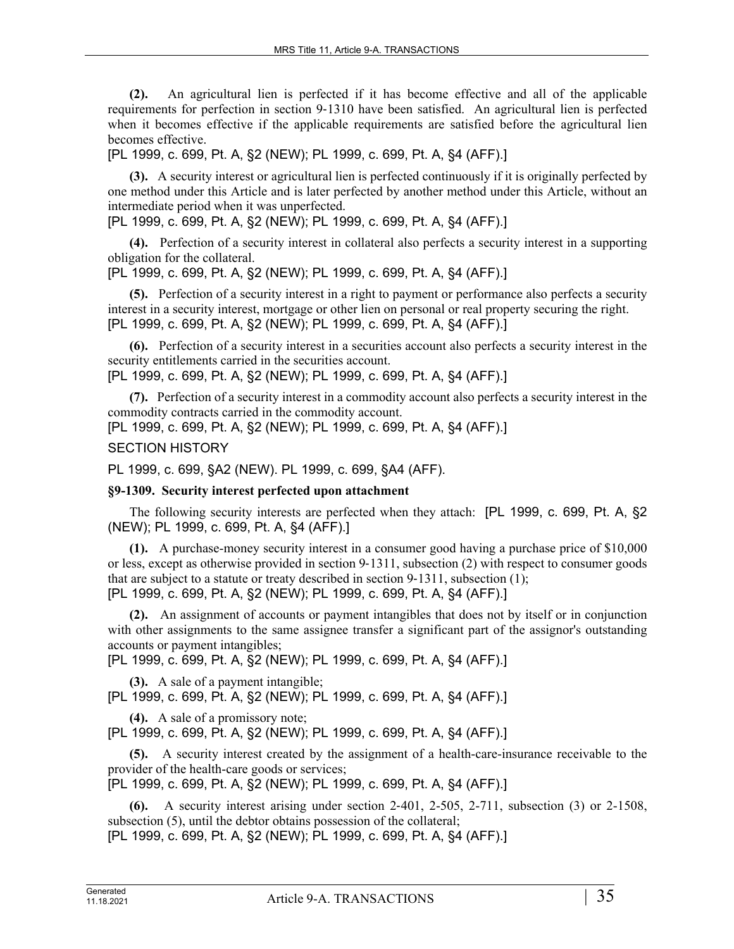**(2).** An agricultural lien is perfected if it has become effective and all of the applicable requirements for perfection in section 9‑1310 have been satisfied. An agricultural lien is perfected when it becomes effective if the applicable requirements are satisfied before the agricultural lien becomes effective.

[PL 1999, c. 699, Pt. A, §2 (NEW); PL 1999, c. 699, Pt. A, §4 (AFF).]

**(3).** A security interest or agricultural lien is perfected continuously if it is originally perfected by one method under this Article and is later perfected by another method under this Article, without an intermediate period when it was unperfected.

[PL 1999, c. 699, Pt. A, §2 (NEW); PL 1999, c. 699, Pt. A, §4 (AFF).]

**(4).** Perfection of a security interest in collateral also perfects a security interest in a supporting obligation for the collateral.

[PL 1999, c. 699, Pt. A, §2 (NEW); PL 1999, c. 699, Pt. A, §4 (AFF).]

**(5).** Perfection of a security interest in a right to payment or performance also perfects a security interest in a security interest, mortgage or other lien on personal or real property securing the right. [PL 1999, c. 699, Pt. A, §2 (NEW); PL 1999, c. 699, Pt. A, §4 (AFF).]

**(6).** Perfection of a security interest in a securities account also perfects a security interest in the security entitlements carried in the securities account.

[PL 1999, c. 699, Pt. A, §2 (NEW); PL 1999, c. 699, Pt. A, §4 (AFF).]

**(7).** Perfection of a security interest in a commodity account also perfects a security interest in the commodity contracts carried in the commodity account.

[PL 1999, c. 699, Pt. A, §2 (NEW); PL 1999, c. 699, Pt. A, §4 (AFF).]

SECTION HISTORY

PL 1999, c. 699, §A2 (NEW). PL 1999, c. 699, §A4 (AFF).

# **§9-1309. Security interest perfected upon attachment**

The following security interests are perfected when they attach: [PL 1999, c. 699, Pt. A, §2 (NEW); PL 1999, c. 699, Pt. A, §4 (AFF).]

**(1).** A purchase-money security interest in a consumer good having a purchase price of \$10,000 or less, except as otherwise provided in section 9‑1311, subsection (2) with respect to consumer goods that are subject to a statute or treaty described in section 9‑1311, subsection (1); [PL 1999, c. 699, Pt. A, §2 (NEW); PL 1999, c. 699, Pt. A, §4 (AFF).]

**(2).** An assignment of accounts or payment intangibles that does not by itself or in conjunction with other assignments to the same assignee transfer a significant part of the assignor's outstanding accounts or payment intangibles;

[PL 1999, c. 699, Pt. A, §2 (NEW); PL 1999, c. 699, Pt. A, §4 (AFF).]

**(3).** A sale of a payment intangible; [PL 1999, c. 699, Pt. A, §2 (NEW); PL 1999, c. 699, Pt. A, §4 (AFF).]

**(4).** A sale of a promissory note;

[PL 1999, c. 699, Pt. A, §2 (NEW); PL 1999, c. 699, Pt. A, §4 (AFF).]

**(5).** A security interest created by the assignment of a health-care-insurance receivable to the provider of the health-care goods or services;

[PL 1999, c. 699, Pt. A, §2 (NEW); PL 1999, c. 699, Pt. A, §4 (AFF).]

**(6).** A security interest arising under section 2‑401, 2-505, 2-711, subsection (3) or 2-1508, subsection (5), until the debtor obtains possession of the collateral;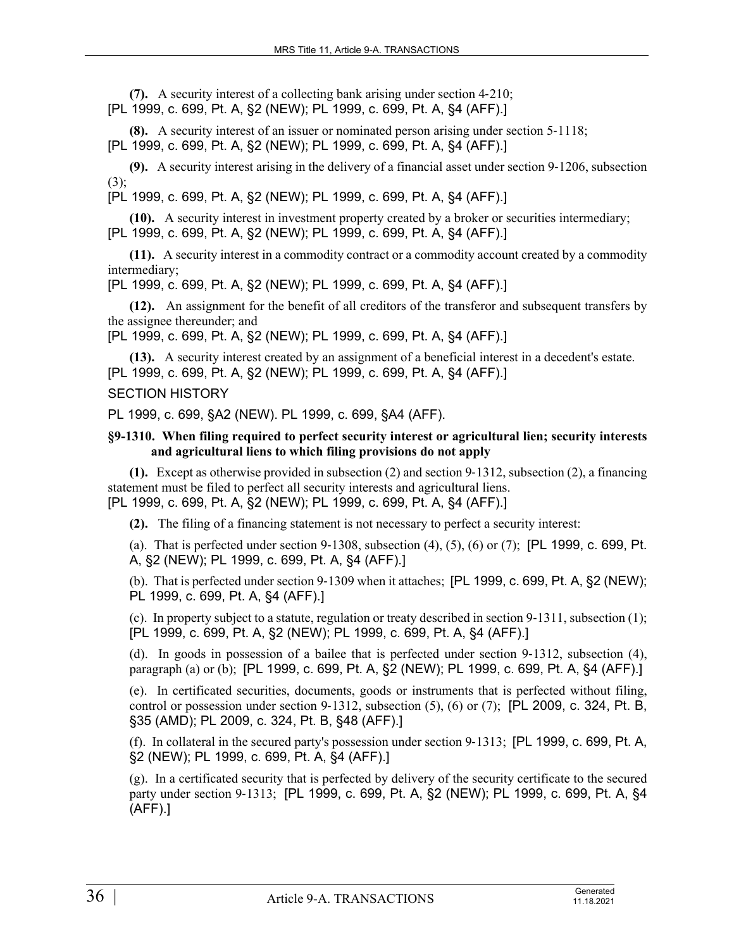**(7).** A security interest of a collecting bank arising under section 4‑210; [PL 1999, c. 699, Pt. A, §2 (NEW); PL 1999, c. 699, Pt. A, §4 (AFF).]

**(8).** A security interest of an issuer or nominated person arising under section 5–1118; [PL 1999, c. 699, Pt. A, §2 (NEW); PL 1999, c. 699, Pt. A, §4 (AFF).]

**(9).** A security interest arising in the delivery of a financial asset under section 9‑1206, subsection  $(3)$ :

[PL 1999, c. 699, Pt. A, §2 (NEW); PL 1999, c. 699, Pt. A, §4 (AFF).]

**(10).** A security interest in investment property created by a broker or securities intermediary; [PL 1999, c. 699, Pt. A, §2 (NEW); PL 1999, c. 699, Pt. A, §4 (AFF).]

**(11).** A security interest in a commodity contract or a commodity account created by a commodity intermediary;

[PL 1999, c. 699, Pt. A, §2 (NEW); PL 1999, c. 699, Pt. A, §4 (AFF).]

**(12).** An assignment for the benefit of all creditors of the transferor and subsequent transfers by the assignee thereunder; and

[PL 1999, c. 699, Pt. A, §2 (NEW); PL 1999, c. 699, Pt. A, §4 (AFF).]

**(13).** A security interest created by an assignment of a beneficial interest in a decedent's estate. [PL 1999, c. 699, Pt. A, §2 (NEW); PL 1999, c. 699, Pt. A, §4 (AFF).]

### SECTION HISTORY

PL 1999, c. 699, §A2 (NEW). PL 1999, c. 699, §A4 (AFF).

### **§9-1310. When filing required to perfect security interest or agricultural lien; security interests and agricultural liens to which filing provisions do not apply**

**(1).** Except as otherwise provided in subsection (2) and section 9‑1312, subsection (2), a financing statement must be filed to perfect all security interests and agricultural liens. [PL 1999, c. 699, Pt. A, §2 (NEW); PL 1999, c. 699, Pt. A, §4 (AFF).]

**(2).** The filing of a financing statement is not necessary to perfect a security interest:

(a). That is perfected under section  $9-1308$ , subsection  $(4)$ ,  $(5)$ ,  $(6)$  or  $(7)$ ; [PL 1999, c. 699, Pt. A, §2 (NEW); PL 1999, c. 699, Pt. A, §4 (AFF).]

(b). That is perfected under section 9‑1309 when it attaches; [PL 1999, c. 699, Pt. A, §2 (NEW); PL 1999, c. 699, Pt. A, §4 (AFF).]

(c). In property subject to a statute, regulation or treaty described in section 9‑1311, subsection (1); [PL 1999, c. 699, Pt. A, §2 (NEW); PL 1999, c. 699, Pt. A, §4 (AFF).]

(d). In goods in possession of a bailee that is perfected under section  $9-1312$ , subsection (4), paragraph (a) or (b); [PL 1999, c. 699, Pt. A, §2 (NEW); PL 1999, c. 699, Pt. A, §4 (AFF).]

(e). In certificated securities, documents, goods or instruments that is perfected without filing, control or possession under section 9-1312, subsection  $(5)$ ,  $(6)$  or  $(7)$ ; [PL 2009, c. 324, Pt. B, §35 (AMD); PL 2009, c. 324, Pt. B, §48 (AFF).]

(f). In collateral in the secured party's possession under section 9‑1313; [PL 1999, c. 699, Pt. A, §2 (NEW); PL 1999, c. 699, Pt. A, §4 (AFF).]

(g). In a certificated security that is perfected by delivery of the security certificate to the secured party under section 9‑1313; [PL 1999, c. 699, Pt. A, §2 (NEW); PL 1999, c. 699, Pt. A, §4 (AFF).]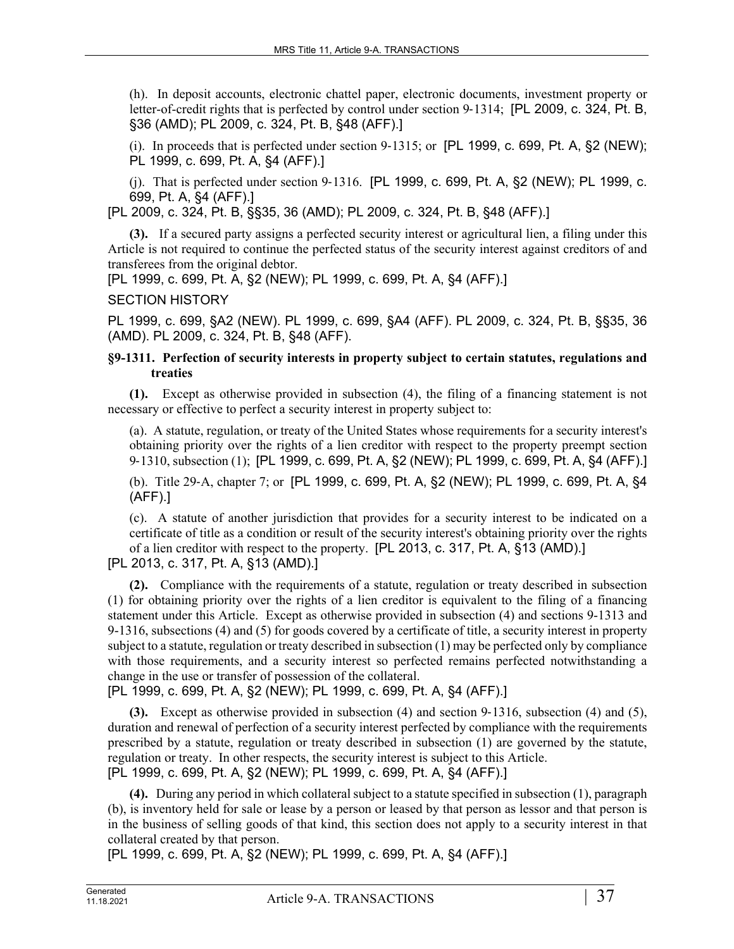(h). In deposit accounts, electronic chattel paper, electronic documents, investment property or letter-of-credit rights that is perfected by control under section 9–1314; [PL 2009, c. 324, Pt. B, §36 (AMD); PL 2009, c. 324, Pt. B, §48 (AFF).]

(i). In proceeds that is perfected under section  $9-1315$ ; or [PL 1999, c. 699, Pt. A,  $\S2$  (NEW); PL 1999, c. 699, Pt. A, §4 (AFF).]

(j). That is perfected under section 9‑1316. [PL 1999, c. 699, Pt. A, §2 (NEW); PL 1999, c. 699, Pt. A, §4 (AFF).]

[PL 2009, c. 324, Pt. B, §§35, 36 (AMD); PL 2009, c. 324, Pt. B, §48 (AFF).]

**(3).** If a secured party assigns a perfected security interest or agricultural lien, a filing under this Article is not required to continue the perfected status of the security interest against creditors of and transferees from the original debtor.

[PL 1999, c. 699, Pt. A, §2 (NEW); PL 1999, c. 699, Pt. A, §4 (AFF).]

### SECTION HISTORY

PL 1999, c. 699, §A2 (NEW). PL 1999, c. 699, §A4 (AFF). PL 2009, c. 324, Pt. B, §§35, 36 (AMD). PL 2009, c. 324, Pt. B, §48 (AFF).

### **§9-1311. Perfection of security interests in property subject to certain statutes, regulations and treaties**

**(1).** Except as otherwise provided in subsection (4), the filing of a financing statement is not necessary or effective to perfect a security interest in property subject to:

(a). A statute, regulation, or treaty of the United States whose requirements for a security interest's obtaining priority over the rights of a lien creditor with respect to the property preempt section 9‑1310, subsection (1); [PL 1999, c. 699, Pt. A, §2 (NEW); PL 1999, c. 699, Pt. A, §4 (AFF).]

(b). Title 29‑A, chapter 7; or [PL 1999, c. 699, Pt. A, §2 (NEW); PL 1999, c. 699, Pt. A, §4 (AFF).]

(c). A statute of another jurisdiction that provides for a security interest to be indicated on a certificate of title as a condition or result of the security interest's obtaining priority over the rights of a lien creditor with respect to the property. [PL 2013, c. 317, Pt. A, §13 (AMD).]

[PL 2013, c. 317, Pt. A, §13 (AMD).]

**(2).** Compliance with the requirements of a statute, regulation or treaty described in subsection (1) for obtaining priority over the rights of a lien creditor is equivalent to the filing of a financing statement under this Article. Except as otherwise provided in subsection (4) and sections 9-1313 and 9-1316, subsections (4) and (5) for goods covered by a certificate of title, a security interest in property subject to a statute, regulation or treaty described in subsection (1) may be perfected only by compliance with those requirements, and a security interest so perfected remains perfected notwithstanding a change in the use or transfer of possession of the collateral.

[PL 1999, c. 699, Pt. A, §2 (NEW); PL 1999, c. 699, Pt. A, §4 (AFF).]

**(3).** Except as otherwise provided in subsection (4) and section 9–1316, subsection (4) and (5), duration and renewal of perfection of a security interest perfected by compliance with the requirements prescribed by a statute, regulation or treaty described in subsection (1) are governed by the statute, regulation or treaty. In other respects, the security interest is subject to this Article. [PL 1999, c. 699, Pt. A, §2 (NEW); PL 1999, c. 699, Pt. A, §4 (AFF).]

**(4).** During any period in which collateral subject to a statute specified in subsection (1), paragraph (b), is inventory held for sale or lease by a person or leased by that person as lessor and that person is in the business of selling goods of that kind, this section does not apply to a security interest in that collateral created by that person.

[PL 1999, c. 699, Pt. A, §2 (NEW); PL 1999, c. 699, Pt. A, §4 (AFF).]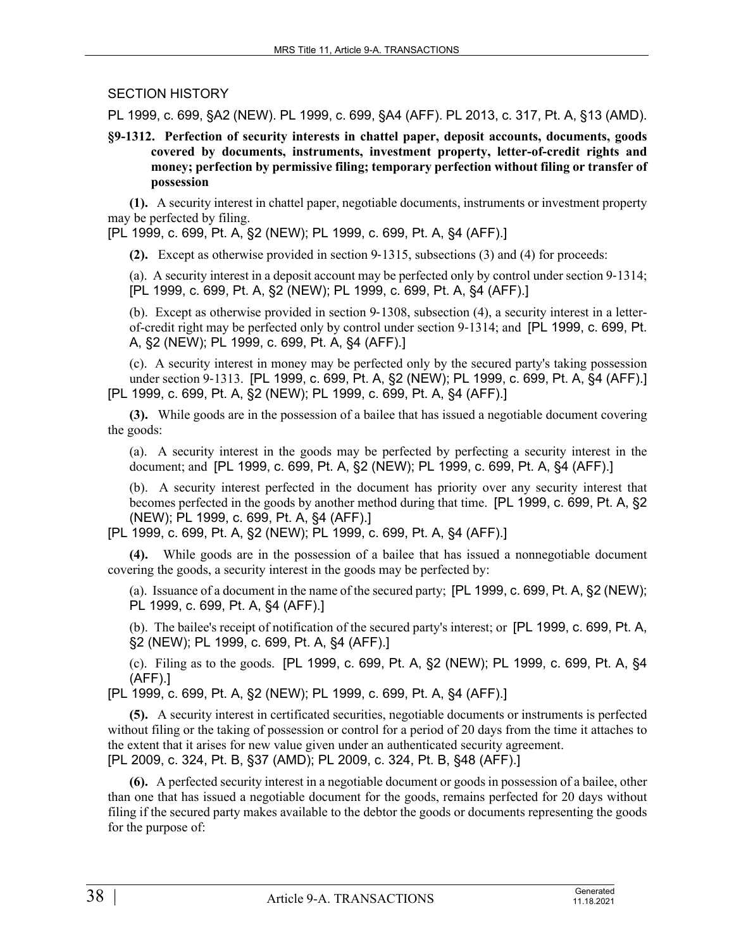## SECTION HISTORY

PL 1999, c. 699, §A2 (NEW). PL 1999, c. 699, §A4 (AFF). PL 2013, c. 317, Pt. A, §13 (AMD).

**§9-1312. Perfection of security interests in chattel paper, deposit accounts, documents, goods covered by documents, instruments, investment property, letter-of-credit rights and money; perfection by permissive filing; temporary perfection without filing or transfer of possession**

**(1).** A security interest in chattel paper, negotiable documents, instruments or investment property may be perfected by filing.

[PL 1999, c. 699, Pt. A, §2 (NEW); PL 1999, c. 699, Pt. A, §4 (AFF).]

**(2).** Except as otherwise provided in section 9‑1315, subsections (3) and (4) for proceeds:

(a). A security interest in a deposit account may be perfected only by control under section 9‑1314; [PL 1999, c. 699, Pt. A, §2 (NEW); PL 1999, c. 699, Pt. A, §4 (AFF).]

(b). Except as otherwise provided in section 9‑1308, subsection (4), a security interest in a letterof-credit right may be perfected only by control under section 9‑1314; and [PL 1999, c. 699, Pt. A, §2 (NEW); PL 1999, c. 699, Pt. A, §4 (AFF).]

(c). A security interest in money may be perfected only by the secured party's taking possession under section 9‑1313. [PL 1999, c. 699, Pt. A, §2 (NEW); PL 1999, c. 699, Pt. A, §4 (AFF).] [PL 1999, c. 699, Pt. A, §2 (NEW); PL 1999, c. 699, Pt. A, §4 (AFF).]

**(3).** While goods are in the possession of a bailee that has issued a negotiable document covering the goods:

(a). A security interest in the goods may be perfected by perfecting a security interest in the document; and [PL 1999, c. 699, Pt. A, §2 (NEW); PL 1999, c. 699, Pt. A, §4 (AFF).]

(b). A security interest perfected in the document has priority over any security interest that becomes perfected in the goods by another method during that time. [PL 1999, c. 699, Pt. A, §2 (NEW); PL 1999, c. 699, Pt. A, §4 (AFF).]

[PL 1999, c. 699, Pt. A, §2 (NEW); PL 1999, c. 699, Pt. A, §4 (AFF).]

**(4).** While goods are in the possession of a bailee that has issued a nonnegotiable document covering the goods, a security interest in the goods may be perfected by:

(a). Issuance of a document in the name of the secured party; [PL 1999, c. 699, Pt. A, §2 (NEW); PL 1999, c. 699, Pt. A, §4 (AFF).]

(b). The bailee's receipt of notification of the secured party's interest; or [PL 1999, c. 699, Pt. A, §2 (NEW); PL 1999, c. 699, Pt. A, §4 (AFF).]

(c). Filing as to the goods. [PL 1999, c. 699, Pt. A, §2 (NEW); PL 1999, c. 699, Pt. A, §4 (AFF).]

[PL 1999, c. 699, Pt. A, §2 (NEW); PL 1999, c. 699, Pt. A, §4 (AFF).]

**(5).** A security interest in certificated securities, negotiable documents or instruments is perfected without filing or the taking of possession or control for a period of 20 days from the time it attaches to the extent that it arises for new value given under an authenticated security agreement. [PL 2009, c. 324, Pt. B, §37 (AMD); PL 2009, c. 324, Pt. B, §48 (AFF).]

**(6).** A perfected security interest in a negotiable document or goods in possession of a bailee, other than one that has issued a negotiable document for the goods, remains perfected for 20 days without filing if the secured party makes available to the debtor the goods or documents representing the goods for the purpose of: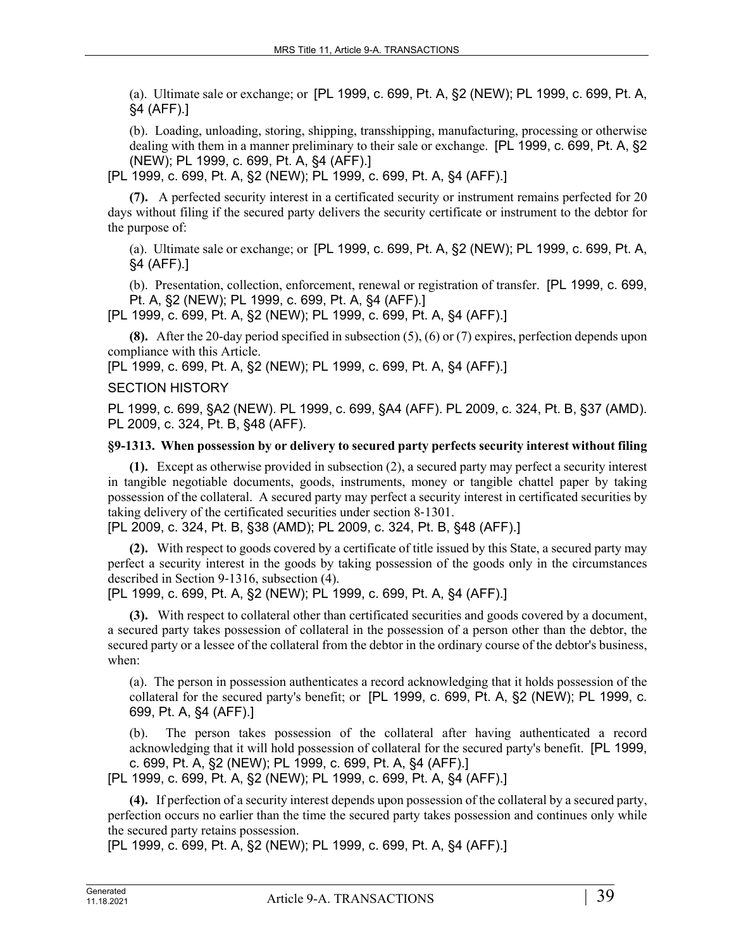(a). Ultimate sale or exchange; or [PL 1999, c. 699, Pt. A, §2 (NEW); PL 1999, c. 699, Pt. A, §4 (AFF).]

(b). Loading, unloading, storing, shipping, transshipping, manufacturing, processing or otherwise dealing with them in a manner preliminary to their sale or exchange. [PL 1999, c. 699, Pt. A, §2 (NEW); PL 1999, c. 699, Pt. A, §4 (AFF).]

[PL 1999, c. 699, Pt. A, §2 (NEW); PL 1999, c. 699, Pt. A, §4 (AFF).]

**(7).** A perfected security interest in a certificated security or instrument remains perfected for 20 days without filing if the secured party delivers the security certificate or instrument to the debtor for the purpose of:

(a). Ultimate sale or exchange; or [PL 1999, c. 699, Pt. A, §2 (NEW); PL 1999, c. 699, Pt. A, §4 (AFF).]

(b). Presentation, collection, enforcement, renewal or registration of transfer. [PL 1999, c. 699, Pt. A, §2 (NEW); PL 1999, c. 699, Pt. A, §4 (AFF).]

[PL 1999, c. 699, Pt. A, §2 (NEW); PL 1999, c. 699, Pt. A, §4 (AFF).]

**(8).** After the 20-day period specified in subsection (5), (6) or (7) expires, perfection depends upon compliance with this Article.

[PL 1999, c. 699, Pt. A, §2 (NEW); PL 1999, c. 699, Pt. A, §4 (AFF).]

### SECTION HISTORY

PL 1999, c. 699, §A2 (NEW). PL 1999, c. 699, §A4 (AFF). PL 2009, c. 324, Pt. B, §37 (AMD). PL 2009, c. 324, Pt. B, §48 (AFF).

#### **§9-1313. When possession by or delivery to secured party perfects security interest without filing**

**(1).** Except as otherwise provided in subsection (2), a secured party may perfect a security interest in tangible negotiable documents, goods, instruments, money or tangible chattel paper by taking possession of the collateral. A secured party may perfect a security interest in certificated securities by taking delivery of the certificated securities under section 8‑1301.

[PL 2009, c. 324, Pt. B, §38 (AMD); PL 2009, c. 324, Pt. B, §48 (AFF).]

**(2).** With respect to goods covered by a certificate of title issued by this State, a secured party may perfect a security interest in the goods by taking possession of the goods only in the circumstances described in Section 9‑1316, subsection (4).

[PL 1999, c. 699, Pt. A, §2 (NEW); PL 1999, c. 699, Pt. A, §4 (AFF).]

**(3).** With respect to collateral other than certificated securities and goods covered by a document, a secured party takes possession of collateral in the possession of a person other than the debtor, the secured party or a lessee of the collateral from the debtor in the ordinary course of the debtor's business, when:

(a). The person in possession authenticates a record acknowledging that it holds possession of the collateral for the secured party's benefit; or [PL 1999, c. 699, Pt. A, §2 (NEW); PL 1999, c. 699, Pt. A, §4 (AFF).]

(b). The person takes possession of the collateral after having authenticated a record acknowledging that it will hold possession of collateral for the secured party's benefit. [PL 1999, c. 699, Pt. A, §2 (NEW); PL 1999, c. 699, Pt. A, §4 (AFF).]

[PL 1999, c. 699, Pt. A, §2 (NEW); PL 1999, c. 699, Pt. A, §4 (AFF).]

**(4).** If perfection of a security interest depends upon possession of the collateral by a secured party, perfection occurs no earlier than the time the secured party takes possession and continues only while the secured party retains possession.

[PL 1999, c. 699, Pt. A, §2 (NEW); PL 1999, c. 699, Pt. A, §4 (AFF).]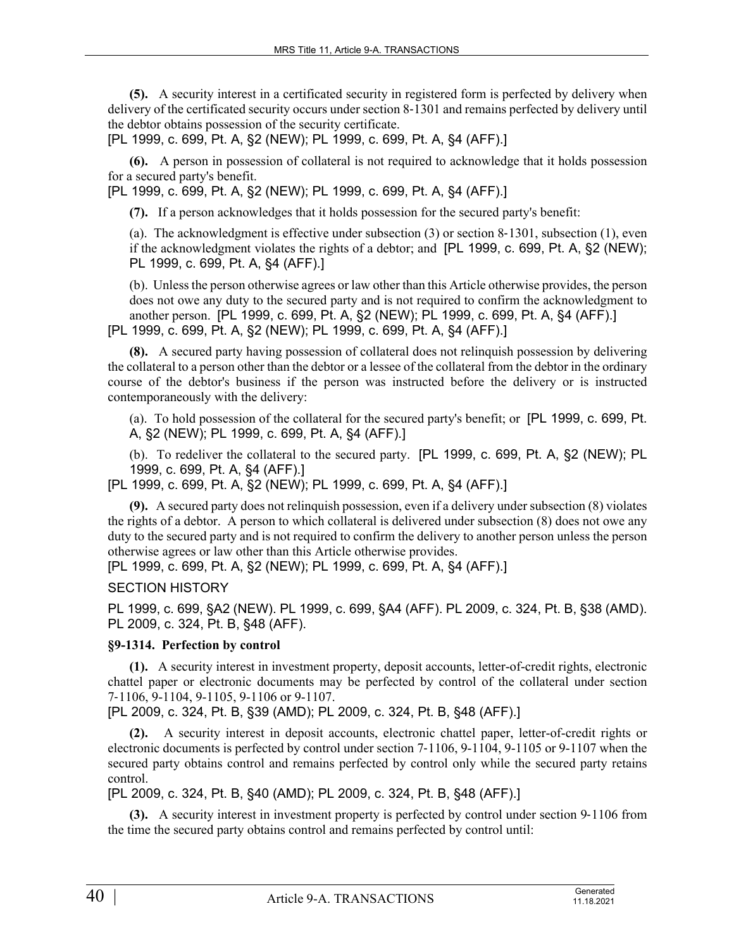**(5).** A security interest in a certificated security in registered form is perfected by delivery when delivery of the certificated security occurs under section 8‑1301 and remains perfected by delivery until the debtor obtains possession of the security certificate.

[PL 1999, c. 699, Pt. A, §2 (NEW); PL 1999, c. 699, Pt. A, §4 (AFF).]

**(6).** A person in possession of collateral is not required to acknowledge that it holds possession for a secured party's benefit.

[PL 1999, c. 699, Pt. A, §2 (NEW); PL 1999, c. 699, Pt. A, §4 (AFF).]

**(7).** If a person acknowledges that it holds possession for the secured party's benefit:

(a). The acknowledgment is effective under subsection (3) or section 8‑1301, subsection (1), even if the acknowledgment violates the rights of a debtor; and [PL 1999, c. 699, Pt. A, §2 (NEW); PL 1999, c. 699, Pt. A, §4 (AFF).]

(b). Unless the person otherwise agrees or law other than this Article otherwise provides, the person does not owe any duty to the secured party and is not required to confirm the acknowledgment to another person. [PL 1999, c. 699, Pt. A, §2 (NEW); PL 1999, c. 699, Pt. A, §4 (AFF).] [PL 1999, c. 699, Pt. A, §2 (NEW); PL 1999, c. 699, Pt. A, §4 (AFF).]

**(8).** A secured party having possession of collateral does not relinquish possession by delivering the collateral to a person other than the debtor or a lessee of the collateral from the debtor in the ordinary course of the debtor's business if the person was instructed before the delivery or is instructed contemporaneously with the delivery:

(a). To hold possession of the collateral for the secured party's benefit; or [PL 1999, c. 699, Pt. A, §2 (NEW); PL 1999, c. 699, Pt. A, §4 (AFF).]

(b). To redeliver the collateral to the secured party. [PL 1999, c. 699, Pt. A, §2 (NEW); PL 1999, c. 699, Pt. A, §4 (AFF).]

[PL 1999, c. 699, Pt. A, §2 (NEW); PL 1999, c. 699, Pt. A, §4 (AFF).]

**(9).** A secured party does not relinquish possession, even if a delivery under subsection (8) violates the rights of a debtor. A person to which collateral is delivered under subsection (8) does not owe any duty to the secured party and is not required to confirm the delivery to another person unless the person otherwise agrees or law other than this Article otherwise provides.

[PL 1999, c. 699, Pt. A, §2 (NEW); PL 1999, c. 699, Pt. A, §4 (AFF).]

SECTION HISTORY

PL 1999, c. 699, §A2 (NEW). PL 1999, c. 699, §A4 (AFF). PL 2009, c. 324, Pt. B, §38 (AMD). PL 2009, c. 324, Pt. B, §48 (AFF).

# **§9-1314. Perfection by control**

**(1).** A security interest in investment property, deposit accounts, letter-of-credit rights, electronic chattel paper or electronic documents may be perfected by control of the collateral under section 7‑1106, 9-1104, 9-1105, 9-1106 or 9-1107.

[PL 2009, c. 324, Pt. B, §39 (AMD); PL 2009, c. 324, Pt. B, §48 (AFF).]

**(2).** A security interest in deposit accounts, electronic chattel paper, letter-of-credit rights or electronic documents is perfected by control under section 7‑1106, 9-1104, 9-1105 or 9-1107 when the secured party obtains control and remains perfected by control only while the secured party retains control.

[PL 2009, c. 324, Pt. B, §40 (AMD); PL 2009, c. 324, Pt. B, §48 (AFF).]

**(3).** A security interest in investment property is perfected by control under section 9–1106 from the time the secured party obtains control and remains perfected by control until: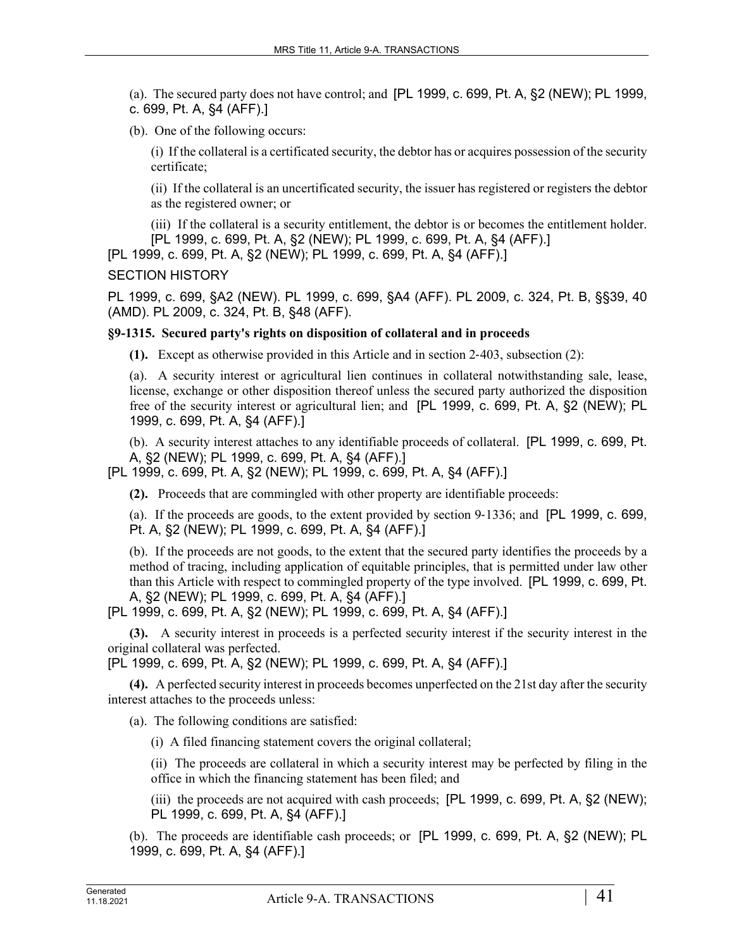(a). The secured party does not have control; and [PL 1999, c. 699, Pt. A, §2 (NEW); PL 1999, c. 699, Pt. A, §4 (AFF).]

(b). One of the following occurs:

(i) If the collateral is a certificated security, the debtor has or acquires possession of the security certificate;

(ii) If the collateral is an uncertificated security, the issuer has registered or registers the debtor as the registered owner; or

(iii) If the collateral is a security entitlement, the debtor is or becomes the entitlement holder. [PL 1999, c. 699, Pt. A, §2 (NEW); PL 1999, c. 699, Pt. A, §4 (AFF).]

[PL 1999, c. 699, Pt. A, §2 (NEW); PL 1999, c. 699, Pt. A, §4 (AFF).]

### SECTION HISTORY

PL 1999, c. 699, §A2 (NEW). PL 1999, c. 699, §A4 (AFF). PL 2009, c. 324, Pt. B, §§39, 40 (AMD). PL 2009, c. 324, Pt. B, §48 (AFF).

# **§9-1315. Secured party's rights on disposition of collateral and in proceeds**

**(1).** Except as otherwise provided in this Article and in section 2‑403, subsection (2):

(a). A security interest or agricultural lien continues in collateral notwithstanding sale, lease, license, exchange or other disposition thereof unless the secured party authorized the disposition free of the security interest or agricultural lien; and [PL 1999, c. 699, Pt. A, §2 (NEW); PL 1999, c. 699, Pt. A, §4 (AFF).]

(b). A security interest attaches to any identifiable proceeds of collateral. [PL 1999, c. 699, Pt. A, §2 (NEW); PL 1999, c. 699, Pt. A, §4 (AFF).]

[PL 1999, c. 699, Pt. A, §2 (NEW); PL 1999, c. 699, Pt. A, §4 (AFF).]

**(2).** Proceeds that are commingled with other property are identifiable proceeds:

(a). If the proceeds are goods, to the extent provided by section 9‑1336; and [PL 1999, c. 699, Pt. A, §2 (NEW); PL 1999, c. 699, Pt. A, §4 (AFF).]

(b). If the proceeds are not goods, to the extent that the secured party identifies the proceeds by a method of tracing, including application of equitable principles, that is permitted under law other than this Article with respect to commingled property of the type involved. [PL 1999, c. 699, Pt. A, §2 (NEW); PL 1999, c. 699, Pt. A, §4 (AFF).]

[PL 1999, c. 699, Pt. A, §2 (NEW); PL 1999, c. 699, Pt. A, §4 (AFF).]

**(3).** A security interest in proceeds is a perfected security interest if the security interest in the original collateral was perfected.

[PL 1999, c. 699, Pt. A, §2 (NEW); PL 1999, c. 699, Pt. A, §4 (AFF).]

**(4).** A perfected security interest in proceeds becomes unperfected on the 21st day after the security interest attaches to the proceeds unless:

(a). The following conditions are satisfied:

(i) A filed financing statement covers the original collateral;

(ii) The proceeds are collateral in which a security interest may be perfected by filing in the office in which the financing statement has been filed; and

(iii) the proceeds are not acquired with cash proceeds; [PL 1999, c. 699, Pt. A, §2 (NEW); PL 1999, c. 699, Pt. A, §4 (AFF).]

(b). The proceeds are identifiable cash proceeds; or [PL 1999, c. 699, Pt. A, §2 (NEW); PL 1999, c. 699, Pt. A, §4 (AFF).]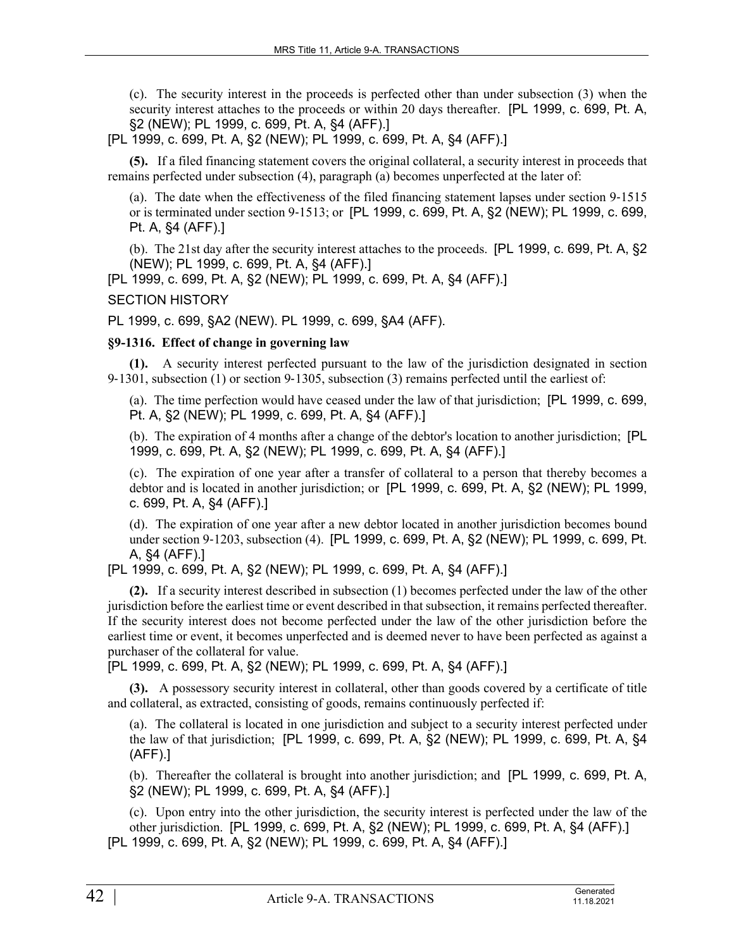(c). The security interest in the proceeds is perfected other than under subsection (3) when the security interest attaches to the proceeds or within 20 days thereafter. [PL 1999, c. 699, Pt. A, §2 (NEW); PL 1999, c. 699, Pt. A, §4 (AFF).]

[PL 1999, c. 699, Pt. A, §2 (NEW); PL 1999, c. 699, Pt. A, §4 (AFF).]

**(5).** If a filed financing statement covers the original collateral, a security interest in proceeds that remains perfected under subsection (4), paragraph (a) becomes unperfected at the later of:

(a). The date when the effectiveness of the filed financing statement lapses under section 9‑1515 or is terminated under section 9‑1513; or [PL 1999, c. 699, Pt. A, §2 (NEW); PL 1999, c. 699, Pt. A, §4 (AFF).]

(b). The 21st day after the security interest attaches to the proceeds. [PL 1999, c. 699, Pt. A, §2 (NEW); PL 1999, c. 699, Pt. A, §4 (AFF).]

[PL 1999, c. 699, Pt. A, §2 (NEW); PL 1999, c. 699, Pt. A, §4 (AFF).]

# SECTION HISTORY

PL 1999, c. 699, §A2 (NEW). PL 1999, c. 699, §A4 (AFF).

# **§9-1316. Effect of change in governing law**

**(1).** A security interest perfected pursuant to the law of the jurisdiction designated in section 9‑1301, subsection (1) or section 9‑1305, subsection (3) remains perfected until the earliest of:

(a). The time perfection would have ceased under the law of that jurisdiction; [PL 1999, c. 699, Pt. A, §2 (NEW); PL 1999, c. 699, Pt. A, §4 (AFF).]

(b). The expiration of 4 months after a change of the debtor's location to another jurisdiction; [PL 1999, c. 699, Pt. A, §2 (NEW); PL 1999, c. 699, Pt. A, §4 (AFF).]

(c). The expiration of one year after a transfer of collateral to a person that thereby becomes a debtor and is located in another jurisdiction; or [PL 1999, c. 699, Pt. A, §2 (NEW); PL 1999, c. 699, Pt. A, §4 (AFF).]

(d). The expiration of one year after a new debtor located in another jurisdiction becomes bound under section 9-1203, subsection (4). [PL 1999, c. 699, Pt. A, §2 (NEW); PL 1999, c. 699, Pt. A, §4 (AFF).]

[PL 1999, c. 699, Pt. A, §2 (NEW); PL 1999, c. 699, Pt. A, §4 (AFF).]

**(2).** If a security interest described in subsection (1) becomes perfected under the law of the other jurisdiction before the earliest time or event described in that subsection, it remains perfected thereafter. If the security interest does not become perfected under the law of the other jurisdiction before the earliest time or event, it becomes unperfected and is deemed never to have been perfected as against a purchaser of the collateral for value.

[PL 1999, c. 699, Pt. A, §2 (NEW); PL 1999, c. 699, Pt. A, §4 (AFF).]

**(3).** A possessory security interest in collateral, other than goods covered by a certificate of title and collateral, as extracted, consisting of goods, remains continuously perfected if:

(a). The collateral is located in one jurisdiction and subject to a security interest perfected under the law of that jurisdiction; [PL 1999, c. 699, Pt. A, §2 (NEW); PL 1999, c. 699, Pt. A, §4 (AFF).]

(b). Thereafter the collateral is brought into another jurisdiction; and [PL 1999, c. 699, Pt. A, §2 (NEW); PL 1999, c. 699, Pt. A, §4 (AFF).]

(c). Upon entry into the other jurisdiction, the security interest is perfected under the law of the other jurisdiction. [PL 1999, c. 699, Pt. A, §2 (NEW); PL 1999, c. 699, Pt. A, §4 (AFF).] [PL 1999, c. 699, Pt. A, §2 (NEW); PL 1999, c. 699, Pt. A, §4 (AFF).]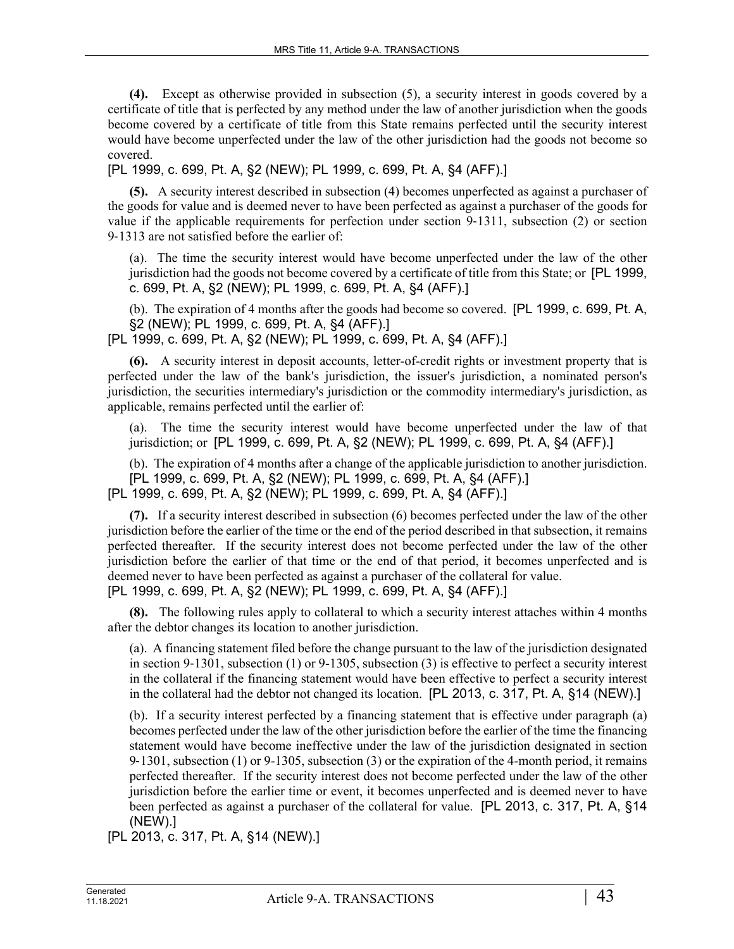**(4).** Except as otherwise provided in subsection (5), a security interest in goods covered by a certificate of title that is perfected by any method under the law of another jurisdiction when the goods become covered by a certificate of title from this State remains perfected until the security interest would have become unperfected under the law of the other jurisdiction had the goods not become so covered.

[PL 1999, c. 699, Pt. A, §2 (NEW); PL 1999, c. 699, Pt. A, §4 (AFF).]

**(5).** A security interest described in subsection (4) becomes unperfected as against a purchaser of the goods for value and is deemed never to have been perfected as against a purchaser of the goods for value if the applicable requirements for perfection under section 9‑1311, subsection (2) or section 9‑1313 are not satisfied before the earlier of:

(a). The time the security interest would have become unperfected under the law of the other jurisdiction had the goods not become covered by a certificate of title from this State; or [PL 1999, c. 699, Pt. A, §2 (NEW); PL 1999, c. 699, Pt. A, §4 (AFF).]

(b). The expiration of 4 months after the goods had become so covered. [PL 1999, c. 699, Pt. A, §2 (NEW); PL 1999, c. 699, Pt. A, §4 (AFF).]

[PL 1999, c. 699, Pt. A, §2 (NEW); PL 1999, c. 699, Pt. A, §4 (AFF).]

**(6).** A security interest in deposit accounts, letter-of-credit rights or investment property that is perfected under the law of the bank's jurisdiction, the issuer's jurisdiction, a nominated person's jurisdiction, the securities intermediary's jurisdiction or the commodity intermediary's jurisdiction, as applicable, remains perfected until the earlier of:

(a). The time the security interest would have become unperfected under the law of that jurisdiction; or [PL 1999, c. 699, Pt. A, §2 (NEW); PL 1999, c. 699, Pt. A, §4 (AFF).]

(b). The expiration of 4 months after a change of the applicable jurisdiction to another jurisdiction. [PL 1999, c. 699, Pt. A, §2 (NEW); PL 1999, c. 699, Pt. A, §4 (AFF).] [PL 1999, c. 699, Pt. A, §2 (NEW); PL 1999, c. 699, Pt. A, §4 (AFF).]

**(7).** If a security interest described in subsection (6) becomes perfected under the law of the other jurisdiction before the earlier of the time or the end of the period described in that subsection, it remains perfected thereafter. If the security interest does not become perfected under the law of the other jurisdiction before the earlier of that time or the end of that period, it becomes unperfected and is deemed never to have been perfected as against a purchaser of the collateral for value. [PL 1999, c. 699, Pt. A, §2 (NEW); PL 1999, c. 699, Pt. A, §4 (AFF).]

**(8).** The following rules apply to collateral to which a security interest attaches within 4 months after the debtor changes its location to another jurisdiction.

(a). A financing statement filed before the change pursuant to the law of the jurisdiction designated in section 9‑1301, subsection (1) or 9-1305, subsection (3) is effective to perfect a security interest in the collateral if the financing statement would have been effective to perfect a security interest in the collateral had the debtor not changed its location. [PL 2013, c. 317, Pt. A, §14 (NEW).]

(b). If a security interest perfected by a financing statement that is effective under paragraph (a) becomes perfected under the law of the other jurisdiction before the earlier of the time the financing statement would have become ineffective under the law of the jurisdiction designated in section 9‑1301, subsection (1) or 9-1305, subsection (3) or the expiration of the 4-month period, it remains perfected thereafter. If the security interest does not become perfected under the law of the other jurisdiction before the earlier time or event, it becomes unperfected and is deemed never to have been perfected as against a purchaser of the collateral for value. [PL 2013, c. 317, Pt. A, §14 (NEW).]

[PL 2013, c. 317, Pt. A, §14 (NEW).]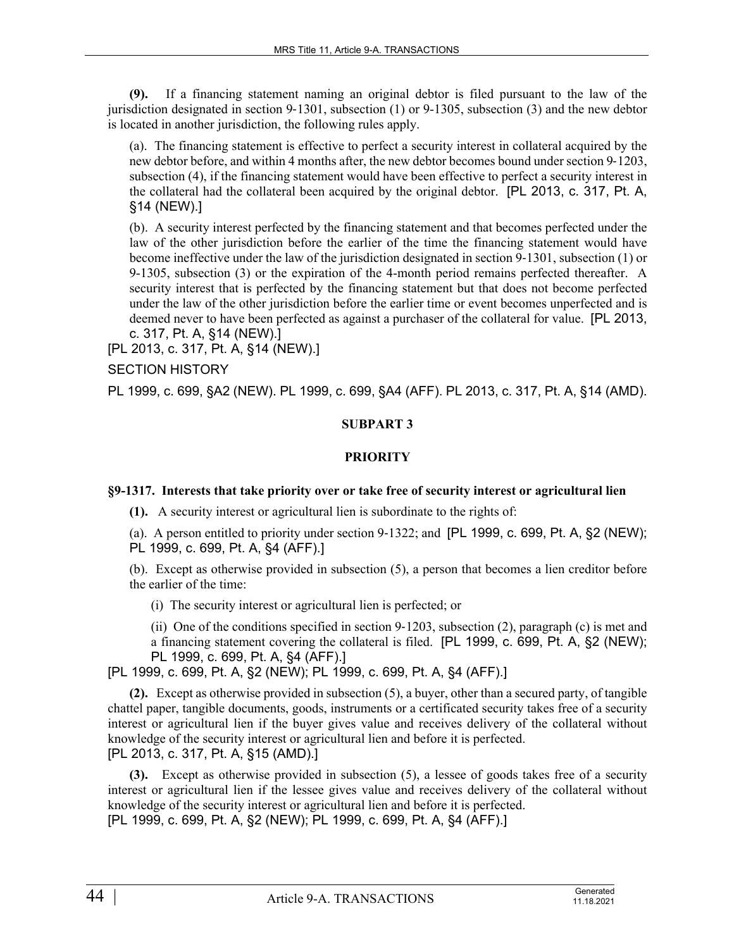**(9).** If a financing statement naming an original debtor is filed pursuant to the law of the jurisdiction designated in section  $9-1301$ , subsection (1) or  $9-1305$ , subsection (3) and the new debtor is located in another jurisdiction, the following rules apply.

(a). The financing statement is effective to perfect a security interest in collateral acquired by the new debtor before, and within 4 months after, the new debtor becomes bound under section 9-1203, subsection (4), if the financing statement would have been effective to perfect a security interest in the collateral had the collateral been acquired by the original debtor. [PL 2013, c. 317, Pt. A, §14 (NEW).]

(b). A security interest perfected by the financing statement and that becomes perfected under the law of the other jurisdiction before the earlier of the time the financing statement would have become ineffective under the law of the jurisdiction designated in section 9‑1301, subsection (1) or 9-1305, subsection (3) or the expiration of the 4-month period remains perfected thereafter. A security interest that is perfected by the financing statement but that does not become perfected under the law of the other jurisdiction before the earlier time or event becomes unperfected and is deemed never to have been perfected as against a purchaser of the collateral for value. [PL 2013, c. 317, Pt. A, §14 (NEW).]

[PL 2013, c. 317, Pt. A, §14 (NEW).]

SECTION HISTORY

PL 1999, c. 699, §A2 (NEW). PL 1999, c. 699, §A4 (AFF). PL 2013, c. 317, Pt. A, §14 (AMD).

# **SUBPART 3**

# **PRIORITY**

# **§9-1317. Interests that take priority over or take free of security interest or agricultural lien**

**(1).** A security interest or agricultural lien is subordinate to the rights of:

(a). A person entitled to priority under section 9‑1322; and [PL 1999, c. 699, Pt. A, §2 (NEW); PL 1999, c. 699, Pt. A, §4 (AFF).]

(b). Except as otherwise provided in subsection (5), a person that becomes a lien creditor before the earlier of the time:

(i) The security interest or agricultural lien is perfected; or

(ii) One of the conditions specified in section 9‑1203, subsection (2), paragraph (c) is met and a financing statement covering the collateral is filed. [PL 1999, c. 699, Pt. A, §2 (NEW); PL 1999, c. 699, Pt. A, §4 (AFF).]

[PL 1999, c. 699, Pt. A, §2 (NEW); PL 1999, c. 699, Pt. A, §4 (AFF).]

**(2).** Except as otherwise provided in subsection (5), a buyer, other than a secured party, of tangible chattel paper, tangible documents, goods, instruments or a certificated security takes free of a security interest or agricultural lien if the buyer gives value and receives delivery of the collateral without knowledge of the security interest or agricultural lien and before it is perfected. [PL 2013, c. 317, Pt. A, §15 (AMD).]

**(3).** Except as otherwise provided in subsection (5), a lessee of goods takes free of a security interest or agricultural lien if the lessee gives value and receives delivery of the collateral without knowledge of the security interest or agricultural lien and before it is perfected. [PL 1999, c. 699, Pt. A, §2 (NEW); PL 1999, c. 699, Pt. A, §4 (AFF).]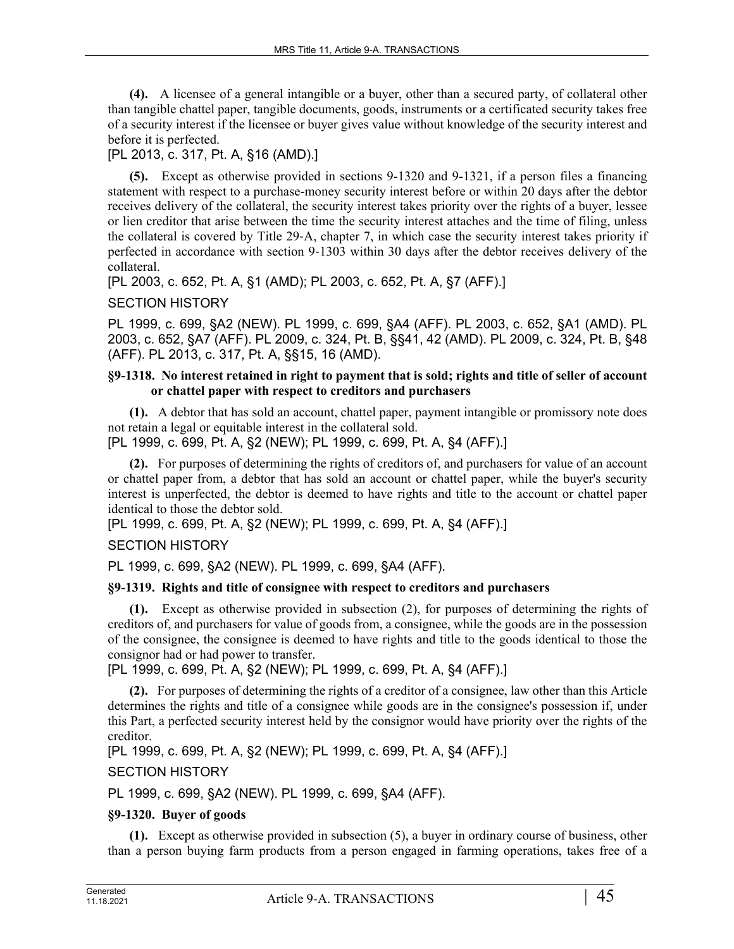**(4).** A licensee of a general intangible or a buyer, other than a secured party, of collateral other than tangible chattel paper, tangible documents, goods, instruments or a certificated security takes free of a security interest if the licensee or buyer gives value without knowledge of the security interest and before it is perfected.

# [PL 2013, c. 317, Pt. A, §16 (AMD).]

**(5).** Except as otherwise provided in sections 9-1320 and 9-1321, if a person files a financing statement with respect to a purchase-money security interest before or within 20 days after the debtor receives delivery of the collateral, the security interest takes priority over the rights of a buyer, lessee or lien creditor that arise between the time the security interest attaches and the time of filing, unless the collateral is covered by Title 29‑A, chapter 7, in which case the security interest takes priority if perfected in accordance with section 9‑1303 within 30 days after the debtor receives delivery of the collateral.

[PL 2003, c. 652, Pt. A, §1 (AMD); PL 2003, c. 652, Pt. A, §7 (AFF).]

# SECTION HISTORY

PL 1999, c. 699, §A2 (NEW). PL 1999, c. 699, §A4 (AFF). PL 2003, c. 652, §A1 (AMD). PL 2003, c. 652, §A7 (AFF). PL 2009, c. 324, Pt. B, §§41, 42 (AMD). PL 2009, c. 324, Pt. B, §48 (AFF). PL 2013, c. 317, Pt. A, §§15, 16 (AMD).

## **§9-1318. No interest retained in right to payment that is sold; rights and title of seller of account or chattel paper with respect to creditors and purchasers**

**(1).** A debtor that has sold an account, chattel paper, payment intangible or promissory note does not retain a legal or equitable interest in the collateral sold.

[PL 1999, c. 699, Pt. A, §2 (NEW); PL 1999, c. 699, Pt. A, §4 (AFF).]

**(2).** For purposes of determining the rights of creditors of, and purchasers for value of an account or chattel paper from, a debtor that has sold an account or chattel paper, while the buyer's security interest is unperfected, the debtor is deemed to have rights and title to the account or chattel paper identical to those the debtor sold.

[PL 1999, c. 699, Pt. A, §2 (NEW); PL 1999, c. 699, Pt. A, §4 (AFF).]

# SECTION HISTORY

PL 1999, c. 699, §A2 (NEW). PL 1999, c. 699, §A4 (AFF).

# **§9-1319. Rights and title of consignee with respect to creditors and purchasers**

**(1).** Except as otherwise provided in subsection (2), for purposes of determining the rights of creditors of, and purchasers for value of goods from, a consignee, while the goods are in the possession of the consignee, the consignee is deemed to have rights and title to the goods identical to those the consignor had or had power to transfer.

[PL 1999, c. 699, Pt. A, §2 (NEW); PL 1999, c. 699, Pt. A, §4 (AFF).]

**(2).** For purposes of determining the rights of a creditor of a consignee, law other than this Article determines the rights and title of a consignee while goods are in the consignee's possession if, under this Part, a perfected security interest held by the consignor would have priority over the rights of the creditor.

[PL 1999, c. 699, Pt. A, §2 (NEW); PL 1999, c. 699, Pt. A, §4 (AFF).]

SECTION HISTORY

PL 1999, c. 699, §A2 (NEW). PL 1999, c. 699, §A4 (AFF).

# **§9-1320. Buyer of goods**

**(1).** Except as otherwise provided in subsection (5), a buyer in ordinary course of business, other than a person buying farm products from a person engaged in farming operations, takes free of a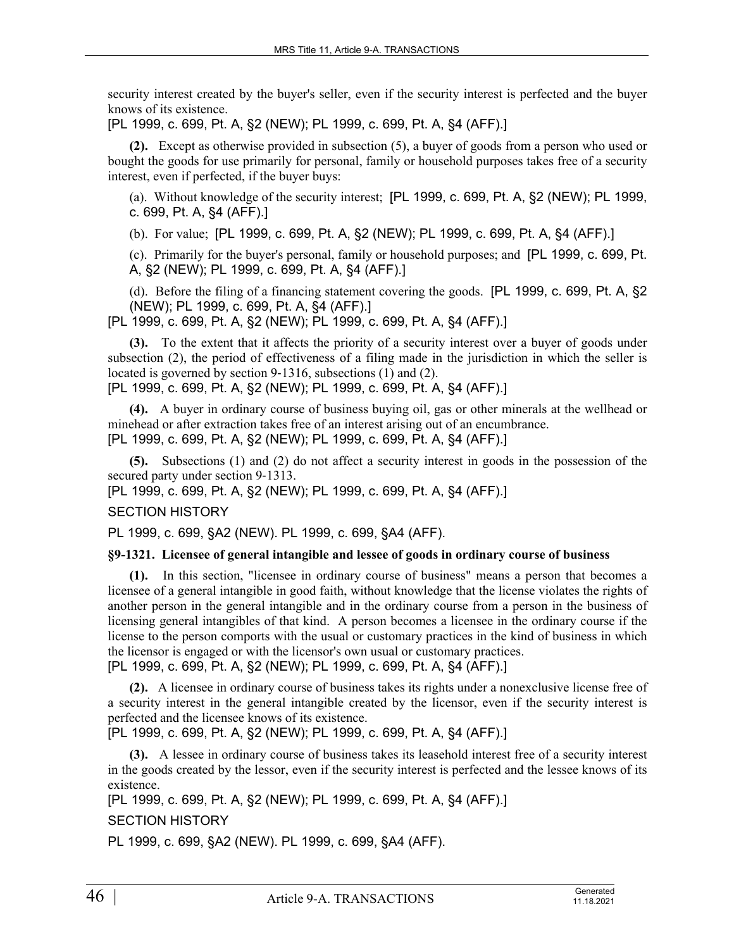security interest created by the buyer's seller, even if the security interest is perfected and the buyer knows of its existence.

[PL 1999, c. 699, Pt. A, §2 (NEW); PL 1999, c. 699, Pt. A, §4 (AFF).]

**(2).** Except as otherwise provided in subsection (5), a buyer of goods from a person who used or bought the goods for use primarily for personal, family or household purposes takes free of a security interest, even if perfected, if the buyer buys:

(a). Without knowledge of the security interest; [PL 1999, c. 699, Pt. A, §2 (NEW); PL 1999, c. 699, Pt. A, §4 (AFF).]

(b). For value; [PL 1999, c. 699, Pt. A, §2 (NEW); PL 1999, c. 699, Pt. A, §4 (AFF).]

(c). Primarily for the buyer's personal, family or household purposes; and [PL 1999, c. 699, Pt. A, §2 (NEW); PL 1999, c. 699, Pt. A, §4 (AFF).]

(d). Before the filing of a financing statement covering the goods. [PL 1999, c. 699, Pt. A, §2 (NEW); PL 1999, c. 699, Pt. A, §4 (AFF).]

[PL 1999, c. 699, Pt. A, §2 (NEW); PL 1999, c. 699, Pt. A, §4 (AFF).]

**(3).** To the extent that it affects the priority of a security interest over a buyer of goods under subsection (2), the period of effectiveness of a filing made in the jurisdiction in which the seller is located is governed by section 9-1316, subsections (1) and (2).

[PL 1999, c. 699, Pt. A, §2 (NEW); PL 1999, c. 699, Pt. A, §4 (AFF).]

**(4).** A buyer in ordinary course of business buying oil, gas or other minerals at the wellhead or minehead or after extraction takes free of an interest arising out of an encumbrance. [PL 1999, c. 699, Pt. A, §2 (NEW); PL 1999, c. 699, Pt. A, §4 (AFF).]

**(5).** Subsections (1) and (2) do not affect a security interest in goods in the possession of the secured party under section 9-1313.

[PL 1999, c. 699, Pt. A, §2 (NEW); PL 1999, c. 699, Pt. A, §4 (AFF).]

# SECTION HISTORY

PL 1999, c. 699, §A2 (NEW). PL 1999, c. 699, §A4 (AFF).

### **§9-1321. Licensee of general intangible and lessee of goods in ordinary course of business**

**(1).** In this section, "licensee in ordinary course of business" means a person that becomes a licensee of a general intangible in good faith, without knowledge that the license violates the rights of another person in the general intangible and in the ordinary course from a person in the business of licensing general intangibles of that kind. A person becomes a licensee in the ordinary course if the license to the person comports with the usual or customary practices in the kind of business in which the licensor is engaged or with the licensor's own usual or customary practices.

[PL 1999, c. 699, Pt. A, §2 (NEW); PL 1999, c. 699, Pt. A, §4 (AFF).]

**(2).** A licensee in ordinary course of business takes its rights under a nonexclusive license free of a security interest in the general intangible created by the licensor, even if the security interest is perfected and the licensee knows of its existence.

[PL 1999, c. 699, Pt. A, §2 (NEW); PL 1999, c. 699, Pt. A, §4 (AFF).]

**(3).** A lessee in ordinary course of business takes its leasehold interest free of a security interest in the goods created by the lessor, even if the security interest is perfected and the lessee knows of its existence.

[PL 1999, c. 699, Pt. A, §2 (NEW); PL 1999, c. 699, Pt. A, §4 (AFF).]

SECTION HISTORY

PL 1999, c. 699, §A2 (NEW). PL 1999, c. 699, §A4 (AFF).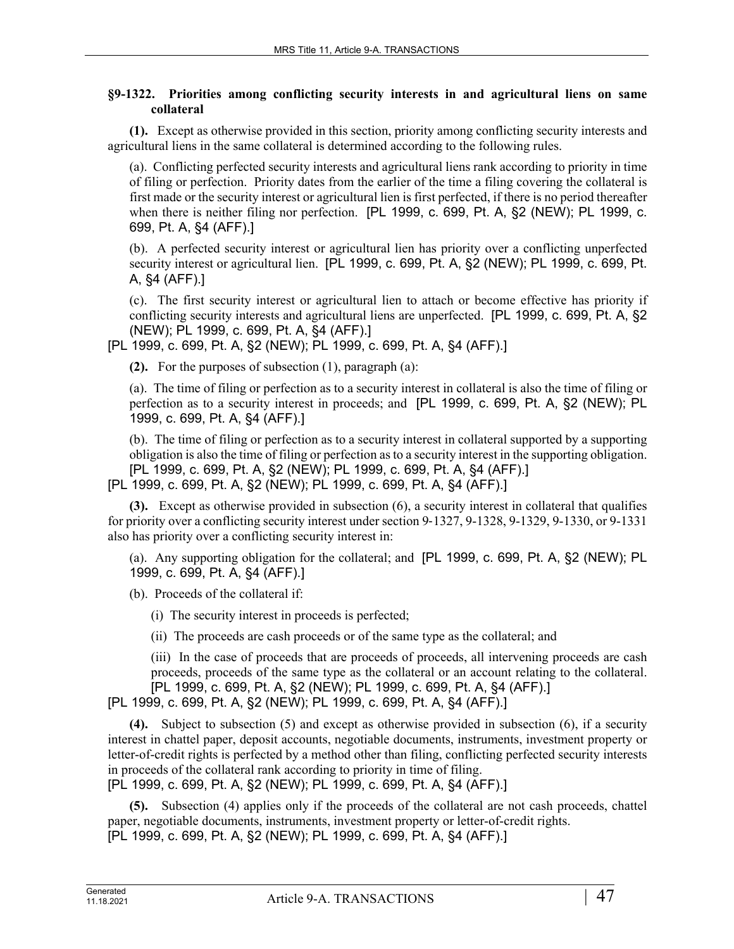## **§9-1322. Priorities among conflicting security interests in and agricultural liens on same collateral**

**(1).** Except as otherwise provided in this section, priority among conflicting security interests and agricultural liens in the same collateral is determined according to the following rules.

(a). Conflicting perfected security interests and agricultural liens rank according to priority in time of filing or perfection. Priority dates from the earlier of the time a filing covering the collateral is first made or the security interest or agricultural lien is first perfected, if there is no period thereafter when there is neither filing nor perfection. [PL 1999, c. 699, Pt. A, §2 (NEW); PL 1999, c. 699, Pt. A, §4 (AFF).]

(b). A perfected security interest or agricultural lien has priority over a conflicting unperfected security interest or agricultural lien. [PL 1999, c. 699, Pt. A, §2 (NEW); PL 1999, c. 699, Pt. A, §4 (AFF).]

(c). The first security interest or agricultural lien to attach or become effective has priority if conflicting security interests and agricultural liens are unperfected. [PL 1999, c. 699, Pt. A, §2 (NEW); PL 1999, c. 699, Pt. A, §4 (AFF).]

[PL 1999, c. 699, Pt. A, §2 (NEW); PL 1999, c. 699, Pt. A, §4 (AFF).]

**(2).** For the purposes of subsection (1), paragraph (a):

(a). The time of filing or perfection as to a security interest in collateral is also the time of filing or perfection as to a security interest in proceeds; and [PL 1999, c. 699, Pt. A, §2 (NEW); PL 1999, c. 699, Pt. A, §4 (AFF).]

(b). The time of filing or perfection as to a security interest in collateral supported by a supporting obligation is also the time of filing or perfection as to a security interest in the supporting obligation. [PL 1999, c. 699, Pt. A, §2 (NEW); PL 1999, c. 699, Pt. A, §4 (AFF).] [PL 1999, c. 699, Pt. A, §2 (NEW); PL 1999, c. 699, Pt. A, §4 (AFF).]

**(3).** Except as otherwise provided in subsection (6), a security interest in collateral that qualifies for priority over a conflicting security interest under section 9‑1327, 9-1328, 9-1329, 9-1330, or 9-1331 also has priority over a conflicting security interest in:

(a). Any supporting obligation for the collateral; and [PL 1999, c. 699, Pt. A, §2 (NEW); PL 1999, c. 699, Pt. A, §4 (AFF).]

(b). Proceeds of the collateral if:

(i) The security interest in proceeds is perfected;

(ii) The proceeds are cash proceeds or of the same type as the collateral; and

(iii) In the case of proceeds that are proceeds of proceeds, all intervening proceeds are cash proceeds, proceeds of the same type as the collateral or an account relating to the collateral. [PL 1999, c. 699, Pt. A, §2 (NEW); PL 1999, c. 699, Pt. A, §4 (AFF).]

[PL 1999, c. 699, Pt. A, §2 (NEW); PL 1999, c. 699, Pt. A, §4 (AFF).]

**(4).** Subject to subsection (5) and except as otherwise provided in subsection (6), if a security interest in chattel paper, deposit accounts, negotiable documents, instruments, investment property or letter-of-credit rights is perfected by a method other than filing, conflicting perfected security interests in proceeds of the collateral rank according to priority in time of filing.

[PL 1999, c. 699, Pt. A, §2 (NEW); PL 1999, c. 699, Pt. A, §4 (AFF).]

**(5).** Subsection (4) applies only if the proceeds of the collateral are not cash proceeds, chattel paper, negotiable documents, instruments, investment property or letter-of-credit rights. [PL 1999, c. 699, Pt. A, §2 (NEW); PL 1999, c. 699, Pt. A, §4 (AFF).]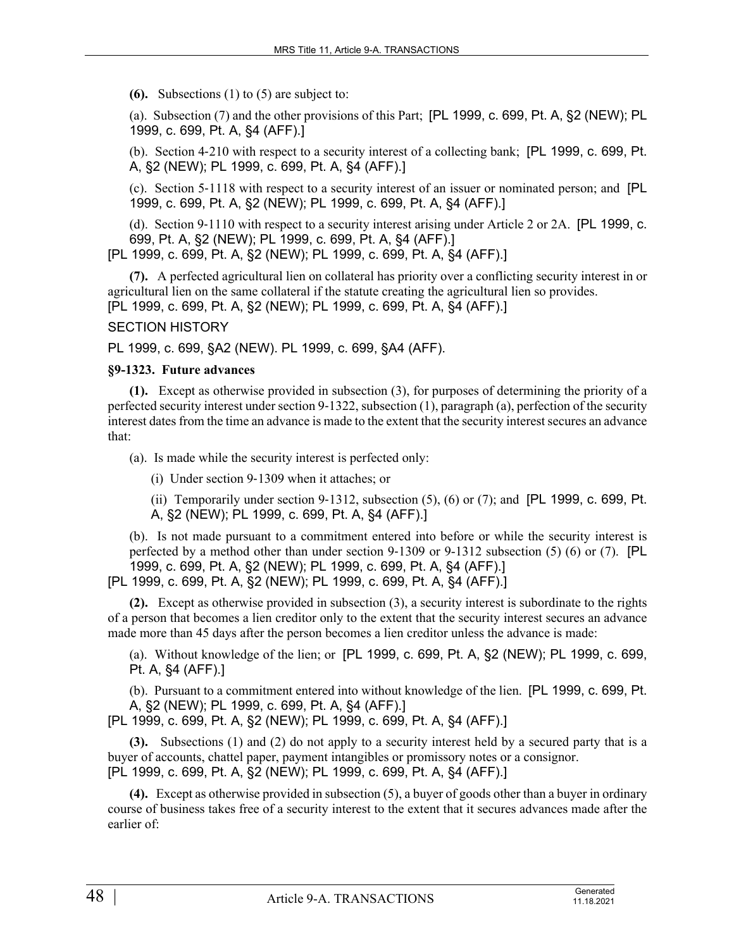**(6).** Subsections (1) to (5) are subject to:

(a). Subsection (7) and the other provisions of this Part; [PL 1999, c. 699, Pt. A, §2 (NEW); PL 1999, c. 699, Pt. A, §4 (AFF).]

(b). Section 4‑210 with respect to a security interest of a collecting bank; [PL 1999, c. 699, Pt. A, §2 (NEW); PL 1999, c. 699, Pt. A, §4 (AFF).]

(c). Section 5‑1118 with respect to a security interest of an issuer or nominated person; and [PL 1999, c. 699, Pt. A, §2 (NEW); PL 1999, c. 699, Pt. A, §4 (AFF).]

(d). Section 9-1110 with respect to a security interest arising under Article 2 or 2A. [PL 1999, c. 699, Pt. A, §2 (NEW); PL 1999, c. 699, Pt. A, §4 (AFF).]

[PL 1999, c. 699, Pt. A, §2 (NEW); PL 1999, c. 699, Pt. A, §4 (AFF).]

**(7).** A perfected agricultural lien on collateral has priority over a conflicting security interest in or agricultural lien on the same collateral if the statute creating the agricultural lien so provides. [PL 1999, c. 699, Pt. A, §2 (NEW); PL 1999, c. 699, Pt. A, §4 (AFF).]

SECTION HISTORY

PL 1999, c. 699, §A2 (NEW). PL 1999, c. 699, §A4 (AFF).

#### **§9-1323. Future advances**

**(1).** Except as otherwise provided in subsection (3), for purposes of determining the priority of a perfected security interest under section 9‑1322, subsection (1), paragraph (a), perfection of the security interest dates from the time an advance is made to the extent that the security interest secures an advance that:

(a). Is made while the security interest is perfected only:

(i) Under section 9‑1309 when it attaches; or

(ii) Temporarily under section  $9-1312$ , subsection  $(5)$ ,  $(6)$  or  $(7)$ ; and [PL 1999, c. 699, Pt. A, §2 (NEW); PL 1999, c. 699, Pt. A, §4 (AFF).]

(b). Is not made pursuant to a commitment entered into before or while the security interest is perfected by a method other than under section 9‑1309 or 9-1312 subsection (5) (6) or (7). [PL 1999, c. 699, Pt. A, §2 (NEW); PL 1999, c. 699, Pt. A, §4 (AFF).] [PL 1999, c. 699, Pt. A, §2 (NEW); PL 1999, c. 699, Pt. A, §4 (AFF).]

**(2).** Except as otherwise provided in subsection (3), a security interest is subordinate to the rights of a person that becomes a lien creditor only to the extent that the security interest secures an advance made more than 45 days after the person becomes a lien creditor unless the advance is made:

(a). Without knowledge of the lien; or [PL 1999, c. 699, Pt. A, §2 (NEW); PL 1999, c. 699, Pt. A, §4 (AFF).]

(b). Pursuant to a commitment entered into without knowledge of the lien. [PL 1999, c. 699, Pt. A, §2 (NEW); PL 1999, c. 699, Pt. A, §4 (AFF).]

[PL 1999, c. 699, Pt. A, §2 (NEW); PL 1999, c. 699, Pt. A, §4 (AFF).]

**(3).** Subsections (1) and (2) do not apply to a security interest held by a secured party that is a buyer of accounts, chattel paper, payment intangibles or promissory notes or a consignor. [PL 1999, c. 699, Pt. A, §2 (NEW); PL 1999, c. 699, Pt. A, §4 (AFF).]

**(4).** Except as otherwise provided in subsection (5), a buyer of goods other than a buyer in ordinary course of business takes free of a security interest to the extent that it secures advances made after the earlier of: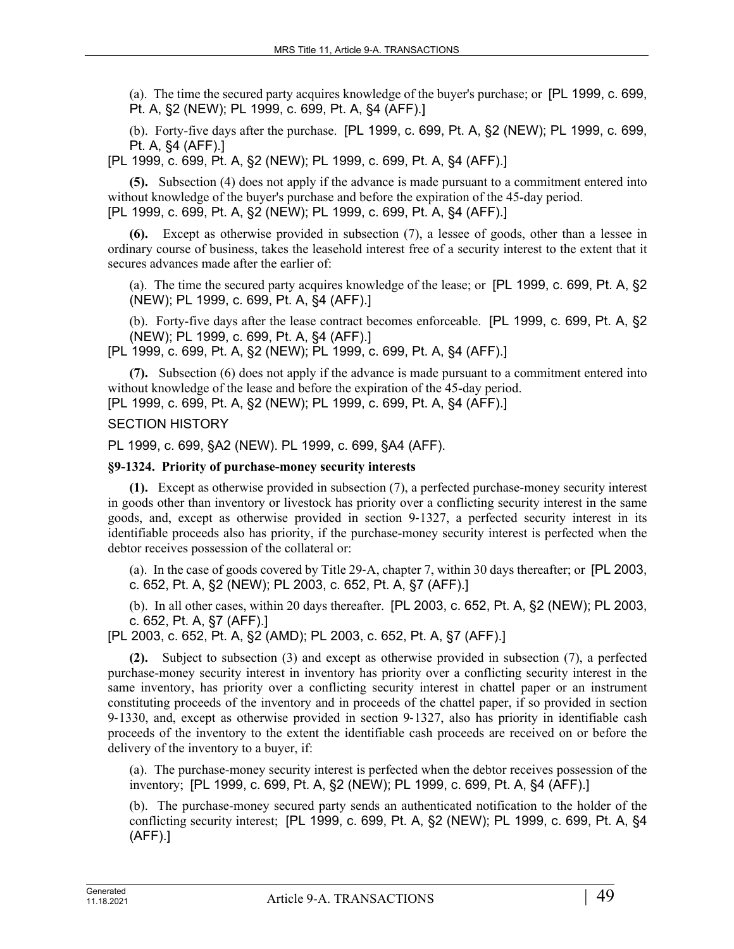(a). The time the secured party acquires knowledge of the buyer's purchase; or [PL 1999, c. 699, Pt. A, §2 (NEW); PL 1999, c. 699, Pt. A, §4 (AFF).]

(b). Forty-five days after the purchase. [PL 1999, c. 699, Pt. A, §2 (NEW); PL 1999, c. 699, Pt. A, §4 (AFF).]

[PL 1999, c. 699, Pt. A, §2 (NEW); PL 1999, c. 699, Pt. A, §4 (AFF).]

**(5).** Subsection (4) does not apply if the advance is made pursuant to a commitment entered into without knowledge of the buyer's purchase and before the expiration of the 45-day period. [PL 1999, c. 699, Pt. A, §2 (NEW); PL 1999, c. 699, Pt. A, §4 (AFF).]

**(6).** Except as otherwise provided in subsection (7), a lessee of goods, other than a lessee in ordinary course of business, takes the leasehold interest free of a security interest to the extent that it secures advances made after the earlier of:

(a). The time the secured party acquires knowledge of the lease; or [PL 1999, c. 699, Pt. A, §2 (NEW); PL 1999, c. 699, Pt. A, §4 (AFF).]

(b). Forty-five days after the lease contract becomes enforceable. [PL 1999, c. 699, Pt. A, §2 (NEW); PL 1999, c. 699, Pt. A, §4 (AFF).]

[PL 1999, c. 699, Pt. A, §2 (NEW); PL 1999, c. 699, Pt. A, §4 (AFF).]

**(7).** Subsection (6) does not apply if the advance is made pursuant to a commitment entered into without knowledge of the lease and before the expiration of the 45-day period.

[PL 1999, c. 699, Pt. A, §2 (NEW); PL 1999, c. 699, Pt. A, §4 (AFF).]

### SECTION HISTORY

PL 1999, c. 699, §A2 (NEW). PL 1999, c. 699, §A4 (AFF).

# **§9-1324. Priority of purchase-money security interests**

**(1).** Except as otherwise provided in subsection (7), a perfected purchase-money security interest in goods other than inventory or livestock has priority over a conflicting security interest in the same goods, and, except as otherwise provided in section 9‑1327, a perfected security interest in its identifiable proceeds also has priority, if the purchase-money security interest is perfected when the debtor receives possession of the collateral or:

(a). In the case of goods covered by Title 29‑A, chapter 7, within 30 days thereafter; or [PL 2003, c. 652, Pt. A, §2 (NEW); PL 2003, c. 652, Pt. A, §7 (AFF).]

(b). In all other cases, within 20 days thereafter. [PL 2003, c. 652, Pt. A, §2 (NEW); PL 2003, c. 652, Pt. A, §7 (AFF).]

[PL 2003, c. 652, Pt. A, §2 (AMD); PL 2003, c. 652, Pt. A, §7 (AFF).]

**(2).** Subject to subsection (3) and except as otherwise provided in subsection (7), a perfected purchase-money security interest in inventory has priority over a conflicting security interest in the same inventory, has priority over a conflicting security interest in chattel paper or an instrument constituting proceeds of the inventory and in proceeds of the chattel paper, if so provided in section 9‑1330, and, except as otherwise provided in section 9‑1327, also has priority in identifiable cash proceeds of the inventory to the extent the identifiable cash proceeds are received on or before the delivery of the inventory to a buyer, if:

(a). The purchase-money security interest is perfected when the debtor receives possession of the inventory; [PL 1999, c. 699, Pt. A, §2 (NEW); PL 1999, c. 699, Pt. A, §4 (AFF).]

(b). The purchase-money secured party sends an authenticated notification to the holder of the conflicting security interest; [PL 1999, c. 699, Pt. A, §2 (NEW); PL 1999, c. 699, Pt. A, §4 (AFF).]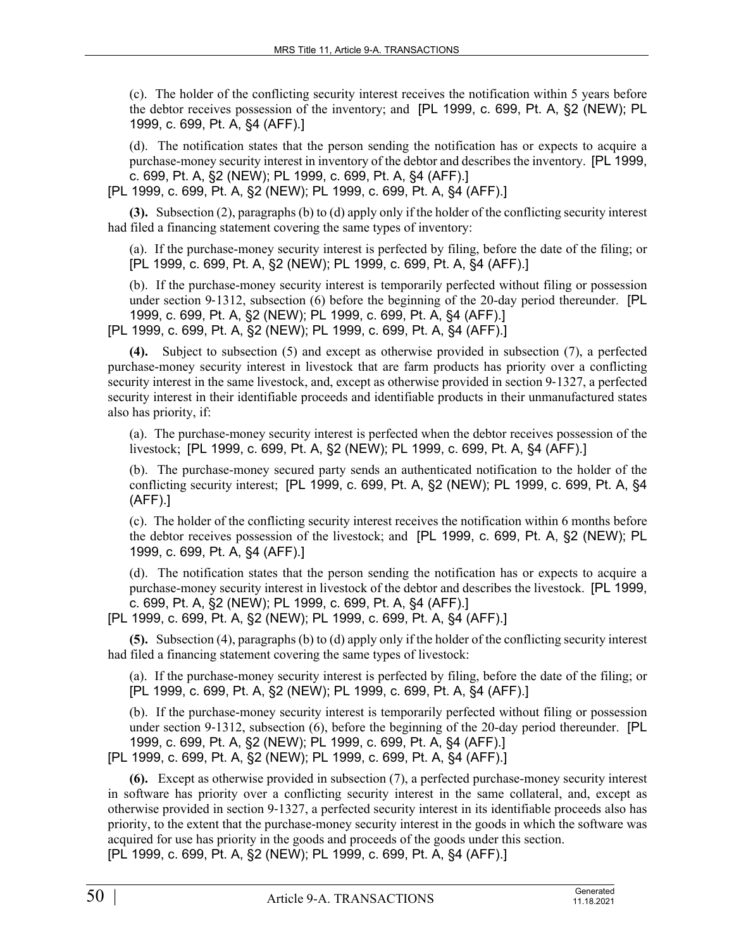(c). The holder of the conflicting security interest receives the notification within 5 years before the debtor receives possession of the inventory; and [PL 1999, c. 699, Pt. A, §2 (NEW); PL 1999, c. 699, Pt. A, §4 (AFF).]

(d). The notification states that the person sending the notification has or expects to acquire a purchase-money security interest in inventory of the debtor and describes the inventory. [PL 1999, c. 699, Pt. A, §2 (NEW); PL 1999, c. 699, Pt. A, §4 (AFF).]

[PL 1999, c. 699, Pt. A, §2 (NEW); PL 1999, c. 699, Pt. A, §4 (AFF).]

**(3).** Subsection (2), paragraphs (b) to (d) apply only if the holder of the conflicting security interest had filed a financing statement covering the same types of inventory:

(a). If the purchase-money security interest is perfected by filing, before the date of the filing; or [PL 1999, c. 699, Pt. A, §2 (NEW); PL 1999, c. 699, Pt. A, §4 (AFF).]

(b). If the purchase-money security interest is temporarily perfected without filing or possession under section 9–1312, subsection (6) before the beginning of the 20-day period thereunder. [PL 1999, c. 699, Pt. A, §2 (NEW); PL 1999, c. 699, Pt. A, §4 (AFF).]

[PL 1999, c. 699, Pt. A, §2 (NEW); PL 1999, c. 699, Pt. A, §4 (AFF).]

**(4).** Subject to subsection (5) and except as otherwise provided in subsection (7), a perfected purchase-money security interest in livestock that are farm products has priority over a conflicting security interest in the same livestock, and, except as otherwise provided in section 9–1327, a perfected security interest in their identifiable proceeds and identifiable products in their unmanufactured states also has priority, if:

(a). The purchase-money security interest is perfected when the debtor receives possession of the livestock; [PL 1999, c. 699, Pt. A, §2 (NEW); PL 1999, c. 699, Pt. A, §4 (AFF).]

(b). The purchase-money secured party sends an authenticated notification to the holder of the conflicting security interest; [PL 1999, c. 699, Pt. A, §2 (NEW); PL 1999, c. 699, Pt. A, §4 (AFF).]

(c). The holder of the conflicting security interest receives the notification within 6 months before the debtor receives possession of the livestock; and [PL 1999, c. 699, Pt. A, §2 (NEW); PL 1999, c. 699, Pt. A, §4 (AFF).]

(d). The notification states that the person sending the notification has or expects to acquire a purchase-money security interest in livestock of the debtor and describes the livestock. [PL 1999, c. 699, Pt. A, §2 (NEW); PL 1999, c. 699, Pt. A, §4 (AFF).]

[PL 1999, c. 699, Pt. A, §2 (NEW); PL 1999, c. 699, Pt. A, §4 (AFF).]

**(5).** Subsection (4), paragraphs (b) to (d) apply only if the holder of the conflicting security interest had filed a financing statement covering the same types of livestock:

(a). If the purchase-money security interest is perfected by filing, before the date of the filing; or [PL 1999, c. 699, Pt. A, §2 (NEW); PL 1999, c. 699, Pt. A, §4 (AFF).]

(b). If the purchase-money security interest is temporarily perfected without filing or possession under section 9–1312, subsection (6), before the beginning of the 20-day period thereunder. [PL 1999, c. 699, Pt. A, §2 (NEW); PL 1999, c. 699, Pt. A, §4 (AFF).] [PL 1999, c. 699, Pt. A, §2 (NEW); PL 1999, c. 699, Pt. A, §4 (AFF).]

**(6).** Except as otherwise provided in subsection (7), a perfected purchase-money security interest in software has priority over a conflicting security interest in the same collateral, and, except as otherwise provided in section 9‑1327, a perfected security interest in its identifiable proceeds also has priority, to the extent that the purchase-money security interest in the goods in which the software was acquired for use has priority in the goods and proceeds of the goods under this section. [PL 1999, c. 699, Pt. A, §2 (NEW); PL 1999, c. 699, Pt. A, §4 (AFF).]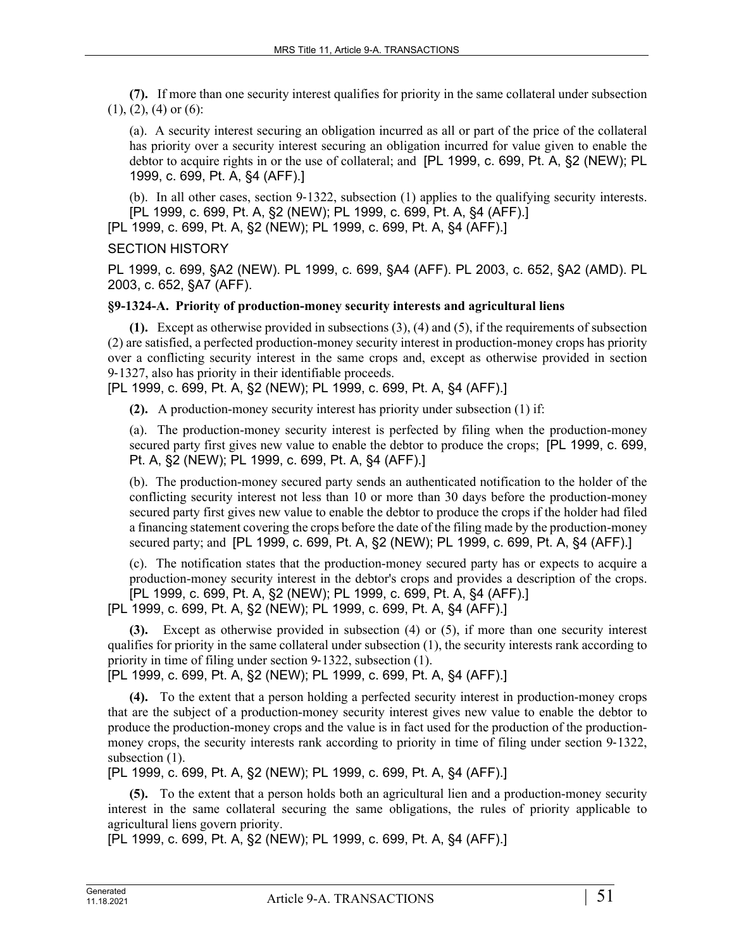**(7).** If more than one security interest qualifies for priority in the same collateral under subsection  $(1)$ ,  $(2)$ ,  $(4)$  or  $(6)$ :

(a). A security interest securing an obligation incurred as all or part of the price of the collateral has priority over a security interest securing an obligation incurred for value given to enable the debtor to acquire rights in or the use of collateral; and [PL 1999, c. 699, Pt. A, §2 (NEW); PL 1999, c. 699, Pt. A, §4 (AFF).]

(b). In all other cases, section 9‑1322, subsection (1) applies to the qualifying security interests. [PL 1999, c. 699, Pt. A, §2 (NEW); PL 1999, c. 699, Pt. A, §4 (AFF).]

[PL 1999, c. 699, Pt. A, §2 (NEW); PL 1999, c. 699, Pt. A, §4 (AFF).]

# SECTION HISTORY

PL 1999, c. 699, §A2 (NEW). PL 1999, c. 699, §A4 (AFF). PL 2003, c. 652, §A2 (AMD). PL 2003, c. 652, §A7 (AFF).

# **§9-1324-A. Priority of production-money security interests and agricultural liens**

**(1).** Except as otherwise provided in subsections (3), (4) and (5), if the requirements of subsection (2) are satisfied, a perfected production-money security interest in production-money crops has priority over a conflicting security interest in the same crops and, except as otherwise provided in section 9‑1327, also has priority in their identifiable proceeds.

[PL 1999, c. 699, Pt. A, §2 (NEW); PL 1999, c. 699, Pt. A, §4 (AFF).]

**(2).** A production-money security interest has priority under subsection (1) if:

(a). The production-money security interest is perfected by filing when the production-money secured party first gives new value to enable the debtor to produce the crops; [PL 1999, c. 699, Pt. A, §2 (NEW); PL 1999, c. 699, Pt. A, §4 (AFF).]

(b). The production-money secured party sends an authenticated notification to the holder of the conflicting security interest not less than 10 or more than 30 days before the production-money secured party first gives new value to enable the debtor to produce the crops if the holder had filed a financing statement covering the crops before the date of the filing made by the production-money secured party; and [PL 1999, c. 699, Pt. A, §2 (NEW); PL 1999, c. 699, Pt. A, §4 (AFF).]

(c). The notification states that the production-money secured party has or expects to acquire a production-money security interest in the debtor's crops and provides a description of the crops. [PL 1999, c. 699, Pt. A, §2 (NEW); PL 1999, c. 699, Pt. A, §4 (AFF).]

[PL 1999, c. 699, Pt. A, §2 (NEW); PL 1999, c. 699, Pt. A, §4 (AFF).]

**(3).** Except as otherwise provided in subsection (4) or (5), if more than one security interest qualifies for priority in the same collateral under subsection (1), the security interests rank according to priority in time of filing under section 9‑1322, subsection (1).

[PL 1999, c. 699, Pt. A, §2 (NEW); PL 1999, c. 699, Pt. A, §4 (AFF).]

**(4).** To the extent that a person holding a perfected security interest in production-money crops that are the subject of a production-money security interest gives new value to enable the debtor to produce the production-money crops and the value is in fact used for the production of the productionmoney crops, the security interests rank according to priority in time of filing under section 9–1322, subsection  $(1)$ .

[PL 1999, c. 699, Pt. A, §2 (NEW); PL 1999, c. 699, Pt. A, §4 (AFF).]

**(5).** To the extent that a person holds both an agricultural lien and a production-money security interest in the same collateral securing the same obligations, the rules of priority applicable to agricultural liens govern priority.

[PL 1999, c. 699, Pt. A, §2 (NEW); PL 1999, c. 699, Pt. A, §4 (AFF).]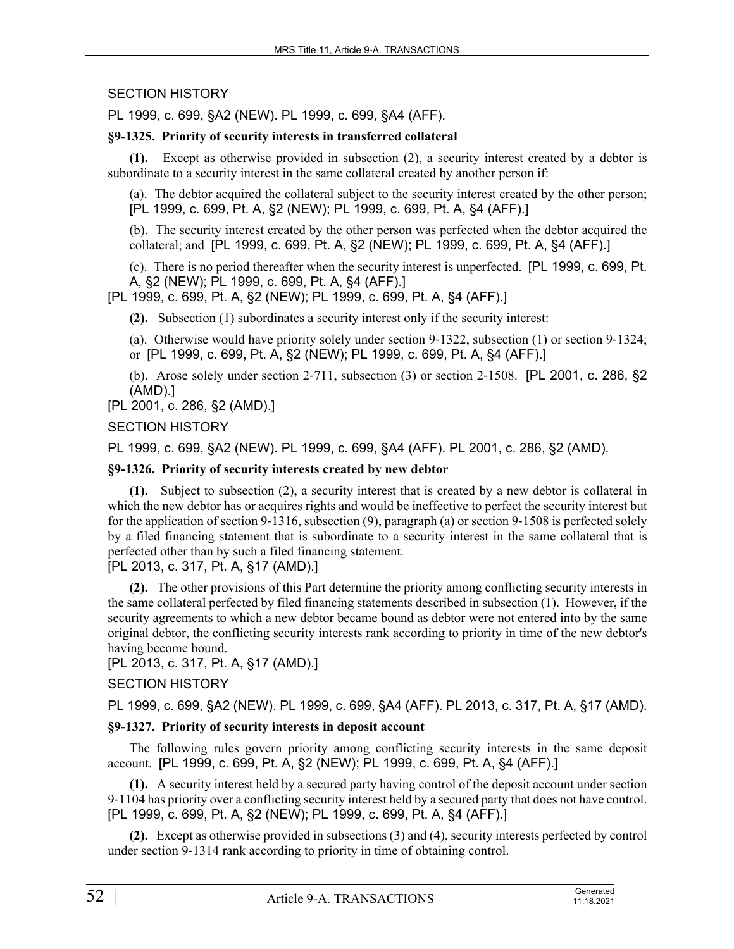# SECTION HISTORY

PL 1999, c. 699, §A2 (NEW). PL 1999, c. 699, §A4 (AFF).

# **§9-1325. Priority of security interests in transferred collateral**

**(1).** Except as otherwise provided in subsection (2), a security interest created by a debtor is subordinate to a security interest in the same collateral created by another person if:

(a). The debtor acquired the collateral subject to the security interest created by the other person; [PL 1999, c. 699, Pt. A, §2 (NEW); PL 1999, c. 699, Pt. A, §4 (AFF).]

(b). The security interest created by the other person was perfected when the debtor acquired the collateral; and [PL 1999, c. 699, Pt. A, §2 (NEW); PL 1999, c. 699, Pt. A, §4 (AFF).]

(c). There is no period thereafter when the security interest is unperfected. [PL 1999, c. 699, Pt. A, §2 (NEW); PL 1999, c. 699, Pt. A, §4 (AFF).]

[PL 1999, c. 699, Pt. A, §2 (NEW); PL 1999, c. 699, Pt. A, §4 (AFF).]

**(2).** Subsection (1) subordinates a security interest only if the security interest:

(a). Otherwise would have priority solely under section 9‑1322, subsection (1) or section 9‑1324; or [PL 1999, c. 699, Pt. A, §2 (NEW); PL 1999, c. 699, Pt. A, §4 (AFF).]

(b). Arose solely under section 2‑711, subsection (3) or section 2‑1508. [PL 2001, c. 286, §2 (AMD).]

[PL 2001, c. 286, §2 (AMD).]

# SECTION HISTORY

PL 1999, c. 699, §A2 (NEW). PL 1999, c. 699, §A4 (AFF). PL 2001, c. 286, §2 (AMD).

# **§9-1326. Priority of security interests created by new debtor**

**(1).** Subject to subsection (2), a security interest that is created by a new debtor is collateral in which the new debtor has or acquires rights and would be ineffective to perfect the security interest but for the application of section 9-1316, subsection (9), paragraph (a) or section 9-1508 is perfected solely by a filed financing statement that is subordinate to a security interest in the same collateral that is perfected other than by such a filed financing statement.

[PL 2013, c. 317, Pt. A, §17 (AMD).]

**(2).** The other provisions of this Part determine the priority among conflicting security interests in the same collateral perfected by filed financing statements described in subsection (1). However, if the security agreements to which a new debtor became bound as debtor were not entered into by the same original debtor, the conflicting security interests rank according to priority in time of the new debtor's having become bound.

# [PL 2013, c. 317, Pt. A, §17 (AMD).]

# SECTION HISTORY

PL 1999, c. 699, §A2 (NEW). PL 1999, c. 699, §A4 (AFF). PL 2013, c. 317, Pt. A, §17 (AMD).

### **§9-1327. Priority of security interests in deposit account**

The following rules govern priority among conflicting security interests in the same deposit account. [PL 1999, c. 699, Pt. A, §2 (NEW); PL 1999, c. 699, Pt. A, §4 (AFF).]

**(1).** A security interest held by a secured party having control of the deposit account under section 9‑1104 has priority over a conflicting security interest held by a secured party that does not have control. [PL 1999, c. 699, Pt. A, §2 (NEW); PL 1999, c. 699, Pt. A, §4 (AFF).]

**(2).** Except as otherwise provided in subsections (3) and (4), security interests perfected by control under section 9‑1314 rank according to priority in time of obtaining control.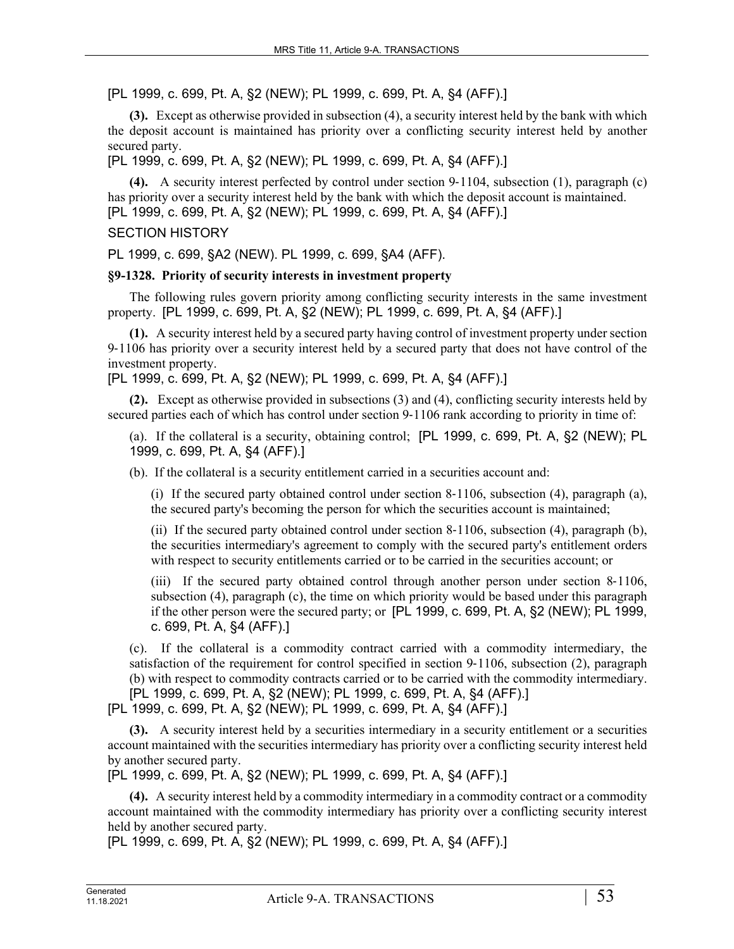[PL 1999, c. 699, Pt. A, §2 (NEW); PL 1999, c. 699, Pt. A, §4 (AFF).]

**(3).** Except as otherwise provided in subsection (4), a security interest held by the bank with which the deposit account is maintained has priority over a conflicting security interest held by another secured party.

[PL 1999, c. 699, Pt. A, §2 (NEW); PL 1999, c. 699, Pt. A, §4 (AFF).]

**(4).** A security interest perfected by control under section 9‑1104, subsection (1), paragraph (c) has priority over a security interest held by the bank with which the deposit account is maintained. [PL 1999, c. 699, Pt. A, §2 (NEW); PL 1999, c. 699, Pt. A, §4 (AFF).]

# SECTION HISTORY

PL 1999, c. 699, §A2 (NEW). PL 1999, c. 699, §A4 (AFF).

### **§9-1328. Priority of security interests in investment property**

The following rules govern priority among conflicting security interests in the same investment property. [PL 1999, c. 699, Pt. A, §2 (NEW); PL 1999, c. 699, Pt. A, §4 (AFF).]

**(1).** A security interest held by a secured party having control of investment property under section 9‑1106 has priority over a security interest held by a secured party that does not have control of the investment property.

[PL 1999, c. 699, Pt. A, §2 (NEW); PL 1999, c. 699, Pt. A, §4 (AFF).]

**(2).** Except as otherwise provided in subsections (3) and (4), conflicting security interests held by secured parties each of which has control under section 9-1106 rank according to priority in time of:

(a). If the collateral is a security, obtaining control; [PL 1999, c. 699, Pt. A, §2 (NEW); PL 1999, c. 699, Pt. A, §4 (AFF).]

(b). If the collateral is a security entitlement carried in a securities account and:

(i) If the secured party obtained control under section  $8-1106$ , subsection  $(4)$ , paragraph  $(a)$ , the secured party's becoming the person for which the securities account is maintained;

(ii) If the secured party obtained control under section 8‑1106, subsection (4), paragraph (b), the securities intermediary's agreement to comply with the secured party's entitlement orders with respect to security entitlements carried or to be carried in the securities account; or

(iii) If the secured party obtained control through another person under section 8‑1106, subsection (4), paragraph (c), the time on which priority would be based under this paragraph if the other person were the secured party; or [PL 1999, c. 699, Pt. A, §2 (NEW); PL 1999, c. 699, Pt. A, §4 (AFF).]

(c). If the collateral is a commodity contract carried with a commodity intermediary, the satisfaction of the requirement for control specified in section 9–1106, subsection (2), paragraph (b) with respect to commodity contracts carried or to be carried with the commodity intermediary. [PL 1999, c. 699, Pt. A, §2 (NEW); PL 1999, c. 699, Pt. A, §4 (AFF).]

[PL 1999, c. 699, Pt. A, §2 (NEW); PL 1999, c. 699, Pt. A, §4 (AFF).]

**(3).** A security interest held by a securities intermediary in a security entitlement or a securities account maintained with the securities intermediary has priority over a conflicting security interest held by another secured party.

[PL 1999, c. 699, Pt. A, §2 (NEW); PL 1999, c. 699, Pt. A, §4 (AFF).]

**(4).** A security interest held by a commodity intermediary in a commodity contract or a commodity account maintained with the commodity intermediary has priority over a conflicting security interest held by another secured party.

[PL 1999, c. 699, Pt. A, §2 (NEW); PL 1999, c. 699, Pt. A, §4 (AFF).]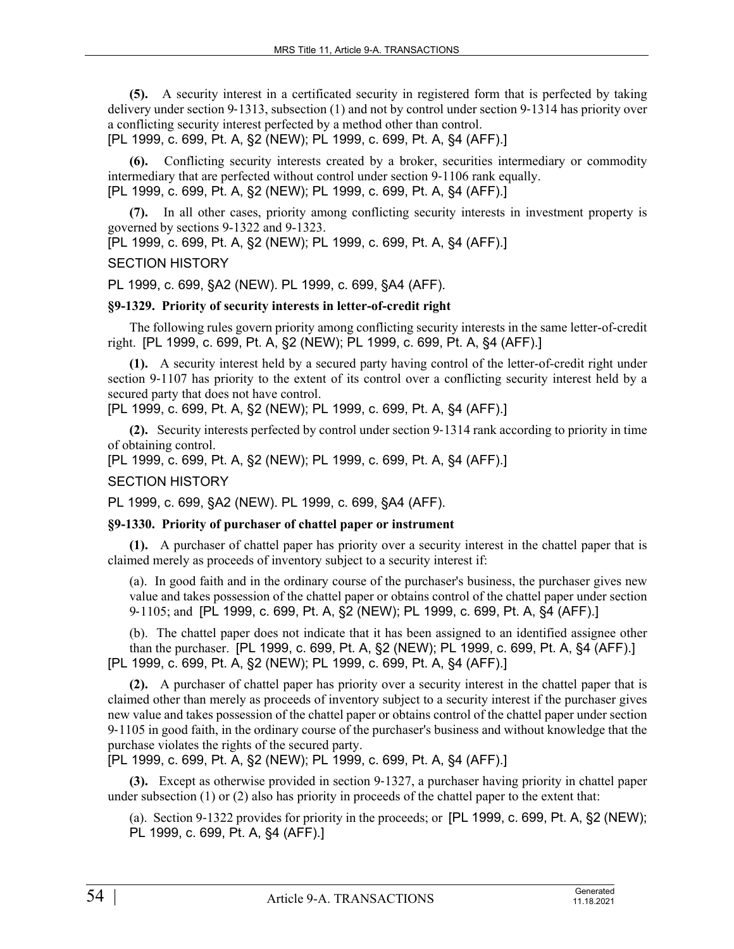**(5).** A security interest in a certificated security in registered form that is perfected by taking delivery under section 9‑1313, subsection (1) and not by control under section 9‑1314 has priority over a conflicting security interest perfected by a method other than control. [PL 1999, c. 699, Pt. A, §2 (NEW); PL 1999, c. 699, Pt. A, §4 (AFF).]

**(6).** Conflicting security interests created by a broker, securities intermediary or commodity intermediary that are perfected without control under section 9‑1106 rank equally. [PL 1999, c. 699, Pt. A, §2 (NEW); PL 1999, c. 699, Pt. A, §4 (AFF).]

**(7).** In all other cases, priority among conflicting security interests in investment property is governed by sections 9-1322 and 9-1323.

[PL 1999, c. 699, Pt. A, §2 (NEW); PL 1999, c. 699, Pt. A, §4 (AFF).]

# SECTION HISTORY

PL 1999, c. 699, §A2 (NEW). PL 1999, c. 699, §A4 (AFF).

# **§9-1329. Priority of security interests in letter-of-credit right**

The following rules govern priority among conflicting security interests in the same letter-of-credit right. [PL 1999, c. 699, Pt. A, §2 (NEW); PL 1999, c. 699, Pt. A, §4 (AFF).]

**(1).** A security interest held by a secured party having control of the letter-of-credit right under section 9–1107 has priority to the extent of its control over a conflicting security interest held by a secured party that does not have control.

[PL 1999, c. 699, Pt. A, §2 (NEW); PL 1999, c. 699, Pt. A, §4 (AFF).]

**(2).** Security interests perfected by control under section 9‑1314 rank according to priority in time of obtaining control.

[PL 1999, c. 699, Pt. A, §2 (NEW); PL 1999, c. 699, Pt. A, §4 (AFF).]

## SECTION HISTORY

PL 1999, c. 699, §A2 (NEW). PL 1999, c. 699, §A4 (AFF).

# **§9-1330. Priority of purchaser of chattel paper or instrument**

**(1).** A purchaser of chattel paper has priority over a security interest in the chattel paper that is claimed merely as proceeds of inventory subject to a security interest if:

(a). In good faith and in the ordinary course of the purchaser's business, the purchaser gives new value and takes possession of the chattel paper or obtains control of the chattel paper under section 9‑1105; and [PL 1999, c. 699, Pt. A, §2 (NEW); PL 1999, c. 699, Pt. A, §4 (AFF).]

(b). The chattel paper does not indicate that it has been assigned to an identified assignee other than the purchaser. [PL 1999, c. 699, Pt. A, §2 (NEW); PL 1999, c. 699, Pt. A, §4 (AFF).] [PL 1999, c. 699, Pt. A, §2 (NEW); PL 1999, c. 699, Pt. A, §4 (AFF).]

**(2).** A purchaser of chattel paper has priority over a security interest in the chattel paper that is claimed other than merely as proceeds of inventory subject to a security interest if the purchaser gives new value and takes possession of the chattel paper or obtains control of the chattel paper under section 9‑1105 in good faith, in the ordinary course of the purchaser's business and without knowledge that the purchase violates the rights of the secured party.

[PL 1999, c. 699, Pt. A, §2 (NEW); PL 1999, c. 699, Pt. A, §4 (AFF).]

**(3).** Except as otherwise provided in section 9-1327, a purchaser having priority in chattel paper under subsection (1) or (2) also has priority in proceeds of the chattel paper to the extent that:

(a). Section 9-1322 provides for priority in the proceeds; or  $[PL 1999, c. 699, Pt. A, §2 (NEW);$ PL 1999, c. 699, Pt. A, §4 (AFF).]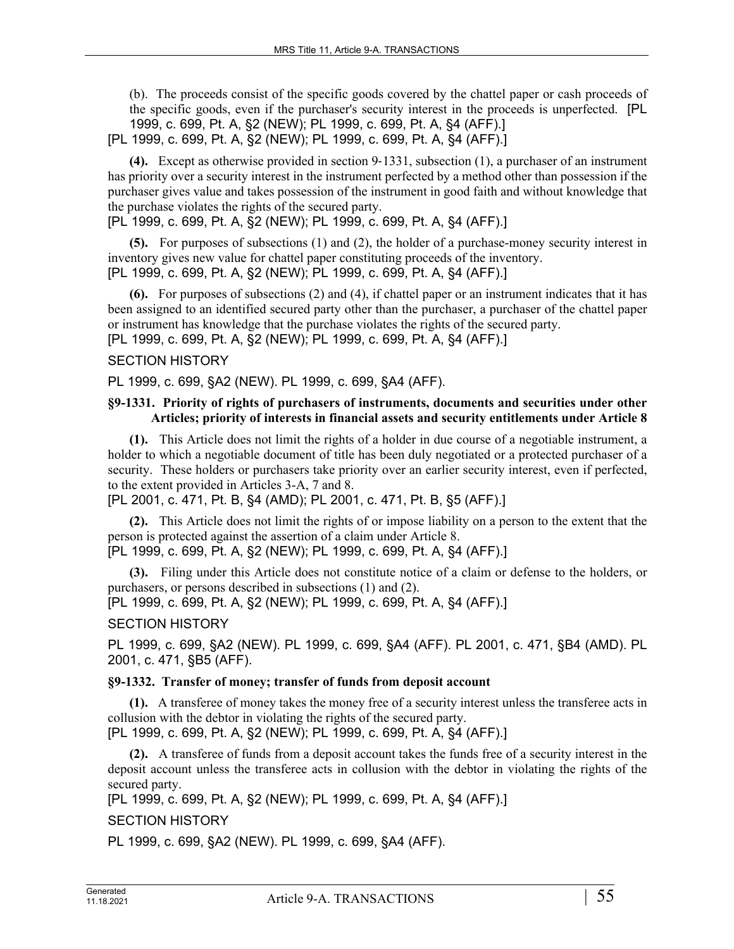(b). The proceeds consist of the specific goods covered by the chattel paper or cash proceeds of the specific goods, even if the purchaser's security interest in the proceeds is unperfected. [PL 1999, c. 699, Pt. A, §2 (NEW); PL 1999, c. 699, Pt. A, §4 (AFF).]

[PL 1999, c. 699, Pt. A, §2 (NEW); PL 1999, c. 699, Pt. A, §4 (AFF).]

**(4).** Except as otherwise provided in section 9‑1331, subsection (1), a purchaser of an instrument has priority over a security interest in the instrument perfected by a method other than possession if the purchaser gives value and takes possession of the instrument in good faith and without knowledge that the purchase violates the rights of the secured party.

[PL 1999, c. 699, Pt. A, §2 (NEW); PL 1999, c. 699, Pt. A, §4 (AFF).]

**(5).** For purposes of subsections (1) and (2), the holder of a purchase-money security interest in inventory gives new value for chattel paper constituting proceeds of the inventory. [PL 1999, c. 699, Pt. A, §2 (NEW); PL 1999, c. 699, Pt. A, §4 (AFF).]

**(6).** For purposes of subsections (2) and (4), if chattel paper or an instrument indicates that it has been assigned to an identified secured party other than the purchaser, a purchaser of the chattel paper or instrument has knowledge that the purchase violates the rights of the secured party.

[PL 1999, c. 699, Pt. A, §2 (NEW); PL 1999, c. 699, Pt. A, §4 (AFF).]

# SECTION HISTORY

PL 1999, c. 699, §A2 (NEW). PL 1999, c. 699, §A4 (AFF).

### **§9-1331. Priority of rights of purchasers of instruments, documents and securities under other Articles; priority of interests in financial assets and security entitlements under Article 8**

**(1).** This Article does not limit the rights of a holder in due course of a negotiable instrument, a holder to which a negotiable document of title has been duly negotiated or a protected purchaser of a security. These holders or purchasers take priority over an earlier security interest, even if perfected, to the extent provided in Articles 3-A, 7 and 8.

[PL 2001, c. 471, Pt. B, §4 (AMD); PL 2001, c. 471, Pt. B, §5 (AFF).]

**(2).** This Article does not limit the rights of or impose liability on a person to the extent that the person is protected against the assertion of a claim under Article 8.

[PL 1999, c. 699, Pt. A, §2 (NEW); PL 1999, c. 699, Pt. A, §4 (AFF).]

**(3).** Filing under this Article does not constitute notice of a claim or defense to the holders, or purchasers, or persons described in subsections (1) and (2).

[PL 1999, c. 699, Pt. A, §2 (NEW); PL 1999, c. 699, Pt. A, §4 (AFF).]

### SECTION HISTORY

PL 1999, c. 699, §A2 (NEW). PL 1999, c. 699, §A4 (AFF). PL 2001, c. 471, §B4 (AMD). PL 2001, c. 471, §B5 (AFF).

### **§9-1332. Transfer of money; transfer of funds from deposit account**

**(1).** A transferee of money takes the money free of a security interest unless the transferee acts in collusion with the debtor in violating the rights of the secured party. [PL 1999, c. 699, Pt. A, §2 (NEW); PL 1999, c. 699, Pt. A, §4 (AFF).]

**(2).** A transferee of funds from a deposit account takes the funds free of a security interest in the deposit account unless the transferee acts in collusion with the debtor in violating the rights of the secured party.

[PL 1999, c. 699, Pt. A, §2 (NEW); PL 1999, c. 699, Pt. A, §4 (AFF).]

# SECTION HISTORY

PL 1999, c. 699, §A2 (NEW). PL 1999, c. 699, §A4 (AFF).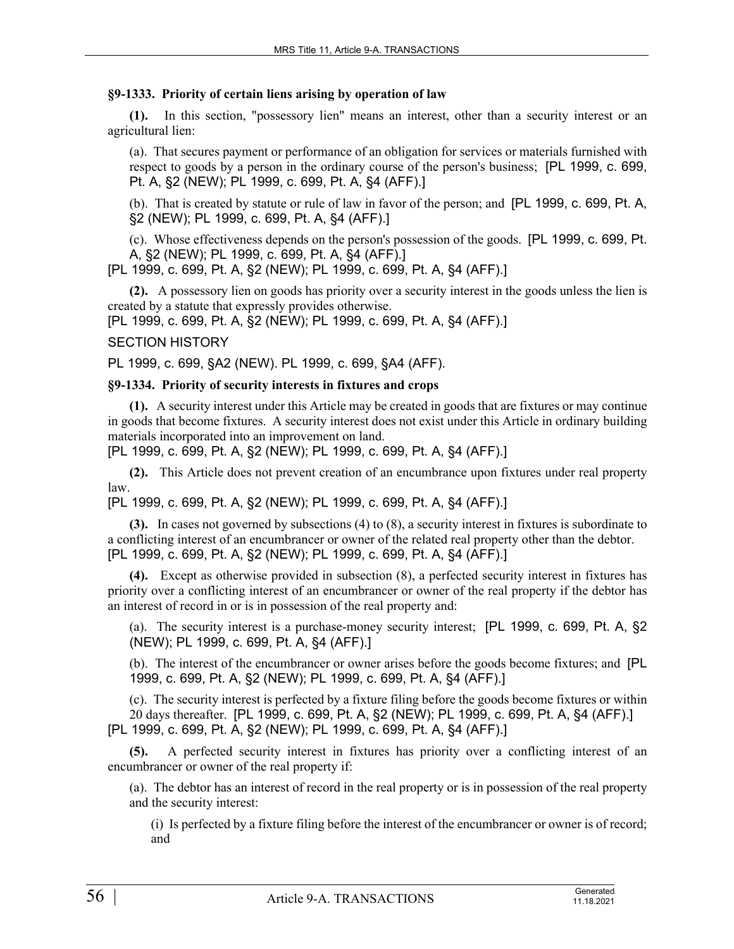#### **§9-1333. Priority of certain liens arising by operation of law**

**(1).** In this section, "possessory lien" means an interest, other than a security interest or an agricultural lien:

(a). That secures payment or performance of an obligation for services or materials furnished with respect to goods by a person in the ordinary course of the person's business; [PL 1999, c. 699, Pt. A, §2 (NEW); PL 1999, c. 699, Pt. A, §4 (AFF).]

(b). That is created by statute or rule of law in favor of the person; and [PL 1999, c. 699, Pt. A, §2 (NEW); PL 1999, c. 699, Pt. A, §4 (AFF).]

(c). Whose effectiveness depends on the person's possession of the goods. [PL 1999, c. 699, Pt. A, §2 (NEW); PL 1999, c. 699, Pt. A, §4 (AFF).]

[PL 1999, c. 699, Pt. A, §2 (NEW); PL 1999, c. 699, Pt. A, §4 (AFF).]

**(2).** A possessory lien on goods has priority over a security interest in the goods unless the lien is created by a statute that expressly provides otherwise.

[PL 1999, c. 699, Pt. A, §2 (NEW); PL 1999, c. 699, Pt. A, §4 (AFF).]

#### SECTION HISTORY

PL 1999, c. 699, §A2 (NEW). PL 1999, c. 699, §A4 (AFF).

#### **§9-1334. Priority of security interests in fixtures and crops**

**(1).** A security interest under this Article may be created in goods that are fixtures or may continue in goods that become fixtures. A security interest does not exist under this Article in ordinary building materials incorporated into an improvement on land.

[PL 1999, c. 699, Pt. A, §2 (NEW); PL 1999, c. 699, Pt. A, §4 (AFF).]

**(2).** This Article does not prevent creation of an encumbrance upon fixtures under real property law.

[PL 1999, c. 699, Pt. A, §2 (NEW); PL 1999, c. 699, Pt. A, §4 (AFF).]

**(3).** In cases not governed by subsections (4) to (8), a security interest in fixtures is subordinate to a conflicting interest of an encumbrancer or owner of the related real property other than the debtor. [PL 1999, c. 699, Pt. A, §2 (NEW); PL 1999, c. 699, Pt. A, §4 (AFF).]

**(4).** Except as otherwise provided in subsection (8), a perfected security interest in fixtures has priority over a conflicting interest of an encumbrancer or owner of the real property if the debtor has an interest of record in or is in possession of the real property and:

(a). The security interest is a purchase-money security interest; [PL 1999, c. 699, Pt. A, §2 (NEW); PL 1999, c. 699, Pt. A, §4 (AFF).]

(b). The interest of the encumbrancer or owner arises before the goods become fixtures; and [PL 1999, c. 699, Pt. A, §2 (NEW); PL 1999, c. 699, Pt. A, §4 (AFF).]

(c). The security interest is perfected by a fixture filing before the goods become fixtures or within 20 days thereafter. [PL 1999, c. 699, Pt. A, §2 (NEW); PL 1999, c. 699, Pt. A, §4 (AFF).] [PL 1999, c. 699, Pt. A, §2 (NEW); PL 1999, c. 699, Pt. A, §4 (AFF).]

**(5).** A perfected security interest in fixtures has priority over a conflicting interest of an encumbrancer or owner of the real property if:

(a). The debtor has an interest of record in the real property or is in possession of the real property and the security interest:

(i) Is perfected by a fixture filing before the interest of the encumbrancer or owner is of record; and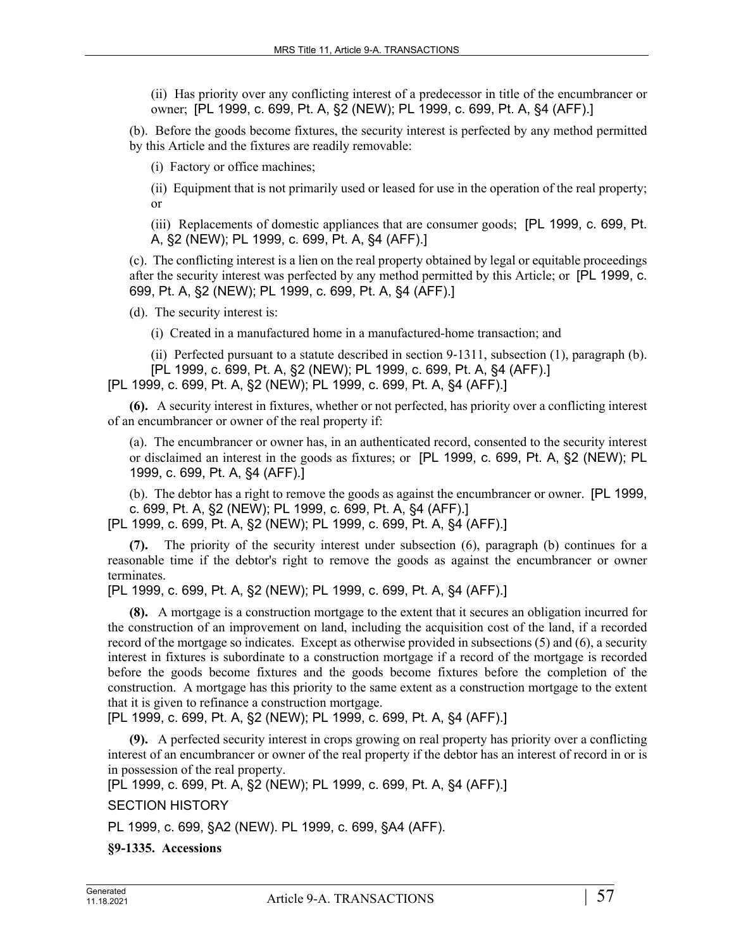(ii) Has priority over any conflicting interest of a predecessor in title of the encumbrancer or owner; [PL 1999, c. 699, Pt. A, §2 (NEW); PL 1999, c. 699, Pt. A, §4 (AFF).]

(b). Before the goods become fixtures, the security interest is perfected by any method permitted by this Article and the fixtures are readily removable:

(i) Factory or office machines;

(ii) Equipment that is not primarily used or leased for use in the operation of the real property; or

(iii) Replacements of domestic appliances that are consumer goods; [PL 1999, c. 699, Pt. A, §2 (NEW); PL 1999, c. 699, Pt. A, §4 (AFF).]

(c). The conflicting interest is a lien on the real property obtained by legal or equitable proceedings after the security interest was perfected by any method permitted by this Article; or [PL 1999, c. 699, Pt. A, §2 (NEW); PL 1999, c. 699, Pt. A, §4 (AFF).]

(d). The security interest is:

(i) Created in a manufactured home in a manufactured-home transaction; and

(ii) Perfected pursuant to a statute described in section 9‑1311, subsection (1), paragraph (b). [PL 1999, c. 699, Pt. A, §2 (NEW); PL 1999, c. 699, Pt. A, §4 (AFF).]

[PL 1999, c. 699, Pt. A, §2 (NEW); PL 1999, c. 699, Pt. A, §4 (AFF).]

**(6).** A security interest in fixtures, whether or not perfected, has priority over a conflicting interest of an encumbrancer or owner of the real property if:

(a). The encumbrancer or owner has, in an authenticated record, consented to the security interest or disclaimed an interest in the goods as fixtures; or [PL 1999, c. 699, Pt. A, §2 (NEW); PL 1999, c. 699, Pt. A, §4 (AFF).]

(b). The debtor has a right to remove the goods as against the encumbrancer or owner. [PL 1999, c. 699, Pt. A, §2 (NEW); PL 1999, c. 699, Pt. A, §4 (AFF).]

[PL 1999, c. 699, Pt. A, §2 (NEW); PL 1999, c. 699, Pt. A, §4 (AFF).]

**(7).** The priority of the security interest under subsection (6), paragraph (b) continues for a reasonable time if the debtor's right to remove the goods as against the encumbrancer or owner terminates.

[PL 1999, c. 699, Pt. A, §2 (NEW); PL 1999, c. 699, Pt. A, §4 (AFF).]

**(8).** A mortgage is a construction mortgage to the extent that it secures an obligation incurred for the construction of an improvement on land, including the acquisition cost of the land, if a recorded record of the mortgage so indicates. Except as otherwise provided in subsections (5) and (6), a security interest in fixtures is subordinate to a construction mortgage if a record of the mortgage is recorded before the goods become fixtures and the goods become fixtures before the completion of the construction. A mortgage has this priority to the same extent as a construction mortgage to the extent that it is given to refinance a construction mortgage.

[PL 1999, c. 699, Pt. A, §2 (NEW); PL 1999, c. 699, Pt. A, §4 (AFF).]

**(9).** A perfected security interest in crops growing on real property has priority over a conflicting interest of an encumbrancer or owner of the real property if the debtor has an interest of record in or is in possession of the real property.

[PL 1999, c. 699, Pt. A, §2 (NEW); PL 1999, c. 699, Pt. A, §4 (AFF).]

SECTION HISTORY

PL 1999, c. 699, §A2 (NEW). PL 1999, c. 699, §A4 (AFF).

**§9-1335. Accessions**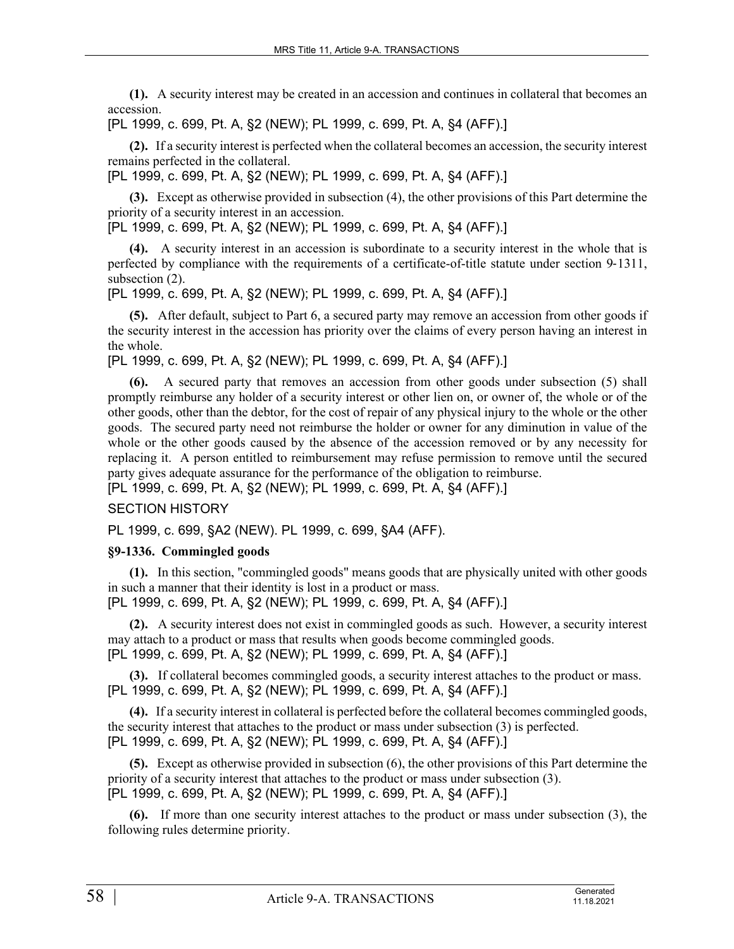**(1).** A security interest may be created in an accession and continues in collateral that becomes an accession.

# [PL 1999, c. 699, Pt. A, §2 (NEW); PL 1999, c. 699, Pt. A, §4 (AFF).]

**(2).** If a security interest is perfected when the collateral becomes an accession, the security interest remains perfected in the collateral.

[PL 1999, c. 699, Pt. A, §2 (NEW); PL 1999, c. 699, Pt. A, §4 (AFF).]

**(3).** Except as otherwise provided in subsection (4), the other provisions of this Part determine the priority of a security interest in an accession.

[PL 1999, c. 699, Pt. A, §2 (NEW); PL 1999, c. 699, Pt. A, §4 (AFF).]

**(4).** A security interest in an accession is subordinate to a security interest in the whole that is perfected by compliance with the requirements of a certificate-of-title statute under section 9-1311, subsection  $(2)$ .

[PL 1999, c. 699, Pt. A, §2 (NEW); PL 1999, c. 699, Pt. A, §4 (AFF).]

**(5).** After default, subject to Part 6, a secured party may remove an accession from other goods if the security interest in the accession has priority over the claims of every person having an interest in the whole.

[PL 1999, c. 699, Pt. A, §2 (NEW); PL 1999, c. 699, Pt. A, §4 (AFF).]

**(6).** A secured party that removes an accession from other goods under subsection (5) shall promptly reimburse any holder of a security interest or other lien on, or owner of, the whole or of the other goods, other than the debtor, for the cost of repair of any physical injury to the whole or the other goods. The secured party need not reimburse the holder or owner for any diminution in value of the whole or the other goods caused by the absence of the accession removed or by any necessity for replacing it. A person entitled to reimbursement may refuse permission to remove until the secured party gives adequate assurance for the performance of the obligation to reimburse.

[PL 1999, c. 699, Pt. A, §2 (NEW); PL 1999, c. 699, Pt. A, §4 (AFF).]

# SECTION HISTORY

PL 1999, c. 699, §A2 (NEW). PL 1999, c. 699, §A4 (AFF).

# **§9-1336. Commingled goods**

**(1).** In this section, "commingled goods" means goods that are physically united with other goods in such a manner that their identity is lost in a product or mass. [PL 1999, c. 699, Pt. A, §2 (NEW); PL 1999, c. 699, Pt. A, §4 (AFF).]

**(2).** A security interest does not exist in commingled goods as such. However, a security interest may attach to a product or mass that results when goods become commingled goods. [PL 1999, c. 699, Pt. A, §2 (NEW); PL 1999, c. 699, Pt. A, §4 (AFF).]

**(3).** If collateral becomes commingled goods, a security interest attaches to the product or mass. [PL 1999, c. 699, Pt. A, §2 (NEW); PL 1999, c. 699, Pt. A, §4 (AFF).]

**(4).** If a security interest in collateral is perfected before the collateral becomes commingled goods, the security interest that attaches to the product or mass under subsection (3) is perfected. [PL 1999, c. 699, Pt. A, §2 (NEW); PL 1999, c. 699, Pt. A, §4 (AFF).]

**(5).** Except as otherwise provided in subsection (6), the other provisions of this Part determine the priority of a security interest that attaches to the product or mass under subsection (3). [PL 1999, c. 699, Pt. A, §2 (NEW); PL 1999, c. 699, Pt. A, §4 (AFF).]

**(6).** If more than one security interest attaches to the product or mass under subsection (3), the following rules determine priority.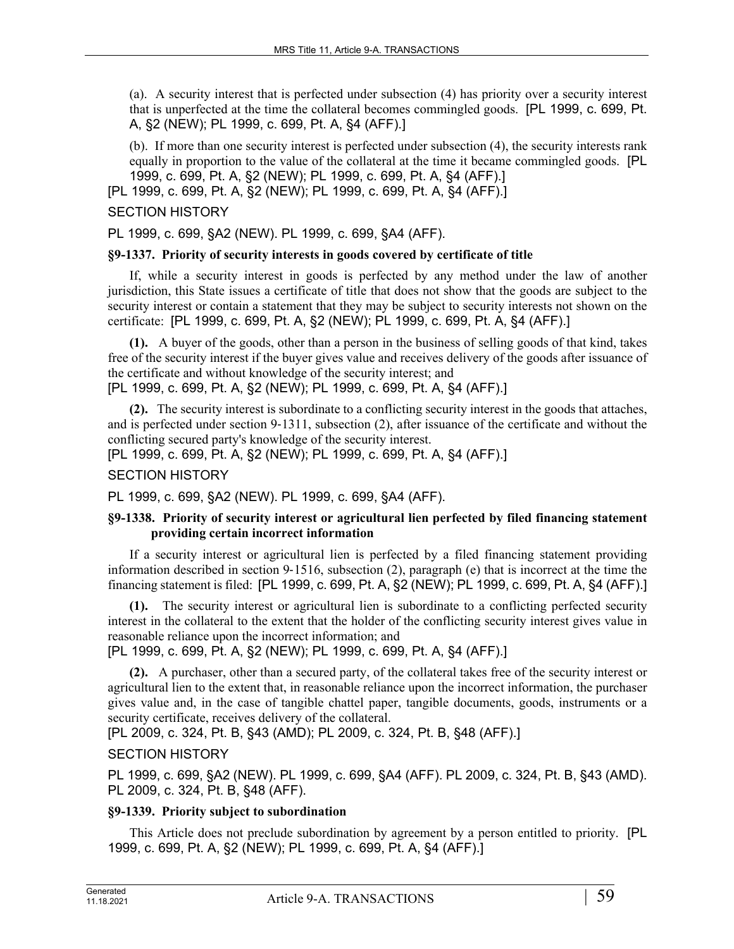(a). A security interest that is perfected under subsection (4) has priority over a security interest that is unperfected at the time the collateral becomes commingled goods. [PL 1999, c. 699, Pt. A, §2 (NEW); PL 1999, c. 699, Pt. A, §4 (AFF).]

(b). If more than one security interest is perfected under subsection (4), the security interests rank equally in proportion to the value of the collateral at the time it became commingled goods. [PL 1999, c. 699, Pt. A, §2 (NEW); PL 1999, c. 699, Pt. A, §4 (AFF).]

[PL 1999, c. 699, Pt. A, §2 (NEW); PL 1999, c. 699, Pt. A, §4 (AFF).]

# SECTION HISTORY

PL 1999, c. 699, §A2 (NEW). PL 1999, c. 699, §A4 (AFF).

#### **§9-1337. Priority of security interests in goods covered by certificate of title**

If, while a security interest in goods is perfected by any method under the law of another jurisdiction, this State issues a certificate of title that does not show that the goods are subject to the security interest or contain a statement that they may be subject to security interests not shown on the certificate: [PL 1999, c. 699, Pt. A, §2 (NEW); PL 1999, c. 699, Pt. A, §4 (AFF).]

**(1).** A buyer of the goods, other than a person in the business of selling goods of that kind, takes free of the security interest if the buyer gives value and receives delivery of the goods after issuance of the certificate and without knowledge of the security interest; and

[PL 1999, c. 699, Pt. A, §2 (NEW); PL 1999, c. 699, Pt. A, §4 (AFF).]

**(2).** The security interest is subordinate to a conflicting security interest in the goods that attaches, and is perfected under section 9‑1311, subsection (2), after issuance of the certificate and without the conflicting secured party's knowledge of the security interest.

[PL 1999, c. 699, Pt. A, §2 (NEW); PL 1999, c. 699, Pt. A, §4 (AFF).]

## SECTION HISTORY

PL 1999, c. 699, §A2 (NEW). PL 1999, c. 699, §A4 (AFF).

### **§9-1338. Priority of security interest or agricultural lien perfected by filed financing statement providing certain incorrect information**

If a security interest or agricultural lien is perfected by a filed financing statement providing information described in section 9‑1516, subsection (2), paragraph (e) that is incorrect at the time the financing statement is filed: [PL 1999, c. 699, Pt. A, §2 (NEW); PL 1999, c. 699, Pt. A, §4 (AFF).]

**(1).** The security interest or agricultural lien is subordinate to a conflicting perfected security interest in the collateral to the extent that the holder of the conflicting security interest gives value in reasonable reliance upon the incorrect information; and

[PL 1999, c. 699, Pt. A, §2 (NEW); PL 1999, c. 699, Pt. A, §4 (AFF).]

**(2).** A purchaser, other than a secured party, of the collateral takes free of the security interest or agricultural lien to the extent that, in reasonable reliance upon the incorrect information, the purchaser gives value and, in the case of tangible chattel paper, tangible documents, goods, instruments or a security certificate, receives delivery of the collateral.

[PL 2009, c. 324, Pt. B, §43 (AMD); PL 2009, c. 324, Pt. B, §48 (AFF).]

## SECTION HISTORY

PL 1999, c. 699, §A2 (NEW). PL 1999, c. 699, §A4 (AFF). PL 2009, c. 324, Pt. B, §43 (AMD). PL 2009, c. 324, Pt. B, §48 (AFF).

### **§9-1339. Priority subject to subordination**

This Article does not preclude subordination by agreement by a person entitled to priority. [PL 1999, c. 699, Pt. A, §2 (NEW); PL 1999, c. 699, Pt. A, §4 (AFF).]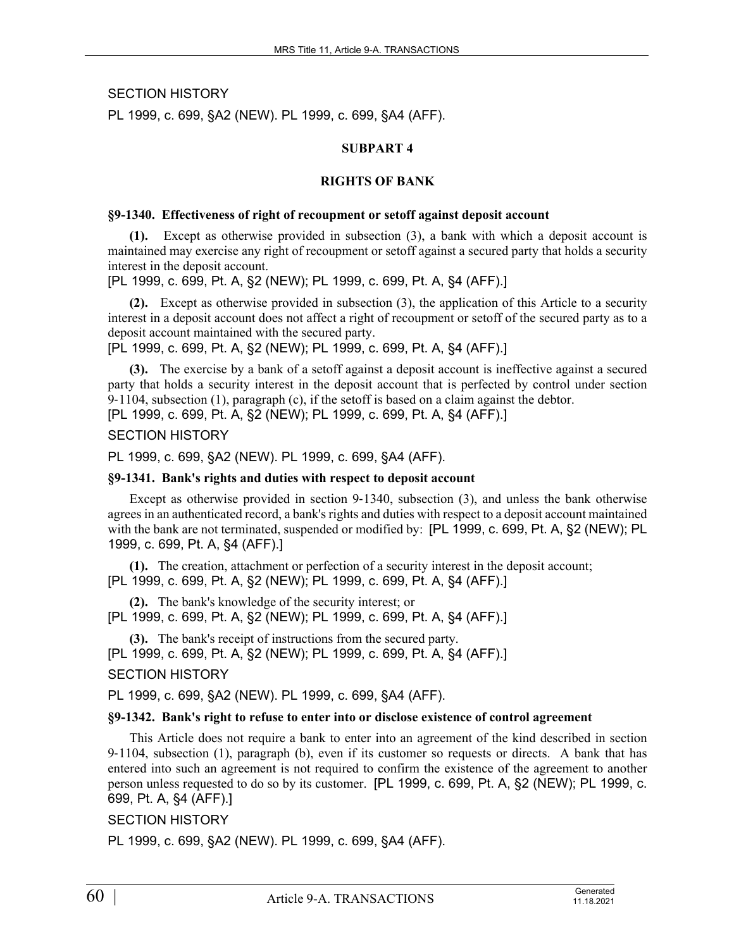SECTION HISTORY

PL 1999, c. 699, §A2 (NEW). PL 1999, c. 699, §A4 (AFF).

#### **SUBPART 4**

#### **RIGHTS OF BANK**

#### **§9-1340. Effectiveness of right of recoupment or setoff against deposit account**

**(1).** Except as otherwise provided in subsection (3), a bank with which a deposit account is maintained may exercise any right of recoupment or setoff against a secured party that holds a security interest in the deposit account.

[PL 1999, c. 699, Pt. A, §2 (NEW); PL 1999, c. 699, Pt. A, §4 (AFF).]

**(2).** Except as otherwise provided in subsection (3), the application of this Article to a security interest in a deposit account does not affect a right of recoupment or setoff of the secured party as to a deposit account maintained with the secured party.

[PL 1999, c. 699, Pt. A, §2 (NEW); PL 1999, c. 699, Pt. A, §4 (AFF).]

**(3).** The exercise by a bank of a setoff against a deposit account is ineffective against a secured party that holds a security interest in the deposit account that is perfected by control under section 9‑1104, subsection (1), paragraph (c), if the setoff is based on a claim against the debtor. [PL 1999, c. 699, Pt. A, §2 (NEW); PL 1999, c. 699, Pt. A, §4 (AFF).]

#### SECTION HISTORY

PL 1999, c. 699, §A2 (NEW). PL 1999, c. 699, §A4 (AFF).

#### **§9-1341. Bank's rights and duties with respect to deposit account**

Except as otherwise provided in section 9-1340, subsection (3), and unless the bank otherwise agrees in an authenticated record, a bank's rights and duties with respect to a deposit account maintained with the bank are not terminated, suspended or modified by: [PL 1999, c. 699, Pt. A, §2 (NEW); PL 1999, c. 699, Pt. A, §4 (AFF).]

**(1).** The creation, attachment or perfection of a security interest in the deposit account; [PL 1999, c. 699, Pt. A, §2 (NEW); PL 1999, c. 699, Pt. A, §4 (AFF).]

**(2).** The bank's knowledge of the security interest; or [PL 1999, c. 699, Pt. A, §2 (NEW); PL 1999, c. 699, Pt. A, §4 (AFF).]

**(3).** The bank's receipt of instructions from the secured party. [PL 1999, c. 699, Pt. A, §2 (NEW); PL 1999, c. 699, Pt. A, §4 (AFF).]

#### SECTION HISTORY

PL 1999, c. 699, §A2 (NEW). PL 1999, c. 699, §A4 (AFF).

#### **§9-1342. Bank's right to refuse to enter into or disclose existence of control agreement**

This Article does not require a bank to enter into an agreement of the kind described in section 9‑1104, subsection (1), paragraph (b), even if its customer so requests or directs. A bank that has entered into such an agreement is not required to confirm the existence of the agreement to another person unless requested to do so by its customer. [PL 1999, c. 699, Pt. A, §2 (NEW); PL 1999, c. 699, Pt. A, §4 (AFF).]

### SECTION HISTORY

PL 1999, c. 699, §A2 (NEW). PL 1999, c. 699, §A4 (AFF).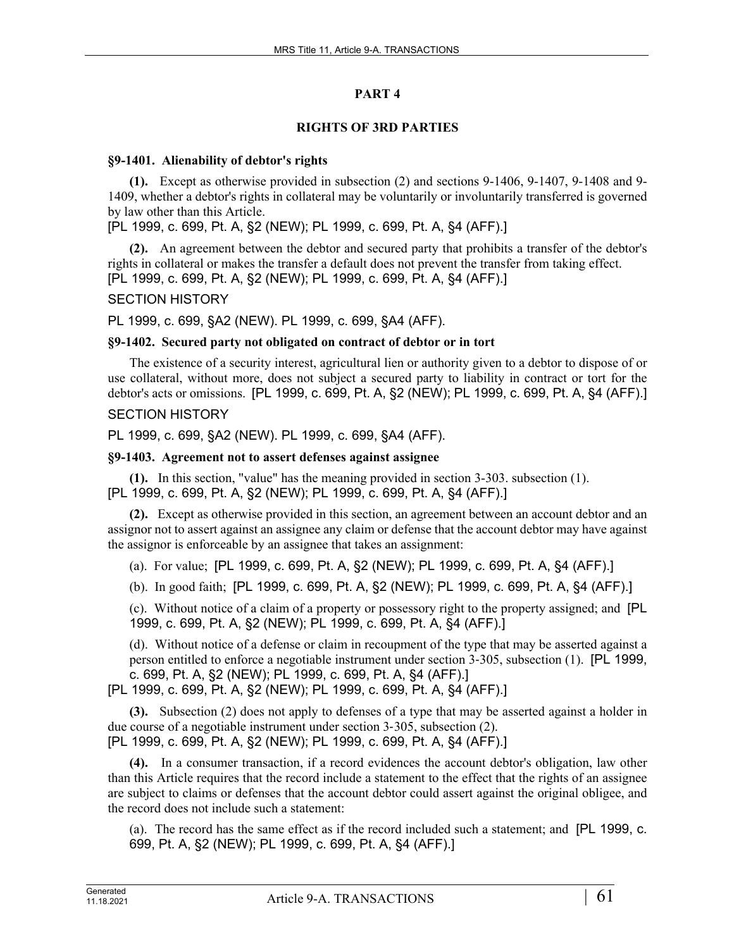# **PART 4**

# **RIGHTS OF 3RD PARTIES**

### **§9-1401. Alienability of debtor's rights**

**(1).** Except as otherwise provided in subsection (2) and sections 9-1406, 9-1407, 9-1408 and 9- 1409, whether a debtor's rights in collateral may be voluntarily or involuntarily transferred is governed by law other than this Article.

[PL 1999, c. 699, Pt. A, §2 (NEW); PL 1999, c. 699, Pt. A, §4 (AFF).]

**(2).** An agreement between the debtor and secured party that prohibits a transfer of the debtor's rights in collateral or makes the transfer a default does not prevent the transfer from taking effect. [PL 1999, c. 699, Pt. A, §2 (NEW); PL 1999, c. 699, Pt. A, §4 (AFF).]

# SECTION HISTORY

PL 1999, c. 699, §A2 (NEW). PL 1999, c. 699, §A4 (AFF).

# **§9-1402. Secured party not obligated on contract of debtor or in tort**

The existence of a security interest, agricultural lien or authority given to a debtor to dispose of or use collateral, without more, does not subject a secured party to liability in contract or tort for the debtor's acts or omissions. [PL 1999, c. 699, Pt. A, §2 (NEW); PL 1999, c. 699, Pt. A, §4 (AFF).]

# SECTION HISTORY

PL 1999, c. 699, §A2 (NEW). PL 1999, c. 699, §A4 (AFF).

# **§9-1403. Agreement not to assert defenses against assignee**

**(1).** In this section, "value" has the meaning provided in section 3-303. subsection (1). [PL 1999, c. 699, Pt. A, §2 (NEW); PL 1999, c. 699, Pt. A, §4 (AFF).]

**(2).** Except as otherwise provided in this section, an agreement between an account debtor and an assignor not to assert against an assignee any claim or defense that the account debtor may have against the assignor is enforceable by an assignee that takes an assignment:

(a). For value; [PL 1999, c. 699, Pt. A, §2 (NEW); PL 1999, c. 699, Pt. A, §4 (AFF).]

(b). In good faith; [PL 1999, c. 699, Pt. A, §2 (NEW); PL 1999, c. 699, Pt. A, §4 (AFF).]

(c). Without notice of a claim of a property or possessory right to the property assigned; and [PL 1999, c. 699, Pt. A, §2 (NEW); PL 1999, c. 699, Pt. A, §4 (AFF).]

(d). Without notice of a defense or claim in recoupment of the type that may be asserted against a person entitled to enforce a negotiable instrument under section 3‑305, subsection (1). [PL 1999, c. 699, Pt. A, §2 (NEW); PL 1999, c. 699, Pt. A, §4 (AFF).]

[PL 1999, c. 699, Pt. A, §2 (NEW); PL 1999, c. 699, Pt. A, §4 (AFF).]

**(3).** Subsection (2) does not apply to defenses of a type that may be asserted against a holder in due course of a negotiable instrument under section 3‑305, subsection (2). [PL 1999, c. 699, Pt. A, §2 (NEW); PL 1999, c. 699, Pt. A, §4 (AFF).]

**(4).** In a consumer transaction, if a record evidences the account debtor's obligation, law other than this Article requires that the record include a statement to the effect that the rights of an assignee are subject to claims or defenses that the account debtor could assert against the original obligee, and the record does not include such a statement:

(a). The record has the same effect as if the record included such a statement; and [PL 1999, c. 699, Pt. A, §2 (NEW); PL 1999, c. 699, Pt. A, §4 (AFF).]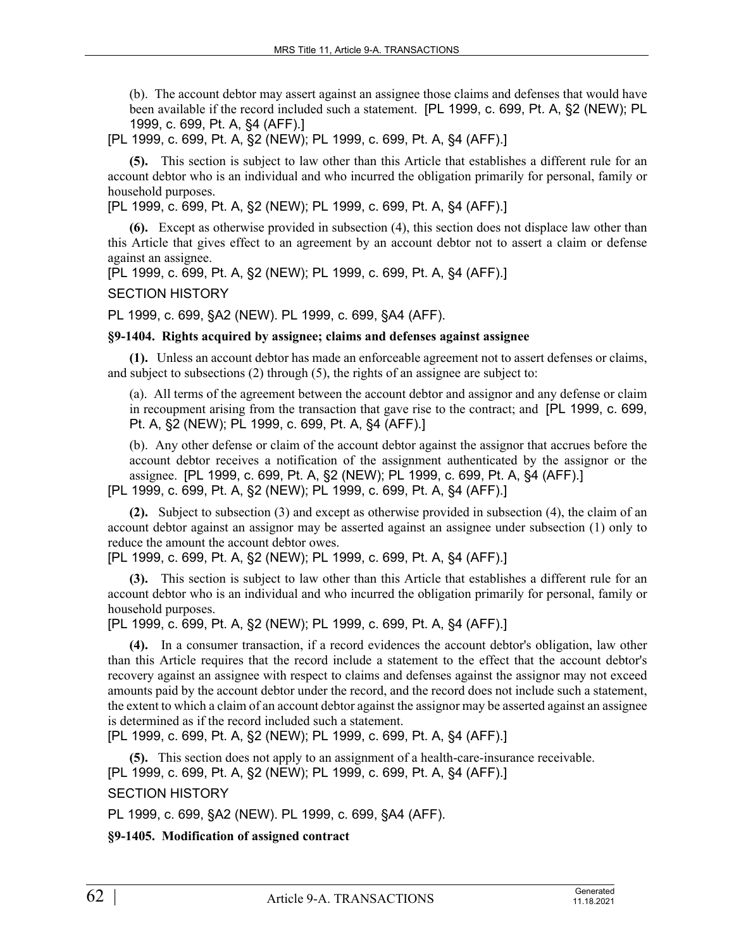(b). The account debtor may assert against an assignee those claims and defenses that would have been available if the record included such a statement. [PL 1999, c. 699, Pt. A, §2 (NEW); PL 1999, c. 699, Pt. A, §4 (AFF).]

[PL 1999, c. 699, Pt. A, §2 (NEW); PL 1999, c. 699, Pt. A, §4 (AFF).]

**(5).** This section is subject to law other than this Article that establishes a different rule for an account debtor who is an individual and who incurred the obligation primarily for personal, family or household purposes.

[PL 1999, c. 699, Pt. A, §2 (NEW); PL 1999, c. 699, Pt. A, §4 (AFF).]

**(6).** Except as otherwise provided in subsection (4), this section does not displace law other than this Article that gives effect to an agreement by an account debtor not to assert a claim or defense against an assignee.

[PL 1999, c. 699, Pt. A, §2 (NEW); PL 1999, c. 699, Pt. A, §4 (AFF).]

SECTION HISTORY

PL 1999, c. 699, §A2 (NEW). PL 1999, c. 699, §A4 (AFF).

### **§9-1404. Rights acquired by assignee; claims and defenses against assignee**

**(1).** Unless an account debtor has made an enforceable agreement not to assert defenses or claims, and subject to subsections (2) through (5), the rights of an assignee are subject to:

(a). All terms of the agreement between the account debtor and assignor and any defense or claim in recoupment arising from the transaction that gave rise to the contract; and [PL 1999, c. 699, Pt. A, §2 (NEW); PL 1999, c. 699, Pt. A, §4 (AFF).]

(b). Any other defense or claim of the account debtor against the assignor that accrues before the account debtor receives a notification of the assignment authenticated by the assignor or the assignee. [PL 1999, c. 699, Pt. A, §2 (NEW); PL 1999, c. 699, Pt. A, §4 (AFF).] [PL 1999, c. 699, Pt. A, §2 (NEW); PL 1999, c. 699, Pt. A, §4 (AFF).]

**(2).** Subject to subsection (3) and except as otherwise provided in subsection (4), the claim of an account debtor against an assignor may be asserted against an assignee under subsection (1) only to reduce the amount the account debtor owes.

[PL 1999, c. 699, Pt. A, §2 (NEW); PL 1999, c. 699, Pt. A, §4 (AFF).]

**(3).** This section is subject to law other than this Article that establishes a different rule for an account debtor who is an individual and who incurred the obligation primarily for personal, family or household purposes.

[PL 1999, c. 699, Pt. A, §2 (NEW); PL 1999, c. 699, Pt. A, §4 (AFF).]

**(4).** In a consumer transaction, if a record evidences the account debtor's obligation, law other than this Article requires that the record include a statement to the effect that the account debtor's recovery against an assignee with respect to claims and defenses against the assignor may not exceed amounts paid by the account debtor under the record, and the record does not include such a statement, the extent to which a claim of an account debtor against the assignor may be asserted against an assignee is determined as if the record included such a statement.

[PL 1999, c. 699, Pt. A, §2 (NEW); PL 1999, c. 699, Pt. A, §4 (AFF).]

**(5).** This section does not apply to an assignment of a health-care-insurance receivable. [PL 1999, c. 699, Pt. A, §2 (NEW); PL 1999, c. 699, Pt. A, §4 (AFF).]

SECTION HISTORY

PL 1999, c. 699, §A2 (NEW). PL 1999, c. 699, §A4 (AFF).

**§9-1405. Modification of assigned contract**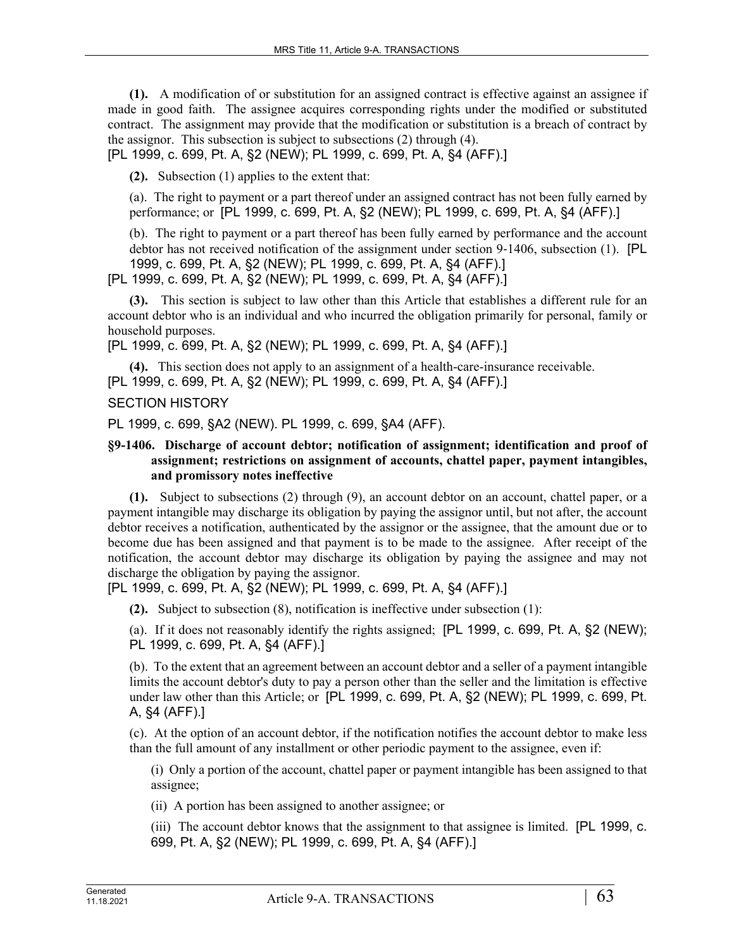**(1).** A modification of or substitution for an assigned contract is effective against an assignee if made in good faith. The assignee acquires corresponding rights under the modified or substituted contract. The assignment may provide that the modification or substitution is a breach of contract by the assignor. This subsection is subject to subsections (2) through (4).

[PL 1999, c. 699, Pt. A, §2 (NEW); PL 1999, c. 699, Pt. A, §4 (AFF).]

**(2).** Subsection (1) applies to the extent that:

(a). The right to payment or a part thereof under an assigned contract has not been fully earned by performance; or [PL 1999, c. 699, Pt. A, §2 (NEW); PL 1999, c. 699, Pt. A, §4 (AFF).]

(b). The right to payment or a part thereof has been fully earned by performance and the account debtor has not received notification of the assignment under section 9–1406, subsection (1). [PL 1999, c. 699, Pt. A, §2 (NEW); PL 1999, c. 699, Pt. A, §4 (AFF).]

[PL 1999, c. 699, Pt. A, §2 (NEW); PL 1999, c. 699, Pt. A, §4 (AFF).]

**(3).** This section is subject to law other than this Article that establishes a different rule for an account debtor who is an individual and who incurred the obligation primarily for personal, family or household purposes.

[PL 1999, c. 699, Pt. A, §2 (NEW); PL 1999, c. 699, Pt. A, §4 (AFF).]

**(4).** This section does not apply to an assignment of a health-care-insurance receivable. [PL 1999, c. 699, Pt. A, §2 (NEW); PL 1999, c. 699, Pt. A, §4 (AFF).]

### SECTION HISTORY

PL 1999, c. 699, §A2 (NEW). PL 1999, c. 699, §A4 (AFF).

### **§9-1406. Discharge of account debtor; notification of assignment; identification and proof of assignment; restrictions on assignment of accounts, chattel paper, payment intangibles, and promissory notes ineffective**

**(1).** Subject to subsections (2) through (9), an account debtor on an account, chattel paper, or a payment intangible may discharge its obligation by paying the assignor until, but not after, the account debtor receives a notification, authenticated by the assignor or the assignee, that the amount due or to become due has been assigned and that payment is to be made to the assignee. After receipt of the notification, the account debtor may discharge its obligation by paying the assignee and may not discharge the obligation by paying the assignor.

[PL 1999, c. 699, Pt. A, §2 (NEW); PL 1999, c. 699, Pt. A, §4 (AFF).]

**(2).** Subject to subsection (8), notification is ineffective under subsection (1):

(a). If it does not reasonably identify the rights assigned; [PL 1999, c. 699, Pt. A, §2 (NEW); PL 1999, c. 699, Pt. A, §4 (AFF).]

(b). To the extent that an agreement between an account debtor and a seller of a payment intangible limits the account debtor's duty to pay a person other than the seller and the limitation is effective under law other than this Article; or [PL 1999, c. 699, Pt. A, §2 (NEW); PL 1999, c. 699, Pt. A, §4 (AFF).]

(c). At the option of an account debtor, if the notification notifies the account debtor to make less than the full amount of any installment or other periodic payment to the assignee, even if:

(i) Only a portion of the account, chattel paper or payment intangible has been assigned to that assignee;

(ii) A portion has been assigned to another assignee; or

(iii) The account debtor knows that the assignment to that assignee is limited. [PL 1999, c. 699, Pt. A, §2 (NEW); PL 1999, c. 699, Pt. A, §4 (AFF).]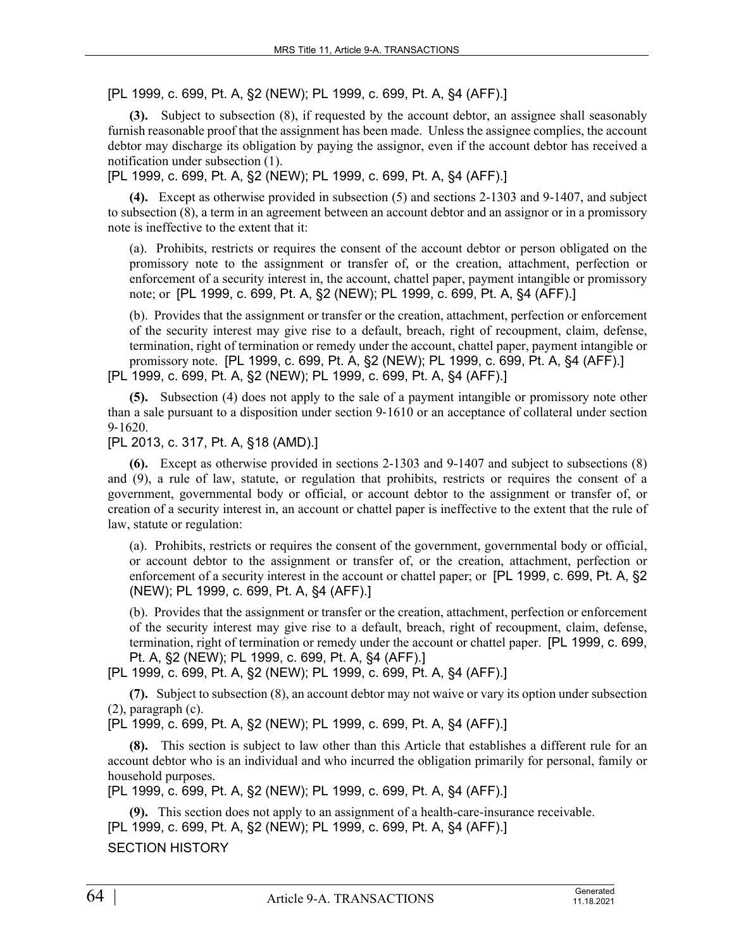[PL 1999, c. 699, Pt. A, §2 (NEW); PL 1999, c. 699, Pt. A, §4 (AFF).]

**(3).** Subject to subsection (8), if requested by the account debtor, an assignee shall seasonably furnish reasonable proof that the assignment has been made. Unless the assignee complies, the account debtor may discharge its obligation by paying the assignor, even if the account debtor has received a notification under subsection (1).

[PL 1999, c. 699, Pt. A, §2 (NEW); PL 1999, c. 699, Pt. A, §4 (AFF).]

**(4).** Except as otherwise provided in subsection (5) and sections 2-1303 and 9-1407, and subject to subsection (8), a term in an agreement between an account debtor and an assignor or in a promissory note is ineffective to the extent that it:

(a). Prohibits, restricts or requires the consent of the account debtor or person obligated on the promissory note to the assignment or transfer of, or the creation, attachment, perfection or enforcement of a security interest in, the account, chattel paper, payment intangible or promissory note; or [PL 1999, c. 699, Pt. A, §2 (NEW); PL 1999, c. 699, Pt. A, §4 (AFF).]

(b). Provides that the assignment or transfer or the creation, attachment, perfection or enforcement of the security interest may give rise to a default, breach, right of recoupment, claim, defense, termination, right of termination or remedy under the account, chattel paper, payment intangible or promissory note. [PL 1999, c. 699, Pt. A, §2 (NEW); PL 1999, c. 699, Pt. A, §4 (AFF).] [PL 1999, c. 699, Pt. A, §2 (NEW); PL 1999, c. 699, Pt. A, §4 (AFF).]

**(5).** Subsection (4) does not apply to the sale of a payment intangible or promissory note other than a sale pursuant to a disposition under section 9‑1610 or an acceptance of collateral under section

9‑1620.

[PL 2013, c. 317, Pt. A, §18 (AMD).]

**(6).** Except as otherwise provided in sections 2-1303 and 9-1407 and subject to subsections (8) and (9), a rule of law, statute, or regulation that prohibits, restricts or requires the consent of a government, governmental body or official, or account debtor to the assignment or transfer of, or creation of a security interest in, an account or chattel paper is ineffective to the extent that the rule of law, statute or regulation:

(a). Prohibits, restricts or requires the consent of the government, governmental body or official, or account debtor to the assignment or transfer of, or the creation, attachment, perfection or enforcement of a security interest in the account or chattel paper; or [PL 1999, c. 699, Pt. A, §2 (NEW); PL 1999, c. 699, Pt. A, §4 (AFF).]

(b). Provides that the assignment or transfer or the creation, attachment, perfection or enforcement of the security interest may give rise to a default, breach, right of recoupment, claim, defense, termination, right of termination or remedy under the account or chattel paper. [PL 1999, c. 699, Pt. A, §2 (NEW); PL 1999, c. 699, Pt. A, §4 (AFF).]

[PL 1999, c. 699, Pt. A, §2 (NEW); PL 1999, c. 699, Pt. A, §4 (AFF).]

**(7).** Subject to subsection (8), an account debtor may not waive or vary its option under subsection (2), paragraph (c).

[PL 1999, c. 699, Pt. A, §2 (NEW); PL 1999, c. 699, Pt. A, §4 (AFF).]

**(8).** This section is subject to law other than this Article that establishes a different rule for an account debtor who is an individual and who incurred the obligation primarily for personal, family or household purposes.

[PL 1999, c. 699, Pt. A, §2 (NEW); PL 1999, c. 699, Pt. A, §4 (AFF).]

**(9).** This section does not apply to an assignment of a health-care-insurance receivable. [PL 1999, c. 699, Pt. A, §2 (NEW); PL 1999, c. 699, Pt. A, §4 (AFF).]

SECTION HISTORY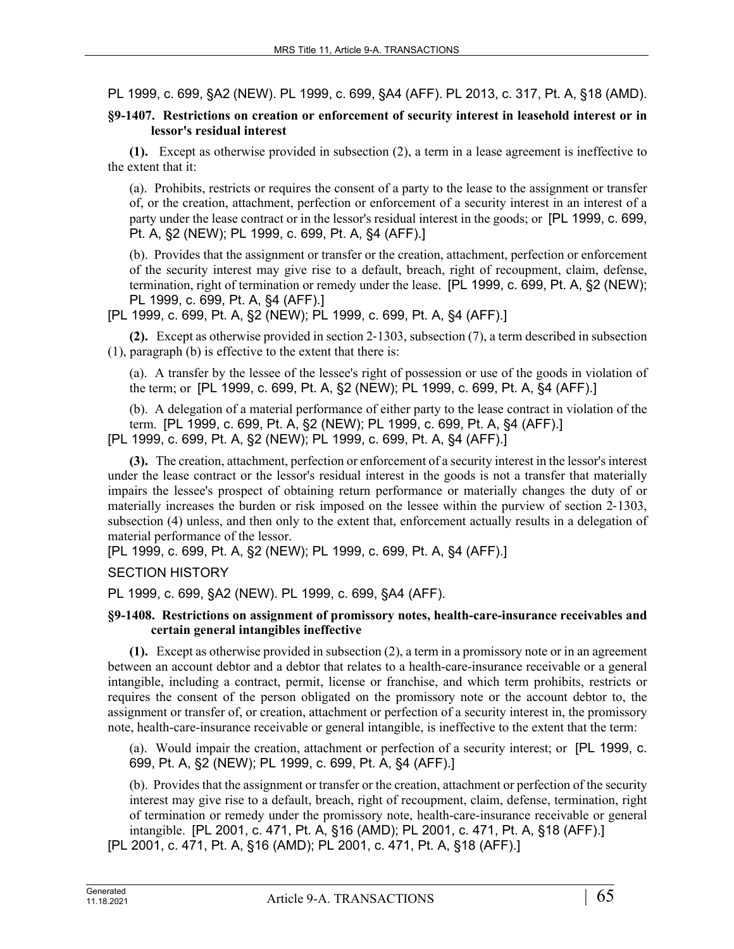PL 1999, c. 699, §A2 (NEW). PL 1999, c. 699, §A4 (AFF). PL 2013, c. 317, Pt. A, §18 (AMD).

## **§9-1407. Restrictions on creation or enforcement of security interest in leasehold interest or in lessor's residual interest**

**(1).** Except as otherwise provided in subsection (2), a term in a lease agreement is ineffective to the extent that it:

(a). Prohibits, restricts or requires the consent of a party to the lease to the assignment or transfer of, or the creation, attachment, perfection or enforcement of a security interest in an interest of a party under the lease contract or in the lessor's residual interest in the goods; or [PL 1999, c. 699, Pt. A, §2 (NEW); PL 1999, c. 699, Pt. A, §4 (AFF).]

(b). Provides that the assignment or transfer or the creation, attachment, perfection or enforcement of the security interest may give rise to a default, breach, right of recoupment, claim, defense, termination, right of termination or remedy under the lease. [PL 1999, c. 699, Pt. A, §2 (NEW); PL 1999, c. 699, Pt. A, §4 (AFF).]

[PL 1999, c. 699, Pt. A, §2 (NEW); PL 1999, c. 699, Pt. A, §4 (AFF).]

**(2).** Except as otherwise provided in section 2‑1303, subsection (7), a term described in subsection (1), paragraph (b) is effective to the extent that there is:

(a). A transfer by the lessee of the lessee's right of possession or use of the goods in violation of the term; or [PL 1999, c. 699, Pt. A, §2 (NEW); PL 1999, c. 699, Pt. A, §4 (AFF).]

(b). A delegation of a material performance of either party to the lease contract in violation of the term. [PL 1999, c. 699, Pt. A, §2 (NEW); PL 1999, c. 699, Pt. A, §4 (AFF).] [PL 1999, c. 699, Pt. A, §2 (NEW); PL 1999, c. 699, Pt. A, §4 (AFF).]

**(3).** The creation, attachment, perfection or enforcement of a security interest in the lessor's interest under the lease contract or the lessor's residual interest in the goods is not a transfer that materially impairs the lessee's prospect of obtaining return performance or materially changes the duty of or materially increases the burden or risk imposed on the lessee within the purview of section 2‑1303, subsection (4) unless, and then only to the extent that, enforcement actually results in a delegation of material performance of the lessor.

[PL 1999, c. 699, Pt. A, §2 (NEW); PL 1999, c. 699, Pt. A, §4 (AFF).]

SECTION HISTORY

PL 1999, c. 699, §A2 (NEW). PL 1999, c. 699, §A4 (AFF).

### **§9-1408. Restrictions on assignment of promissory notes, health-care-insurance receivables and certain general intangibles ineffective**

**(1).** Except as otherwise provided in subsection (2), a term in a promissory note or in an agreement between an account debtor and a debtor that relates to a health-care-insurance receivable or a general intangible, including a contract, permit, license or franchise, and which term prohibits, restricts or requires the consent of the person obligated on the promissory note or the account debtor to, the assignment or transfer of, or creation, attachment or perfection of a security interest in, the promissory note, health-care-insurance receivable or general intangible, is ineffective to the extent that the term:

(a). Would impair the creation, attachment or perfection of a security interest; or [PL 1999, c. 699, Pt. A, §2 (NEW); PL 1999, c. 699, Pt. A, §4 (AFF).]

(b). Provides that the assignment or transfer or the creation, attachment or perfection of the security interest may give rise to a default, breach, right of recoupment, claim, defense, termination, right of termination or remedy under the promissory note, health-care-insurance receivable or general intangible. [PL 2001, c. 471, Pt. A, §16 (AMD); PL 2001, c. 471, Pt. A, §18 (AFF).]

[PL 2001, c. 471, Pt. A, §16 (AMD); PL 2001, c. 471, Pt. A, §18 (AFF).]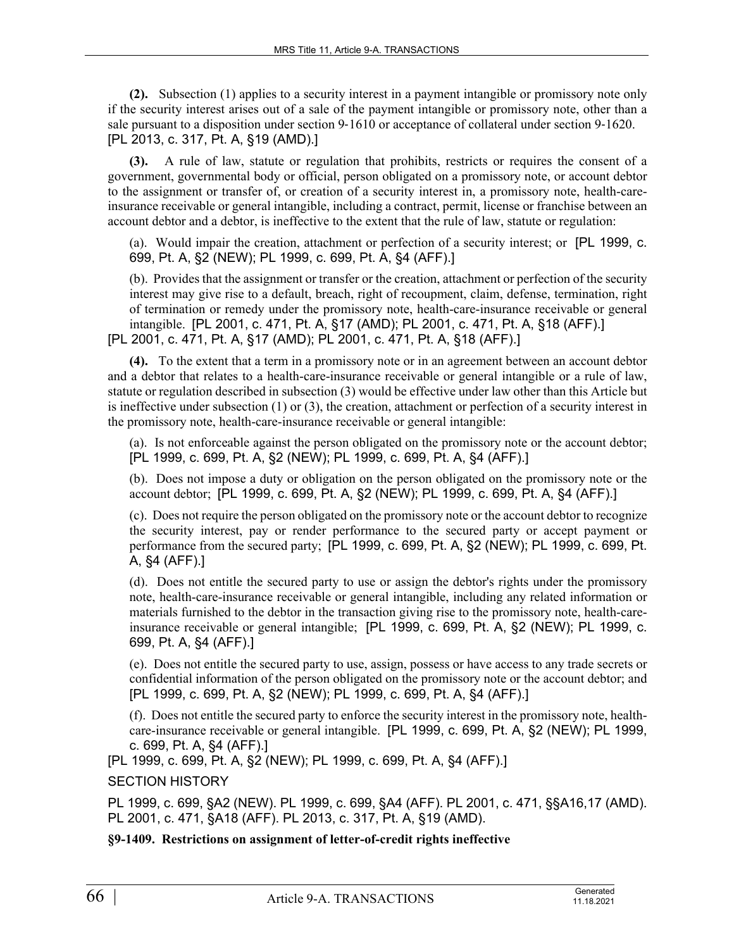**(2).** Subsection (1) applies to a security interest in a payment intangible or promissory note only if the security interest arises out of a sale of the payment intangible or promissory note, other than a sale pursuant to a disposition under section 9-1610 or acceptance of collateral under section 9-1620. [PL 2013, c. 317, Pt. A, §19 (AMD).]

**(3).** A rule of law, statute or regulation that prohibits, restricts or requires the consent of a government, governmental body or official, person obligated on a promissory note, or account debtor to the assignment or transfer of, or creation of a security interest in, a promissory note, health-careinsurance receivable or general intangible, including a contract, permit, license or franchise between an account debtor and a debtor, is ineffective to the extent that the rule of law, statute or regulation:

(a). Would impair the creation, attachment or perfection of a security interest; or [PL 1999, c. 699, Pt. A, §2 (NEW); PL 1999, c. 699, Pt. A, §4 (AFF).]

(b). Provides that the assignment or transfer or the creation, attachment or perfection of the security interest may give rise to a default, breach, right of recoupment, claim, defense, termination, right of termination or remedy under the promissory note, health-care-insurance receivable or general intangible. [PL 2001, c. 471, Pt. A, §17 (AMD); PL 2001, c. 471, Pt. A, §18 (AFF).] [PL 2001, c. 471, Pt. A, §17 (AMD); PL 2001, c. 471, Pt. A, §18 (AFF).]

**(4).** To the extent that a term in a promissory note or in an agreement between an account debtor and a debtor that relates to a health-care-insurance receivable or general intangible or a rule of law, statute or regulation described in subsection (3) would be effective under law other than this Article but is ineffective under subsection (1) or (3), the creation, attachment or perfection of a security interest in the promissory note, health-care-insurance receivable or general intangible:

(a). Is not enforceable against the person obligated on the promissory note or the account debtor; [PL 1999, c. 699, Pt. A, §2 (NEW); PL 1999, c. 699, Pt. A, §4 (AFF).]

(b). Does not impose a duty or obligation on the person obligated on the promissory note or the account debtor; [PL 1999, c. 699, Pt. A, §2 (NEW); PL 1999, c. 699, Pt. A, §4 (AFF).]

(c). Does not require the person obligated on the promissory note or the account debtor to recognize the security interest, pay or render performance to the secured party or accept payment or performance from the secured party; [PL 1999, c. 699, Pt. A, §2 (NEW); PL 1999, c. 699, Pt. A, §4 (AFF).]

(d). Does not entitle the secured party to use or assign the debtor's rights under the promissory note, health-care-insurance receivable or general intangible, including any related information or materials furnished to the debtor in the transaction giving rise to the promissory note, health-careinsurance receivable or general intangible; [PL 1999, c. 699, Pt. A, §2 (NEW); PL 1999, c. 699, Pt. A, §4 (AFF).]

(e). Does not entitle the secured party to use, assign, possess or have access to any trade secrets or confidential information of the person obligated on the promissory note or the account debtor; and [PL 1999, c. 699, Pt. A, §2 (NEW); PL 1999, c. 699, Pt. A, §4 (AFF).]

(f). Does not entitle the secured party to enforce the security interest in the promissory note, healthcare-insurance receivable or general intangible. [PL 1999, c. 699, Pt. A, §2 (NEW); PL 1999, c. 699, Pt. A, §4 (AFF).]

[PL 1999, c. 699, Pt. A, §2 (NEW); PL 1999, c. 699, Pt. A, §4 (AFF).]

SECTION HISTORY

PL 1999, c. 699, §A2 (NEW). PL 1999, c. 699, §A4 (AFF). PL 2001, c. 471, §§A16,17 (AMD). PL 2001, c. 471, §A18 (AFF). PL 2013, c. 317, Pt. A, §19 (AMD).

**§9-1409. Restrictions on assignment of letter-of-credit rights ineffective**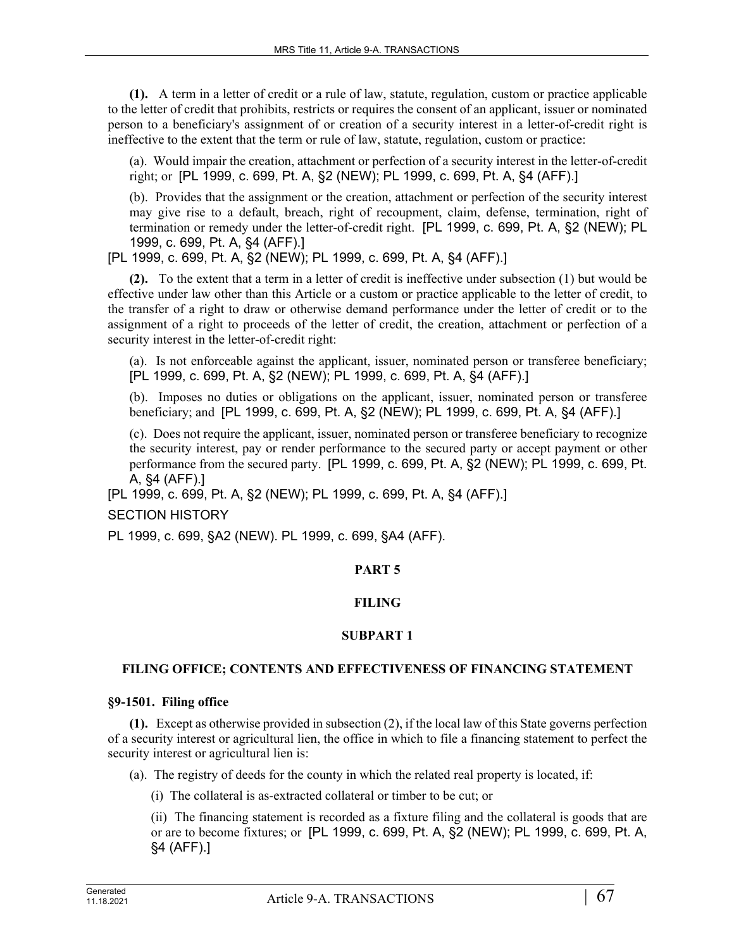**(1).** A term in a letter of credit or a rule of law, statute, regulation, custom or practice applicable to the letter of credit that prohibits, restricts or requires the consent of an applicant, issuer or nominated person to a beneficiary's assignment of or creation of a security interest in a letter-of-credit right is ineffective to the extent that the term or rule of law, statute, regulation, custom or practice:

(a). Would impair the creation, attachment or perfection of a security interest in the letter-of-credit right; or [PL 1999, c. 699, Pt. A, §2 (NEW); PL 1999, c. 699, Pt. A, §4 (AFF).]

(b). Provides that the assignment or the creation, attachment or perfection of the security interest may give rise to a default, breach, right of recoupment, claim, defense, termination, right of termination or remedy under the letter-of-credit right. [PL 1999, c. 699, Pt. A, §2 (NEW); PL 1999, c. 699, Pt. A, §4 (AFF).]

[PL 1999, c. 699, Pt. A, §2 (NEW); PL 1999, c. 699, Pt. A, §4 (AFF).]

**(2).** To the extent that a term in a letter of credit is ineffective under subsection (1) but would be effective under law other than this Article or a custom or practice applicable to the letter of credit, to the transfer of a right to draw or otherwise demand performance under the letter of credit or to the assignment of a right to proceeds of the letter of credit, the creation, attachment or perfection of a security interest in the letter-of-credit right:

(a). Is not enforceable against the applicant, issuer, nominated person or transferee beneficiary; [PL 1999, c. 699, Pt. A, §2 (NEW); PL 1999, c. 699, Pt. A, §4 (AFF).]

(b). Imposes no duties or obligations on the applicant, issuer, nominated person or transferee beneficiary; and [PL 1999, c. 699, Pt. A, §2 (NEW); PL 1999, c. 699, Pt. A, §4 (AFF).]

(c). Does not require the applicant, issuer, nominated person or transferee beneficiary to recognize the security interest, pay or render performance to the secured party or accept payment or other performance from the secured party. [PL 1999, c. 699, Pt. A, §2 (NEW); PL 1999, c. 699, Pt. A, §4 (AFF).]

[PL 1999, c. 699, Pt. A, §2 (NEW); PL 1999, c. 699, Pt. A, §4 (AFF).] SECTION HISTORY

PL 1999, c. 699, §A2 (NEW). PL 1999, c. 699, §A4 (AFF).

# **PART 5**

# **FILING**

# **SUBPART 1**

# **FILING OFFICE; CONTENTS AND EFFECTIVENESS OF FINANCING STATEMENT**

### **§9-1501. Filing office**

**(1).** Except as otherwise provided in subsection (2), if the local law of this State governs perfection of a security interest or agricultural lien, the office in which to file a financing statement to perfect the security interest or agricultural lien is:

- (a). The registry of deeds for the county in which the related real property is located, if:
	- (i) The collateral is as-extracted collateral or timber to be cut; or

(ii) The financing statement is recorded as a fixture filing and the collateral is goods that are or are to become fixtures; or [PL 1999, c. 699, Pt. A, §2 (NEW); PL 1999, c. 699, Pt. A, §4 (AFF).]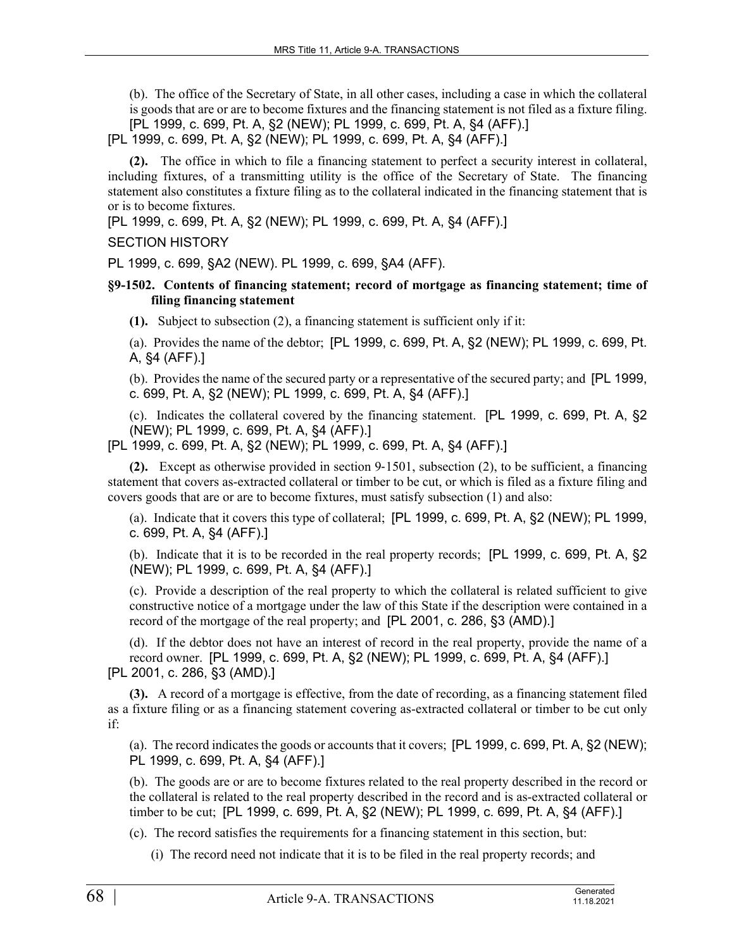(b). The office of the Secretary of State, in all other cases, including a case in which the collateral is goods that are or are to become fixtures and the financing statement is not filed as a fixture filing. [PL 1999, c. 699, Pt. A, §2 (NEW); PL 1999, c. 699, Pt. A, §4 (AFF).]

[PL 1999, c. 699, Pt. A, §2 (NEW); PL 1999, c. 699, Pt. A, §4 (AFF).]

**(2).** The office in which to file a financing statement to perfect a security interest in collateral, including fixtures, of a transmitting utility is the office of the Secretary of State. The financing statement also constitutes a fixture filing as to the collateral indicated in the financing statement that is or is to become fixtures.

[PL 1999, c. 699, Pt. A, §2 (NEW); PL 1999, c. 699, Pt. A, §4 (AFF).]

# SECTION HISTORY

PL 1999, c. 699, §A2 (NEW). PL 1999, c. 699, §A4 (AFF).

# **§9-1502. Contents of financing statement; record of mortgage as financing statement; time of filing financing statement**

**(1).** Subject to subsection (2), a financing statement is sufficient only if it:

(a). Provides the name of the debtor; [PL 1999, c. 699, Pt. A, §2 (NEW); PL 1999, c. 699, Pt. A, §4 (AFF).]

(b). Provides the name of the secured party or a representative of the secured party; and [PL 1999, c. 699, Pt. A, §2 (NEW); PL 1999, c. 699, Pt. A, §4 (AFF).]

(c). Indicates the collateral covered by the financing statement. [PL 1999, c. 699, Pt. A, §2 (NEW); PL 1999, c. 699, Pt. A, §4 (AFF).]

[PL 1999, c. 699, Pt. A, §2 (NEW); PL 1999, c. 699, Pt. A, §4 (AFF).]

**(2).** Except as otherwise provided in section 9‑1501, subsection (2), to be sufficient, a financing statement that covers as-extracted collateral or timber to be cut, or which is filed as a fixture filing and covers goods that are or are to become fixtures, must satisfy subsection (1) and also:

(a). Indicate that it covers this type of collateral; [PL 1999, c. 699, Pt. A, §2 (NEW); PL 1999, c. 699, Pt. A, §4 (AFF).]

(b). Indicate that it is to be recorded in the real property records; [PL 1999, c. 699, Pt. A, §2 (NEW); PL 1999, c. 699, Pt. A, §4 (AFF).]

(c). Provide a description of the real property to which the collateral is related sufficient to give constructive notice of a mortgage under the law of this State if the description were contained in a record of the mortgage of the real property; and [PL 2001, c. 286, §3 (AMD).]

(d). If the debtor does not have an interest of record in the real property, provide the name of a record owner. [PL 1999, c. 699, Pt. A, §2 (NEW); PL 1999, c. 699, Pt. A, §4 (AFF).] [PL 2001, c. 286, §3 (AMD).]

**(3).** A record of a mortgage is effective, from the date of recording, as a financing statement filed as a fixture filing or as a financing statement covering as-extracted collateral or timber to be cut only if:

(a). The record indicates the goods or accounts that it covers; [PL 1999, c. 699, Pt. A, §2 (NEW); PL 1999, c. 699, Pt. A, §4 (AFF).]

(b). The goods are or are to become fixtures related to the real property described in the record or the collateral is related to the real property described in the record and is as-extracted collateral or timber to be cut; [PL 1999, c. 699, Pt. A, §2 (NEW); PL 1999, c. 699, Pt. A, §4 (AFF).]

(c). The record satisfies the requirements for a financing statement in this section, but:

(i) The record need not indicate that it is to be filed in the real property records; and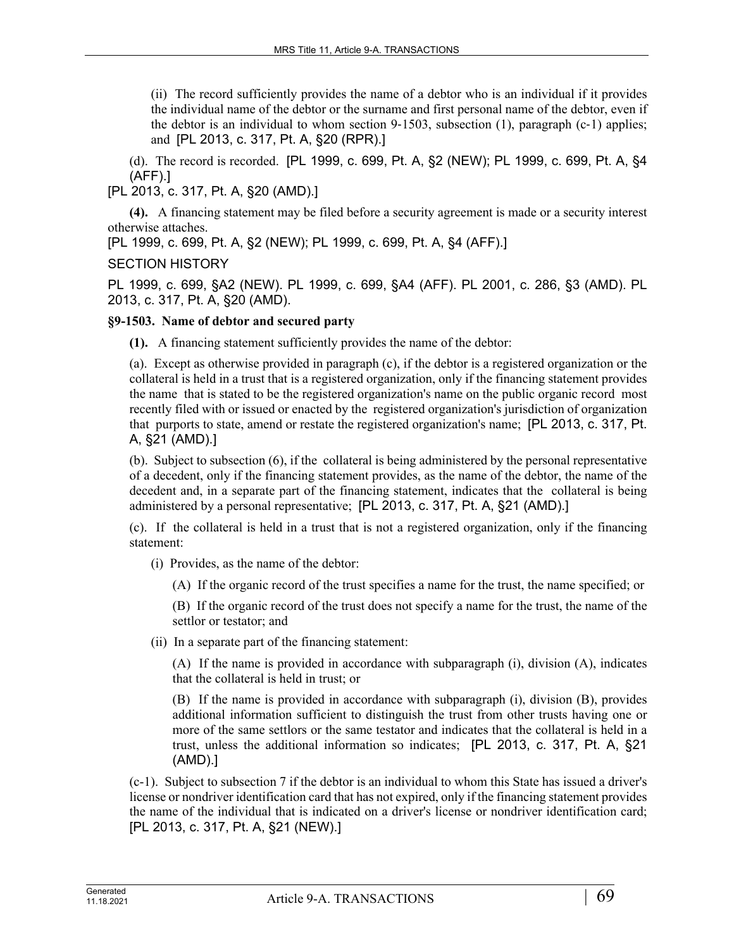(ii) The record sufficiently provides the name of a debtor who is an individual if it provides the individual name of the debtor or the surname and first personal name of the debtor, even if the debtor is an individual to whom section  $9-1503$ , subsection  $(1)$ , paragraph  $(c-1)$  applies; and [PL 2013, c. 317, Pt. A, §20 (RPR).]

(d). The record is recorded. [PL 1999, c. 699, Pt. A, §2 (NEW); PL 1999, c. 699, Pt. A, §4 (AFF).]

[PL 2013, c. 317, Pt. A, §20 (AMD).]

**(4).** A financing statement may be filed before a security agreement is made or a security interest otherwise attaches.

[PL 1999, c. 699, Pt. A, §2 (NEW); PL 1999, c. 699, Pt. A, §4 (AFF).]

# SECTION HISTORY

PL 1999, c. 699, §A2 (NEW). PL 1999, c. 699, §A4 (AFF). PL 2001, c. 286, §3 (AMD). PL 2013, c. 317, Pt. A, §20 (AMD).

# **§9-1503. Name of debtor and secured party**

**(1).** A financing statement sufficiently provides the name of the debtor:

(a). Except as otherwise provided in paragraph (c), if the debtor is a registered organization or the collateral is held in a trust that is a registered organization, only if the financing statement provides the name that is stated to be the registered organization's name on the public organic record most recently filed with or issued or enacted by the registered organization's jurisdiction of organization that purports to state, amend or restate the registered organization's name; [PL 2013, c. 317, Pt. A, §21 (AMD).]

(b). Subject to subsection (6), if the collateral is being administered by the personal representative of a decedent, only if the financing statement provides, as the name of the debtor, the name of the decedent and, in a separate part of the financing statement, indicates that the collateral is being administered by a personal representative; [PL 2013, c. 317, Pt. A, §21 (AMD).]

(c). If the collateral is held in a trust that is not a registered organization, only if the financing statement:

(i) Provides, as the name of the debtor:

(A) If the organic record of the trust specifies a name for the trust, the name specified; or

(B) If the organic record of the trust does not specify a name for the trust, the name of the settlor or testator; and

(ii) In a separate part of the financing statement:

(A) If the name is provided in accordance with subparagraph (i), division (A), indicates that the collateral is held in trust; or

(B) If the name is provided in accordance with subparagraph (i), division (B), provides additional information sufficient to distinguish the trust from other trusts having one or more of the same settlors or the same testator and indicates that the collateral is held in a trust, unless the additional information so indicates; [PL 2013, c. 317, Pt. A, §21 (AMD).]

(c-1). Subject to subsection 7 if the debtor is an individual to whom this State has issued a driver's license or nondriver identification card that has not expired, only if the financing statement provides the name of the individual that is indicated on a driver's license or nondriver identification card; [PL 2013, c. 317, Pt. A, §21 (NEW).]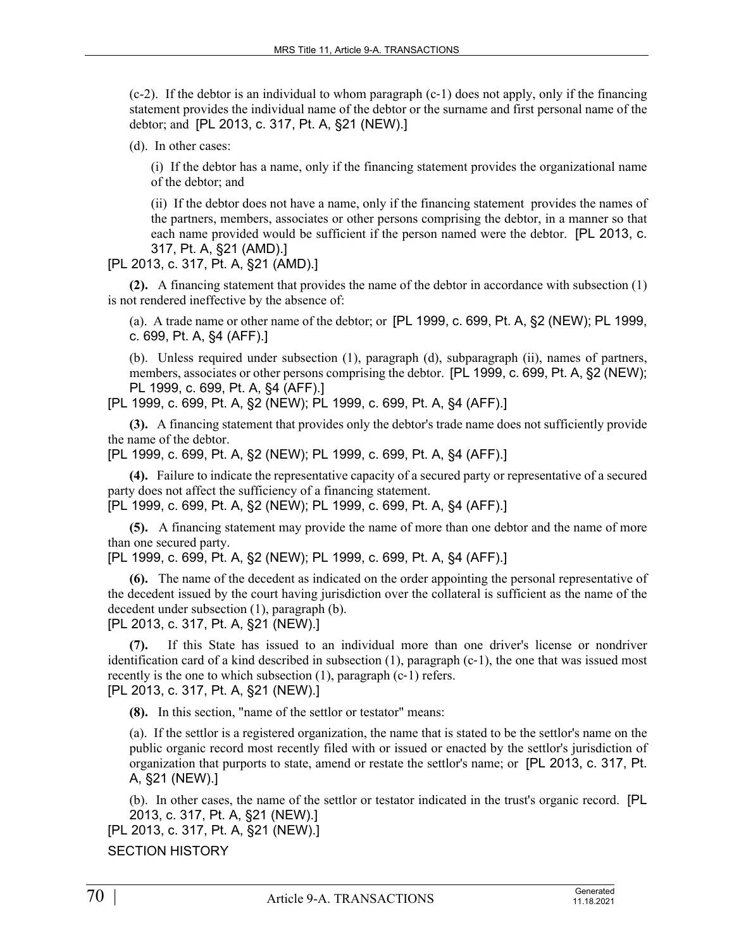$(c-2)$ . If the debtor is an individual to whom paragraph  $(c-1)$  does not apply, only if the financing statement provides the individual name of the debtor or the surname and first personal name of the debtor; and [PL 2013, c. 317, Pt. A, §21 (NEW).]

(d). In other cases:

(i) If the debtor has a name, only if the financing statement provides the organizational name of the debtor; and

(ii) If the debtor does not have a name, only if the financing statement provides the names of the partners, members, associates or other persons comprising the debtor, in a manner so that each name provided would be sufficient if the person named were the debtor. [PL 2013, c. 317, Pt. A, §21 (AMD).]

[PL 2013, c. 317, Pt. A, §21 (AMD).]

**(2).** A financing statement that provides the name of the debtor in accordance with subsection (1) is not rendered ineffective by the absence of:

(a). A trade name or other name of the debtor; or [PL 1999, c. 699, Pt. A, §2 (NEW); PL 1999, c. 699, Pt. A, §4 (AFF).]

(b). Unless required under subsection (1), paragraph (d), subparagraph (ii), names of partners, members, associates or other persons comprising the debtor. [PL 1999, c. 699, Pt. A, §2 (NEW); PL 1999, c. 699, Pt. A, §4 (AFF).]

[PL 1999, c. 699, Pt. A, §2 (NEW); PL 1999, c. 699, Pt. A, §4 (AFF).]

**(3).** A financing statement that provides only the debtor's trade name does not sufficiently provide the name of the debtor.

[PL 1999, c. 699, Pt. A, §2 (NEW); PL 1999, c. 699, Pt. A, §4 (AFF).]

**(4).** Failure to indicate the representative capacity of a secured party or representative of a secured party does not affect the sufficiency of a financing statement.

[PL 1999, c. 699, Pt. A, §2 (NEW); PL 1999, c. 699, Pt. A, §4 (AFF).]

**(5).** A financing statement may provide the name of more than one debtor and the name of more than one secured party.

[PL 1999, c. 699, Pt. A, §2 (NEW); PL 1999, c. 699, Pt. A, §4 (AFF).]

**(6).** The name of the decedent as indicated on the order appointing the personal representative of the decedent issued by the court having jurisdiction over the collateral is sufficient as the name of the decedent under subsection (1), paragraph (b).

[PL 2013, c. 317, Pt. A, §21 (NEW).]

**(7).** If this State has issued to an individual more than one driver's license or nondriver identification card of a kind described in subsection  $(1)$ , paragraph  $(c-1)$ , the one that was issued most recently is the one to which subsection (1), paragraph (c-1) refers. [PL 2013, c. 317, Pt. A, §21 (NEW).]

**(8).** In this section, "name of the settlor or testator" means:

(a). If the settlor is a registered organization, the name that is stated to be the settlor's name on the public organic record most recently filed with or issued or enacted by the settlor's jurisdiction of organization that purports to state, amend or restate the settlor's name; or [PL 2013, c. 317, Pt. A, §21 (NEW).]

(b). In other cases, the name of the settlor or testator indicated in the trust's organic record. [PL 2013, c. 317, Pt. A, §21 (NEW).]

[PL 2013, c. 317, Pt. A, §21 (NEW).]

SECTION HISTORY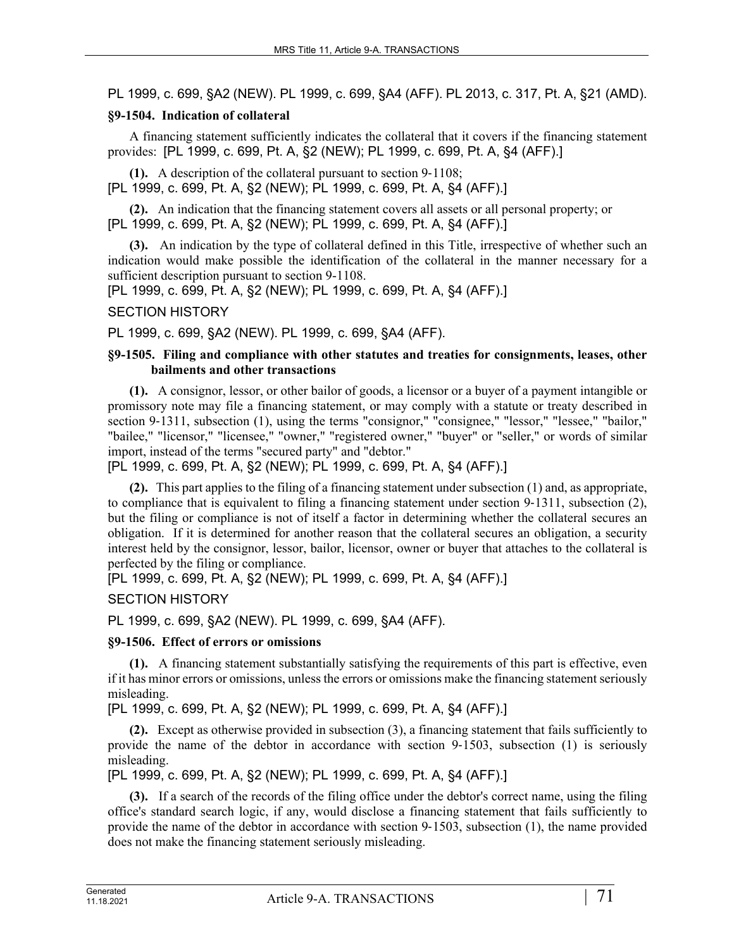PL 1999, c. 699, §A2 (NEW). PL 1999, c. 699, §A4 (AFF). PL 2013, c. 317, Pt. A, §21 (AMD).

# **§9-1504. Indication of collateral**

A financing statement sufficiently indicates the collateral that it covers if the financing statement provides: [PL 1999, c. 699, Pt. A, §2 (NEW); PL 1999, c. 699, Pt. A, §4 (AFF).]

**(1).** A description of the collateral pursuant to section 9‑1108; [PL 1999, c. 699, Pt. A, §2 (NEW); PL 1999, c. 699, Pt. A, §4 (AFF).]

**(2).** An indication that the financing statement covers all assets or all personal property; or [PL 1999, c. 699, Pt. A, §2 (NEW); PL 1999, c. 699, Pt. A, §4 (AFF).]

**(3).** An indication by the type of collateral defined in this Title, irrespective of whether such an indication would make possible the identification of the collateral in the manner necessary for a sufficient description pursuant to section 9-1108.

[PL 1999, c. 699, Pt. A, §2 (NEW); PL 1999, c. 699, Pt. A, §4 (AFF).]

SECTION HISTORY

PL 1999, c. 699, §A2 (NEW). PL 1999, c. 699, §A4 (AFF).

### **§9-1505. Filing and compliance with other statutes and treaties for consignments, leases, other bailments and other transactions**

**(1).** A consignor, lessor, or other bailor of goods, a licensor or a buyer of a payment intangible or promissory note may file a financing statement, or may comply with a statute or treaty described in section 9–1311, subsection (1), using the terms "consignor," "consignee," "lessor," "lessee," "bailor," "bailee," "licensor," "licensee," "owner," "registered owner," "buyer" or "seller," or words of similar import, instead of the terms "secured party" and "debtor."

[PL 1999, c. 699, Pt. A, §2 (NEW); PL 1999, c. 699, Pt. A, §4 (AFF).]

**(2).** This part applies to the filing of a financing statement under subsection (1) and, as appropriate, to compliance that is equivalent to filing a financing statement under section 9–1311, subsection (2), but the filing or compliance is not of itself a factor in determining whether the collateral secures an obligation. If it is determined for another reason that the collateral secures an obligation, a security interest held by the consignor, lessor, bailor, licensor, owner or buyer that attaches to the collateral is perfected by the filing or compliance.

[PL 1999, c. 699, Pt. A, §2 (NEW); PL 1999, c. 699, Pt. A, §4 (AFF).]

SECTION HISTORY

PL 1999, c. 699, §A2 (NEW). PL 1999, c. 699, §A4 (AFF).

### **§9-1506. Effect of errors or omissions**

**(1).** A financing statement substantially satisfying the requirements of this part is effective, even if it has minor errors or omissions, unless the errors or omissions make the financing statement seriously misleading.

[PL 1999, c. 699, Pt. A, §2 (NEW); PL 1999, c. 699, Pt. A, §4 (AFF).]

**(2).** Except as otherwise provided in subsection (3), a financing statement that fails sufficiently to provide the name of the debtor in accordance with section 9-1503, subsection (1) is seriously misleading.

[PL 1999, c. 699, Pt. A, §2 (NEW); PL 1999, c. 699, Pt. A, §4 (AFF).]

**(3).** If a search of the records of the filing office under the debtor's correct name, using the filing office's standard search logic, if any, would disclose a financing statement that fails sufficiently to provide the name of the debtor in accordance with section 9‑1503, subsection (1), the name provided does not make the financing statement seriously misleading.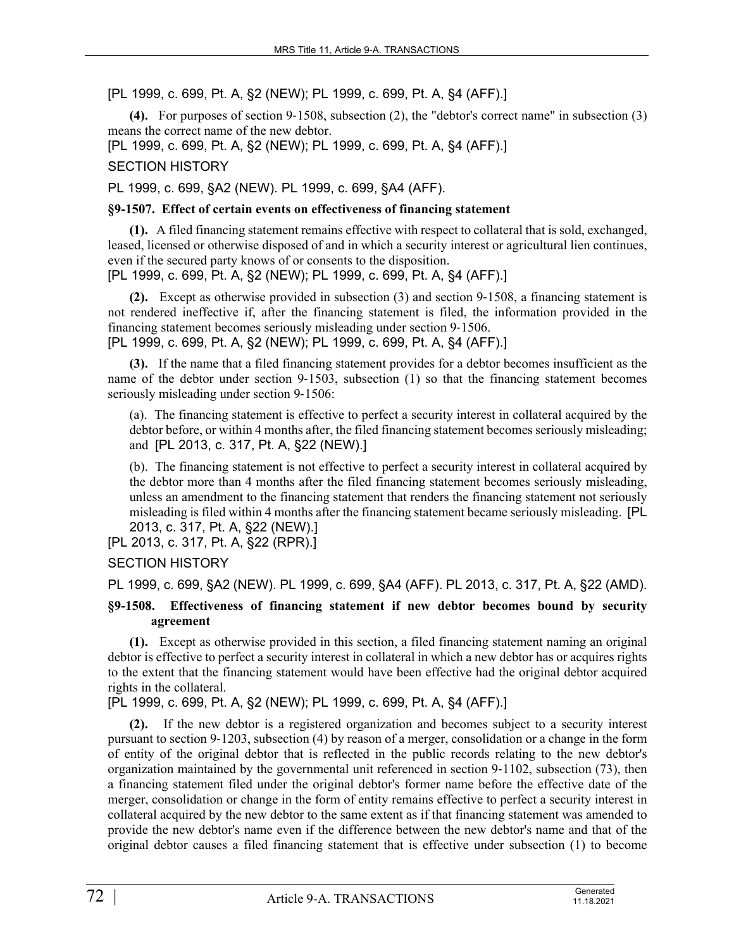[PL 1999, c. 699, Pt. A, §2 (NEW); PL 1999, c. 699, Pt. A, §4 (AFF).]

**(4).** For purposes of section 9‑1508, subsection (2), the "debtor's correct name" in subsection (3) means the correct name of the new debtor.

[PL 1999, c. 699, Pt. A, §2 (NEW); PL 1999, c. 699, Pt. A, §4 (AFF).]

SECTION HISTORY

PL 1999, c. 699, §A2 (NEW). PL 1999, c. 699, §A4 (AFF).

## **§9-1507. Effect of certain events on effectiveness of financing statement**

**(1).** A filed financing statement remains effective with respect to collateral that is sold, exchanged, leased, licensed or otherwise disposed of and in which a security interest or agricultural lien continues, even if the secured party knows of or consents to the disposition.

[PL 1999, c. 699, Pt. A, §2 (NEW); PL 1999, c. 699, Pt. A, §4 (AFF).]

**(2).** Except as otherwise provided in subsection (3) and section 9‑1508, a financing statement is not rendered ineffective if, after the financing statement is filed, the information provided in the financing statement becomes seriously misleading under section 9‑1506.

[PL 1999, c. 699, Pt. A, §2 (NEW); PL 1999, c. 699, Pt. A, §4 (AFF).]

**(3).** If the name that a filed financing statement provides for a debtor becomes insufficient as the name of the debtor under section 9–1503, subsection (1) so that the financing statement becomes seriously misleading under section 9-1506:

(a). The financing statement is effective to perfect a security interest in collateral acquired by the debtor before, or within 4 months after, the filed financing statement becomes seriously misleading; and [PL 2013, c. 317, Pt. A, §22 (NEW).]

(b). The financing statement is not effective to perfect a security interest in collateral acquired by the debtor more than 4 months after the filed financing statement becomes seriously misleading, unless an amendment to the financing statement that renders the financing statement not seriously misleading is filed within 4 months after the financing statement became seriously misleading. [PL 2013, c. 317, Pt. A, §22 (NEW).]

[PL 2013, c. 317, Pt. A, §22 (RPR).]

SECTION HISTORY

PL 1999, c. 699, §A2 (NEW). PL 1999, c. 699, §A4 (AFF). PL 2013, c. 317, Pt. A, §22 (AMD).

# **§9-1508. Effectiveness of financing statement if new debtor becomes bound by security agreement**

**(1).** Except as otherwise provided in this section, a filed financing statement naming an original debtor is effective to perfect a security interest in collateral in which a new debtor has or acquires rights to the extent that the financing statement would have been effective had the original debtor acquired rights in the collateral.

[PL 1999, c. 699, Pt. A, §2 (NEW); PL 1999, c. 699, Pt. A, §4 (AFF).]

**(2).** If the new debtor is a registered organization and becomes subject to a security interest pursuant to section 9‑1203, subsection (4) by reason of a merger, consolidation or a change in the form of entity of the original debtor that is reflected in the public records relating to the new debtor's organization maintained by the governmental unit referenced in section 9‑1102, subsection (73), then a financing statement filed under the original debtor's former name before the effective date of the merger, consolidation or change in the form of entity remains effective to perfect a security interest in collateral acquired by the new debtor to the same extent as if that financing statement was amended to provide the new debtor's name even if the difference between the new debtor's name and that of the original debtor causes a filed financing statement that is effective under subsection (1) to become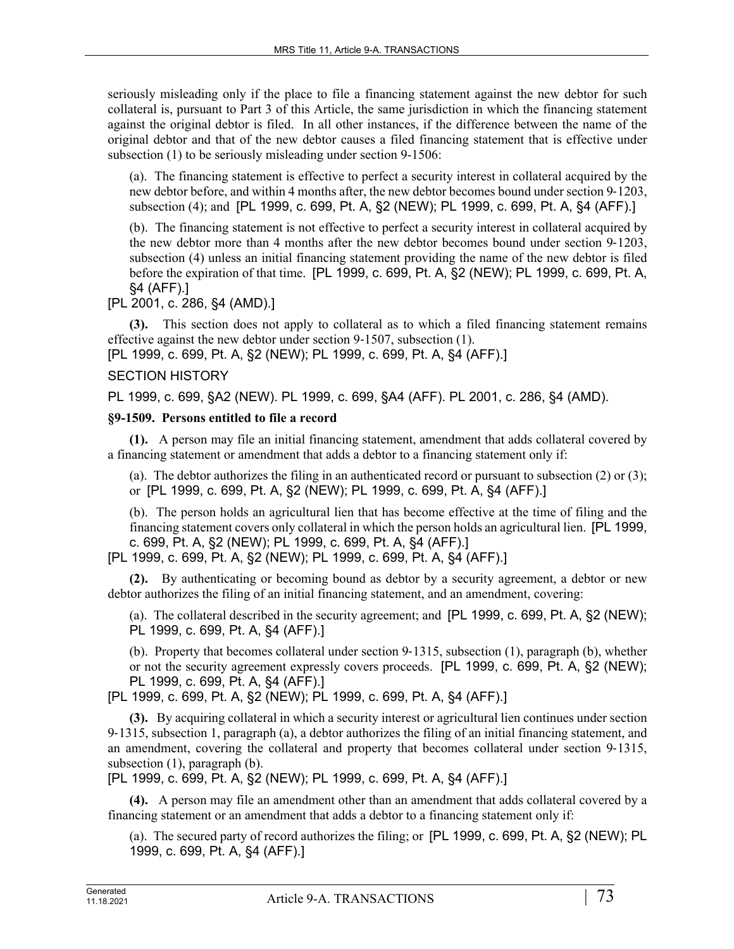seriously misleading only if the place to file a financing statement against the new debtor for such collateral is, pursuant to Part 3 of this Article, the same jurisdiction in which the financing statement against the original debtor is filed. In all other instances, if the difference between the name of the original debtor and that of the new debtor causes a filed financing statement that is effective under subsection (1) to be seriously misleading under section 9-1506:

(a). The financing statement is effective to perfect a security interest in collateral acquired by the new debtor before, and within 4 months after, the new debtor becomes bound under section 9-1203, subsection (4); and [PL 1999, c. 699, Pt. A, §2 (NEW); PL 1999, c. 699, Pt. A, §4 (AFF).]

(b). The financing statement is not effective to perfect a security interest in collateral acquired by the new debtor more than 4 months after the new debtor becomes bound under section 9-1203, subsection (4) unless an initial financing statement providing the name of the new debtor is filed before the expiration of that time. [PL 1999, c. 699, Pt. A, §2 (NEW); PL 1999, c. 699, Pt. A, §4 (AFF).]

[PL 2001, c. 286, §4 (AMD).]

**(3).** This section does not apply to collateral as to which a filed financing statement remains effective against the new debtor under section 9‑1507, subsection (1).

[PL 1999, c. 699, Pt. A, §2 (NEW); PL 1999, c. 699, Pt. A, §4 (AFF).]

## SECTION HISTORY

PL 1999, c. 699, §A2 (NEW). PL 1999, c. 699, §A4 (AFF). PL 2001, c. 286, §4 (AMD).

## **§9-1509. Persons entitled to file a record**

**(1).** A person may file an initial financing statement, amendment that adds collateral covered by a financing statement or amendment that adds a debtor to a financing statement only if:

(a). The debtor authorizes the filing in an authenticated record or pursuant to subsection (2) or (3); or [PL 1999, c. 699, Pt. A, §2 (NEW); PL 1999, c. 699, Pt. A, §4 (AFF).]

(b). The person holds an agricultural lien that has become effective at the time of filing and the financing statement covers only collateral in which the person holds an agricultural lien. [PL 1999, c. 699, Pt. A, §2 (NEW); PL 1999, c. 699, Pt. A, §4 (AFF).]

[PL 1999, c. 699, Pt. A, §2 (NEW); PL 1999, c. 699, Pt. A, §4 (AFF).]

**(2).** By authenticating or becoming bound as debtor by a security agreement, a debtor or new debtor authorizes the filing of an initial financing statement, and an amendment, covering:

(a). The collateral described in the security agreement; and [PL 1999, c. 699, Pt. A, §2 (NEW); PL 1999, c. 699, Pt. A, §4 (AFF).]

(b). Property that becomes collateral under section 9‑1315, subsection (1), paragraph (b), whether or not the security agreement expressly covers proceeds. [PL 1999, c. 699, Pt. A, §2 (NEW); PL 1999, c. 699, Pt. A, §4 (AFF).]

[PL 1999, c. 699, Pt. A, §2 (NEW); PL 1999, c. 699, Pt. A, §4 (AFF).]

**(3).** By acquiring collateral in which a security interest or agricultural lien continues under section 9‑1315, subsection 1, paragraph (a), a debtor authorizes the filing of an initial financing statement, and an amendment, covering the collateral and property that becomes collateral under section 9–1315, subsection (1), paragraph (b).

[PL 1999, c. 699, Pt. A, §2 (NEW); PL 1999, c. 699, Pt. A, §4 (AFF).]

**(4).** A person may file an amendment other than an amendment that adds collateral covered by a financing statement or an amendment that adds a debtor to a financing statement only if:

(a). The secured party of record authorizes the filing; or [PL 1999, c. 699, Pt. A, §2 (NEW); PL 1999, c. 699, Pt. A, §4 (AFF).]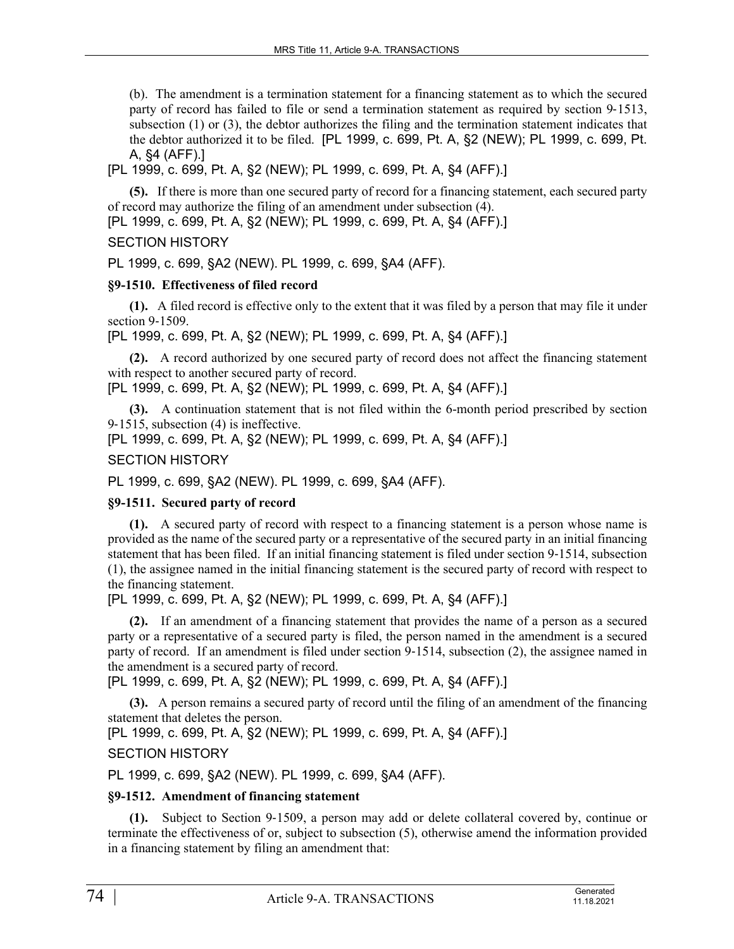(b). The amendment is a termination statement for a financing statement as to which the secured party of record has failed to file or send a termination statement as required by section 9–1513, subsection (1) or (3), the debtor authorizes the filing and the termination statement indicates that the debtor authorized it to be filed. [PL 1999, c. 699, Pt. A, §2 (NEW); PL 1999, c. 699, Pt. A, §4 (AFF).]

[PL 1999, c. 699, Pt. A, §2 (NEW); PL 1999, c. 699, Pt. A, §4 (AFF).]

**(5).** If there is more than one secured party of record for a financing statement, each secured party of record may authorize the filing of an amendment under subsection (4).

[PL 1999, c. 699, Pt. A, §2 (NEW); PL 1999, c. 699, Pt. A, §4 (AFF).]

## SECTION HISTORY

PL 1999, c. 699, §A2 (NEW). PL 1999, c. 699, §A4 (AFF).

## **§9-1510. Effectiveness of filed record**

**(1).** A filed record is effective only to the extent that it was filed by a person that may file it under section 9-1509.

[PL 1999, c. 699, Pt. A, §2 (NEW); PL 1999, c. 699, Pt. A, §4 (AFF).]

**(2).** A record authorized by one secured party of record does not affect the financing statement with respect to another secured party of record.

[PL 1999, c. 699, Pt. A, §2 (NEW); PL 1999, c. 699, Pt. A, §4 (AFF).]

**(3).** A continuation statement that is not filed within the 6-month period prescribed by section 9‑1515, subsection (4) is ineffective.

[PL 1999, c. 699, Pt. A, §2 (NEW); PL 1999, c. 699, Pt. A, §4 (AFF).]

## SECTION HISTORY

PL 1999, c. 699, §A2 (NEW). PL 1999, c. 699, §A4 (AFF).

## **§9-1511. Secured party of record**

**(1).** A secured party of record with respect to a financing statement is a person whose name is provided as the name of the secured party or a representative of the secured party in an initial financing statement that has been filed. If an initial financing statement is filed under section 9–1514, subsection (1), the assignee named in the initial financing statement is the secured party of record with respect to the financing statement.

[PL 1999, c. 699, Pt. A, §2 (NEW); PL 1999, c. 699, Pt. A, §4 (AFF).]

**(2).** If an amendment of a financing statement that provides the name of a person as a secured party or a representative of a secured party is filed, the person named in the amendment is a secured party of record. If an amendment is filed under section 9–1514, subsection (2), the assignee named in the amendment is a secured party of record.

[PL 1999, c. 699, Pt. A, §2 (NEW); PL 1999, c. 699, Pt. A, §4 (AFF).]

**(3).** A person remains a secured party of record until the filing of an amendment of the financing statement that deletes the person.

[PL 1999, c. 699, Pt. A, §2 (NEW); PL 1999, c. 699, Pt. A, §4 (AFF).]

## SECTION HISTORY

PL 1999, c. 699, §A2 (NEW). PL 1999, c. 699, §A4 (AFF).

### **§9-1512. Amendment of financing statement**

**(1).** Subject to Section 9‑1509, a person may add or delete collateral covered by, continue or terminate the effectiveness of or, subject to subsection (5), otherwise amend the information provided in a financing statement by filing an amendment that: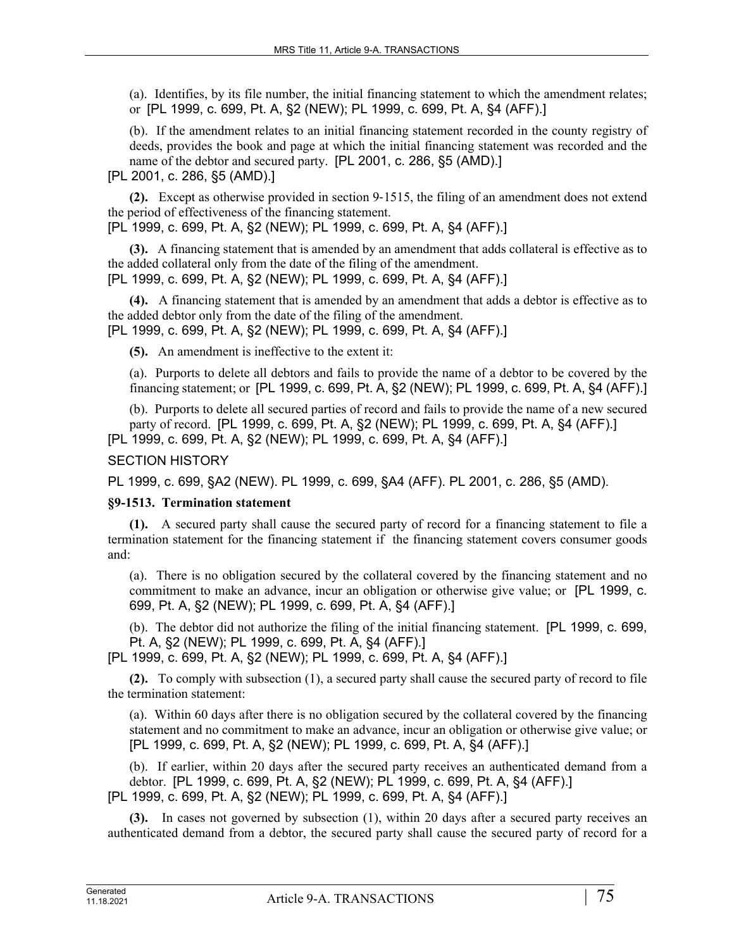(a). Identifies, by its file number, the initial financing statement to which the amendment relates; or [PL 1999, c. 699, Pt. A, §2 (NEW); PL 1999, c. 699, Pt. A, §4 (AFF).]

(b). If the amendment relates to an initial financing statement recorded in the county registry of deeds, provides the book and page at which the initial financing statement was recorded and the name of the debtor and secured party. [PL 2001, c. 286, §5 (AMD).]

[PL 2001, c. 286, §5 (AMD).]

**(2).** Except as otherwise provided in section 9‑1515, the filing of an amendment does not extend the period of effectiveness of the financing statement.

[PL 1999, c. 699, Pt. A, §2 (NEW); PL 1999, c. 699, Pt. A, §4 (AFF).]

**(3).** A financing statement that is amended by an amendment that adds collateral is effective as to the added collateral only from the date of the filing of the amendment. [PL 1999, c. 699, Pt. A, §2 (NEW); PL 1999, c. 699, Pt. A, §4 (AFF).]

**(4).** A financing statement that is amended by an amendment that adds a debtor is effective as to the added debtor only from the date of the filing of the amendment. [PL 1999, c. 699, Pt. A, §2 (NEW); PL 1999, c. 699, Pt. A, §4 (AFF).]

**(5).** An amendment is ineffective to the extent it:

(a). Purports to delete all debtors and fails to provide the name of a debtor to be covered by the financing statement; or [PL 1999, c. 699, Pt. A, §2 (NEW); PL 1999, c. 699, Pt. A, §4 (AFF).]

(b). Purports to delete all secured parties of record and fails to provide the name of a new secured party of record. [PL 1999, c. 699, Pt. A, §2 (NEW); PL 1999, c. 699, Pt. A, §4 (AFF).] [PL 1999, c. 699, Pt. A, §2 (NEW); PL 1999, c. 699, Pt. A, §4 (AFF).]

## SECTION HISTORY

PL 1999, c. 699, §A2 (NEW). PL 1999, c. 699, §A4 (AFF). PL 2001, c. 286, §5 (AMD).

### **§9-1513. Termination statement**

**(1).** A secured party shall cause the secured party of record for a financing statement to file a termination statement for the financing statement if the financing statement covers consumer goods and:

(a). There is no obligation secured by the collateral covered by the financing statement and no commitment to make an advance, incur an obligation or otherwise give value; or [PL 1999, c. 699, Pt. A, §2 (NEW); PL 1999, c. 699, Pt. A, §4 (AFF).]

(b). The debtor did not authorize the filing of the initial financing statement. [PL 1999, c. 699, Pt. A, §2 (NEW); PL 1999, c. 699, Pt. A, §4 (AFF).]

[PL 1999, c. 699, Pt. A, §2 (NEW); PL 1999, c. 699, Pt. A, §4 (AFF).]

**(2).** To comply with subsection (1), a secured party shall cause the secured party of record to file the termination statement:

(a). Within 60 days after there is no obligation secured by the collateral covered by the financing statement and no commitment to make an advance, incur an obligation or otherwise give value; or [PL 1999, c. 699, Pt. A, §2 (NEW); PL 1999, c. 699, Pt. A, §4 (AFF).]

(b). If earlier, within 20 days after the secured party receives an authenticated demand from a debtor. [PL 1999, c. 699, Pt. A, §2 (NEW); PL 1999, c. 699, Pt. A, §4 (AFF).] [PL 1999, c. 699, Pt. A, §2 (NEW); PL 1999, c. 699, Pt. A, §4 (AFF).]

**(3).** In cases not governed by subsection (1), within 20 days after a secured party receives an authenticated demand from a debtor, the secured party shall cause the secured party of record for a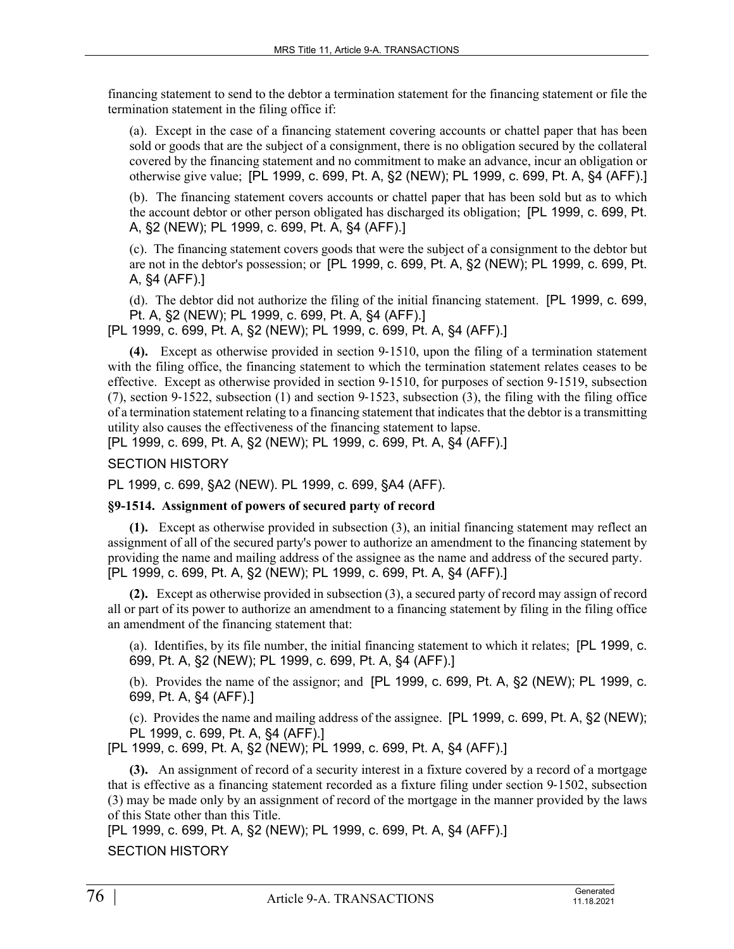financing statement to send to the debtor a termination statement for the financing statement or file the termination statement in the filing office if:

(a). Except in the case of a financing statement covering accounts or chattel paper that has been sold or goods that are the subject of a consignment, there is no obligation secured by the collateral covered by the financing statement and no commitment to make an advance, incur an obligation or otherwise give value; [PL 1999, c. 699, Pt. A, §2 (NEW); PL 1999, c. 699, Pt. A, §4 (AFF).]

(b). The financing statement covers accounts or chattel paper that has been sold but as to which the account debtor or other person obligated has discharged its obligation; [PL 1999, c. 699, Pt. A, §2 (NEW); PL 1999, c. 699, Pt. A, §4 (AFF).]

(c). The financing statement covers goods that were the subject of a consignment to the debtor but are not in the debtor's possession; or [PL 1999, c. 699, Pt. A, §2 (NEW); PL 1999, c. 699, Pt. A, §4 (AFF).]

(d). The debtor did not authorize the filing of the initial financing statement. [PL 1999, c. 699, Pt. A, §2 (NEW); PL 1999, c. 699, Pt. A, §4 (AFF).]

[PL 1999, c. 699, Pt. A, §2 (NEW); PL 1999, c. 699, Pt. A, §4 (AFF).]

**(4).** Except as otherwise provided in section 9‑1510, upon the filing of a termination statement with the filing office, the financing statement to which the termination statement relates ceases to be effective. Except as otherwise provided in section 9‑1510, for purposes of section 9‑1519, subsection (7), section 9‑1522, subsection (1) and section 9‑1523, subsection (3), the filing with the filing office of a termination statement relating to a financing statement that indicates that the debtor is a transmitting utility also causes the effectiveness of the financing statement to lapse.

[PL 1999, c. 699, Pt. A, §2 (NEW); PL 1999, c. 699, Pt. A, §4 (AFF).]

SECTION HISTORY

PL 1999, c. 699, §A2 (NEW). PL 1999, c. 699, §A4 (AFF).

### **§9-1514. Assignment of powers of secured party of record**

**(1).** Except as otherwise provided in subsection (3), an initial financing statement may reflect an assignment of all of the secured party's power to authorize an amendment to the financing statement by providing the name and mailing address of the assignee as the name and address of the secured party. [PL 1999, c. 699, Pt. A, §2 (NEW); PL 1999, c. 699, Pt. A, §4 (AFF).]

**(2).** Except as otherwise provided in subsection (3), a secured party of record may assign of record all or part of its power to authorize an amendment to a financing statement by filing in the filing office an amendment of the financing statement that:

(a). Identifies, by its file number, the initial financing statement to which it relates; [PL 1999, c. 699, Pt. A, §2 (NEW); PL 1999, c. 699, Pt. A, §4 (AFF).]

(b). Provides the name of the assignor; and [PL 1999, c. 699, Pt. A, §2 (NEW); PL 1999, c. 699, Pt. A, §4 (AFF).]

(c). Provides the name and mailing address of the assignee. [PL 1999, c. 699, Pt. A, §2 (NEW); PL 1999, c. 699, Pt. A, §4 (AFF).]

[PL 1999, c. 699, Pt. A, §2 (NEW); PL 1999, c. 699, Pt. A, §4 (AFF).]

**(3).** An assignment of record of a security interest in a fixture covered by a record of a mortgage that is effective as a financing statement recorded as a fixture filing under section 9-1502, subsection (3) may be made only by an assignment of record of the mortgage in the manner provided by the laws of this State other than this Title.

[PL 1999, c. 699, Pt. A, §2 (NEW); PL 1999, c. 699, Pt. A, §4 (AFF).] SECTION HISTORY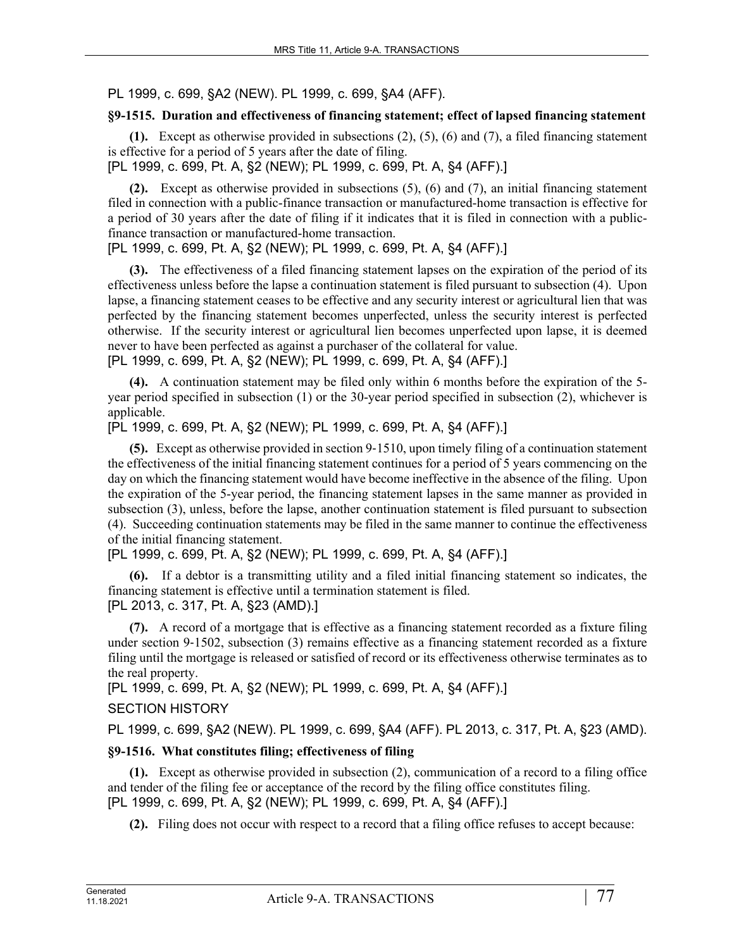PL 1999, c. 699, §A2 (NEW). PL 1999, c. 699, §A4 (AFF).

## **§9-1515. Duration and effectiveness of financing statement; effect of lapsed financing statement**

**(1).** Except as otherwise provided in subsections (2), (5), (6) and (7), a filed financing statement is effective for a period of 5 years after the date of filing.

[PL 1999, c. 699, Pt. A, §2 (NEW); PL 1999, c. 699, Pt. A, §4 (AFF).]

**(2).** Except as otherwise provided in subsections (5), (6) and (7), an initial financing statement filed in connection with a public-finance transaction or manufactured-home transaction is effective for a period of 30 years after the date of filing if it indicates that it is filed in connection with a publicfinance transaction or manufactured-home transaction.

[PL 1999, c. 699, Pt. A, §2 (NEW); PL 1999, c. 699, Pt. A, §4 (AFF).]

**(3).** The effectiveness of a filed financing statement lapses on the expiration of the period of its effectiveness unless before the lapse a continuation statement is filed pursuant to subsection (4). Upon lapse, a financing statement ceases to be effective and any security interest or agricultural lien that was perfected by the financing statement becomes unperfected, unless the security interest is perfected otherwise. If the security interest or agricultural lien becomes unperfected upon lapse, it is deemed never to have been perfected as against a purchaser of the collateral for value.

[PL 1999, c. 699, Pt. A, §2 (NEW); PL 1999, c. 699, Pt. A, §4 (AFF).]

**(4).** A continuation statement may be filed only within 6 months before the expiration of the 5 year period specified in subsection (1) or the 30-year period specified in subsection (2), whichever is applicable.

[PL 1999, c. 699, Pt. A, §2 (NEW); PL 1999, c. 699, Pt. A, §4 (AFF).]

**(5).** Except as otherwise provided in section 9‑1510, upon timely filing of a continuation statement the effectiveness of the initial financing statement continues for a period of 5 years commencing on the day on which the financing statement would have become ineffective in the absence of the filing. Upon the expiration of the 5-year period, the financing statement lapses in the same manner as provided in subsection (3), unless, before the lapse, another continuation statement is filed pursuant to subsection (4). Succeeding continuation statements may be filed in the same manner to continue the effectiveness of the initial financing statement.

[PL 1999, c. 699, Pt. A, §2 (NEW); PL 1999, c. 699, Pt. A, §4 (AFF).]

**(6).** If a debtor is a transmitting utility and a filed initial financing statement so indicates, the financing statement is effective until a termination statement is filed. [PL 2013, c. 317, Pt. A, §23 (AMD).]

**(7).** A record of a mortgage that is effective as a financing statement recorded as a fixture filing under section 9-1502, subsection (3) remains effective as a financing statement recorded as a fixture filing until the mortgage is released or satisfied of record or its effectiveness otherwise terminates as to the real property.

[PL 1999, c. 699, Pt. A, §2 (NEW); PL 1999, c. 699, Pt. A, §4 (AFF).]

## SECTION HISTORY

PL 1999, c. 699, §A2 (NEW). PL 1999, c. 699, §A4 (AFF). PL 2013, c. 317, Pt. A, §23 (AMD).

## **§9-1516. What constitutes filing; effectiveness of filing**

**(1).** Except as otherwise provided in subsection (2), communication of a record to a filing office and tender of the filing fee or acceptance of the record by the filing office constitutes filing. [PL 1999, c. 699, Pt. A, §2 (NEW); PL 1999, c. 699, Pt. A, §4 (AFF).]

**(2).** Filing does not occur with respect to a record that a filing office refuses to accept because: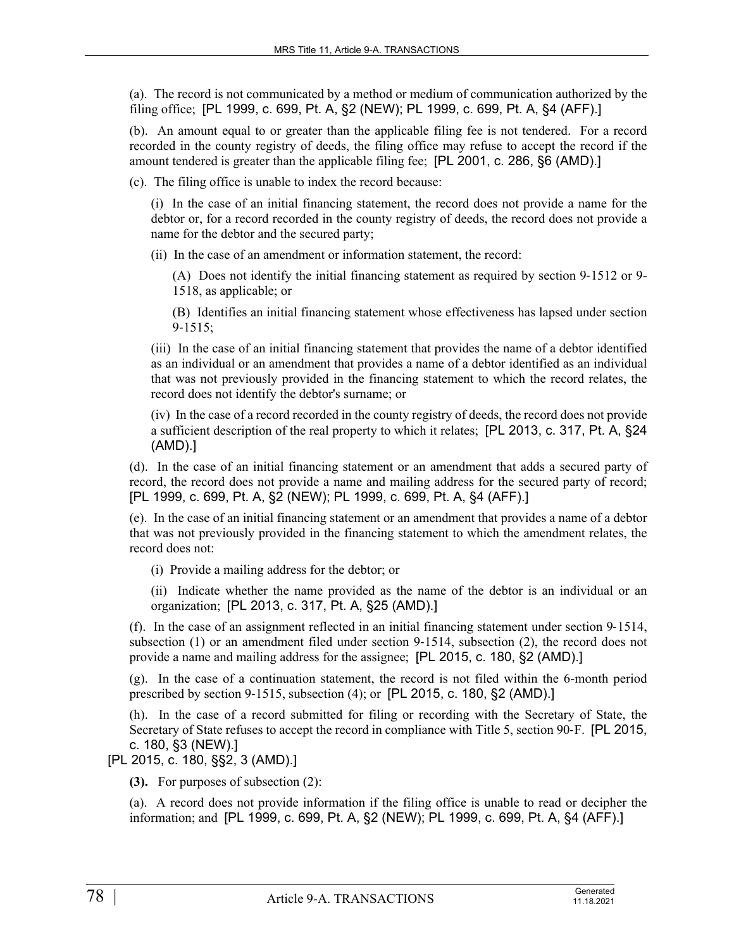(a). The record is not communicated by a method or medium of communication authorized by the filing office; [PL 1999, c. 699, Pt. A, §2 (NEW); PL 1999, c. 699, Pt. A, §4 (AFF).]

(b). An amount equal to or greater than the applicable filing fee is not tendered. For a record recorded in the county registry of deeds, the filing office may refuse to accept the record if the amount tendered is greater than the applicable filing fee; [PL 2001, c. 286, §6 (AMD).]

(c). The filing office is unable to index the record because:

(i) In the case of an initial financing statement, the record does not provide a name for the debtor or, for a record recorded in the county registry of deeds, the record does not provide a name for the debtor and the secured party;

(ii) In the case of an amendment or information statement, the record:

(A) Does not identify the initial financing statement as required by section 9‑1512 or 9- 1518, as applicable; or

(B) Identifies an initial financing statement whose effectiveness has lapsed under section  $9 - 1515$ ;

(iii) In the case of an initial financing statement that provides the name of a debtor identified as an individual or an amendment that provides a name of a debtor identified as an individual that was not previously provided in the financing statement to which the record relates, the record does not identify the debtor's surname; or

(iv) In the case of a record recorded in the county registry of deeds, the record does not provide a sufficient description of the real property to which it relates; [PL 2013, c. 317, Pt. A, §24 (AMD).]

(d). In the case of an initial financing statement or an amendment that adds a secured party of record, the record does not provide a name and mailing address for the secured party of record; [PL 1999, c. 699, Pt. A, §2 (NEW); PL 1999, c. 699, Pt. A, §4 (AFF).]

(e). In the case of an initial financing statement or an amendment that provides a name of a debtor that was not previously provided in the financing statement to which the amendment relates, the record does not:

(i) Provide a mailing address for the debtor; or

(ii) Indicate whether the name provided as the name of the debtor is an individual or an organization; [PL 2013, c. 317, Pt. A, §25 (AMD).]

(f). In the case of an assignment reflected in an initial financing statement under section 9‑1514, subsection  $(1)$  or an amendment filed under section  $9-1514$ , subsection  $(2)$ , the record does not provide a name and mailing address for the assignee; [PL 2015, c. 180, §2 (AMD).]

(g). In the case of a continuation statement, the record is not filed within the 6-month period prescribed by section 9‑1515, subsection (4); or [PL 2015, c. 180, §2 (AMD).]

(h). In the case of a record submitted for filing or recording with the Secretary of State, the Secretary of State refuses to accept the record in compliance with Title 5, section 90-F. [PL 2015, c. 180, §3 (NEW).]

[PL 2015, c. 180, §§2, 3 (AMD).]

**(3).** For purposes of subsection (2):

(a). A record does not provide information if the filing office is unable to read or decipher the information; and [PL 1999, c. 699, Pt. A, §2 (NEW); PL 1999, c. 699, Pt. A, §4 (AFF).]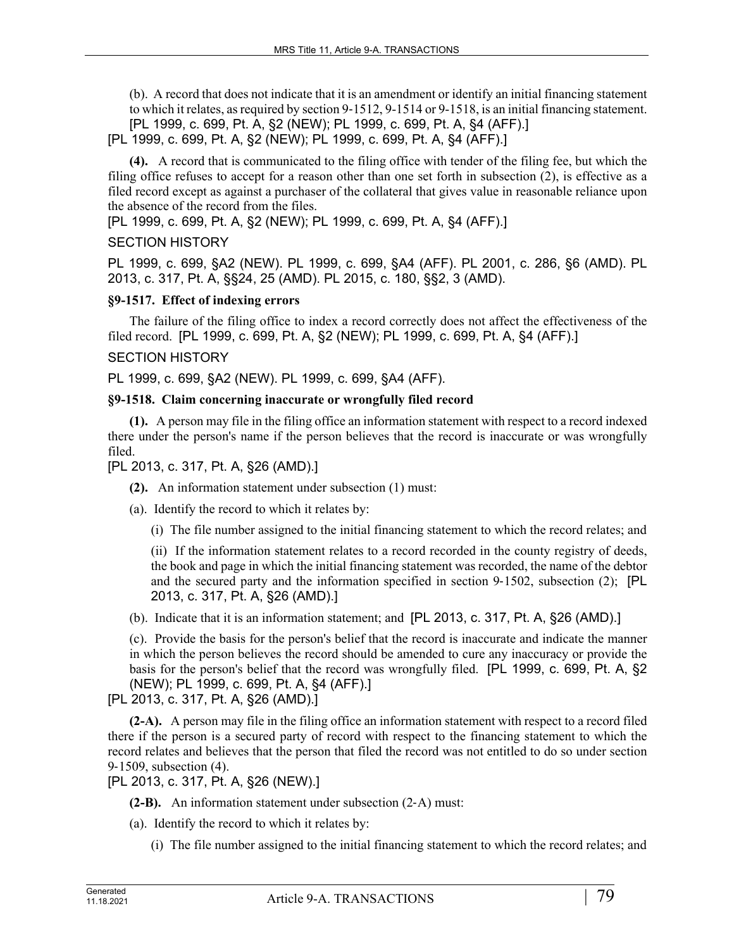(b). A record that does not indicate that it is an amendment or identify an initial financing statement to which it relates, as required by section 9‑1512, 9-1514 or 9-1518, is an initial financing statement. [PL 1999, c. 699, Pt. A, §2 (NEW); PL 1999, c. 699, Pt. A, §4 (AFF).]

[PL 1999, c. 699, Pt. A, §2 (NEW); PL 1999, c. 699, Pt. A, §4 (AFF).]

**(4).** A record that is communicated to the filing office with tender of the filing fee, but which the filing office refuses to accept for a reason other than one set forth in subsection (2), is effective as a filed record except as against a purchaser of the collateral that gives value in reasonable reliance upon the absence of the record from the files.

[PL 1999, c. 699, Pt. A, §2 (NEW); PL 1999, c. 699, Pt. A, §4 (AFF).]

## SECTION HISTORY

PL 1999, c. 699, §A2 (NEW). PL 1999, c. 699, §A4 (AFF). PL 2001, c. 286, §6 (AMD). PL 2013, c. 317, Pt. A, §§24, 25 (AMD). PL 2015, c. 180, §§2, 3 (AMD).

## **§9-1517. Effect of indexing errors**

The failure of the filing office to index a record correctly does not affect the effectiveness of the filed record. [PL 1999, c. 699, Pt. A, §2 (NEW); PL 1999, c. 699, Pt. A, §4 (AFF).]

## SECTION HISTORY

PL 1999, c. 699, §A2 (NEW). PL 1999, c. 699, §A4 (AFF).

## **§9-1518. Claim concerning inaccurate or wrongfully filed record**

**(1).** A person may file in the filing office an information statement with respect to a record indexed there under the person's name if the person believes that the record is inaccurate or was wrongfully filed.

## [PL 2013, c. 317, Pt. A, §26 (AMD).]

**(2).** An information statement under subsection (1) must:

- (a). Identify the record to which it relates by:
	- (i) The file number assigned to the initial financing statement to which the record relates; and

(ii) If the information statement relates to a record recorded in the county registry of deeds, the book and page in which the initial financing statement was recorded, the name of the debtor and the secured party and the information specified in section 9-1502, subsection (2); [PL 2013, c. 317, Pt. A, §26 (AMD).]

(b). Indicate that it is an information statement; and [PL 2013, c. 317, Pt. A, §26 (AMD).]

(c). Provide the basis for the person's belief that the record is inaccurate and indicate the manner in which the person believes the record should be amended to cure any inaccuracy or provide the basis for the person's belief that the record was wrongfully filed. [PL 1999, c. 699, Pt. A, §2 (NEW); PL 1999, c. 699, Pt. A, §4 (AFF).]

## [PL 2013, c. 317, Pt. A, §26 (AMD).]

**(2-A).** A person may file in the filing office an information statement with respect to a record filed there if the person is a secured party of record with respect to the financing statement to which the record relates and believes that the person that filed the record was not entitled to do so under section 9‑1509, subsection (4).

[PL 2013, c. 317, Pt. A, §26 (NEW).]

**(2-B).** An information statement under subsection (2‑A) must:

- (a). Identify the record to which it relates by:
	- (i) The file number assigned to the initial financing statement to which the record relates; and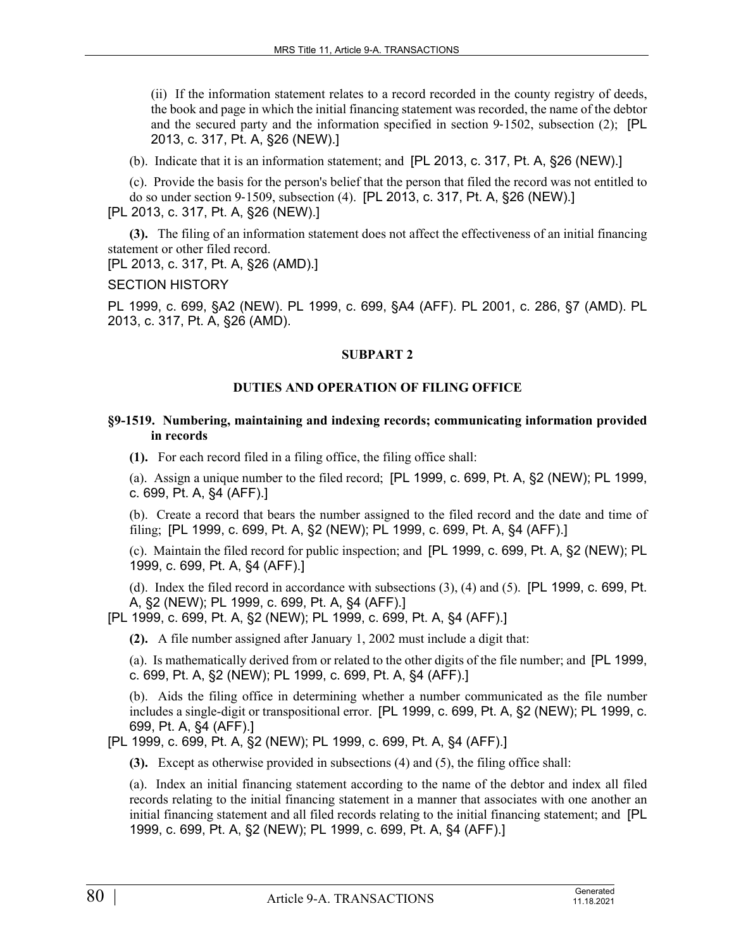(ii) If the information statement relates to a record recorded in the county registry of deeds, the book and page in which the initial financing statement was recorded, the name of the debtor and the secured party and the information specified in section 9-1502, subsection (2); [PL 2013, c. 317, Pt. A, §26 (NEW).]

(b). Indicate that it is an information statement; and [PL 2013, c. 317, Pt. A, §26 (NEW).]

(c). Provide the basis for the person's belief that the person that filed the record was not entitled to do so under section 9‑1509, subsection (4). [PL 2013, c. 317, Pt. A, §26 (NEW).] [PL 2013, c. 317, Pt. A, §26 (NEW).]

**(3).** The filing of an information statement does not affect the effectiveness of an initial financing statement or other filed record.

[PL 2013, c. 317, Pt. A, §26 (AMD).]

SECTION HISTORY

PL 1999, c. 699, §A2 (NEW). PL 1999, c. 699, §A4 (AFF). PL 2001, c. 286, §7 (AMD). PL 2013, c. 317, Pt. A, §26 (AMD).

### **SUBPART 2**

## **DUTIES AND OPERATION OF FILING OFFICE**

### **§9-1519. Numbering, maintaining and indexing records; communicating information provided in records**

**(1).** For each record filed in a filing office, the filing office shall:

(a). Assign a unique number to the filed record; [PL 1999, c. 699, Pt. A, §2 (NEW); PL 1999, c. 699, Pt. A, §4 (AFF).]

(b). Create a record that bears the number assigned to the filed record and the date and time of filing; [PL 1999, c. 699, Pt. A, §2 (NEW); PL 1999, c. 699, Pt. A, §4 (AFF).]

(c). Maintain the filed record for public inspection; and [PL 1999, c. 699, Pt. A, §2 (NEW); PL 1999, c. 699, Pt. A, §4 (AFF).]

(d). Index the filed record in accordance with subsections (3), (4) and (5). [PL 1999, c. 699, Pt. A, §2 (NEW); PL 1999, c. 699, Pt. A, §4 (AFF).]

[PL 1999, c. 699, Pt. A, §2 (NEW); PL 1999, c. 699, Pt. A, §4 (AFF).]

**(2).** A file number assigned after January 1, 2002 must include a digit that:

(a). Is mathematically derived from or related to the other digits of the file number; and [PL 1999, c. 699, Pt. A, §2 (NEW); PL 1999, c. 699, Pt. A, §4 (AFF).]

(b). Aids the filing office in determining whether a number communicated as the file number includes a single-digit or transpositional error. [PL 1999, c. 699, Pt. A, §2 (NEW); PL 1999, c. 699, Pt. A, §4 (AFF).]

[PL 1999, c. 699, Pt. A, §2 (NEW); PL 1999, c. 699, Pt. A, §4 (AFF).]

**(3).** Except as otherwise provided in subsections (4) and (5), the filing office shall:

(a). Index an initial financing statement according to the name of the debtor and index all filed records relating to the initial financing statement in a manner that associates with one another an initial financing statement and all filed records relating to the initial financing statement; and [PL 1999, c. 699, Pt. A, §2 (NEW); PL 1999, c. 699, Pt. A, §4 (AFF).]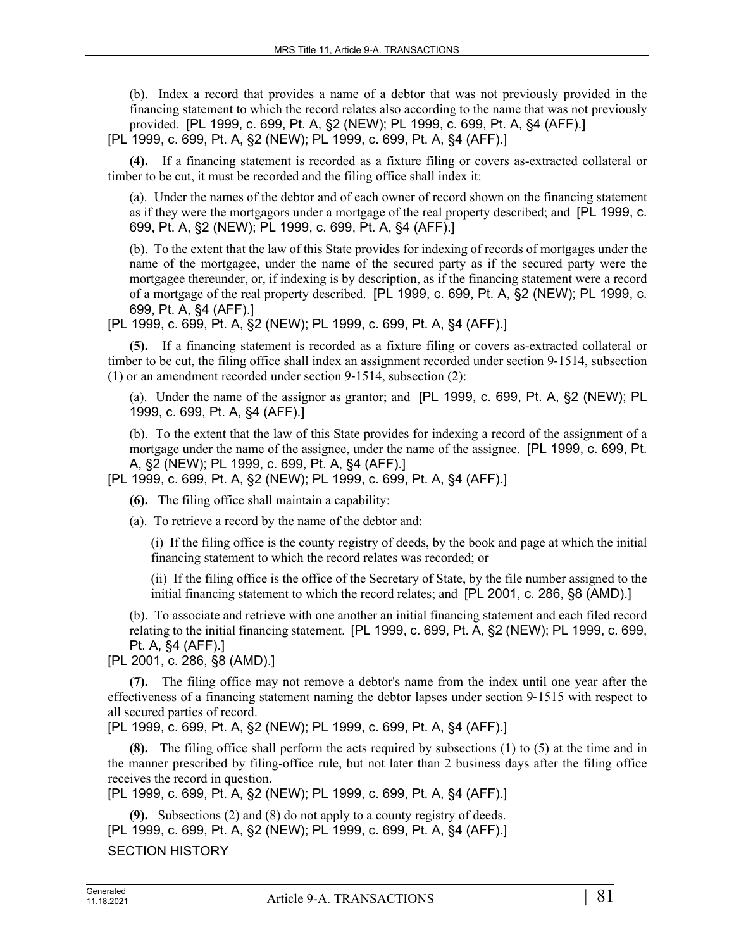(b). Index a record that provides a name of a debtor that was not previously provided in the financing statement to which the record relates also according to the name that was not previously provided. [PL 1999, c. 699, Pt. A, §2 (NEW); PL 1999, c. 699, Pt. A, §4 (AFF).]

[PL 1999, c. 699, Pt. A, §2 (NEW); PL 1999, c. 699, Pt. A, §4 (AFF).]

**(4).** If a financing statement is recorded as a fixture filing or covers as-extracted collateral or timber to be cut, it must be recorded and the filing office shall index it:

(a). Under the names of the debtor and of each owner of record shown on the financing statement as if they were the mortgagors under a mortgage of the real property described; and [PL 1999, c. 699, Pt. A, §2 (NEW); PL 1999, c. 699, Pt. A, §4 (AFF).]

(b). To the extent that the law of this State provides for indexing of records of mortgages under the name of the mortgagee, under the name of the secured party as if the secured party were the mortgagee thereunder, or, if indexing is by description, as if the financing statement were a record of a mortgage of the real property described. [PL 1999, c. 699, Pt. A, §2 (NEW); PL 1999, c. 699, Pt. A, §4 (AFF).]

[PL 1999, c. 699, Pt. A, §2 (NEW); PL 1999, c. 699, Pt. A, §4 (AFF).]

**(5).** If a financing statement is recorded as a fixture filing or covers as-extracted collateral or timber to be cut, the filing office shall index an assignment recorded under section 9–1514, subsection (1) or an amendment recorded under section 9‑1514, subsection (2):

(a). Under the name of the assignor as grantor; and [PL 1999, c. 699, Pt. A, §2 (NEW); PL 1999, c. 699, Pt. A, §4 (AFF).]

(b). To the extent that the law of this State provides for indexing a record of the assignment of a mortgage under the name of the assignee, under the name of the assignee. [PL 1999, c. 699, Pt. A, §2 (NEW); PL 1999, c. 699, Pt. A, §4 (AFF).]

[PL 1999, c. 699, Pt. A, §2 (NEW); PL 1999, c. 699, Pt. A, §4 (AFF).]

**(6).** The filing office shall maintain a capability:

(a). To retrieve a record by the name of the debtor and:

(i) If the filing office is the county registry of deeds, by the book and page at which the initial financing statement to which the record relates was recorded; or

(ii) If the filing office is the office of the Secretary of State, by the file number assigned to the initial financing statement to which the record relates; and [PL 2001, c. 286, §8 (AMD).]

(b). To associate and retrieve with one another an initial financing statement and each filed record relating to the initial financing statement. [PL 1999, c. 699, Pt. A, §2 (NEW); PL 1999, c. 699, Pt. A, §4 (AFF).]

[PL 2001, c. 286, §8 (AMD).]

**(7).** The filing office may not remove a debtor's name from the index until one year after the effectiveness of a financing statement naming the debtor lapses under section 9‑1515 with respect to all secured parties of record.

[PL 1999, c. 699, Pt. A, §2 (NEW); PL 1999, c. 699, Pt. A, §4 (AFF).]

**(8).** The filing office shall perform the acts required by subsections (1) to (5) at the time and in the manner prescribed by filing-office rule, but not later than 2 business days after the filing office receives the record in question.

```
[PL 1999, c. 699, Pt. A, §2 (NEW); PL 1999, c. 699, Pt. A, §4 (AFF).]
```
**(9).** Subsections (2) and (8) do not apply to a county registry of deeds. [PL 1999, c. 699, Pt. A, §2 (NEW); PL 1999, c. 699, Pt. A, §4 (AFF).] SECTION HISTORY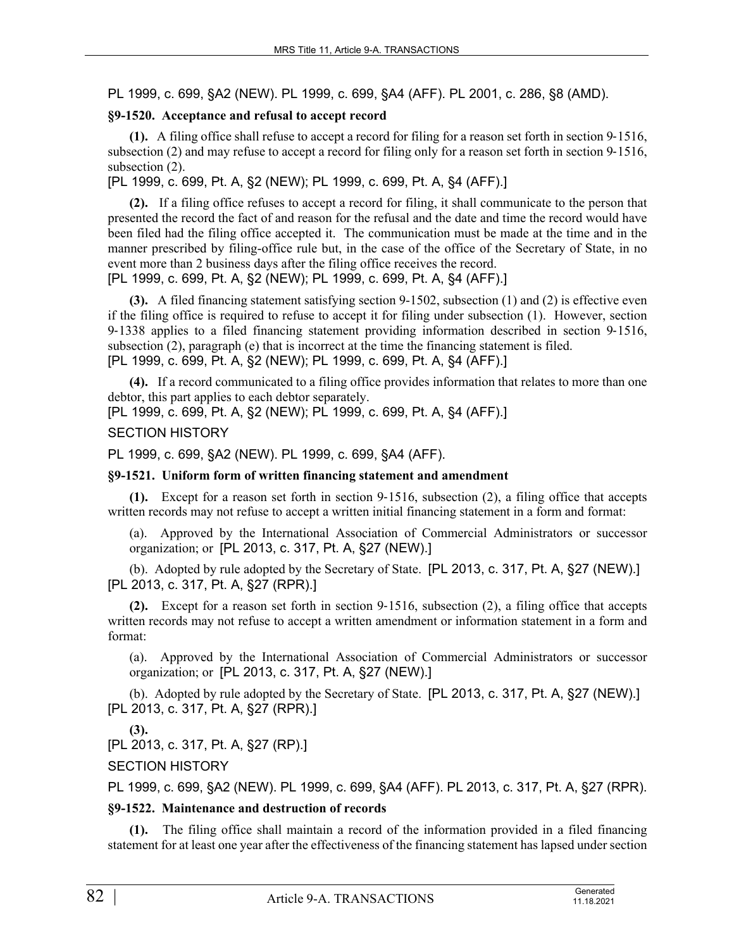PL 1999, c. 699, §A2 (NEW). PL 1999, c. 699, §A4 (AFF). PL 2001, c. 286, §8 (AMD).

## **§9-1520. Acceptance and refusal to accept record**

**(1).** A filing office shall refuse to accept a record for filing for a reason set forth in section 9‑1516, subsection (2) and may refuse to accept a record for filing only for a reason set forth in section 9–1516, subsection  $(2)$ .

[PL 1999, c. 699, Pt. A, §2 (NEW); PL 1999, c. 699, Pt. A, §4 (AFF).]

**(2).** If a filing office refuses to accept a record for filing, it shall communicate to the person that presented the record the fact of and reason for the refusal and the date and time the record would have been filed had the filing office accepted it. The communication must be made at the time and in the manner prescribed by filing-office rule but, in the case of the office of the Secretary of State, in no event more than 2 business days after the filing office receives the record. [PL 1999, c. 699, Pt. A, §2 (NEW); PL 1999, c. 699, Pt. A, §4 (AFF).]

**(3).** A filed financing statement satisfying section 9-1502, subsection (1) and (2) is effective even if the filing office is required to refuse to accept it for filing under subsection (1). However, section 9‑1338 applies to a filed financing statement providing information described in section 9‑1516, subsection (2), paragraph (e) that is incorrect at the time the financing statement is filed. [PL 1999, c. 699, Pt. A, §2 (NEW); PL 1999, c. 699, Pt. A, §4 (AFF).]

**(4).** If a record communicated to a filing office provides information that relates to more than one debtor, this part applies to each debtor separately.

[PL 1999, c. 699, Pt. A, §2 (NEW); PL 1999, c. 699, Pt. A, §4 (AFF).]

### SECTION HISTORY

PL 1999, c. 699, §A2 (NEW). PL 1999, c. 699, §A4 (AFF).

### **§9-1521. Uniform form of written financing statement and amendment**

**(1).** Except for a reason set forth in section 9‑1516, subsection (2), a filing office that accepts written records may not refuse to accept a written initial financing statement in a form and format:

(a). Approved by the International Association of Commercial Administrators or successor organization; or [PL 2013, c. 317, Pt. A, §27 (NEW).]

(b). Adopted by rule adopted by the Secretary of State. [PL 2013, c. 317, Pt. A, §27 (NEW).] [PL 2013, c. 317, Pt. A, §27 (RPR).]

**(2).** Except for a reason set forth in section 9‑1516, subsection (2), a filing office that accepts written records may not refuse to accept a written amendment or information statement in a form and format:

(a). Approved by the International Association of Commercial Administrators or successor organization; or [PL 2013, c. 317, Pt. A, §27 (NEW).]

(b). Adopted by rule adopted by the Secretary of State. [PL 2013, c. 317, Pt. A, §27 (NEW).] [PL 2013, c. 317, Pt. A, §27 (RPR).]

**(3).** 

[PL 2013, c. 317, Pt. A, §27 (RP).]

SECTION HISTORY

PL 1999, c. 699, §A2 (NEW). PL 1999, c. 699, §A4 (AFF). PL 2013, c. 317, Pt. A, §27 (RPR).

## **§9-1522. Maintenance and destruction of records**

**(1).** The filing office shall maintain a record of the information provided in a filed financing statement for at least one year after the effectiveness of the financing statement has lapsed under section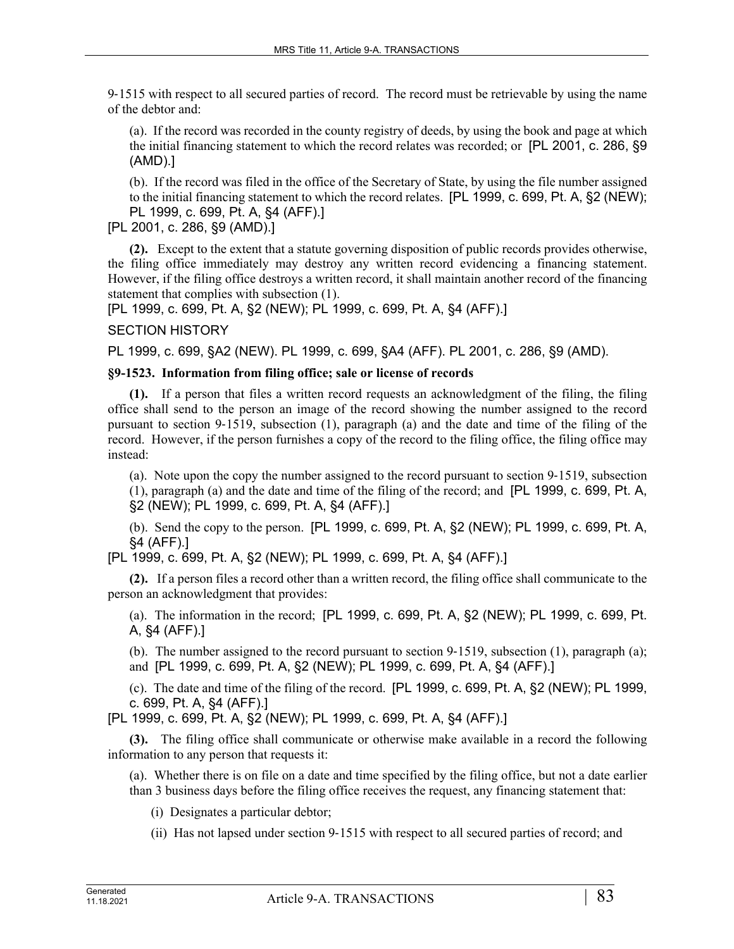9‑1515 with respect to all secured parties of record. The record must be retrievable by using the name of the debtor and:

(a). If the record was recorded in the county registry of deeds, by using the book and page at which the initial financing statement to which the record relates was recorded; or [PL 2001, c. 286, §9 (AMD).]

(b). If the record was filed in the office of the Secretary of State, by using the file number assigned to the initial financing statement to which the record relates. [PL 1999, c. 699, Pt. A, §2 (NEW); PL 1999, c. 699, Pt. A, §4 (AFF).]

[PL 2001, c. 286, §9 (AMD).]

**(2).** Except to the extent that a statute governing disposition of public records provides otherwise, the filing office immediately may destroy any written record evidencing a financing statement. However, if the filing office destroys a written record, it shall maintain another record of the financing statement that complies with subsection (1).

[PL 1999, c. 699, Pt. A, §2 (NEW); PL 1999, c. 699, Pt. A, §4 (AFF).]

## SECTION HISTORY

PL 1999, c. 699, §A2 (NEW). PL 1999, c. 699, §A4 (AFF). PL 2001, c. 286, §9 (AMD).

## **§9-1523. Information from filing office; sale or license of records**

**(1).** If a person that files a written record requests an acknowledgment of the filing, the filing office shall send to the person an image of the record showing the number assigned to the record pursuant to section 9‑1519, subsection (1), paragraph (a) and the date and time of the filing of the record. However, if the person furnishes a copy of the record to the filing office, the filing office may instead:

(a). Note upon the copy the number assigned to the record pursuant to section 9‑1519, subsection (1), paragraph (a) and the date and time of the filing of the record; and [PL 1999, c. 699, Pt. A,

§2 (NEW); PL 1999, c. 699, Pt. A, §4 (AFF).]

(b). Send the copy to the person. [PL 1999, c. 699, Pt. A, §2 (NEW); PL 1999, c. 699, Pt. A, §4 (AFF).]

[PL 1999, c. 699, Pt. A, §2 (NEW); PL 1999, c. 699, Pt. A, §4 (AFF).]

**(2).** If a person files a record other than a written record, the filing office shall communicate to the person an acknowledgment that provides:

(a). The information in the record; [PL 1999, c. 699, Pt. A, §2 (NEW); PL 1999, c. 699, Pt. A, §4 (AFF).]

(b). The number assigned to the record pursuant to section  $9-1519$ , subsection (1), paragraph (a); and [PL 1999, c. 699, Pt. A, §2 (NEW); PL 1999, c. 699, Pt. A, §4 (AFF).]

(c). The date and time of the filing of the record. [PL 1999, c. 699, Pt. A, §2 (NEW); PL 1999, c. 699, Pt. A, §4 (AFF).]

[PL 1999, c. 699, Pt. A, §2 (NEW); PL 1999, c. 699, Pt. A, §4 (AFF).]

**(3).** The filing office shall communicate or otherwise make available in a record the following information to any person that requests it:

(a). Whether there is on file on a date and time specified by the filing office, but not a date earlier than 3 business days before the filing office receives the request, any financing statement that:

(i) Designates a particular debtor;

(ii) Has not lapsed under section 9‑1515 with respect to all secured parties of record; and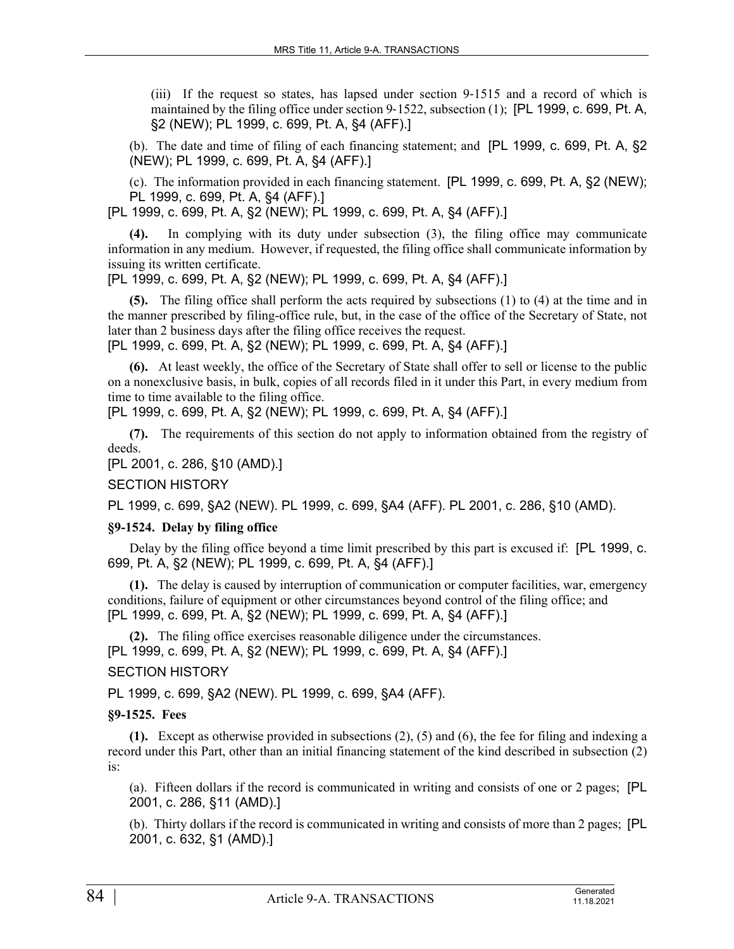(iii) If the request so states, has lapsed under section 9‑1515 and a record of which is maintained by the filing office under section  $9-1522$ , subsection (1); [PL 1999, c. 699, Pt. A, §2 (NEW); PL 1999, c. 699, Pt. A, §4 (AFF).]

(b). The date and time of filing of each financing statement; and [PL 1999, c. 699, Pt. A, §2 (NEW); PL 1999, c. 699, Pt. A, §4 (AFF).]

(c). The information provided in each financing statement. [PL 1999, c. 699, Pt. A, §2 (NEW); PL 1999, c. 699, Pt. A, §4 (AFF).]

[PL 1999, c. 699, Pt. A, §2 (NEW); PL 1999, c. 699, Pt. A, §4 (AFF).]

**(4).** In complying with its duty under subsection (3), the filing office may communicate information in any medium. However, if requested, the filing office shall communicate information by issuing its written certificate.

[PL 1999, c. 699, Pt. A, §2 (NEW); PL 1999, c. 699, Pt. A, §4 (AFF).]

**(5).** The filing office shall perform the acts required by subsections (1) to (4) at the time and in the manner prescribed by filing-office rule, but, in the case of the office of the Secretary of State, not later than 2 business days after the filing office receives the request.

[PL 1999, c. 699, Pt. A, §2 (NEW); PL 1999, c. 699, Pt. A, §4 (AFF).]

**(6).** At least weekly, the office of the Secretary of State shall offer to sell or license to the public on a nonexclusive basis, in bulk, copies of all records filed in it under this Part, in every medium from time to time available to the filing office.

[PL 1999, c. 699, Pt. A, §2 (NEW); PL 1999, c. 699, Pt. A, §4 (AFF).]

**(7).** The requirements of this section do not apply to information obtained from the registry of deeds.

[PL 2001, c. 286, §10 (AMD).]

### SECTION HISTORY

PL 1999, c. 699, §A2 (NEW). PL 1999, c. 699, §A4 (AFF). PL 2001, c. 286, §10 (AMD).

#### **§9-1524. Delay by filing office**

Delay by the filing office beyond a time limit prescribed by this part is excused if: [PL 1999, c. 699, Pt. A, §2 (NEW); PL 1999, c. 699, Pt. A, §4 (AFF).]

**(1).** The delay is caused by interruption of communication or computer facilities, war, emergency conditions, failure of equipment or other circumstances beyond control of the filing office; and [PL 1999, c. 699, Pt. A, §2 (NEW); PL 1999, c. 699, Pt. A, §4 (AFF).]

**(2).** The filing office exercises reasonable diligence under the circumstances. [PL 1999, c. 699, Pt. A, §2 (NEW); PL 1999, c. 699, Pt. A, §4 (AFF).]

## SECTION HISTORY

PL 1999, c. 699, §A2 (NEW). PL 1999, c. 699, §A4 (AFF).

### **§9-1525. Fees**

**(1).** Except as otherwise provided in subsections (2), (5) and (6), the fee for filing and indexing a record under this Part, other than an initial financing statement of the kind described in subsection (2) is:

(a). Fifteen dollars if the record is communicated in writing and consists of one or 2 pages; [PL 2001, c. 286, §11 (AMD).]

(b). Thirty dollars if the record is communicated in writing and consists of more than 2 pages; [PL 2001, c. 632, §1 (AMD).]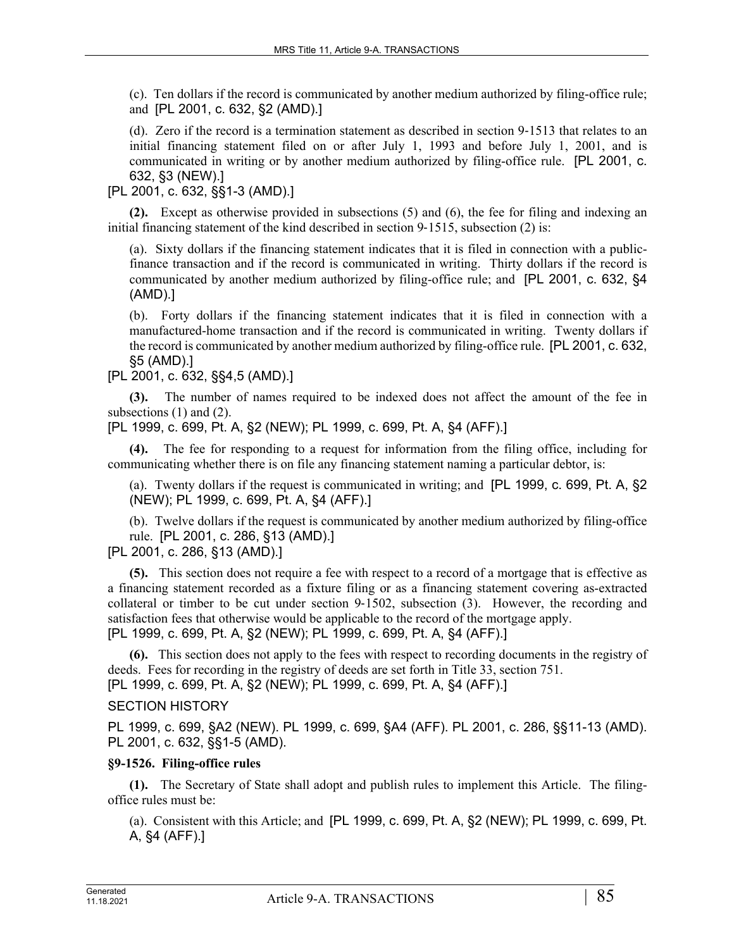(c). Ten dollars if the record is communicated by another medium authorized by filing-office rule; and [PL 2001, c. 632, §2 (AMD).]

(d). Zero if the record is a termination statement as described in section 9‑1513 that relates to an initial financing statement filed on or after July 1, 1993 and before July 1, 2001, and is communicated in writing or by another medium authorized by filing-office rule. [PL 2001, c. 632, §3 (NEW).]

[PL 2001, c. 632, §§1-3 (AMD).]

**(2).** Except as otherwise provided in subsections (5) and (6), the fee for filing and indexing an initial financing statement of the kind described in section 9–1515, subsection (2) is:

(a). Sixty dollars if the financing statement indicates that it is filed in connection with a publicfinance transaction and if the record is communicated in writing. Thirty dollars if the record is communicated by another medium authorized by filing-office rule; and [PL 2001, c. 632, §4 (AMD).]

(b). Forty dollars if the financing statement indicates that it is filed in connection with a manufactured-home transaction and if the record is communicated in writing. Twenty dollars if the record is communicated by another medium authorized by filing-office rule. [PL 2001, c. 632, §5 (AMD).]

[PL 2001, c. 632, §§4,5 (AMD).]

**(3).** The number of names required to be indexed does not affect the amount of the fee in subsections  $(1)$  and  $(2)$ .

[PL 1999, c. 699, Pt. A, §2 (NEW); PL 1999, c. 699, Pt. A, §4 (AFF).]

**(4).** The fee for responding to a request for information from the filing office, including for communicating whether there is on file any financing statement naming a particular debtor, is:

(a). Twenty dollars if the request is communicated in writing; and [PL 1999, c. 699, Pt. A, §2 (NEW); PL 1999, c. 699, Pt. A, §4 (AFF).]

(b). Twelve dollars if the request is communicated by another medium authorized by filing-office rule. [PL 2001, c. 286, §13 (AMD).]

[PL 2001, c. 286, §13 (AMD).]

**(5).** This section does not require a fee with respect to a record of a mortgage that is effective as a financing statement recorded as a fixture filing or as a financing statement covering as-extracted collateral or timber to be cut under section 9‑1502, subsection (3). However, the recording and satisfaction fees that otherwise would be applicable to the record of the mortgage apply. [PL 1999, c. 699, Pt. A, §2 (NEW); PL 1999, c. 699, Pt. A, §4 (AFF).]

**(6).** This section does not apply to the fees with respect to recording documents in the registry of deeds. Fees for recording in the registry of deeds are set forth in Title 33, section 751. [PL 1999, c. 699, Pt. A, §2 (NEW); PL 1999, c. 699, Pt. A, §4 (AFF).]

## SECTION HISTORY

PL 1999, c. 699, §A2 (NEW). PL 1999, c. 699, §A4 (AFF). PL 2001, c. 286, §§11-13 (AMD). PL 2001, c. 632, §§1-5 (AMD).

## **§9-1526. Filing-office rules**

**(1).** The Secretary of State shall adopt and publish rules to implement this Article. The filingoffice rules must be:

(a). Consistent with this Article; and [PL 1999, c. 699, Pt. A, §2 (NEW); PL 1999, c. 699, Pt. A, §4 (AFF).]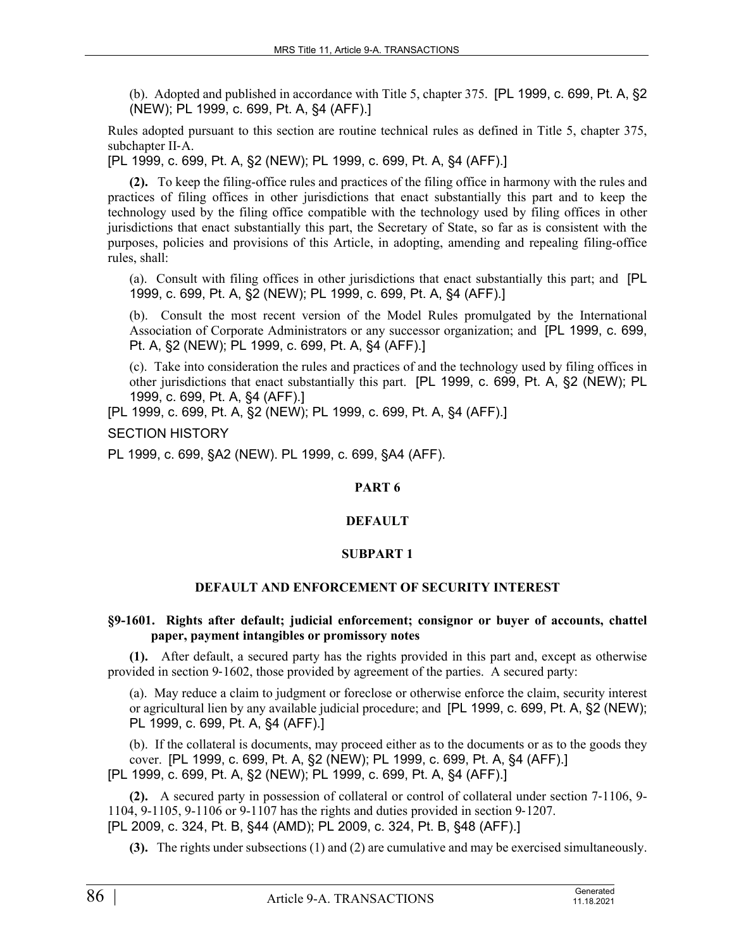(b). Adopted and published in accordance with Title 5, chapter 375. [PL 1999, c. 699, Pt. A, §2 (NEW); PL 1999, c. 699, Pt. A, §4 (AFF).]

Rules adopted pursuant to this section are routine technical rules as defined in Title 5, chapter 375, subchapter II‑A.

[PL 1999, c. 699, Pt. A, §2 (NEW); PL 1999, c. 699, Pt. A, §4 (AFF).]

**(2).** To keep the filing-office rules and practices of the filing office in harmony with the rules and practices of filing offices in other jurisdictions that enact substantially this part and to keep the technology used by the filing office compatible with the technology used by filing offices in other jurisdictions that enact substantially this part, the Secretary of State, so far as is consistent with the purposes, policies and provisions of this Article, in adopting, amending and repealing filing-office rules, shall:

(a). Consult with filing offices in other jurisdictions that enact substantially this part; and [PL 1999, c. 699, Pt. A, §2 (NEW); PL 1999, c. 699, Pt. A, §4 (AFF).]

(b). Consult the most recent version of the Model Rules promulgated by the International Association of Corporate Administrators or any successor organization; and [PL 1999, c. 699, Pt. A, §2 (NEW); PL 1999, c. 699, Pt. A, §4 (AFF).]

(c). Take into consideration the rules and practices of and the technology used by filing offices in other jurisdictions that enact substantially this part. [PL 1999, c. 699, Pt. A, §2 (NEW); PL 1999, c. 699, Pt. A, §4 (AFF).]

[PL 1999, c. 699, Pt. A, §2 (NEW); PL 1999, c. 699, Pt. A, §4 (AFF).]

SECTION HISTORY

PL 1999, c. 699, §A2 (NEW). PL 1999, c. 699, §A4 (AFF).

## **PART 6**

## **DEFAULT**

### **SUBPART 1**

## **DEFAULT AND ENFORCEMENT OF SECURITY INTEREST**

### **§9-1601. Rights after default; judicial enforcement; consignor or buyer of accounts, chattel paper, payment intangibles or promissory notes**

**(1).** After default, a secured party has the rights provided in this part and, except as otherwise provided in section 9‑1602, those provided by agreement of the parties. A secured party:

(a). May reduce a claim to judgment or foreclose or otherwise enforce the claim, security interest or agricultural lien by any available judicial procedure; and [PL 1999, c. 699, Pt. A, §2 (NEW); PL 1999, c. 699, Pt. A, §4 (AFF).]

(b). If the collateral is documents, may proceed either as to the documents or as to the goods they cover. [PL 1999, c. 699, Pt. A, §2 (NEW); PL 1999, c. 699, Pt. A, §4 (AFF).] [PL 1999, c. 699, Pt. A, §2 (NEW); PL 1999, c. 699, Pt. A, §4 (AFF).]

**(2).** A secured party in possession of collateral or control of collateral under section 7‑1106, 9- 1104, 9-1105, 9-1106 or 9-1107 has the rights and duties provided in section 9‑1207. [PL 2009, c. 324, Pt. B, §44 (AMD); PL 2009, c. 324, Pt. B, §48 (AFF).]

**(3).** The rights under subsections (1) and (2) are cumulative and may be exercised simultaneously.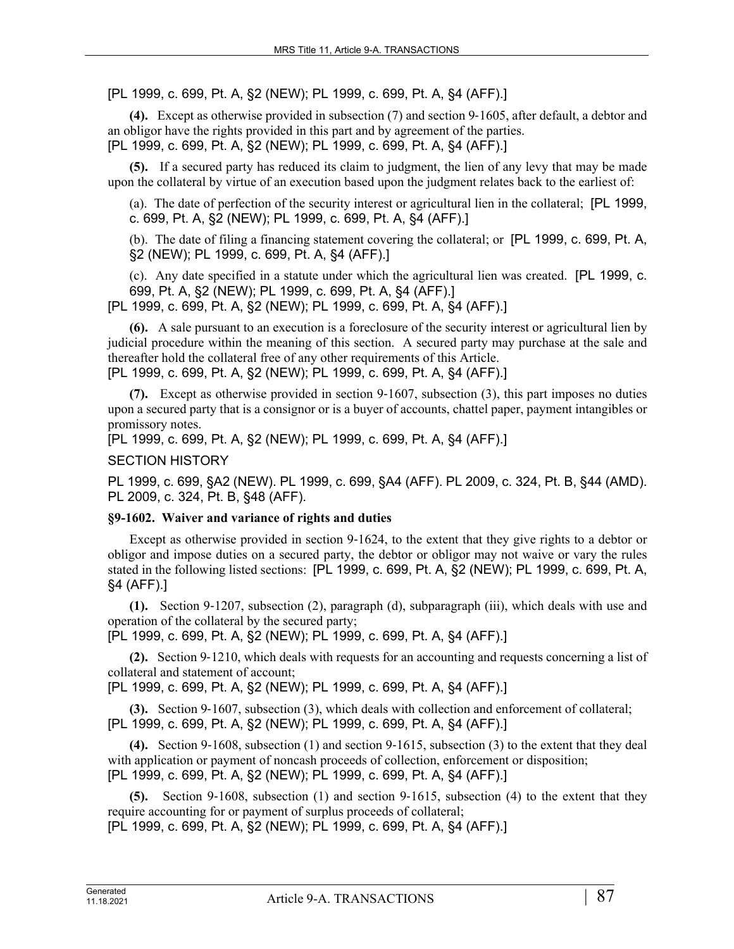[PL 1999, c. 699, Pt. A, §2 (NEW); PL 1999, c. 699, Pt. A, §4 (AFF).]

**(4).** Except as otherwise provided in subsection (7) and section 9‑1605, after default, a debtor and an obligor have the rights provided in this part and by agreement of the parties. [PL 1999, c. 699, Pt. A, §2 (NEW); PL 1999, c. 699, Pt. A, §4 (AFF).]

**(5).** If a secured party has reduced its claim to judgment, the lien of any levy that may be made upon the collateral by virtue of an execution based upon the judgment relates back to the earliest of:

(a). The date of perfection of the security interest or agricultural lien in the collateral; [PL 1999, c. 699, Pt. A, §2 (NEW); PL 1999, c. 699, Pt. A, §4 (AFF).]

(b). The date of filing a financing statement covering the collateral; or [PL 1999, c. 699, Pt. A, §2 (NEW); PL 1999, c. 699, Pt. A, §4 (AFF).]

(c). Any date specified in a statute under which the agricultural lien was created. [PL 1999, c. 699, Pt. A, §2 (NEW); PL 1999, c. 699, Pt. A, §4 (AFF).]

[PL 1999, c. 699, Pt. A, §2 (NEW); PL 1999, c. 699, Pt. A, §4 (AFF).]

**(6).** A sale pursuant to an execution is a foreclosure of the security interest or agricultural lien by judicial procedure within the meaning of this section. A secured party may purchase at the sale and thereafter hold the collateral free of any other requirements of this Article.

[PL 1999, c. 699, Pt. A, §2 (NEW); PL 1999, c. 699, Pt. A, §4 (AFF).]

**(7).** Except as otherwise provided in section 9‑1607, subsection (3), this part imposes no duties upon a secured party that is a consignor or is a buyer of accounts, chattel paper, payment intangibles or promissory notes.

[PL 1999, c. 699, Pt. A, §2 (NEW); PL 1999, c. 699, Pt. A, §4 (AFF).]

SECTION HISTORY

PL 1999, c. 699, §A2 (NEW). PL 1999, c. 699, §A4 (AFF). PL 2009, c. 324, Pt. B, §44 (AMD). PL 2009, c. 324, Pt. B, §48 (AFF).

## **§9-1602. Waiver and variance of rights and duties**

Except as otherwise provided in section 9-1624, to the extent that they give rights to a debtor or obligor and impose duties on a secured party, the debtor or obligor may not waive or vary the rules stated in the following listed sections: [PL 1999, c. 699, Pt. A, §2 (NEW); PL 1999, c. 699, Pt. A, §4 (AFF).]

**(1).** Section 9‑1207, subsection (2), paragraph (d), subparagraph (iii), which deals with use and operation of the collateral by the secured party;

[PL 1999, c. 699, Pt. A, §2 (NEW); PL 1999, c. 699, Pt. A, §4 (AFF).]

**(2).** Section 9‑1210, which deals with requests for an accounting and requests concerning a list of collateral and statement of account;

[PL 1999, c. 699, Pt. A, §2 (NEW); PL 1999, c. 699, Pt. A, §4 (AFF).]

**(3).** Section 9‑1607, subsection (3), which deals with collection and enforcement of collateral; [PL 1999, c. 699, Pt. A, §2 (NEW); PL 1999, c. 699, Pt. A, §4 (AFF).]

**(4).** Section 9‑1608, subsection (1) and section 9‑1615, subsection (3) to the extent that they deal with application or payment of noncash proceeds of collection, enforcement or disposition; [PL 1999, c. 699, Pt. A, §2 (NEW); PL 1999, c. 699, Pt. A, §4 (AFF).]

**(5).** Section 9‑1608, subsection (1) and section 9‑1615, subsection (4) to the extent that they require accounting for or payment of surplus proceeds of collateral;

[PL 1999, c. 699, Pt. A, §2 (NEW); PL 1999, c. 699, Pt. A, §4 (AFF).]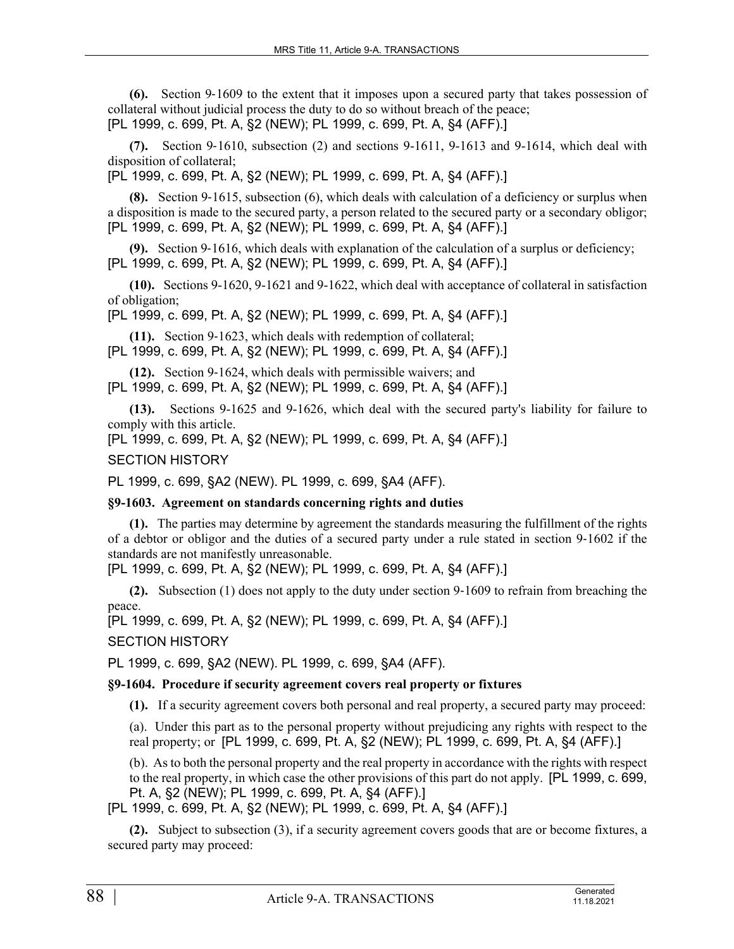**(6).** Section 9‑1609 to the extent that it imposes upon a secured party that takes possession of collateral without judicial process the duty to do so without breach of the peace; [PL 1999, c. 699, Pt. A, §2 (NEW); PL 1999, c. 699, Pt. A, §4 (AFF).]

**(7).** Section 9‑1610, subsection (2) and sections 9-1611, 9-1613 and 9-1614, which deal with disposition of collateral;

[PL 1999, c. 699, Pt. A, §2 (NEW); PL 1999, c. 699, Pt. A, §4 (AFF).]

**(8).** Section 9‑1615, subsection (6), which deals with calculation of a deficiency or surplus when a disposition is made to the secured party, a person related to the secured party or a secondary obligor; [PL 1999, c. 699, Pt. A, §2 (NEW); PL 1999, c. 699, Pt. A, §4 (AFF).]

**(9).** Section 9‑1616, which deals with explanation of the calculation of a surplus or deficiency; [PL 1999, c. 699, Pt. A, §2 (NEW); PL 1999, c. 699, Pt. A, §4 (AFF).]

**(10).** Sections 9-1620, 9-1621 and 9-1622, which deal with acceptance of collateral in satisfaction of obligation;

[PL 1999, c. 699, Pt. A, §2 (NEW); PL 1999, c. 699, Pt. A, §4 (AFF).]

**(11).** Section 9‑1623, which deals with redemption of collateral;

[PL 1999, c. 699, Pt. A, §2 (NEW); PL 1999, c. 699, Pt. A, §4 (AFF).]

**(12).** Section 9‑1624, which deals with permissible waivers; and [PL 1999, c. 699, Pt. A, §2 (NEW); PL 1999, c. 699, Pt. A, §4 (AFF).]

**(13).** Sections 9-1625 and 9-1626, which deal with the secured party's liability for failure to comply with this article.

[PL 1999, c. 699, Pt. A, §2 (NEW); PL 1999, c. 699, Pt. A, §4 (AFF).]

SECTION HISTORY

PL 1999, c. 699, §A2 (NEW). PL 1999, c. 699, §A4 (AFF).

**§9-1603. Agreement on standards concerning rights and duties**

**(1).** The parties may determine by agreement the standards measuring the fulfillment of the rights of a debtor or obligor and the duties of a secured party under a rule stated in section 9‑1602 if the standards are not manifestly unreasonable.

[PL 1999, c. 699, Pt. A, §2 (NEW); PL 1999, c. 699, Pt. A, §4 (AFF).]

**(2).** Subsection (1) does not apply to the duty under section 9‑1609 to refrain from breaching the peace.

[PL 1999, c. 699, Pt. A, §2 (NEW); PL 1999, c. 699, Pt. A, §4 (AFF).]

SECTION HISTORY

PL 1999, c. 699, §A2 (NEW). PL 1999, c. 699, §A4 (AFF).

## **§9-1604. Procedure if security agreement covers real property or fixtures**

**(1).** If a security agreement covers both personal and real property, a secured party may proceed:

(a). Under this part as to the personal property without prejudicing any rights with respect to the real property; or [PL 1999, c. 699, Pt. A, §2 (NEW); PL 1999, c. 699, Pt. A, §4 (AFF).]

(b). As to both the personal property and the real property in accordance with the rights with respect to the real property, in which case the other provisions of this part do not apply. [PL 1999, c. 699, Pt. A, §2 (NEW); PL 1999, c. 699, Pt. A, §4 (AFF).]

[PL 1999, c. 699, Pt. A, §2 (NEW); PL 1999, c. 699, Pt. A, §4 (AFF).]

**(2).** Subject to subsection (3), if a security agreement covers goods that are or become fixtures, a secured party may proceed: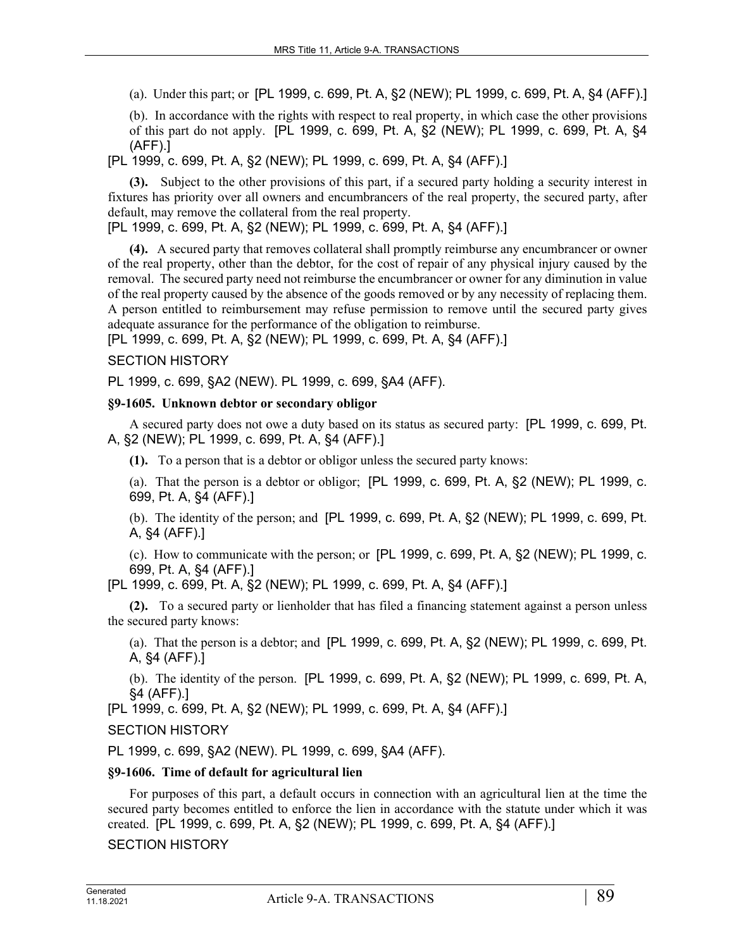(a). Under this part; or [PL 1999, c. 699, Pt. A, §2 (NEW); PL 1999, c. 699, Pt. A, §4 (AFF).]

(b). In accordance with the rights with respect to real property, in which case the other provisions of this part do not apply. [PL 1999, c. 699, Pt. A, §2 (NEW); PL 1999, c. 699, Pt. A, §4 (AFF).]

[PL 1999, c. 699, Pt. A, §2 (NEW); PL 1999, c. 699, Pt. A, §4 (AFF).]

**(3).** Subject to the other provisions of this part, if a secured party holding a security interest in fixtures has priority over all owners and encumbrancers of the real property, the secured party, after default, may remove the collateral from the real property.

[PL 1999, c. 699, Pt. A, §2 (NEW); PL 1999, c. 699, Pt. A, §4 (AFF).]

**(4).** A secured party that removes collateral shall promptly reimburse any encumbrancer or owner of the real property, other than the debtor, for the cost of repair of any physical injury caused by the removal. The secured party need not reimburse the encumbrancer or owner for any diminution in value of the real property caused by the absence of the goods removed or by any necessity of replacing them. A person entitled to reimbursement may refuse permission to remove until the secured party gives adequate assurance for the performance of the obligation to reimburse.

[PL 1999, c. 699, Pt. A, §2 (NEW); PL 1999, c. 699, Pt. A, §4 (AFF).]

## SECTION HISTORY

PL 1999, c. 699, §A2 (NEW). PL 1999, c. 699, §A4 (AFF).

### **§9-1605. Unknown debtor or secondary obligor**

A secured party does not owe a duty based on its status as secured party: [PL 1999, c. 699, Pt. A, §2 (NEW); PL 1999, c. 699, Pt. A, §4 (AFF).]

**(1).** To a person that is a debtor or obligor unless the secured party knows:

(a). That the person is a debtor or obligor;  $[PL 1999, c. 699, Pt. A, §2 (NEW); PL 1999, c.$ 699, Pt. A, §4 (AFF).]

(b). The identity of the person; and [PL 1999, c. 699, Pt. A, §2 (NEW); PL 1999, c. 699, Pt. A, §4 (AFF).]

(c). How to communicate with the person; or [PL 1999, c. 699, Pt. A, §2 (NEW); PL 1999, c. 699, Pt. A, §4 (AFF).]

[PL 1999, c. 699, Pt. A, §2 (NEW); PL 1999, c. 699, Pt. A, §4 (AFF).]

**(2).** To a secured party or lienholder that has filed a financing statement against a person unless the secured party knows:

(a). That the person is a debtor; and [PL 1999, c. 699, Pt. A, §2 (NEW); PL 1999, c. 699, Pt. A, §4 (AFF).]

(b). The identity of the person. [PL 1999, c. 699, Pt. A, §2 (NEW); PL 1999, c. 699, Pt. A, §4 (AFF).]

[PL 1999, c. 699, Pt. A, §2 (NEW); PL 1999, c. 699, Pt. A, §4 (AFF).]

SECTION HISTORY

PL 1999, c. 699, §A2 (NEW). PL 1999, c. 699, §A4 (AFF).

## **§9-1606. Time of default for agricultural lien**

For purposes of this part, a default occurs in connection with an agricultural lien at the time the secured party becomes entitled to enforce the lien in accordance with the statute under which it was created. [PL 1999, c. 699, Pt. A, §2 (NEW); PL 1999, c. 699, Pt. A, §4 (AFF).]

## SECTION HISTORY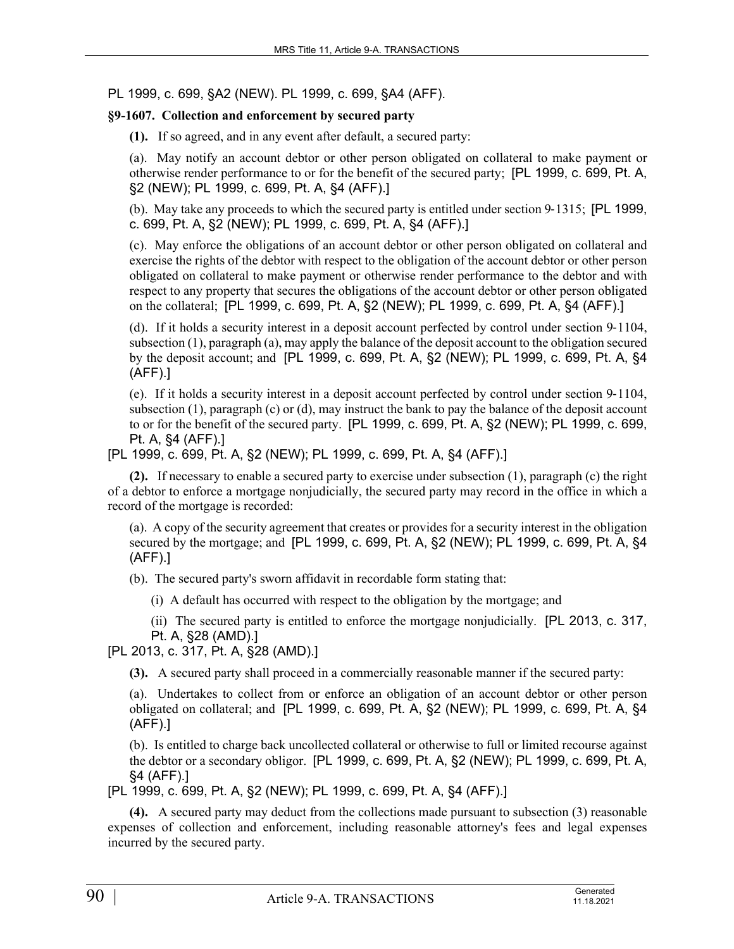PL 1999, c. 699, §A2 (NEW). PL 1999, c. 699, §A4 (AFF).

## **§9-1607. Collection and enforcement by secured party**

**(1).** If so agreed, and in any event after default, a secured party:

(a). May notify an account debtor or other person obligated on collateral to make payment or otherwise render performance to or for the benefit of the secured party; [PL 1999, c. 699, Pt. A, §2 (NEW); PL 1999, c. 699, Pt. A, §4 (AFF).]

(b). May take any proceeds to which the secured party is entitled under section 9‑1315; [PL 1999, c. 699, Pt. A, §2 (NEW); PL 1999, c. 699, Pt. A, §4 (AFF).]

(c). May enforce the obligations of an account debtor or other person obligated on collateral and exercise the rights of the debtor with respect to the obligation of the account debtor or other person obligated on collateral to make payment or otherwise render performance to the debtor and with respect to any property that secures the obligations of the account debtor or other person obligated on the collateral; [PL 1999, c. 699, Pt. A, §2 (NEW); PL 1999, c. 699, Pt. A, §4 (AFF).]

(d). If it holds a security interest in a deposit account perfected by control under section 9‑1104, subsection (1), paragraph (a), may apply the balance of the deposit account to the obligation secured by the deposit account; and [PL 1999, c. 699, Pt. A, §2 (NEW); PL 1999, c. 699, Pt. A, §4 (AFF).]

(e). If it holds a security interest in a deposit account perfected by control under section 9‑1104, subsection (1), paragraph (c) or (d), may instruct the bank to pay the balance of the deposit account to or for the benefit of the secured party. [PL 1999, c. 699, Pt. A, §2 (NEW); PL 1999, c. 699, Pt. A, §4 (AFF).]

[PL 1999, c. 699, Pt. A, §2 (NEW); PL 1999, c. 699, Pt. A, §4 (AFF).]

**(2).** If necessary to enable a secured party to exercise under subsection (1), paragraph (c) the right of a debtor to enforce a mortgage nonjudicially, the secured party may record in the office in which a record of the mortgage is recorded:

(a). A copy of the security agreement that creates or provides for a security interest in the obligation secured by the mortgage; and [PL 1999, c. 699, Pt. A, §2 (NEW); PL 1999, c. 699, Pt. A, §4 (AFF).]

(b). The secured party's sworn affidavit in recordable form stating that:

(i) A default has occurred with respect to the obligation by the mortgage; and

(ii) The secured party is entitled to enforce the mortgage nonjudicially. [PL 2013, c. 317, Pt. A, §28 (AMD).]

[PL 2013, c. 317, Pt. A, §28 (AMD).]

**(3).** A secured party shall proceed in a commercially reasonable manner if the secured party:

(a). Undertakes to collect from or enforce an obligation of an account debtor or other person obligated on collateral; and [PL 1999, c. 699, Pt. A, §2 (NEW); PL 1999, c. 699, Pt. A, §4 (AFF).]

(b). Is entitled to charge back uncollected collateral or otherwise to full or limited recourse against the debtor or a secondary obligor. [PL 1999, c. 699, Pt. A, §2 (NEW); PL 1999, c. 699, Pt. A, §4 (AFF).]

[PL 1999, c. 699, Pt. A, §2 (NEW); PL 1999, c. 699, Pt. A, §4 (AFF).]

**(4).** A secured party may deduct from the collections made pursuant to subsection (3) reasonable expenses of collection and enforcement, including reasonable attorney's fees and legal expenses incurred by the secured party.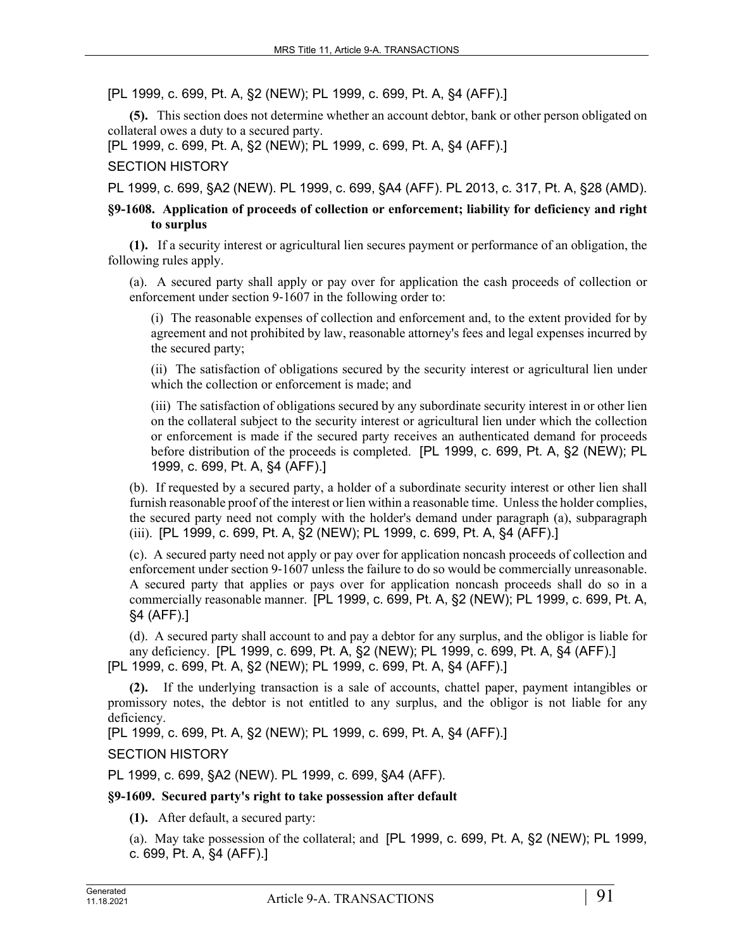[PL 1999, c. 699, Pt. A, §2 (NEW); PL 1999, c. 699, Pt. A, §4 (AFF).]

**(5).** This section does not determine whether an account debtor, bank or other person obligated on collateral owes a duty to a secured party.

[PL 1999, c. 699, Pt. A, §2 (NEW); PL 1999, c. 699, Pt. A, §4 (AFF).]

### SECTION HISTORY

PL 1999, c. 699, §A2 (NEW). PL 1999, c. 699, §A4 (AFF). PL 2013, c. 317, Pt. A, §28 (AMD).

### **§9-1608. Application of proceeds of collection or enforcement; liability for deficiency and right to surplus**

**(1).** If a security interest or agricultural lien secures payment or performance of an obligation, the following rules apply.

(a). A secured party shall apply or pay over for application the cash proceeds of collection or enforcement under section 9-1607 in the following order to:

(i) The reasonable expenses of collection and enforcement and, to the extent provided for by agreement and not prohibited by law, reasonable attorney's fees and legal expenses incurred by the secured party;

(ii) The satisfaction of obligations secured by the security interest or agricultural lien under which the collection or enforcement is made; and

(iii) The satisfaction of obligations secured by any subordinate security interest in or other lien on the collateral subject to the security interest or agricultural lien under which the collection or enforcement is made if the secured party receives an authenticated demand for proceeds before distribution of the proceeds is completed. [PL 1999, c. 699, Pt. A, §2 (NEW); PL 1999, c. 699, Pt. A, §4 (AFF).]

(b). If requested by a secured party, a holder of a subordinate security interest or other lien shall furnish reasonable proof of the interest or lien within a reasonable time. Unless the holder complies, the secured party need not comply with the holder's demand under paragraph (a), subparagraph (iii). [PL 1999, c. 699, Pt. A, §2 (NEW); PL 1999, c. 699, Pt. A, §4 (AFF).]

(c). A secured party need not apply or pay over for application noncash proceeds of collection and enforcement under section 9–1607 unless the failure to do so would be commercially unreasonable. A secured party that applies or pays over for application noncash proceeds shall do so in a commercially reasonable manner. [PL 1999, c. 699, Pt. A, §2 (NEW); PL 1999, c. 699, Pt. A, §4 (AFF).]

(d). A secured party shall account to and pay a debtor for any surplus, and the obligor is liable for any deficiency. [PL 1999, c. 699, Pt. A, §2 (NEW); PL 1999, c. 699, Pt. A, §4 (AFF).] [PL 1999, c. 699, Pt. A, §2 (NEW); PL 1999, c. 699, Pt. A, §4 (AFF).]

**(2).** If the underlying transaction is a sale of accounts, chattel paper, payment intangibles or promissory notes, the debtor is not entitled to any surplus, and the obligor is not liable for any deficiency.

[PL 1999, c. 699, Pt. A, §2 (NEW); PL 1999, c. 699, Pt. A, §4 (AFF).]

### SECTION HISTORY

PL 1999, c. 699, §A2 (NEW). PL 1999, c. 699, §A4 (AFF).

### **§9-1609. Secured party's right to take possession after default**

**(1).** After default, a secured party:

(a). May take possession of the collateral; and [PL 1999, c. 699, Pt. A, §2 (NEW); PL 1999, c. 699, Pt. A, §4 (AFF).]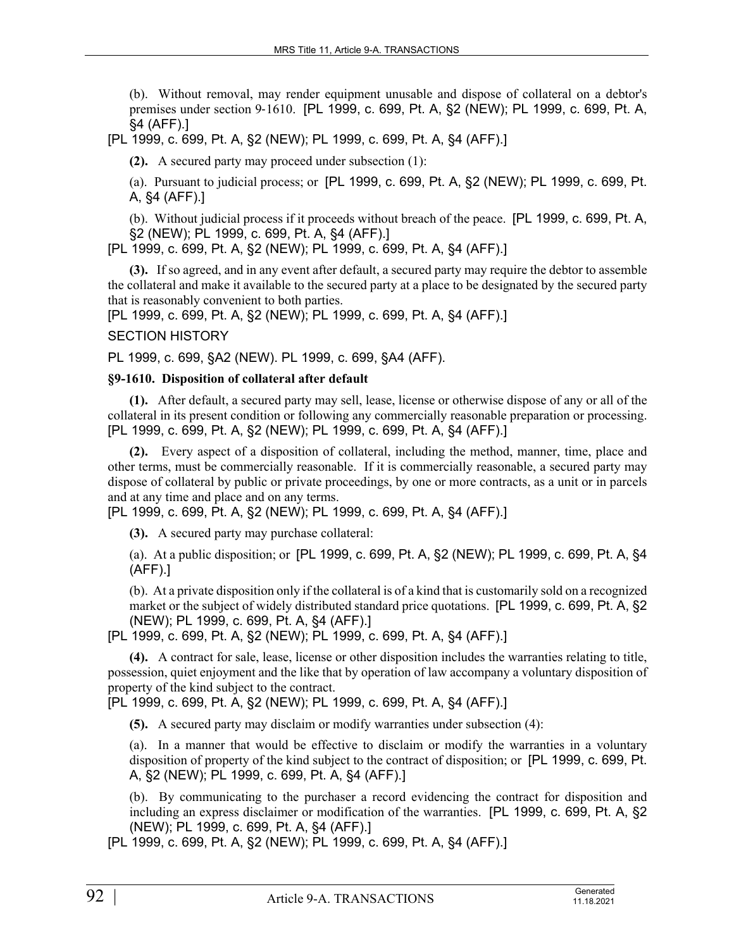(b). Without removal, may render equipment unusable and dispose of collateral on a debtor's premises under section 9‑1610. [PL 1999, c. 699, Pt. A, §2 (NEW); PL 1999, c. 699, Pt. A, §4 (AFF).]

[PL 1999, c. 699, Pt. A, §2 (NEW); PL 1999, c. 699, Pt. A, §4 (AFF).]

**(2).** A secured party may proceed under subsection (1):

(a). Pursuant to judicial process; or [PL 1999, c. 699, Pt. A, §2 (NEW); PL 1999, c. 699, Pt. A, §4 (AFF).]

(b). Without judicial process if it proceeds without breach of the peace. [PL 1999, c. 699, Pt. A, §2 (NEW); PL 1999, c. 699, Pt. A, §4 (AFF).]

[PL 1999, c. 699, Pt. A, §2 (NEW); PL 1999, c. 699, Pt. A, §4 (AFF).]

**(3).** If so agreed, and in any event after default, a secured party may require the debtor to assemble the collateral and make it available to the secured party at a place to be designated by the secured party that is reasonably convenient to both parties.

[PL 1999, c. 699, Pt. A, §2 (NEW); PL 1999, c. 699, Pt. A, §4 (AFF).]

#### SECTION HISTORY

PL 1999, c. 699, §A2 (NEW). PL 1999, c. 699, §A4 (AFF).

### **§9-1610. Disposition of collateral after default**

**(1).** After default, a secured party may sell, lease, license or otherwise dispose of any or all of the collateral in its present condition or following any commercially reasonable preparation or processing. [PL 1999, c. 699, Pt. A, §2 (NEW); PL 1999, c. 699, Pt. A, §4 (AFF).]

**(2).** Every aspect of a disposition of collateral, including the method, manner, time, place and other terms, must be commercially reasonable. If it is commercially reasonable, a secured party may dispose of collateral by public or private proceedings, by one or more contracts, as a unit or in parcels and at any time and place and on any terms.

[PL 1999, c. 699, Pt. A, §2 (NEW); PL 1999, c. 699, Pt. A, §4 (AFF).]

**(3).** A secured party may purchase collateral:

(a). At a public disposition; or [PL 1999, c. 699, Pt. A, §2 (NEW); PL 1999, c. 699, Pt. A, §4 (AFF).]

(b). At a private disposition only if the collateral is of a kind that is customarily sold on a recognized market or the subject of widely distributed standard price quotations. [PL 1999, c. 699, Pt. A, §2 (NEW); PL 1999, c. 699, Pt. A, §4 (AFF).]

[PL 1999, c. 699, Pt. A, §2 (NEW); PL 1999, c. 699, Pt. A, §4 (AFF).]

**(4).** A contract for sale, lease, license or other disposition includes the warranties relating to title, possession, quiet enjoyment and the like that by operation of law accompany a voluntary disposition of property of the kind subject to the contract.

[PL 1999, c. 699, Pt. A, §2 (NEW); PL 1999, c. 699, Pt. A, §4 (AFF).]

**(5).** A secured party may disclaim or modify warranties under subsection (4):

(a). In a manner that would be effective to disclaim or modify the warranties in a voluntary disposition of property of the kind subject to the contract of disposition; or [PL 1999, c. 699, Pt. A, §2 (NEW); PL 1999, c. 699, Pt. A, §4 (AFF).]

(b). By communicating to the purchaser a record evidencing the contract for disposition and including an express disclaimer or modification of the warranties. [PL 1999, c. 699, Pt. A, §2 (NEW); PL 1999, c. 699, Pt. A, §4 (AFF).]

[PL 1999, c. 699, Pt. A, §2 (NEW); PL 1999, c. 699, Pt. A, §4 (AFF).]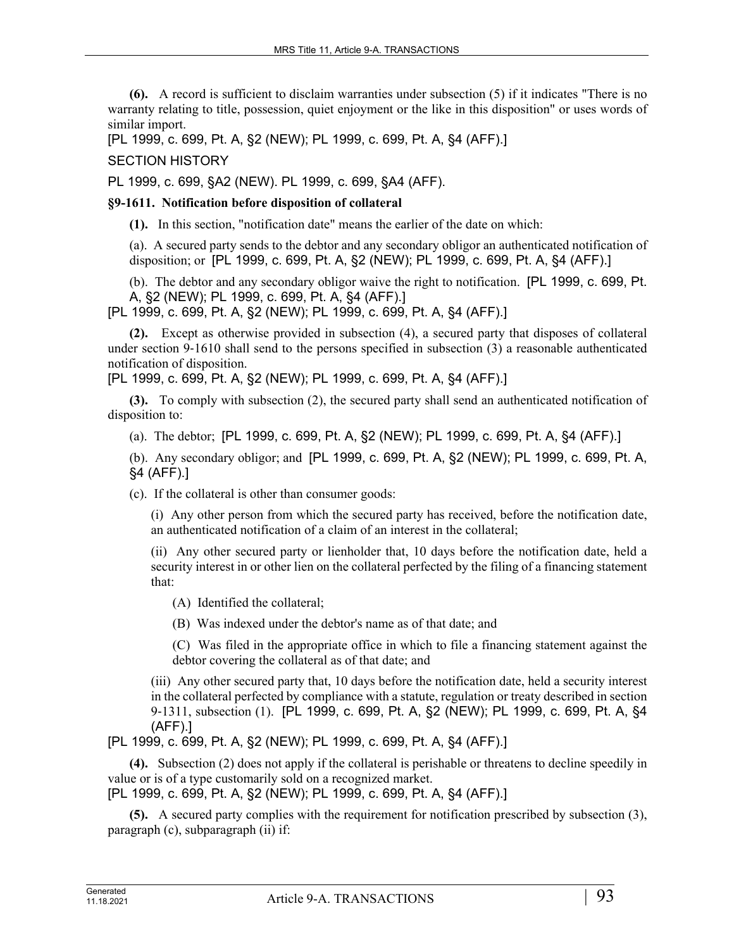**(6).** A record is sufficient to disclaim warranties under subsection (5) if it indicates "There is no warranty relating to title, possession, quiet enjoyment or the like in this disposition" or uses words of similar import.

[PL 1999, c. 699, Pt. A, §2 (NEW); PL 1999, c. 699, Pt. A, §4 (AFF).]

SECTION HISTORY

PL 1999, c. 699, §A2 (NEW). PL 1999, c. 699, §A4 (AFF).

### **§9-1611. Notification before disposition of collateral**

**(1).** In this section, "notification date" means the earlier of the date on which:

(a). A secured party sends to the debtor and any secondary obligor an authenticated notification of disposition; or [PL 1999, c. 699, Pt. A, §2 (NEW); PL 1999, c. 699, Pt. A, §4 (AFF).]

(b). The debtor and any secondary obligor waive the right to notification. [PL 1999, c. 699, Pt. A, §2 (NEW); PL 1999, c. 699, Pt. A, §4 (AFF).]

[PL 1999, c. 699, Pt. A, §2 (NEW); PL 1999, c. 699, Pt. A, §4 (AFF).]

**(2).** Except as otherwise provided in subsection (4), a secured party that disposes of collateral under section 9-1610 shall send to the persons specified in subsection (3) a reasonable authenticated notification of disposition.

[PL 1999, c. 699, Pt. A, §2 (NEW); PL 1999, c. 699, Pt. A, §4 (AFF).]

**(3).** To comply with subsection (2), the secured party shall send an authenticated notification of disposition to:

(a). The debtor; [PL 1999, c. 699, Pt. A, §2 (NEW); PL 1999, c. 699, Pt. A, §4 (AFF).]

(b). Any secondary obligor; and [PL 1999, c. 699, Pt. A, §2 (NEW); PL 1999, c. 699, Pt. A, §4 (AFF).]

(c). If the collateral is other than consumer goods:

(i) Any other person from which the secured party has received, before the notification date, an authenticated notification of a claim of an interest in the collateral;

(ii) Any other secured party or lienholder that, 10 days before the notification date, held a security interest in or other lien on the collateral perfected by the filing of a financing statement that:

(A) Identified the collateral;

(B) Was indexed under the debtor's name as of that date; and

(C) Was filed in the appropriate office in which to file a financing statement against the debtor covering the collateral as of that date; and

(iii) Any other secured party that, 10 days before the notification date, held a security interest in the collateral perfected by compliance with a statute, regulation or treaty described in section 9‑1311, subsection (1). [PL 1999, c. 699, Pt. A, §2 (NEW); PL 1999, c. 699, Pt. A, §4 (AFF).]

[PL 1999, c. 699, Pt. A, §2 (NEW); PL 1999, c. 699, Pt. A, §4 (AFF).]

**(4).** Subsection (2) does not apply if the collateral is perishable or threatens to decline speedily in value or is of a type customarily sold on a recognized market.

[PL 1999, c. 699, Pt. A, §2 (NEW); PL 1999, c. 699, Pt. A, §4 (AFF).]

**(5).** A secured party complies with the requirement for notification prescribed by subsection (3), paragraph (c), subparagraph (ii) if: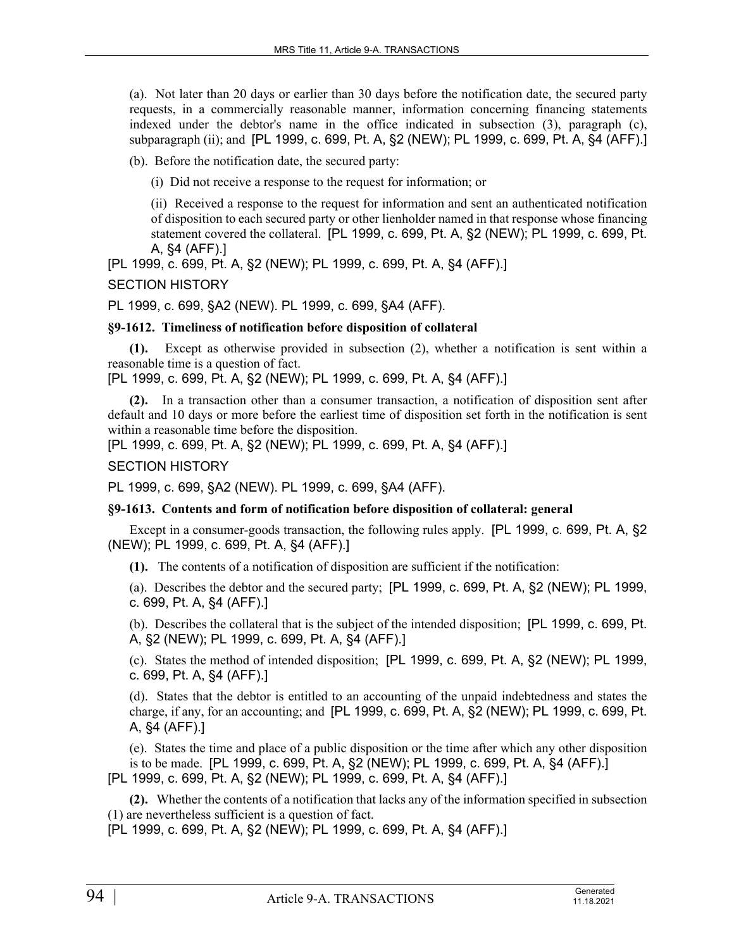(a). Not later than 20 days or earlier than 30 days before the notification date, the secured party requests, in a commercially reasonable manner, information concerning financing statements indexed under the debtor's name in the office indicated in subsection (3), paragraph (c), subparagraph (ii); and [PL 1999, c. 699, Pt. A, §2 (NEW); PL 1999, c. 699, Pt. A, §4 (AFF).]

(b). Before the notification date, the secured party:

(i) Did not receive a response to the request for information; or

(ii) Received a response to the request for information and sent an authenticated notification of disposition to each secured party or other lienholder named in that response whose financing statement covered the collateral. [PL 1999, c. 699, Pt. A, §2 (NEW); PL 1999, c. 699, Pt. A, §4 (AFF).]

[PL 1999, c. 699, Pt. A, §2 (NEW); PL 1999, c. 699, Pt. A, §4 (AFF).]

SECTION HISTORY

PL 1999, c. 699, §A2 (NEW). PL 1999, c. 699, §A4 (AFF).

## **§9-1612. Timeliness of notification before disposition of collateral**

**(1).** Except as otherwise provided in subsection (2), whether a notification is sent within a reasonable time is a question of fact.

[PL 1999, c. 699, Pt. A, §2 (NEW); PL 1999, c. 699, Pt. A, §4 (AFF).]

**(2).** In a transaction other than a consumer transaction, a notification of disposition sent after default and 10 days or more before the earliest time of disposition set forth in the notification is sent within a reasonable time before the disposition.

[PL 1999, c. 699, Pt. A, §2 (NEW); PL 1999, c. 699, Pt. A, §4 (AFF).]

## SECTION HISTORY

PL 1999, c. 699, §A2 (NEW). PL 1999, c. 699, §A4 (AFF).

## **§9-1613. Contents and form of notification before disposition of collateral: general**

Except in a consumer-goods transaction, the following rules apply. [PL 1999, c. 699, Pt. A, §2 (NEW); PL 1999, c. 699, Pt. A, §4 (AFF).]

**(1).** The contents of a notification of disposition are sufficient if the notification:

(a). Describes the debtor and the secured party; [PL 1999, c. 699, Pt. A, §2 (NEW); PL 1999, c. 699, Pt. A, §4 (AFF).]

(b). Describes the collateral that is the subject of the intended disposition; [PL 1999, c. 699, Pt. A, §2 (NEW); PL 1999, c. 699, Pt. A, §4 (AFF).]

(c). States the method of intended disposition; [PL 1999, c. 699, Pt. A, §2 (NEW); PL 1999, c. 699, Pt. A, §4 (AFF).]

(d). States that the debtor is entitled to an accounting of the unpaid indebtedness and states the charge, if any, for an accounting; and [PL 1999, c. 699, Pt. A, §2 (NEW); PL 1999, c. 699, Pt. A, §4 (AFF).]

(e). States the time and place of a public disposition or the time after which any other disposition is to be made. [PL 1999, c. 699, Pt. A, §2 (NEW); PL 1999, c. 699, Pt. A, §4 (AFF).] [PL 1999, c. 699, Pt. A, §2 (NEW); PL 1999, c. 699, Pt. A, §4 (AFF).]

**(2).** Whether the contents of a notification that lacks any of the information specified in subsection (1) are nevertheless sufficient is a question of fact.

[PL 1999, c. 699, Pt. A, §2 (NEW); PL 1999, c. 699, Pt. A, §4 (AFF).]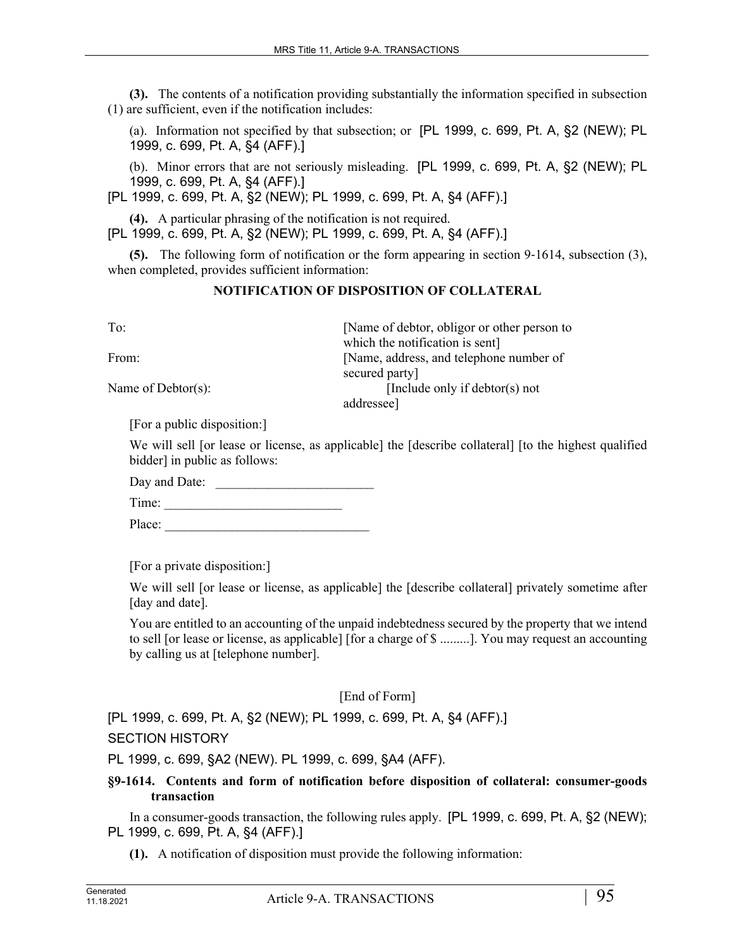**(3).** The contents of a notification providing substantially the information specified in subsection (1) are sufficient, even if the notification includes:

(a). Information not specified by that subsection; or [PL 1999, c. 699, Pt. A, §2 (NEW); PL 1999, c. 699, Pt. A, §4 (AFF).]

(b). Minor errors that are not seriously misleading. [PL 1999, c. 699, Pt. A, §2 (NEW); PL 1999, c. 699, Pt. A, §4 (AFF).]

[PL 1999, c. 699, Pt. A, §2 (NEW); PL 1999, c. 699, Pt. A, §4 (AFF).]

**(4).** A particular phrasing of the notification is not required.

[PL 1999, c. 699, Pt. A, §2 (NEW); PL 1999, c. 699, Pt. A, §4 (AFF).]

**(5).** The following form of notification or the form appearing in section 9‑1614, subsection (3), when completed, provides sufficient information:

## **NOTIFICATION OF DISPOSITION OF COLLATERAL**

To: [Name of debtor, obligor or other person to which the notification is sent] From: [Name, address, and telephone number of secured party] Name of Debtor(s): [Include only if debtor(s) not addressee]

[For a public disposition:]

We will sell [or lease or license, as applicable] the [describe collateral] [to the highest qualified bidder] in public as follows:

Day and Date: \_\_\_\_\_\_\_\_\_\_\_\_\_\_\_\_\_\_\_\_\_\_\_\_

Time: \_\_\_\_\_\_\_\_\_\_\_\_\_\_\_\_\_\_\_\_\_\_\_\_\_\_\_

Place:

[For a private disposition:]

We will sell [or lease or license, as applicable] the [describe collateral] privately sometime after [day and date].

You are entitled to an accounting of the unpaid indebtedness secured by the property that we intend to sell [or lease or license, as applicable] [for a charge of \$ .........]. You may request an accounting by calling us at [telephone number].

[End of Form]

[PL 1999, c. 699, Pt. A, §2 (NEW); PL 1999, c. 699, Pt. A, §4 (AFF).]

SECTION HISTORY

PL 1999, c. 699, §A2 (NEW). PL 1999, c. 699, §A4 (AFF).

## **§9-1614. Contents and form of notification before disposition of collateral: consumer-goods transaction**

In a consumer-goods transaction, the following rules apply. [PL 1999, c. 699, Pt. A, §2 (NEW); PL 1999, c. 699, Pt. A, §4 (AFF).]

**(1).** A notification of disposition must provide the following information: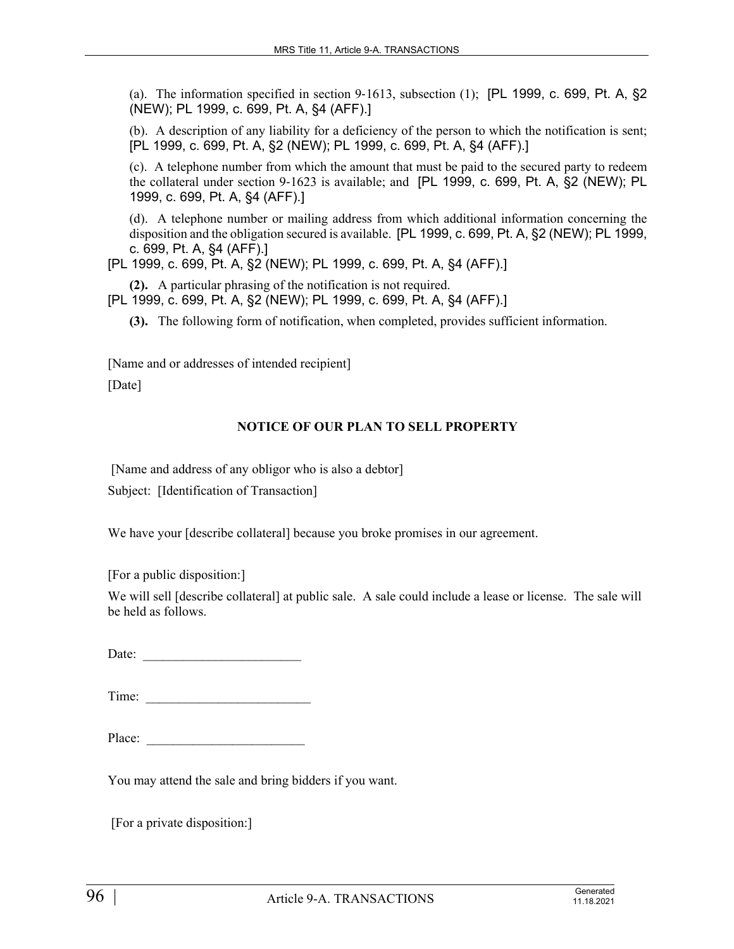(a). The information specified in section 9-1613, subsection  $(1)$ ; [PL 1999, c. 699, Pt. A, §2 (NEW); PL 1999, c. 699, Pt. A, §4 (AFF).]

(b). A description of any liability for a deficiency of the person to which the notification is sent; [PL 1999, c. 699, Pt. A, §2 (NEW); PL 1999, c. 699, Pt. A, §4 (AFF).]

(c). A telephone number from which the amount that must be paid to the secured party to redeem the collateral under section 9-1623 is available; and [PL 1999, c. 699, Pt. A, §2 (NEW); PL 1999, c. 699, Pt. A, §4 (AFF).]

(d). A telephone number or mailing address from which additional information concerning the disposition and the obligation secured is available. [PL 1999, c. 699, Pt. A, §2 (NEW); PL 1999, c. 699, Pt. A, §4 (AFF).]

[PL 1999, c. 699, Pt. A, §2 (NEW); PL 1999, c. 699, Pt. A, §4 (AFF).]

**(2).** A particular phrasing of the notification is not required.

[PL 1999, c. 699, Pt. A, §2 (NEW); PL 1999, c. 699, Pt. A, §4 (AFF).]

**(3).** The following form of notification, when completed, provides sufficient information.

[Name and or addresses of intended recipient] [Date]

## **NOTICE OF OUR PLAN TO SELL PROPERTY**

[Name and address of any obligor who is also a debtor]

Subject: [Identification of Transaction]

We have your [describe collateral] because you broke promises in our agreement.

[For a public disposition:]

We will sell [describe collateral] at public sale. A sale could include a lease or license. The sale will be held as follows.

Date:

Time: \_\_\_\_\_\_\_\_\_\_\_\_\_\_\_\_\_\_\_\_\_\_\_\_\_

| Place: |  |
|--------|--|
|        |  |

You may attend the sale and bring bidders if you want.

[For a private disposition:]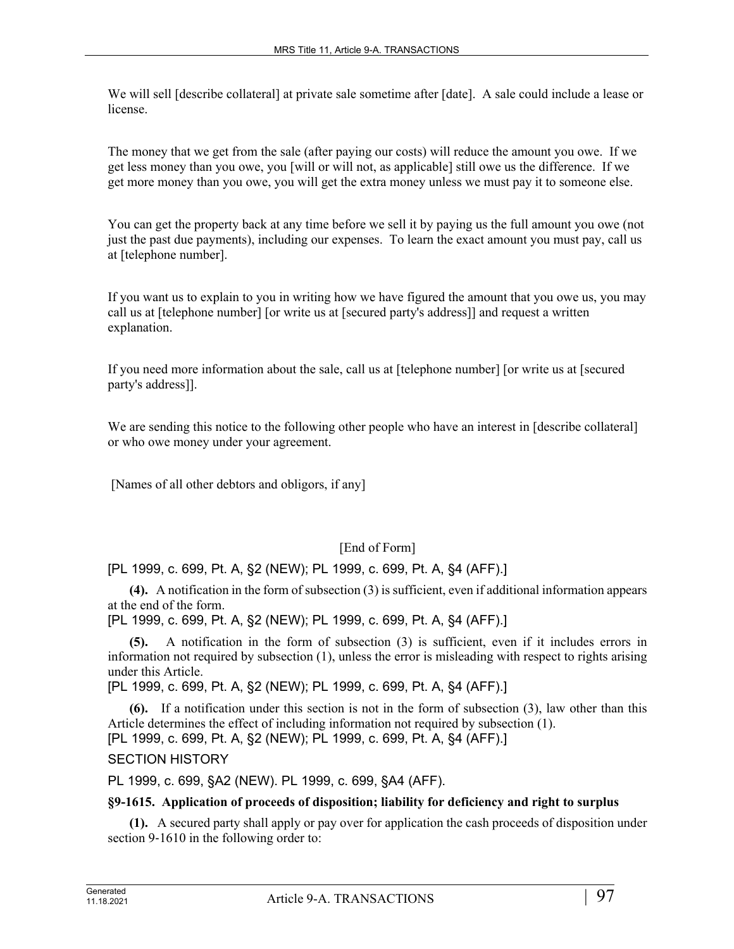We will sell [describe collateral] at private sale sometime after [date]. A sale could include a lease or license.

The money that we get from the sale (after paying our costs) will reduce the amount you owe. If we get less money than you owe, you [will or will not, as applicable] still owe us the difference. If we get more money than you owe, you will get the extra money unless we must pay it to someone else.

You can get the property back at any time before we sell it by paying us the full amount you owe (not just the past due payments), including our expenses. To learn the exact amount you must pay, call us at [telephone number].

If you want us to explain to you in writing how we have figured the amount that you owe us, you may call us at [telephone number] [or write us at [secured party's address]] and request a written explanation.

If you need more information about the sale, call us at [telephone number] [or write us at [secured party's address]].

We are sending this notice to the following other people who have an interest in [describe collateral] or who owe money under your agreement.

[Names of all other debtors and obligors, if any]

# [End of Form]

[PL 1999, c. 699, Pt. A, §2 (NEW); PL 1999, c. 699, Pt. A, §4 (AFF).]

**(4).** A notification in the form of subsection (3) is sufficient, even if additional information appears at the end of the form.

[PL 1999, c. 699, Pt. A, §2 (NEW); PL 1999, c. 699, Pt. A, §4 (AFF).]

**(5).** A notification in the form of subsection (3) is sufficient, even if it includes errors in information not required by subsection (1), unless the error is misleading with respect to rights arising under this Article.

[PL 1999, c. 699, Pt. A, §2 (NEW); PL 1999, c. 699, Pt. A, §4 (AFF).]

**(6).** If a notification under this section is not in the form of subsection (3), law other than this Article determines the effect of including information not required by subsection (1).

[PL 1999, c. 699, Pt. A, §2 (NEW); PL 1999, c. 699, Pt. A, §4 (AFF).]

SECTION HISTORY

PL 1999, c. 699, §A2 (NEW). PL 1999, c. 699, §A4 (AFF).

### **§9-1615. Application of proceeds of disposition; liability for deficiency and right to surplus**

**(1).** A secured party shall apply or pay over for application the cash proceeds of disposition under section 9-1610 in the following order to: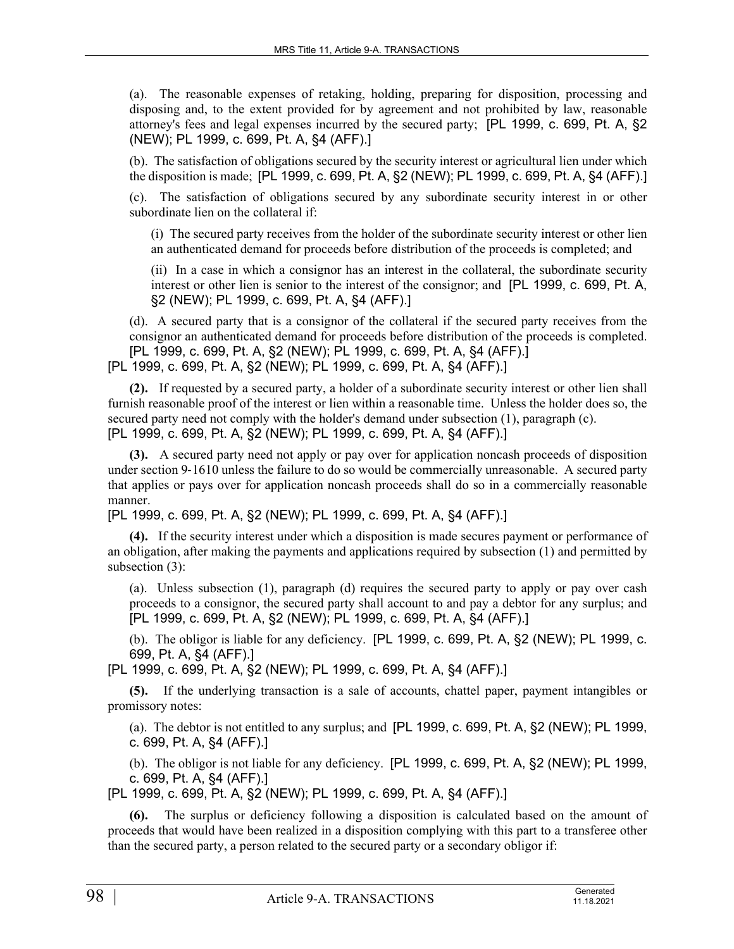(a). The reasonable expenses of retaking, holding, preparing for disposition, processing and disposing and, to the extent provided for by agreement and not prohibited by law, reasonable attorney's fees and legal expenses incurred by the secured party; [PL 1999, c. 699, Pt. A, §2 (NEW); PL 1999, c. 699, Pt. A, §4 (AFF).]

(b). The satisfaction of obligations secured by the security interest or agricultural lien under which the disposition is made; [PL 1999, c. 699, Pt. A, §2 (NEW); PL 1999, c. 699, Pt. A, §4 (AFF).]

(c). The satisfaction of obligations secured by any subordinate security interest in or other subordinate lien on the collateral if:

(i) The secured party receives from the holder of the subordinate security interest or other lien an authenticated demand for proceeds before distribution of the proceeds is completed; and

(ii) In a case in which a consignor has an interest in the collateral, the subordinate security interest or other lien is senior to the interest of the consignor; and [PL 1999, c. 699, Pt. A, §2 (NEW); PL 1999, c. 699, Pt. A, §4 (AFF).]

(d). A secured party that is a consignor of the collateral if the secured party receives from the consignor an authenticated demand for proceeds before distribution of the proceeds is completed. [PL 1999, c. 699, Pt. A, §2 (NEW); PL 1999, c. 699, Pt. A, §4 (AFF).] [PL 1999, c. 699, Pt. A, §2 (NEW); PL 1999, c. 699, Pt. A, §4 (AFF).]

**(2).** If requested by a secured party, a holder of a subordinate security interest or other lien shall furnish reasonable proof of the interest or lien within a reasonable time. Unless the holder does so, the secured party need not comply with the holder's demand under subsection (1), paragraph (c). [PL 1999, c. 699, Pt. A, §2 (NEW); PL 1999, c. 699, Pt. A, §4 (AFF).]

**(3).** A secured party need not apply or pay over for application noncash proceeds of disposition under section 9-1610 unless the failure to do so would be commercially unreasonable. A secured party that applies or pays over for application noncash proceeds shall do so in a commercially reasonable manner.

[PL 1999, c. 699, Pt. A, §2 (NEW); PL 1999, c. 699, Pt. A, §4 (AFF).]

**(4).** If the security interest under which a disposition is made secures payment or performance of an obligation, after making the payments and applications required by subsection (1) and permitted by subsection (3):

(a). Unless subsection (1), paragraph (d) requires the secured party to apply or pay over cash proceeds to a consignor, the secured party shall account to and pay a debtor for any surplus; and [PL 1999, c. 699, Pt. A, §2 (NEW); PL 1999, c. 699, Pt. A, §4 (AFF).]

(b). The obligor is liable for any deficiency. [PL 1999, c. 699, Pt. A, §2 (NEW); PL 1999, c. 699, Pt. A, §4 (AFF).]

[PL 1999, c. 699, Pt. A, §2 (NEW); PL 1999, c. 699, Pt. A, §4 (AFF).]

**(5).** If the underlying transaction is a sale of accounts, chattel paper, payment intangibles or promissory notes:

(a). The debtor is not entitled to any surplus; and [PL 1999, c. 699, Pt. A, §2 (NEW); PL 1999, c. 699, Pt. A, §4 (AFF).]

(b). The obligor is not liable for any deficiency. [PL 1999, c. 699, Pt. A, §2 (NEW); PL 1999, c. 699, Pt. A, §4 (AFF).]

[PL 1999, c. 699, Pt. A, §2 (NEW); PL 1999, c. 699, Pt. A, §4 (AFF).]

The surplus or deficiency following a disposition is calculated based on the amount of proceeds that would have been realized in a disposition complying with this part to a transferee other than the secured party, a person related to the secured party or a secondary obligor if: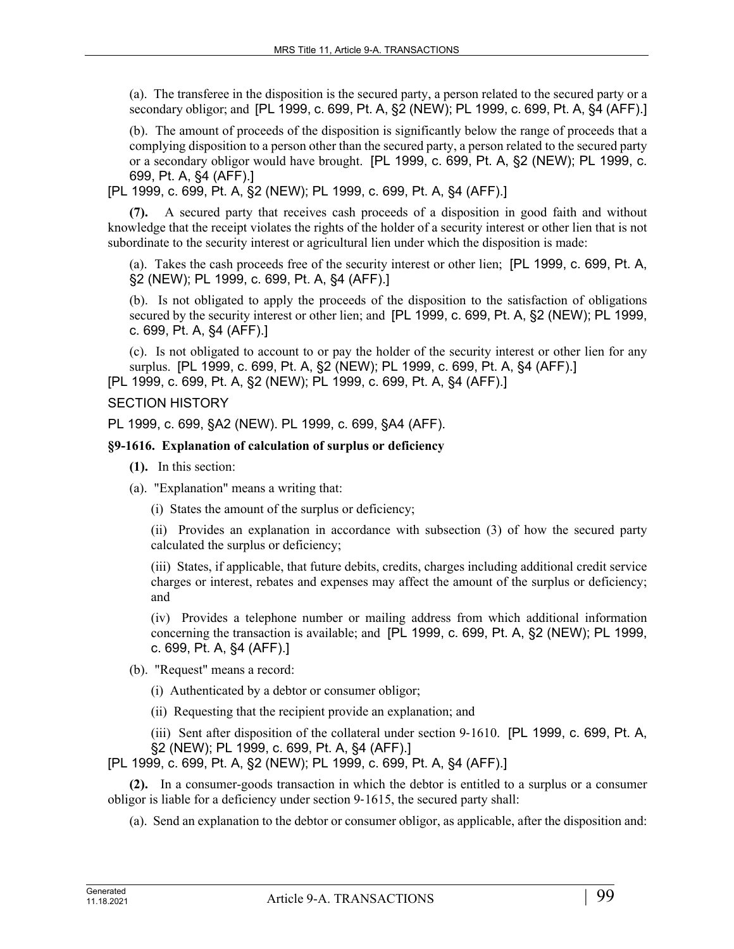(a). The transferee in the disposition is the secured party, a person related to the secured party or a secondary obligor; and [PL 1999, c. 699, Pt. A, §2 (NEW); PL 1999, c. 699, Pt. A, §4 (AFF).]

(b). The amount of proceeds of the disposition is significantly below the range of proceeds that a complying disposition to a person other than the secured party, a person related to the secured party or a secondary obligor would have brought. [PL 1999, c. 699, Pt. A, §2 (NEW); PL 1999, c. 699, Pt. A, §4 (AFF).]

[PL 1999, c. 699, Pt. A, §2 (NEW); PL 1999, c. 699, Pt. A, §4 (AFF).]

**(7).** A secured party that receives cash proceeds of a disposition in good faith and without knowledge that the receipt violates the rights of the holder of a security interest or other lien that is not subordinate to the security interest or agricultural lien under which the disposition is made:

(a). Takes the cash proceeds free of the security interest or other lien; [PL 1999, c. 699, Pt. A, §2 (NEW); PL 1999, c. 699, Pt. A, §4 (AFF).]

(b). Is not obligated to apply the proceeds of the disposition to the satisfaction of obligations secured by the security interest or other lien; and [PL 1999, c. 699, Pt. A, §2 (NEW); PL 1999, c. 699, Pt. A, §4 (AFF).]

(c). Is not obligated to account to or pay the holder of the security interest or other lien for any surplus. [PL 1999, c. 699, Pt. A, §2 (NEW); PL 1999, c. 699, Pt. A, §4 (AFF).]

[PL 1999, c. 699, Pt. A, §2 (NEW); PL 1999, c. 699, Pt. A, §4 (AFF).]

## SECTION HISTORY

PL 1999, c. 699, §A2 (NEW). PL 1999, c. 699, §A4 (AFF).

## **§9-1616. Explanation of calculation of surplus or deficiency**

- **(1).** In this section:
- (a). "Explanation" means a writing that:
	- (i) States the amount of the surplus or deficiency;

(ii) Provides an explanation in accordance with subsection (3) of how the secured party calculated the surplus or deficiency;

(iii) States, if applicable, that future debits, credits, charges including additional credit service charges or interest, rebates and expenses may affect the amount of the surplus or deficiency; and

(iv) Provides a telephone number or mailing address from which additional information concerning the transaction is available; and [PL 1999, c. 699, Pt. A, §2 (NEW); PL 1999, c. 699, Pt. A, §4 (AFF).]

(b). "Request" means a record:

(i) Authenticated by a debtor or consumer obligor;

(ii) Requesting that the recipient provide an explanation; and

(iii) Sent after disposition of the collateral under section 9‑1610. [PL 1999, c. 699, Pt. A, §2 (NEW); PL 1999, c. 699, Pt. A, §4 (AFF).]

[PL 1999, c. 699, Pt. A, §2 (NEW); PL 1999, c. 699, Pt. A, §4 (AFF).]

**(2).** In a consumer-goods transaction in which the debtor is entitled to a surplus or a consumer obligor is liable for a deficiency under section 9‑1615, the secured party shall:

(a). Send an explanation to the debtor or consumer obligor, as applicable, after the disposition and: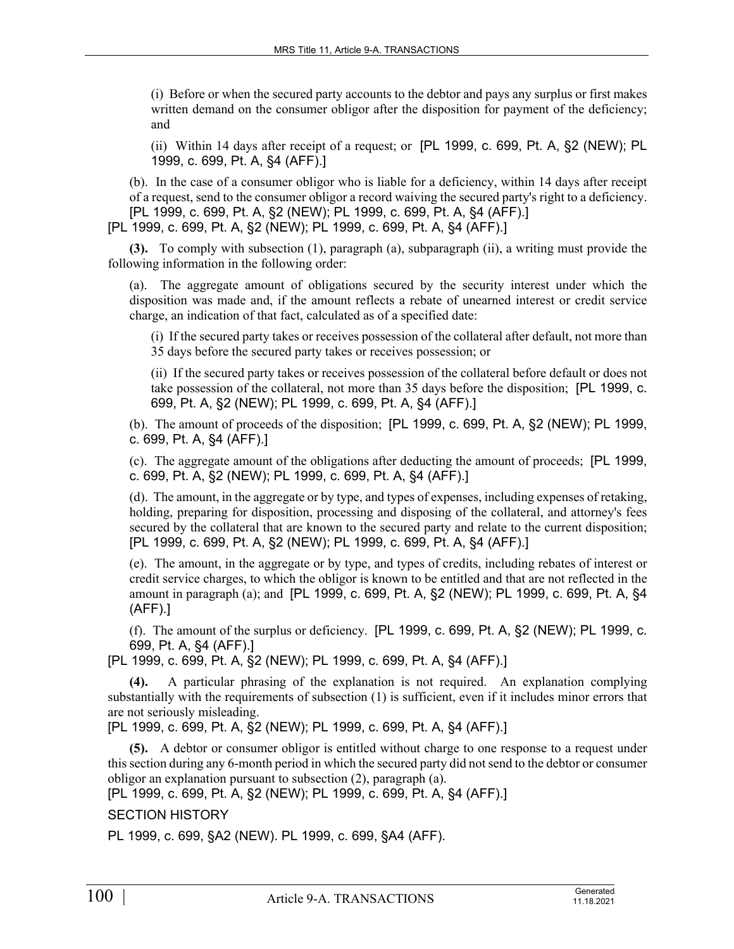(i) Before or when the secured party accounts to the debtor and pays any surplus or first makes written demand on the consumer obligor after the disposition for payment of the deficiency; and

(ii) Within 14 days after receipt of a request; or [PL 1999, c. 699, Pt. A, §2 (NEW); PL 1999, c. 699, Pt. A, §4 (AFF).]

(b). In the case of a consumer obligor who is liable for a deficiency, within 14 days after receipt of a request, send to the consumer obligor a record waiving the secured party's right to a deficiency. [PL 1999, c. 699, Pt. A, §2 (NEW); PL 1999, c. 699, Pt. A, §4 (AFF).]

[PL 1999, c. 699, Pt. A, §2 (NEW); PL 1999, c. 699, Pt. A, §4 (AFF).]

**(3).** To comply with subsection (1), paragraph (a), subparagraph (ii), a writing must provide the following information in the following order:

(a). The aggregate amount of obligations secured by the security interest under which the disposition was made and, if the amount reflects a rebate of unearned interest or credit service charge, an indication of that fact, calculated as of a specified date:

(i) If the secured party takes or receives possession of the collateral after default, not more than 35 days before the secured party takes or receives possession; or

(ii) If the secured party takes or receives possession of the collateral before default or does not take possession of the collateral, not more than 35 days before the disposition; [PL 1999, c. 699, Pt. A, §2 (NEW); PL 1999, c. 699, Pt. A, §4 (AFF).]

(b). The amount of proceeds of the disposition; [PL 1999, c. 699, Pt. A, §2 (NEW); PL 1999, c. 699, Pt. A, §4 (AFF).]

(c). The aggregate amount of the obligations after deducting the amount of proceeds; [PL 1999, c. 699, Pt. A, §2 (NEW); PL 1999, c. 699, Pt. A, §4 (AFF).]

(d). The amount, in the aggregate or by type, and types of expenses, including expenses of retaking, holding, preparing for disposition, processing and disposing of the collateral, and attorney's fees secured by the collateral that are known to the secured party and relate to the current disposition; [PL 1999, c. 699, Pt. A, §2 (NEW); PL 1999, c. 699, Pt. A, §4 (AFF).]

(e). The amount, in the aggregate or by type, and types of credits, including rebates of interest or credit service charges, to which the obligor is known to be entitled and that are not reflected in the amount in paragraph (a); and [PL 1999, c. 699, Pt. A, §2 (NEW); PL 1999, c. 699, Pt. A, §4 (AFF).]

(f). The amount of the surplus or deficiency. [PL 1999, c. 699, Pt. A, §2 (NEW); PL 1999, c. 699, Pt. A, §4 (AFF).]

[PL 1999, c. 699, Pt. A, §2 (NEW); PL 1999, c. 699, Pt. A, §4 (AFF).]

**(4).** A particular phrasing of the explanation is not required. An explanation complying substantially with the requirements of subsection (1) is sufficient, even if it includes minor errors that are not seriously misleading.

[PL 1999, c. 699, Pt. A, §2 (NEW); PL 1999, c. 699, Pt. A, §4 (AFF).]

**(5).** A debtor or consumer obligor is entitled without charge to one response to a request under this section during any 6-month period in which the secured party did not send to the debtor or consumer obligor an explanation pursuant to subsection (2), paragraph (a).

[PL 1999, c. 699, Pt. A, §2 (NEW); PL 1999, c. 699, Pt. A, §4 (AFF).]

SECTION HISTORY

PL 1999, c. 699, §A2 (NEW). PL 1999, c. 699, §A4 (AFF).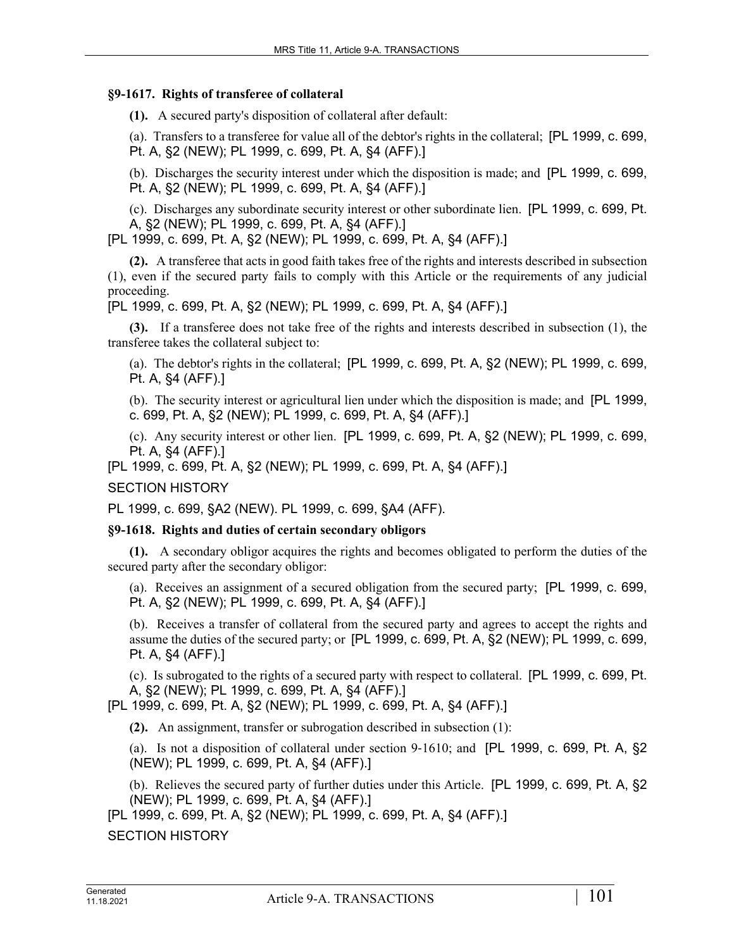### **§9-1617. Rights of transferee of collateral**

**(1).** A secured party's disposition of collateral after default:

(a). Transfers to a transferee for value all of the debtor's rights in the collateral; [PL 1999, c. 699, Pt. A, §2 (NEW); PL 1999, c. 699, Pt. A, §4 (AFF).]

(b). Discharges the security interest under which the disposition is made; and [PL 1999, c. 699, Pt. A, §2 (NEW); PL 1999, c. 699, Pt. A, §4 (AFF).]

(c). Discharges any subordinate security interest or other subordinate lien. [PL 1999, c. 699, Pt. A, §2 (NEW); PL 1999, c. 699, Pt. A, §4 (AFF).]

[PL 1999, c. 699, Pt. A, §2 (NEW); PL 1999, c. 699, Pt. A, §4 (AFF).]

**(2).** A transferee that acts in good faith takes free of the rights and interests described in subsection (1), even if the secured party fails to comply with this Article or the requirements of any judicial proceeding.

[PL 1999, c. 699, Pt. A, §2 (NEW); PL 1999, c. 699, Pt. A, §4 (AFF).]

**(3).** If a transferee does not take free of the rights and interests described in subsection (1), the transferee takes the collateral subject to:

(a). The debtor's rights in the collateral; [PL 1999, c. 699, Pt. A, §2 (NEW); PL 1999, c. 699, Pt. A, §4 (AFF).]

(b). The security interest or agricultural lien under which the disposition is made; and [PL 1999, c. 699, Pt. A, §2 (NEW); PL 1999, c. 699, Pt. A, §4 (AFF).]

(c). Any security interest or other lien. [PL 1999, c. 699, Pt. A, §2 (NEW); PL 1999, c. 699, Pt. A, §4 (AFF).]

[PL 1999, c. 699, Pt. A, §2 (NEW); PL 1999, c. 699, Pt. A, §4 (AFF).]

SECTION HISTORY

PL 1999, c. 699, §A2 (NEW). PL 1999, c. 699, §A4 (AFF).

### **§9-1618. Rights and duties of certain secondary obligors**

**(1).** A secondary obligor acquires the rights and becomes obligated to perform the duties of the secured party after the secondary obligor:

(a). Receives an assignment of a secured obligation from the secured party; [PL 1999, c. 699, Pt. A, §2 (NEW); PL 1999, c. 699, Pt. A, §4 (AFF).]

(b). Receives a transfer of collateral from the secured party and agrees to accept the rights and assume the duties of the secured party; or [PL 1999, c. 699, Pt. A, §2 (NEW); PL 1999, c. 699, Pt. A, §4 (AFF).]

(c). Is subrogated to the rights of a secured party with respect to collateral. [PL 1999, c. 699, Pt. A, §2 (NEW); PL 1999, c. 699, Pt. A, §4 (AFF).]

[PL 1999, c. 699, Pt. A, §2 (NEW); PL 1999, c. 699, Pt. A, §4 (AFF).]

**(2).** An assignment, transfer or subrogation described in subsection (1):

(a). Is not a disposition of collateral under section  $9-1610$ ; and [PL 1999, c. 699, Pt. A, §2 (NEW); PL 1999, c. 699, Pt. A, §4 (AFF).]

(b). Relieves the secured party of further duties under this Article. [PL 1999, c. 699, Pt. A, §2 (NEW); PL 1999, c. 699, Pt. A, §4 (AFF).]

[PL 1999, c. 699, Pt. A, §2 (NEW); PL 1999, c. 699, Pt. A, §4 (AFF).]

SECTION HISTORY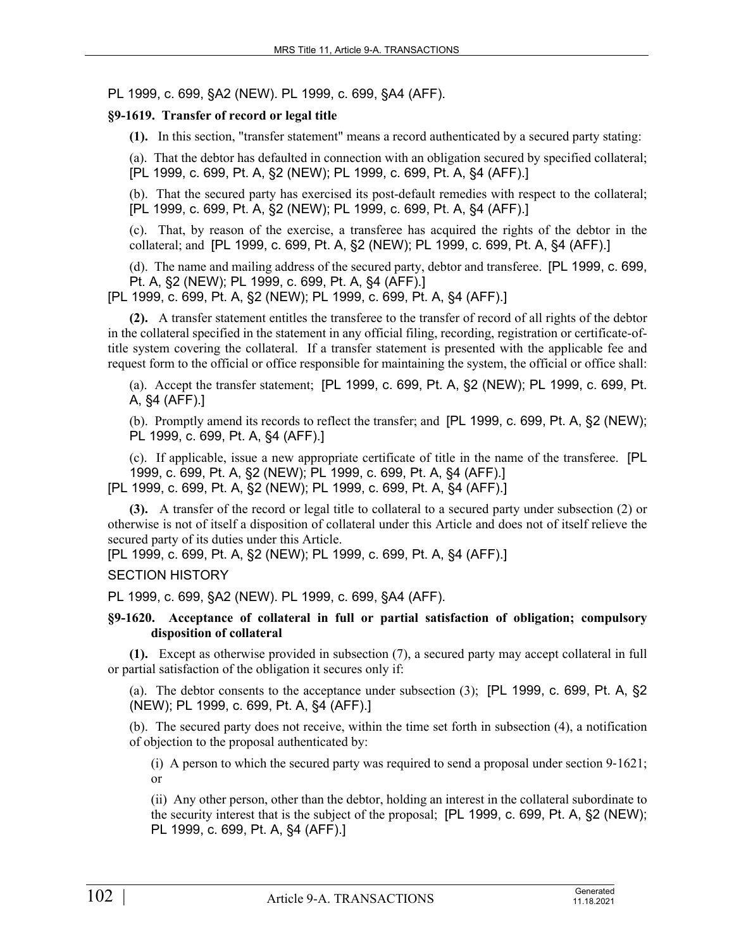PL 1999, c. 699, §A2 (NEW). PL 1999, c. 699, §A4 (AFF).

## **§9-1619. Transfer of record or legal title**

**(1).** In this section, "transfer statement" means a record authenticated by a secured party stating:

(a). That the debtor has defaulted in connection with an obligation secured by specified collateral; [PL 1999, c. 699, Pt. A, §2 (NEW); PL 1999, c. 699, Pt. A, §4 (AFF).]

(b). That the secured party has exercised its post-default remedies with respect to the collateral; [PL 1999, c. 699, Pt. A, §2 (NEW); PL 1999, c. 699, Pt. A, §4 (AFF).]

(c). That, by reason of the exercise, a transferee has acquired the rights of the debtor in the collateral; and [PL 1999, c. 699, Pt. A, §2 (NEW); PL 1999, c. 699, Pt. A, §4 (AFF).]

(d). The name and mailing address of the secured party, debtor and transferee. [PL 1999, c. 699, Pt. A, §2 (NEW); PL 1999, c. 699, Pt. A, §4 (AFF).]

[PL 1999, c. 699, Pt. A, §2 (NEW); PL 1999, c. 699, Pt. A, §4 (AFF).]

**(2).** A transfer statement entitles the transferee to the transfer of record of all rights of the debtor in the collateral specified in the statement in any official filing, recording, registration or certificate-oftitle system covering the collateral. If a transfer statement is presented with the applicable fee and request form to the official or office responsible for maintaining the system, the official or office shall:

(a). Accept the transfer statement; [PL 1999, c. 699, Pt. A, §2 (NEW); PL 1999, c. 699, Pt. A, §4 (AFF).]

(b). Promptly amend its records to reflect the transfer; and [PL 1999, c. 699, Pt. A, §2 (NEW); PL 1999, c. 699, Pt. A, §4 (AFF).]

(c). If applicable, issue a new appropriate certificate of title in the name of the transferee. [PL 1999, c. 699, Pt. A, §2 (NEW); PL 1999, c. 699, Pt. A, §4 (AFF).] [PL 1999, c. 699, Pt. A, §2 (NEW); PL 1999, c. 699, Pt. A, §4 (AFF).]

**(3).** A transfer of the record or legal title to collateral to a secured party under subsection (2) or otherwise is not of itself a disposition of collateral under this Article and does not of itself relieve the

secured party of its duties under this Article.

[PL 1999, c. 699, Pt. A, §2 (NEW); PL 1999, c. 699, Pt. A, §4 (AFF).]

### SECTION HISTORY

PL 1999, c. 699, §A2 (NEW). PL 1999, c. 699, §A4 (AFF).

### **§9-1620. Acceptance of collateral in full or partial satisfaction of obligation; compulsory disposition of collateral**

**(1).** Except as otherwise provided in subsection (7), a secured party may accept collateral in full or partial satisfaction of the obligation it secures only if:

(a). The debtor consents to the acceptance under subsection (3); [PL 1999, c. 699, Pt. A, §2 (NEW); PL 1999, c. 699, Pt. A, §4 (AFF).]

(b). The secured party does not receive, within the time set forth in subsection (4), a notification of objection to the proposal authenticated by:

(i) A person to which the secured party was required to send a proposal under section  $9-1621$ ; or

(ii) Any other person, other than the debtor, holding an interest in the collateral subordinate to the security interest that is the subject of the proposal; [PL 1999, c. 699, Pt. A, §2 (NEW); PL 1999, c. 699, Pt. A, §4 (AFF).]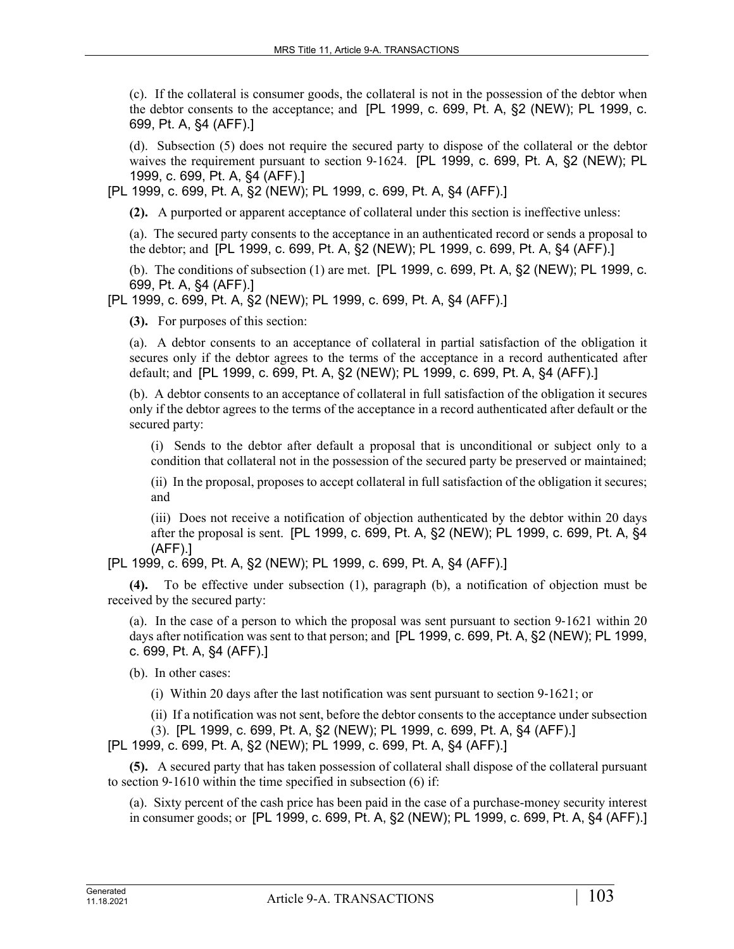(c). If the collateral is consumer goods, the collateral is not in the possession of the debtor when the debtor consents to the acceptance; and [PL 1999, c. 699, Pt. A, §2 (NEW); PL 1999, c. 699, Pt. A, §4 (AFF).]

(d). Subsection (5) does not require the secured party to dispose of the collateral or the debtor waives the requirement pursuant to section 9-1624. [PL 1999, c. 699, Pt. A, §2 (NEW); PL 1999, c. 699, Pt. A, §4 (AFF).]

[PL 1999, c. 699, Pt. A, §2 (NEW); PL 1999, c. 699, Pt. A, §4 (AFF).]

**(2).** A purported or apparent acceptance of collateral under this section is ineffective unless:

(a). The secured party consents to the acceptance in an authenticated record or sends a proposal to the debtor; and [PL 1999, c. 699, Pt. A, §2 (NEW); PL 1999, c. 699, Pt. A, §4 (AFF).]

(b). The conditions of subsection (1) are met. [PL 1999, c. 699, Pt. A, §2 (NEW); PL 1999, c. 699, Pt. A, §4 (AFF).]

[PL 1999, c. 699, Pt. A, §2 (NEW); PL 1999, c. 699, Pt. A, §4 (AFF).]

**(3).** For purposes of this section:

(a). A debtor consents to an acceptance of collateral in partial satisfaction of the obligation it secures only if the debtor agrees to the terms of the acceptance in a record authenticated after default; and [PL 1999, c. 699, Pt. A, §2 (NEW); PL 1999, c. 699, Pt. A, §4 (AFF).]

(b). A debtor consents to an acceptance of collateral in full satisfaction of the obligation it secures only if the debtor agrees to the terms of the acceptance in a record authenticated after default or the secured party:

(i) Sends to the debtor after default a proposal that is unconditional or subject only to a condition that collateral not in the possession of the secured party be preserved or maintained;

(ii) In the proposal, proposes to accept collateral in full satisfaction of the obligation it secures; and

(iii) Does not receive a notification of objection authenticated by the debtor within 20 days after the proposal is sent. [PL 1999, c. 699, Pt. A, §2 (NEW); PL 1999, c. 699, Pt. A, §4 (AFF).]

[PL 1999, c. 699, Pt. A, §2 (NEW); PL 1999, c. 699, Pt. A, §4 (AFF).]

**(4).** To be effective under subsection (1), paragraph (b), a notification of objection must be received by the secured party:

(a). In the case of a person to which the proposal was sent pursuant to section 9‑1621 within 20 days after notification was sent to that person; and [PL 1999, c. 699, Pt. A, §2 (NEW); PL 1999, c. 699, Pt. A, §4 (AFF).]

(b). In other cases:

(i) Within 20 days after the last notification was sent pursuant to section 9‑1621; or

(ii) If a notification was not sent, before the debtor consents to the acceptance under subsection

(3). [PL 1999, c. 699, Pt. A, §2 (NEW); PL 1999, c. 699, Pt. A, §4 (AFF).]

[PL 1999, c. 699, Pt. A, §2 (NEW); PL 1999, c. 699, Pt. A, §4 (AFF).]

**(5).** A secured party that has taken possession of collateral shall dispose of the collateral pursuant to section 9‑1610 within the time specified in subsection (6) if:

(a). Sixty percent of the cash price has been paid in the case of a purchase-money security interest in consumer goods; or [PL 1999, c. 699, Pt. A, §2 (NEW); PL 1999, c. 699, Pt. A, §4 (AFF).]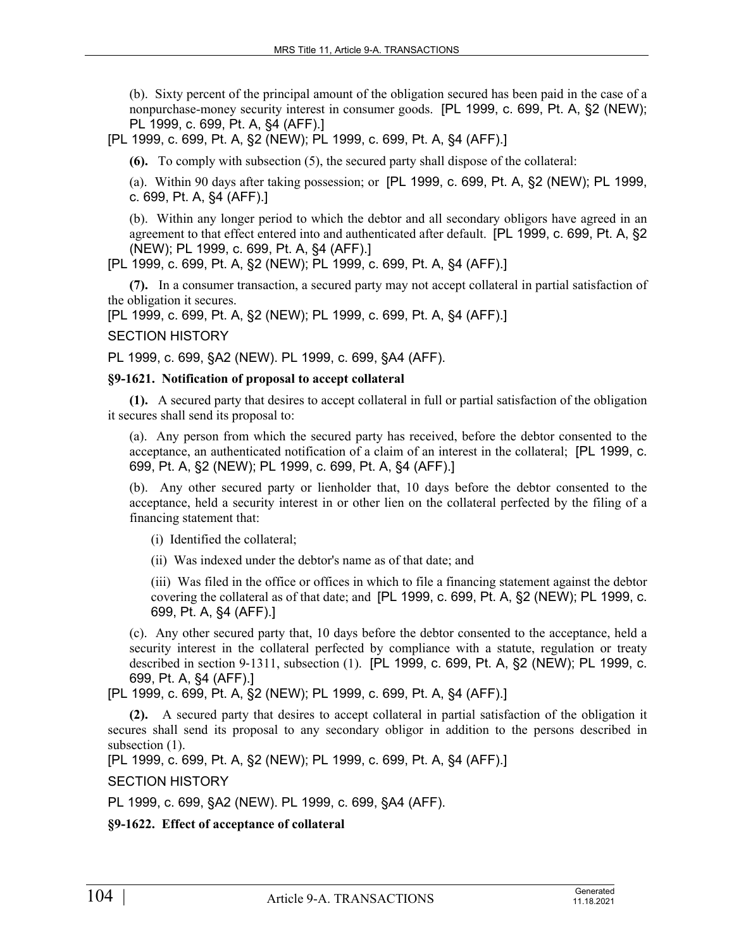(b). Sixty percent of the principal amount of the obligation secured has been paid in the case of a nonpurchase-money security interest in consumer goods. [PL 1999, c. 699, Pt. A, §2 (NEW); PL 1999, c. 699, Pt. A, §4 (AFF).]

[PL 1999, c. 699, Pt. A, §2 (NEW); PL 1999, c. 699, Pt. A, §4 (AFF).]

**(6).** To comply with subsection (5), the secured party shall dispose of the collateral:

(a). Within 90 days after taking possession; or [PL 1999, c. 699, Pt. A, §2 (NEW); PL 1999, c. 699, Pt. A, §4 (AFF).]

(b). Within any longer period to which the debtor and all secondary obligors have agreed in an agreement to that effect entered into and authenticated after default. [PL 1999, c. 699, Pt. A, §2 (NEW); PL 1999, c. 699, Pt. A, §4 (AFF).]

[PL 1999, c. 699, Pt. A, §2 (NEW); PL 1999, c. 699, Pt. A, §4 (AFF).]

**(7).** In a consumer transaction, a secured party may not accept collateral in partial satisfaction of the obligation it secures.

[PL 1999, c. 699, Pt. A, §2 (NEW); PL 1999, c. 699, Pt. A, §4 (AFF).]

### SECTION HISTORY

PL 1999, c. 699, §A2 (NEW). PL 1999, c. 699, §A4 (AFF).

## **§9-1621. Notification of proposal to accept collateral**

**(1).** A secured party that desires to accept collateral in full or partial satisfaction of the obligation it secures shall send its proposal to:

(a). Any person from which the secured party has received, before the debtor consented to the acceptance, an authenticated notification of a claim of an interest in the collateral; [PL 1999, c. 699, Pt. A, §2 (NEW); PL 1999, c. 699, Pt. A, §4 (AFF).]

(b). Any other secured party or lienholder that, 10 days before the debtor consented to the acceptance, held a security interest in or other lien on the collateral perfected by the filing of a financing statement that:

(i) Identified the collateral;

(ii) Was indexed under the debtor's name as of that date; and

(iii) Was filed in the office or offices in which to file a financing statement against the debtor covering the collateral as of that date; and [PL 1999, c. 699, Pt. A, §2 (NEW); PL 1999, c. 699, Pt. A, §4 (AFF).]

(c). Any other secured party that, 10 days before the debtor consented to the acceptance, held a security interest in the collateral perfected by compliance with a statute, regulation or treaty described in section 9‑1311, subsection (1). [PL 1999, c. 699, Pt. A, §2 (NEW); PL 1999, c. 699, Pt. A, §4 (AFF).]

[PL 1999, c. 699, Pt. A, §2 (NEW); PL 1999, c. 699, Pt. A, §4 (AFF).]

**(2).** A secured party that desires to accept collateral in partial satisfaction of the obligation it secures shall send its proposal to any secondary obligor in addition to the persons described in subsection  $(1)$ .

[PL 1999, c. 699, Pt. A, §2 (NEW); PL 1999, c. 699, Pt. A, §4 (AFF).]

SECTION HISTORY

PL 1999, c. 699, §A2 (NEW). PL 1999, c. 699, §A4 (AFF).

**§9-1622. Effect of acceptance of collateral**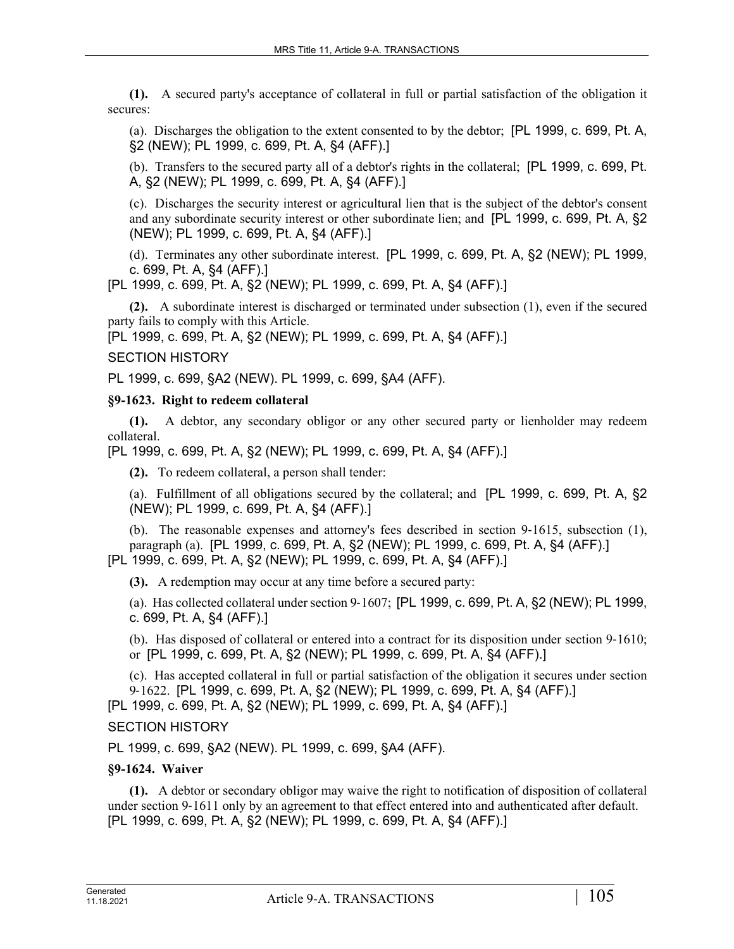**(1).** A secured party's acceptance of collateral in full or partial satisfaction of the obligation it secures:

(a). Discharges the obligation to the extent consented to by the debtor; [PL 1999, c. 699, Pt. A, §2 (NEW); PL 1999, c. 699, Pt. A, §4 (AFF).]

(b). Transfers to the secured party all of a debtor's rights in the collateral; [PL 1999, c. 699, Pt. A, §2 (NEW); PL 1999, c. 699, Pt. A, §4 (AFF).]

(c). Discharges the security interest or agricultural lien that is the subject of the debtor's consent and any subordinate security interest or other subordinate lien; and [PL 1999, c. 699, Pt. A, §2 (NEW); PL 1999, c. 699, Pt. A, §4 (AFF).]

(d). Terminates any other subordinate interest. [PL 1999, c. 699, Pt. A, §2 (NEW); PL 1999, c. 699, Pt. A, §4 (AFF).]

[PL 1999, c. 699, Pt. A, §2 (NEW); PL 1999, c. 699, Pt. A, §4 (AFF).]

**(2).** A subordinate interest is discharged or terminated under subsection (1), even if the secured party fails to comply with this Article.

[PL 1999, c. 699, Pt. A, §2 (NEW); PL 1999, c. 699, Pt. A, §4 (AFF).]

## SECTION HISTORY

PL 1999, c. 699, §A2 (NEW). PL 1999, c. 699, §A4 (AFF).

### **§9-1623. Right to redeem collateral**

**(1).** A debtor, any secondary obligor or any other secured party or lienholder may redeem collateral.

[PL 1999, c. 699, Pt. A, §2 (NEW); PL 1999, c. 699, Pt. A, §4 (AFF).]

**(2).** To redeem collateral, a person shall tender:

(a). Fulfillment of all obligations secured by the collateral; and [PL 1999, c. 699, Pt. A, §2 (NEW); PL 1999, c. 699, Pt. A, §4 (AFF).]

(b). The reasonable expenses and attorney's fees described in section  $9-1615$ , subsection (1), paragraph (a). [PL 1999, c. 699, Pt. A, §2 (NEW); PL 1999, c. 699, Pt. A, §4 (AFF).] [PL 1999, c. 699, Pt. A, §2 (NEW); PL 1999, c. 699, Pt. A, §4 (AFF).]

**(3).** A redemption may occur at any time before a secured party:

(a). Has collected collateral under section 9‑1607; [PL 1999, c. 699, Pt. A, §2 (NEW); PL 1999, c. 699, Pt. A, §4 (AFF).]

(b). Has disposed of collateral or entered into a contract for its disposition under section 9‑1610; or [PL 1999, c. 699, Pt. A, §2 (NEW); PL 1999, c. 699, Pt. A, §4 (AFF).]

(c). Has accepted collateral in full or partial satisfaction of the obligation it secures under section 9‑1622. [PL 1999, c. 699, Pt. A, §2 (NEW); PL 1999, c. 699, Pt. A, §4 (AFF).] [PL 1999, c. 699, Pt. A, §2 (NEW); PL 1999, c. 699, Pt. A, §4 (AFF).]

### SECTION HISTORY

PL 1999, c. 699, §A2 (NEW). PL 1999, c. 699, §A4 (AFF).

### **§9-1624. Waiver**

**(1).** A debtor or secondary obligor may waive the right to notification of disposition of collateral under section 9‑1611 only by an agreement to that effect entered into and authenticated after default. [PL 1999, c. 699, Pt. A, §2 (NEW); PL 1999, c. 699, Pt. A, §4 (AFF).]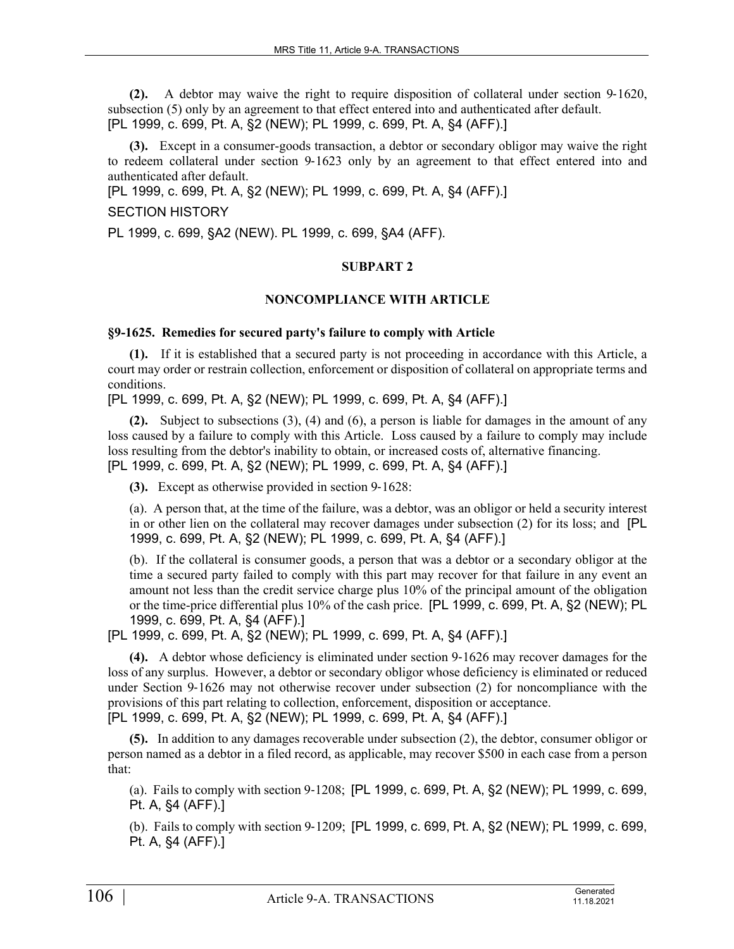**(2).** A debtor may waive the right to require disposition of collateral under section 9‑1620, subsection (5) only by an agreement to that effect entered into and authenticated after default. [PL 1999, c. 699, Pt. A, §2 (NEW); PL 1999, c. 699, Pt. A, §4 (AFF).]

**(3).** Except in a consumer-goods transaction, a debtor or secondary obligor may waive the right to redeem collateral under section 9‑1623 only by an agreement to that effect entered into and authenticated after default.

[PL 1999, c. 699, Pt. A, §2 (NEW); PL 1999, c. 699, Pt. A, §4 (AFF).]

### SECTION HISTORY

PL 1999, c. 699, §A2 (NEW). PL 1999, c. 699, §A4 (AFF).

### **SUBPART 2**

## **NONCOMPLIANCE WITH ARTICLE**

### **§9-1625. Remedies for secured party's failure to comply with Article**

**(1).** If it is established that a secured party is not proceeding in accordance with this Article, a court may order or restrain collection, enforcement or disposition of collateral on appropriate terms and conditions.

[PL 1999, c. 699, Pt. A, §2 (NEW); PL 1999, c. 699, Pt. A, §4 (AFF).]

**(2).** Subject to subsections (3), (4) and (6), a person is liable for damages in the amount of any loss caused by a failure to comply with this Article. Loss caused by a failure to comply may include loss resulting from the debtor's inability to obtain, or increased costs of, alternative financing. [PL 1999, c. 699, Pt. A, §2 (NEW); PL 1999, c. 699, Pt. A, §4 (AFF).]

**(3).** Except as otherwise provided in section 9-1628:

(a). A person that, at the time of the failure, was a debtor, was an obligor or held a security interest in or other lien on the collateral may recover damages under subsection (2) for its loss; and [PL 1999, c. 699, Pt. A, §2 (NEW); PL 1999, c. 699, Pt. A, §4 (AFF).]

(b). If the collateral is consumer goods, a person that was a debtor or a secondary obligor at the time a secured party failed to comply with this part may recover for that failure in any event an amount not less than the credit service charge plus 10% of the principal amount of the obligation or the time-price differential plus 10% of the cash price. [PL 1999, c. 699, Pt. A, §2 (NEW); PL 1999, c. 699, Pt. A, §4 (AFF).]

[PL 1999, c. 699, Pt. A, §2 (NEW); PL 1999, c. 699, Pt. A, §4 (AFF).]

**(4).** A debtor whose deficiency is eliminated under section 9‑1626 may recover damages for the loss of any surplus. However, a debtor or secondary obligor whose deficiency is eliminated or reduced under Section 9-1626 may not otherwise recover under subsection (2) for noncompliance with the provisions of this part relating to collection, enforcement, disposition or acceptance.

[PL 1999, c. 699, Pt. A, §2 (NEW); PL 1999, c. 699, Pt. A, §4 (AFF).]

**(5).** In addition to any damages recoverable under subsection (2), the debtor, consumer obligor or person named as a debtor in a filed record, as applicable, may recover \$500 in each case from a person that:

(a). Fails to comply with section 9‑1208; [PL 1999, c. 699, Pt. A, §2 (NEW); PL 1999, c. 699, Pt. A, §4 (AFF).]

(b). Fails to comply with section 9‑1209; [PL 1999, c. 699, Pt. A, §2 (NEW); PL 1999, c. 699, Pt. A, §4 (AFF).]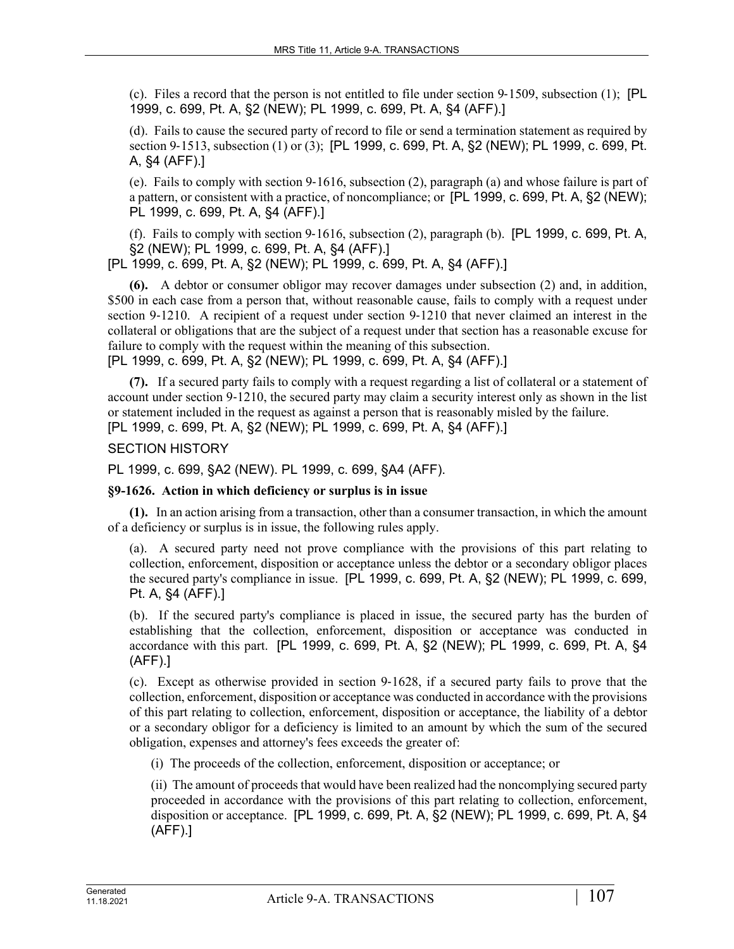(c). Files a record that the person is not entitled to file under section 9–1509, subsection  $(1)$ ; [PL 1999, c. 699, Pt. A, §2 (NEW); PL 1999, c. 699, Pt. A, §4 (AFF).]

(d). Fails to cause the secured party of record to file or send a termination statement as required by section 9‑1513, subsection (1) or (3); [PL 1999, c. 699, Pt. A, §2 (NEW); PL 1999, c. 699, Pt. A, §4 (AFF).]

(e). Fails to comply with section 9‑1616, subsection (2), paragraph (a) and whose failure is part of a pattern, or consistent with a practice, of noncompliance; or [PL 1999, c. 699, Pt. A, §2 (NEW); PL 1999, c. 699, Pt. A, §4 (AFF).]

(f). Fails to comply with section 9-1616, subsection  $(2)$ , paragraph  $(b)$ . [PL 1999, c. 699, Pt. A, §2 (NEW); PL 1999, c. 699, Pt. A, §4 (AFF).]

[PL 1999, c. 699, Pt. A, §2 (NEW); PL 1999, c. 699, Pt. A, §4 (AFF).]

**(6).** A debtor or consumer obligor may recover damages under subsection (2) and, in addition, \$500 in each case from a person that, without reasonable cause, fails to comply with a request under section 9-1210. A recipient of a request under section 9-1210 that never claimed an interest in the collateral or obligations that are the subject of a request under that section has a reasonable excuse for failure to comply with the request within the meaning of this subsection.

[PL 1999, c. 699, Pt. A, §2 (NEW); PL 1999, c. 699, Pt. A, §4 (AFF).]

**(7).** If a secured party fails to comply with a request regarding a list of collateral or a statement of account under section 9‑1210, the secured party may claim a security interest only as shown in the list or statement included in the request as against a person that is reasonably misled by the failure. [PL 1999, c. 699, Pt. A, §2 (NEW); PL 1999, c. 699, Pt. A, §4 (AFF).]

SECTION HISTORY

PL 1999, c. 699, §A2 (NEW). PL 1999, c. 699, §A4 (AFF).

## **§9-1626. Action in which deficiency or surplus is in issue**

**(1).** In an action arising from a transaction, other than a consumer transaction, in which the amount of a deficiency or surplus is in issue, the following rules apply.

(a). A secured party need not prove compliance with the provisions of this part relating to collection, enforcement, disposition or acceptance unless the debtor or a secondary obligor places the secured party's compliance in issue. [PL 1999, c. 699, Pt. A, §2 (NEW); PL 1999, c. 699, Pt. A, §4 (AFF).]

(b). If the secured party's compliance is placed in issue, the secured party has the burden of establishing that the collection, enforcement, disposition or acceptance was conducted in accordance with this part. [PL 1999, c. 699, Pt. A, §2 (NEW); PL 1999, c. 699, Pt. A, §4 (AFF).]

(c). Except as otherwise provided in section 9‑1628, if a secured party fails to prove that the collection, enforcement, disposition or acceptance was conducted in accordance with the provisions of this part relating to collection, enforcement, disposition or acceptance, the liability of a debtor or a secondary obligor for a deficiency is limited to an amount by which the sum of the secured obligation, expenses and attorney's fees exceeds the greater of:

(i) The proceeds of the collection, enforcement, disposition or acceptance; or

(ii) The amount of proceeds that would have been realized had the noncomplying secured party proceeded in accordance with the provisions of this part relating to collection, enforcement, disposition or acceptance. [PL 1999, c. 699, Pt. A, §2 (NEW); PL 1999, c. 699, Pt. A, §4 (AFF).]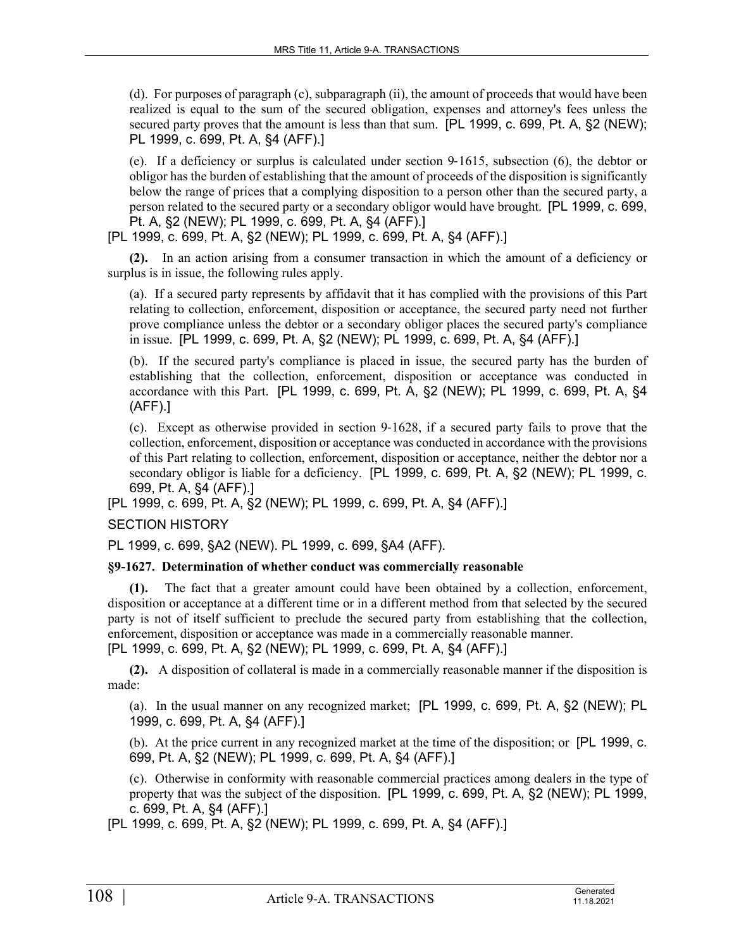(d). For purposes of paragraph (c), subparagraph (ii), the amount of proceeds that would have been realized is equal to the sum of the secured obligation, expenses and attorney's fees unless the secured party proves that the amount is less than that sum. [PL 1999, c. 699, Pt. A, §2 (NEW); PL 1999, c. 699, Pt. A, §4 (AFF).]

(e). If a deficiency or surplus is calculated under section  $9-1615$ , subsection (6), the debtor or obligor has the burden of establishing that the amount of proceeds of the disposition is significantly below the range of prices that a complying disposition to a person other than the secured party, a person related to the secured party or a secondary obligor would have brought. [PL 1999, c. 699, Pt. A, §2 (NEW); PL 1999, c. 699, Pt. A, §4 (AFF).]

[PL 1999, c. 699, Pt. A, §2 (NEW); PL 1999, c. 699, Pt. A, §4 (AFF).]

**(2).** In an action arising from a consumer transaction in which the amount of a deficiency or surplus is in issue, the following rules apply.

(a). If a secured party represents by affidavit that it has complied with the provisions of this Part relating to collection, enforcement, disposition or acceptance, the secured party need not further prove compliance unless the debtor or a secondary obligor places the secured party's compliance in issue. [PL 1999, c. 699, Pt. A, §2 (NEW); PL 1999, c. 699, Pt. A, §4 (AFF).]

(b). If the secured party's compliance is placed in issue, the secured party has the burden of establishing that the collection, enforcement, disposition or acceptance was conducted in accordance with this Part. [PL 1999, c. 699, Pt. A, §2 (NEW); PL 1999, c. 699, Pt. A, §4 (AFF).]

(c). Except as otherwise provided in section 9‑1628, if a secured party fails to prove that the collection, enforcement, disposition or acceptance was conducted in accordance with the provisions of this Part relating to collection, enforcement, disposition or acceptance, neither the debtor nor a secondary obligor is liable for a deficiency. [PL 1999, c. 699, Pt. A, §2 (NEW); PL 1999, c. 699, Pt. A, §4 (AFF).]

[PL 1999, c. 699, Pt. A, §2 (NEW); PL 1999, c. 699, Pt. A, §4 (AFF).]

## SECTION HISTORY

PL 1999, c. 699, §A2 (NEW). PL 1999, c. 699, §A4 (AFF).

## **§9-1627. Determination of whether conduct was commercially reasonable**

**(1).** The fact that a greater amount could have been obtained by a collection, enforcement, disposition or acceptance at a different time or in a different method from that selected by the secured party is not of itself sufficient to preclude the secured party from establishing that the collection, enforcement, disposition or acceptance was made in a commercially reasonable manner. [PL 1999, c. 699, Pt. A, §2 (NEW); PL 1999, c. 699, Pt. A, §4 (AFF).]

**(2).** A disposition of collateral is made in a commercially reasonable manner if the disposition is made:

(a). In the usual manner on any recognized market; [PL 1999, c. 699, Pt. A, §2 (NEW); PL 1999, c. 699, Pt. A, §4 (AFF).]

(b). At the price current in any recognized market at the time of the disposition; or [PL 1999, c. 699, Pt. A, §2 (NEW); PL 1999, c. 699, Pt. A, §4 (AFF).]

(c). Otherwise in conformity with reasonable commercial practices among dealers in the type of property that was the subject of the disposition. [PL 1999, c. 699, Pt. A, §2 (NEW); PL 1999, c. 699, Pt. A, §4 (AFF).]

[PL 1999, c. 699, Pt. A, §2 (NEW); PL 1999, c. 699, Pt. A, §4 (AFF).]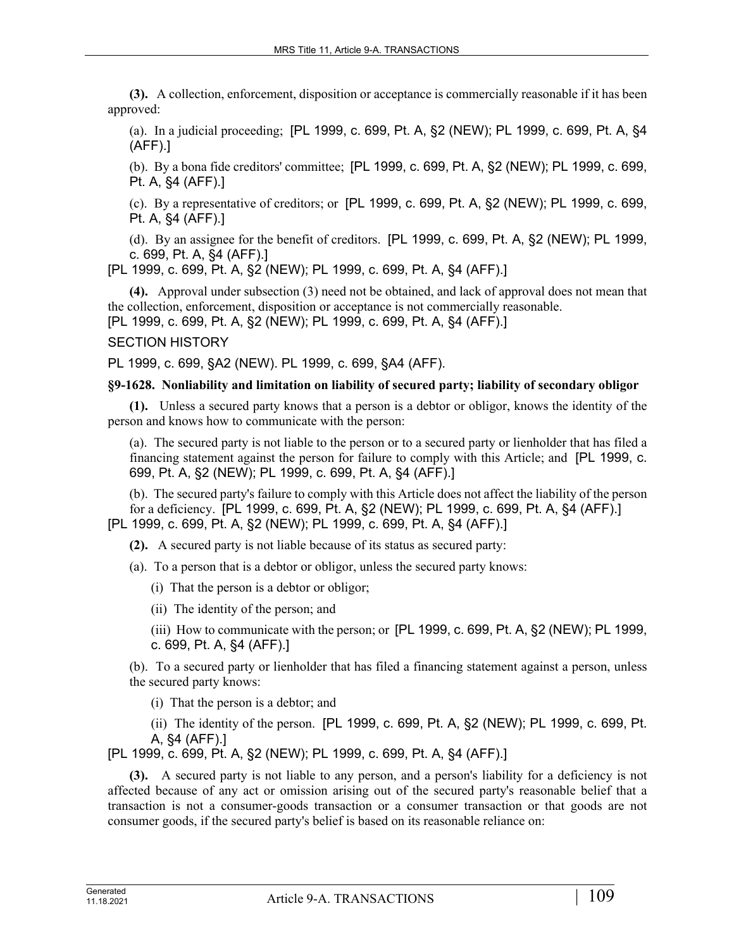**(3).** A collection, enforcement, disposition or acceptance is commercially reasonable if it has been approved:

(a). In a judicial proceeding; [PL 1999, c. 699, Pt. A, §2 (NEW); PL 1999, c. 699, Pt. A, §4 (AFF).]

(b). By a bona fide creditors' committee; [PL 1999, c. 699, Pt. A, §2 (NEW); PL 1999, c. 699, Pt. A, §4 (AFF).]

(c). By a representative of creditors; or [PL 1999, c. 699, Pt. A, §2 (NEW); PL 1999, c. 699, Pt. A, §4 (AFF).]

(d). By an assignee for the benefit of creditors. [PL 1999, c. 699, Pt. A, §2 (NEW); PL 1999, c. 699, Pt. A, §4 (AFF).]

[PL 1999, c. 699, Pt. A, §2 (NEW); PL 1999, c. 699, Pt. A, §4 (AFF).]

**(4).** Approval under subsection (3) need not be obtained, and lack of approval does not mean that the collection, enforcement, disposition or acceptance is not commercially reasonable.

[PL 1999, c. 699, Pt. A, §2 (NEW); PL 1999, c. 699, Pt. A, §4 (AFF).]

### SECTION HISTORY

PL 1999, c. 699, §A2 (NEW). PL 1999, c. 699, §A4 (AFF).

## **§9-1628. Nonliability and limitation on liability of secured party; liability of secondary obligor**

**(1).** Unless a secured party knows that a person is a debtor or obligor, knows the identity of the person and knows how to communicate with the person:

(a). The secured party is not liable to the person or to a secured party or lienholder that has filed a financing statement against the person for failure to comply with this Article; and [PL 1999, c. 699, Pt. A, §2 (NEW); PL 1999, c. 699, Pt. A, §4 (AFF).]

(b). The secured party's failure to comply with this Article does not affect the liability of the person for a deficiency. [PL 1999, c. 699, Pt. A, §2 (NEW); PL 1999, c. 699, Pt. A, §4 (AFF).] [PL 1999, c. 699, Pt. A, §2 (NEW); PL 1999, c. 699, Pt. A, §4 (AFF).]

**(2).** A secured party is not liable because of its status as secured party:

- (a). To a person that is a debtor or obligor, unless the secured party knows:
	- (i) That the person is a debtor or obligor;
	- (ii) The identity of the person; and

(iii) How to communicate with the person; or [PL 1999, c. 699, Pt. A, §2 (NEW); PL 1999, c. 699, Pt. A, §4 (AFF).]

(b). To a secured party or lienholder that has filed a financing statement against a person, unless the secured party knows:

(i) That the person is a debtor; and

(ii) The identity of the person. [PL 1999, c. 699, Pt. A, §2 (NEW); PL 1999, c. 699, Pt. A, §4 (AFF).]

[PL 1999, c. 699, Pt. A, §2 (NEW); PL 1999, c. 699, Pt. A, §4 (AFF).]

**(3).** A secured party is not liable to any person, and a person's liability for a deficiency is not affected because of any act or omission arising out of the secured party's reasonable belief that a transaction is not a consumer-goods transaction or a consumer transaction or that goods are not consumer goods, if the secured party's belief is based on its reasonable reliance on: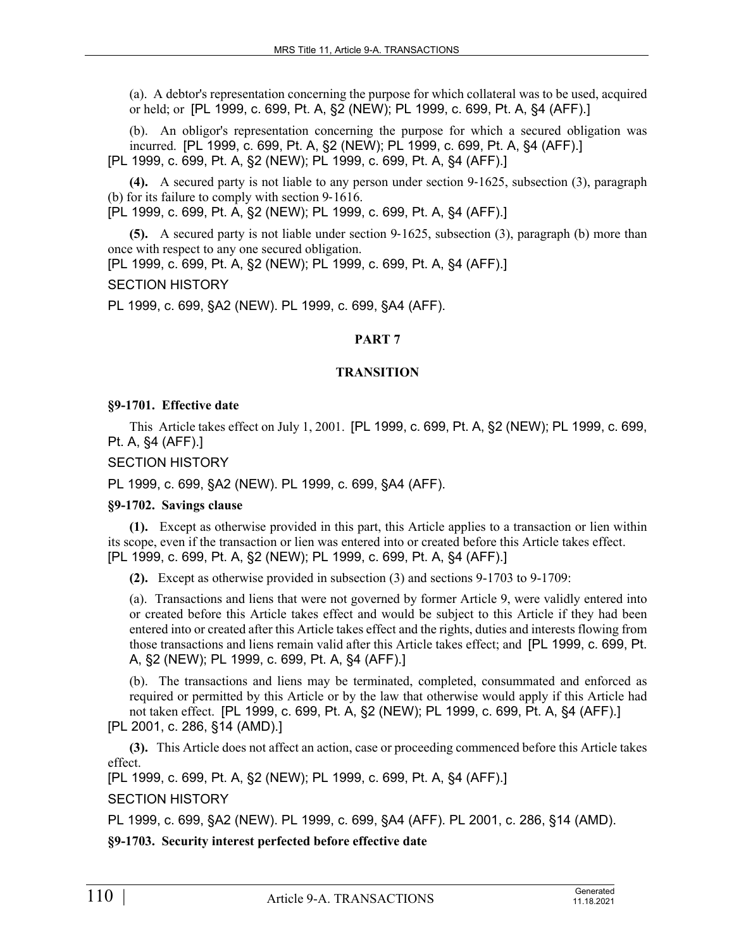(a). A debtor's representation concerning the purpose for which collateral was to be used, acquired or held; or [PL 1999, c. 699, Pt. A, §2 (NEW); PL 1999, c. 699, Pt. A, §4 (AFF).]

(b). An obligor's representation concerning the purpose for which a secured obligation was incurred. [PL 1999, c. 699, Pt. A, §2 (NEW); PL 1999, c. 699, Pt. A, §4 (AFF).] [PL 1999, c. 699, Pt. A, §2 (NEW); PL 1999, c. 699, Pt. A, §4 (AFF).]

**(4).** A secured party is not liable to any person under section 9‑1625, subsection (3), paragraph (b) for its failure to comply with section 9-1616.

[PL 1999, c. 699, Pt. A, §2 (NEW); PL 1999, c. 699, Pt. A, §4 (AFF).]

**(5).** A secured party is not liable under section 9–1625, subsection (3), paragraph (b) more than once with respect to any one secured obligation.

[PL 1999, c. 699, Pt. A, §2 (NEW); PL 1999, c. 699, Pt. A, §4 (AFF).]

### SECTION HISTORY

PL 1999, c. 699, §A2 (NEW). PL 1999, c. 699, §A4 (AFF).

# **PART 7**

### **TRANSITION**

### **§9-1701. Effective date**

This Article takes effect on July 1, 2001. [PL 1999, c. 699, Pt. A, §2 (NEW); PL 1999, c. 699, Pt. A, §4 (AFF).]

SECTION HISTORY

PL 1999, c. 699, §A2 (NEW). PL 1999, c. 699, §A4 (AFF).

### **§9-1702. Savings clause**

**(1).** Except as otherwise provided in this part, this Article applies to a transaction or lien within its scope, even if the transaction or lien was entered into or created before this Article takes effect. [PL 1999, c. 699, Pt. A, §2 (NEW); PL 1999, c. 699, Pt. A, §4 (AFF).]

**(2).** Except as otherwise provided in subsection (3) and sections 9-1703 to 9-1709:

(a). Transactions and liens that were not governed by former Article 9, were validly entered into or created before this Article takes effect and would be subject to this Article if they had been entered into or created after this Article takes effect and the rights, duties and interests flowing from those transactions and liens remain valid after this Article takes effect; and [PL 1999, c. 699, Pt. A, §2 (NEW); PL 1999, c. 699, Pt. A, §4 (AFF).]

(b). The transactions and liens may be terminated, completed, consummated and enforced as required or permitted by this Article or by the law that otherwise would apply if this Article had not taken effect. [PL 1999, c. 699, Pt. A, §2 (NEW); PL 1999, c. 699, Pt. A, §4 (AFF).]

[PL 2001, c. 286, §14 (AMD).]

**(3).** This Article does not affect an action, case or proceeding commenced before this Article takes effect.

[PL 1999, c. 699, Pt. A, §2 (NEW); PL 1999, c. 699, Pt. A, §4 (AFF).] SECTION HISTORY

PL 1999, c. 699, §A2 (NEW). PL 1999, c. 699, §A4 (AFF). PL 2001, c. 286, §14 (AMD).

**§9-1703. Security interest perfected before effective date**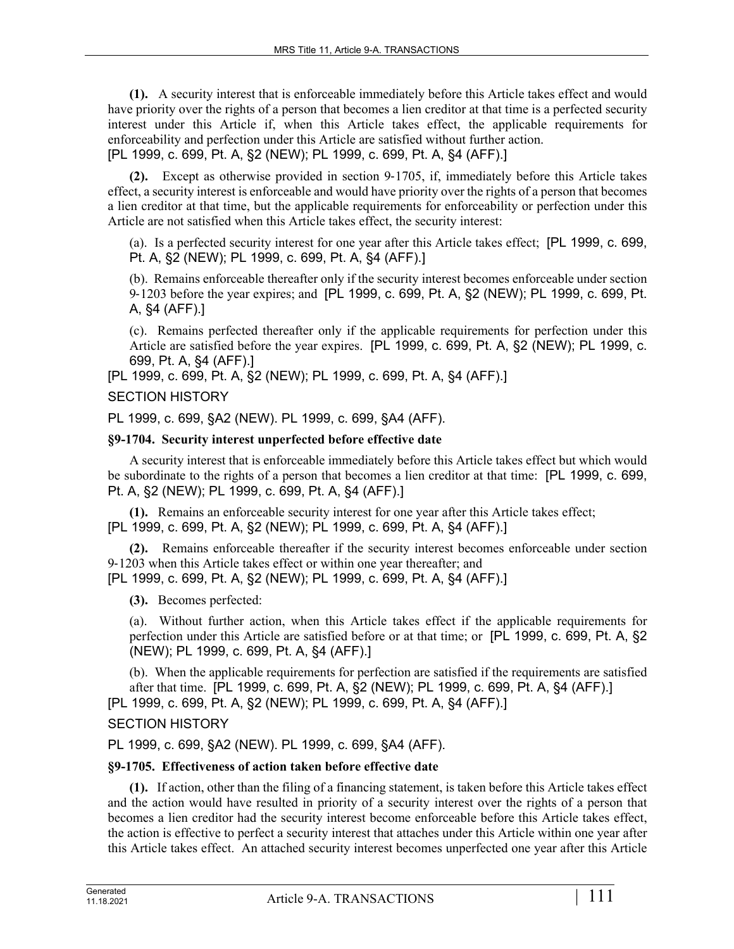**(1).** A security interest that is enforceable immediately before this Article takes effect and would have priority over the rights of a person that becomes a lien creditor at that time is a perfected security interest under this Article if, when this Article takes effect, the applicable requirements for enforceability and perfection under this Article are satisfied without further action. [PL 1999, c. 699, Pt. A, §2 (NEW); PL 1999, c. 699, Pt. A, §4 (AFF).]

**(2).** Except as otherwise provided in section 9‑1705, if, immediately before this Article takes effect, a security interest is enforceable and would have priority over the rights of a person that becomes a lien creditor at that time, but the applicable requirements for enforceability or perfection under this Article are not satisfied when this Article takes effect, the security interest:

(a). Is a perfected security interest for one year after this Article takes effect; [PL 1999, c. 699, Pt. A, §2 (NEW); PL 1999, c. 699, Pt. A, §4 (AFF).]

(b). Remains enforceable thereafter only if the security interest becomes enforceable under section 9‑1203 before the year expires; and [PL 1999, c. 699, Pt. A, §2 (NEW); PL 1999, c. 699, Pt. A, §4 (AFF).]

(c). Remains perfected thereafter only if the applicable requirements for perfection under this Article are satisfied before the year expires. [PL 1999, c. 699, Pt. A, §2 (NEW); PL 1999, c. 699, Pt. A, §4 (AFF).]

[PL 1999, c. 699, Pt. A, §2 (NEW); PL 1999, c. 699, Pt. A, §4 (AFF).]

### SECTION HISTORY

PL 1999, c. 699, §A2 (NEW). PL 1999, c. 699, §A4 (AFF).

### **§9-1704. Security interest unperfected before effective date**

A security interest that is enforceable immediately before this Article takes effect but which would be subordinate to the rights of a person that becomes a lien creditor at that time: [PL 1999, c. 699, Pt. A, §2 (NEW); PL 1999, c. 699, Pt. A, §4 (AFF).]

**(1).** Remains an enforceable security interest for one year after this Article takes effect; [PL 1999, c. 699, Pt. A, §2 (NEW); PL 1999, c. 699, Pt. A, §4 (AFF).]

**(2).** Remains enforceable thereafter if the security interest becomes enforceable under section 9‑1203 when this Article takes effect or within one year thereafter; and [PL 1999, c. 699, Pt. A, §2 (NEW); PL 1999, c. 699, Pt. A, §4 (AFF).]

**(3).** Becomes perfected:

(a). Without further action, when this Article takes effect if the applicable requirements for perfection under this Article are satisfied before or at that time; or [PL 1999, c. 699, Pt. A, §2 (NEW); PL 1999, c. 699, Pt. A, §4 (AFF).]

(b). When the applicable requirements for perfection are satisfied if the requirements are satisfied after that time. [PL 1999, c. 699, Pt. A, §2 (NEW); PL 1999, c. 699, Pt. A, §4 (AFF).] [PL 1999, c. 699, Pt. A, §2 (NEW); PL 1999, c. 699, Pt. A, §4 (AFF).]

# SECTION HISTORY

PL 1999, c. 699, §A2 (NEW). PL 1999, c. 699, §A4 (AFF).

### **§9-1705. Effectiveness of action taken before effective date**

**(1).** If action, other than the filing of a financing statement, is taken before this Article takes effect and the action would have resulted in priority of a security interest over the rights of a person that becomes a lien creditor had the security interest become enforceable before this Article takes effect, the action is effective to perfect a security interest that attaches under this Article within one year after this Article takes effect. An attached security interest becomes unperfected one year after this Article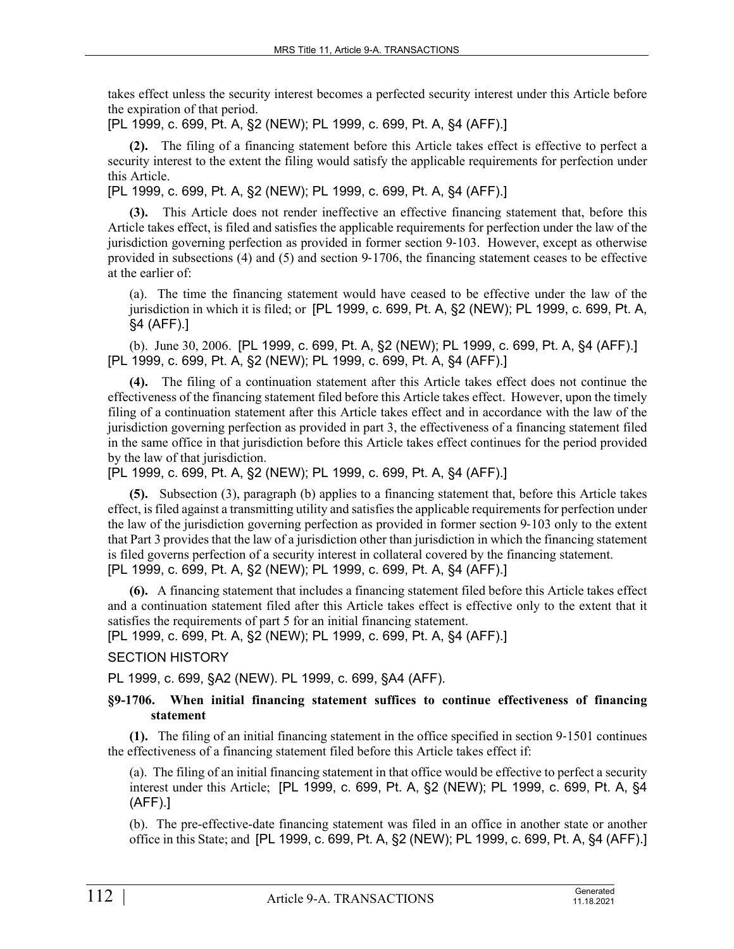takes effect unless the security interest becomes a perfected security interest under this Article before the expiration of that period.

[PL 1999, c. 699, Pt. A, §2 (NEW); PL 1999, c. 699, Pt. A, §4 (AFF).]

**(2).** The filing of a financing statement before this Article takes effect is effective to perfect a security interest to the extent the filing would satisfy the applicable requirements for perfection under this Article.

[PL 1999, c. 699, Pt. A, §2 (NEW); PL 1999, c. 699, Pt. A, §4 (AFF).]

**(3).** This Article does not render ineffective an effective financing statement that, before this Article takes effect, is filed and satisfies the applicable requirements for perfection under the law of the jurisdiction governing perfection as provided in former section 9‑103. However, except as otherwise provided in subsections (4) and (5) and section 9‑1706, the financing statement ceases to be effective at the earlier of:

(a). The time the financing statement would have ceased to be effective under the law of the jurisdiction in which it is filed; or [PL 1999, c. 699, Pt. A, §2 (NEW); PL 1999, c. 699, Pt. A, §4 (AFF).]

(b). June 30, 2006. [PL 1999, c. 699, Pt. A, §2 (NEW); PL 1999, c. 699, Pt. A, §4 (AFF).] [PL 1999, c. 699, Pt. A, §2 (NEW); PL 1999, c. 699, Pt. A, §4 (AFF).]

**(4).** The filing of a continuation statement after this Article takes effect does not continue the effectiveness of the financing statement filed before this Article takes effect. However, upon the timely filing of a continuation statement after this Article takes effect and in accordance with the law of the jurisdiction governing perfection as provided in part 3, the effectiveness of a financing statement filed in the same office in that jurisdiction before this Article takes effect continues for the period provided by the law of that jurisdiction.

[PL 1999, c. 699, Pt. A, §2 (NEW); PL 1999, c. 699, Pt. A, §4 (AFF).]

**(5).** Subsection (3), paragraph (b) applies to a financing statement that, before this Article takes effect, is filed against a transmitting utility and satisfies the applicable requirements for perfection under the law of the jurisdiction governing perfection as provided in former section 9‑103 only to the extent that Part 3 provides that the law of a jurisdiction other than jurisdiction in which the financing statement is filed governs perfection of a security interest in collateral covered by the financing statement. [PL 1999, c. 699, Pt. A, §2 (NEW); PL 1999, c. 699, Pt. A, §4 (AFF).]

**(6).** A financing statement that includes a financing statement filed before this Article takes effect and a continuation statement filed after this Article takes effect is effective only to the extent that it satisfies the requirements of part 5 for an initial financing statement.

[PL 1999, c. 699, Pt. A, §2 (NEW); PL 1999, c. 699, Pt. A, §4 (AFF).]

# SECTION HISTORY

PL 1999, c. 699, §A2 (NEW). PL 1999, c. 699, §A4 (AFF).

# **§9-1706. When initial financing statement suffices to continue effectiveness of financing statement**

**(1).** The filing of an initial financing statement in the office specified in section 9‑1501 continues the effectiveness of a financing statement filed before this Article takes effect if:

(a). The filing of an initial financing statement in that office would be effective to perfect a security interest under this Article; [PL 1999, c. 699, Pt. A, §2 (NEW); PL 1999, c. 699, Pt. A, §4 (AFF).]

(b). The pre-effective-date financing statement was filed in an office in another state or another office in this State; and [PL 1999, c. 699, Pt. A, §2 (NEW); PL 1999, c. 699, Pt. A, §4 (AFF).]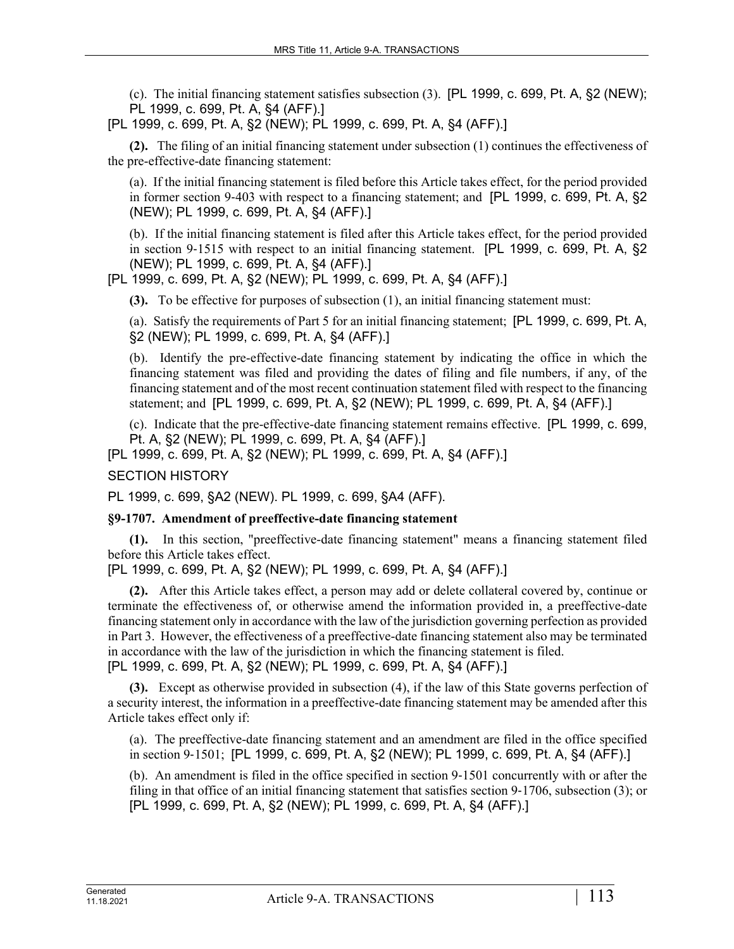(c). The initial financing statement satisfies subsection (3). [PL 1999, c. 699, Pt. A, §2 (NEW); PL 1999, c. 699, Pt. A, §4 (AFF).]

[PL 1999, c. 699, Pt. A, §2 (NEW); PL 1999, c. 699, Pt. A, §4 (AFF).]

**(2).** The filing of an initial financing statement under subsection (1) continues the effectiveness of the pre-effective-date financing statement:

(a). If the initial financing statement is filed before this Article takes effect, for the period provided in former section 9-403 with respect to a financing statement; and [PL 1999, c. 699, Pt. A, §2 (NEW); PL 1999, c. 699, Pt. A, §4 (AFF).]

(b). If the initial financing statement is filed after this Article takes effect, for the period provided in section 9–1515 with respect to an initial financing statement. [PL 1999, c. 699, Pt. A, §2 (NEW); PL 1999, c. 699, Pt. A, §4 (AFF).]

[PL 1999, c. 699, Pt. A, §2 (NEW); PL 1999, c. 699, Pt. A, §4 (AFF).]

**(3).** To be effective for purposes of subsection (1), an initial financing statement must:

(a). Satisfy the requirements of Part 5 for an initial financing statement; [PL 1999, c. 699, Pt. A, §2 (NEW); PL 1999, c. 699, Pt. A, §4 (AFF).]

(b). Identify the pre-effective-date financing statement by indicating the office in which the financing statement was filed and providing the dates of filing and file numbers, if any, of the financing statement and of the most recent continuation statement filed with respect to the financing statement; and [PL 1999, c. 699, Pt. A, §2 (NEW); PL 1999, c. 699, Pt. A, §4 (AFF).]

(c). Indicate that the pre-effective-date financing statement remains effective. [PL 1999, c. 699, Pt. A, §2 (NEW); PL 1999, c. 699, Pt. A, §4 (AFF).]

[PL 1999, c. 699, Pt. A, §2 (NEW); PL 1999, c. 699, Pt. A, §4 (AFF).]

SECTION HISTORY

PL 1999, c. 699, §A2 (NEW). PL 1999, c. 699, §A4 (AFF).

### **§9-1707. Amendment of preeffective-date financing statement**

**(1).** In this section, "preeffective-date financing statement" means a financing statement filed before this Article takes effect.

[PL 1999, c. 699, Pt. A, §2 (NEW); PL 1999, c. 699, Pt. A, §4 (AFF).]

**(2).** After this Article takes effect, a person may add or delete collateral covered by, continue or terminate the effectiveness of, or otherwise amend the information provided in, a preeffective-date financing statement only in accordance with the law of the jurisdiction governing perfection as provided in Part 3. However, the effectiveness of a preeffective-date financing statement also may be terminated in accordance with the law of the jurisdiction in which the financing statement is filed. [PL 1999, c. 699, Pt. A, §2 (NEW); PL 1999, c. 699, Pt. A, §4 (AFF).]

**(3).** Except as otherwise provided in subsection (4), if the law of this State governs perfection of a security interest, the information in a preeffective-date financing statement may be amended after this Article takes effect only if:

(a). The preeffective-date financing statement and an amendment are filed in the office specified in section 9‑1501; [PL 1999, c. 699, Pt. A, §2 (NEW); PL 1999, c. 699, Pt. A, §4 (AFF).]

(b). An amendment is filed in the office specified in section 9‑1501 concurrently with or after the filing in that office of an initial financing statement that satisfies section 9‑1706, subsection (3); or [PL 1999, c. 699, Pt. A, §2 (NEW); PL 1999, c. 699, Pt. A, §4 (AFF).]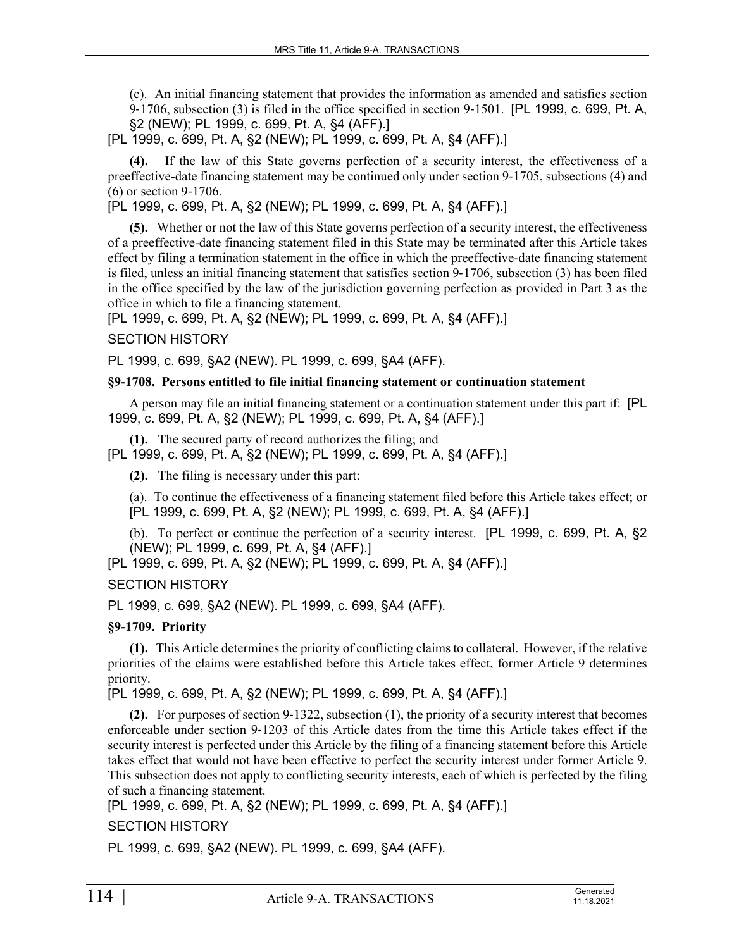(c). An initial financing statement that provides the information as amended and satisfies section 9‑1706, subsection (3) is filed in the office specified in section 9‑1501. [PL 1999, c. 699, Pt. A, §2 (NEW); PL 1999, c. 699, Pt. A, §4 (AFF).]

[PL 1999, c. 699, Pt. A, §2 (NEW); PL 1999, c. 699, Pt. A, §4 (AFF).]

**(4).** If the law of this State governs perfection of a security interest, the effectiveness of a preeffective-date financing statement may be continued only under section 9‑1705, subsections (4) and (6) or section 9‑1706.

[PL 1999, c. 699, Pt. A, §2 (NEW); PL 1999, c. 699, Pt. A, §4 (AFF).]

**(5).** Whether or not the law of this State governs perfection of a security interest, the effectiveness of a preeffective-date financing statement filed in this State may be terminated after this Article takes effect by filing a termination statement in the office in which the preeffective-date financing statement is filed, unless an initial financing statement that satisfies section 9–1706, subsection (3) has been filed in the office specified by the law of the jurisdiction governing perfection as provided in Part 3 as the office in which to file a financing statement.

[PL 1999, c. 699, Pt. A, §2 (NEW); PL 1999, c. 699, Pt. A, §4 (AFF).]

SECTION HISTORY

PL 1999, c. 699, §A2 (NEW). PL 1999, c. 699, §A4 (AFF).

## **§9-1708. Persons entitled to file initial financing statement or continuation statement**

A person may file an initial financing statement or a continuation statement under this part if: [PL 1999, c. 699, Pt. A, §2 (NEW); PL 1999, c. 699, Pt. A, §4 (AFF).]

**(1).** The secured party of record authorizes the filing; and [PL 1999, c. 699, Pt. A, §2 (NEW); PL 1999, c. 699, Pt. A, §4 (AFF).]

**(2).** The filing is necessary under this part:

(a). To continue the effectiveness of a financing statement filed before this Article takes effect; or [PL 1999, c. 699, Pt. A, §2 (NEW); PL 1999, c. 699, Pt. A, §4 (AFF).]

(b). To perfect or continue the perfection of a security interest. [PL 1999, c. 699, Pt. A, §2 (NEW); PL 1999, c. 699, Pt. A, §4 (AFF).]

[PL 1999, c. 699, Pt. A, §2 (NEW); PL 1999, c. 699, Pt. A, §4 (AFF).]

SECTION HISTORY

PL 1999, c. 699, §A2 (NEW). PL 1999, c. 699, §A4 (AFF).

**§9-1709. Priority**

**(1).** This Article determines the priority of conflicting claims to collateral. However, if the relative priorities of the claims were established before this Article takes effect, former Article 9 determines priority.

[PL 1999, c. 699, Pt. A, §2 (NEW); PL 1999, c. 699, Pt. A, §4 (AFF).]

**(2).** For purposes of section 9‑1322, subsection (1), the priority of a security interest that becomes enforceable under section 9‑1203 of this Article dates from the time this Article takes effect if the security interest is perfected under this Article by the filing of a financing statement before this Article takes effect that would not have been effective to perfect the security interest under former Article 9. This subsection does not apply to conflicting security interests, each of which is perfected by the filing of such a financing statement.

[PL 1999, c. 699, Pt. A, §2 (NEW); PL 1999, c. 699, Pt. A, §4 (AFF).]

SECTION HISTORY

PL 1999, c. 699, §A2 (NEW). PL 1999, c. 699, §A4 (AFF).